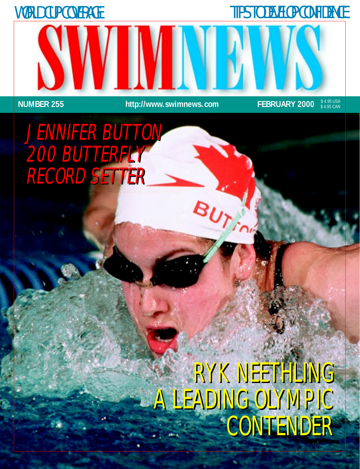WORLD CUP COVERAGE TIPS TO DEVELOP CONFIDENCE

 **NUMBER 255 http://www.swimnews.com FEBRUARY 2000**

**BUT** 

\$ 4.95 USA \$ 4.95 CAN

# JENNIFER BUTTON JENNIFER BUTTON 200 BUTTERFLY 200 BUTTERFLY RECORD SETTER RECORD SETTER

# RYK NEETHLING RYK NEETHLING A LEADING OLYMPIC A LEADING OLYMPIC CONTENDER CONTENDER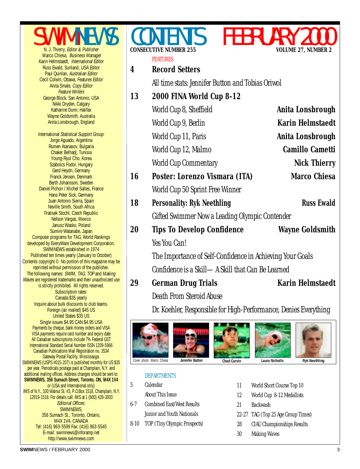SWIMNEWS Marco Chiesa, Business Manager Karin Helmstaedt, International Editor Russ Ewald, Sunland, USA Editor Paul Quinlan, Australian Editor Cecil Colwin, Ottawa, Features Editor Anita Smale, Copy Editor Feature Writers George Block, San Antonio, USA Nikki Dryden, Calgary Katharine Dunn, Halifax Wayne Goldsmith, Australia Anita Lonsbrough, England International Statistical Support Group: Jorge Aguado, Argentina Rumen Atanasov, Bulgaria Chaker Belhadj, Tunisia Young-Ryul Cho, Korea Szabolcs Fodor, Hungary

Gerd Heydn, Germany Franck Jensen, Denmark Berth Johansson, Sweden Daniel Pichon / Michel Salles, France Hans Peter Sick, Germany Juan Antonio Sierra, Spain Neville Smith, South Africa Fratisek Stochl, Czech Republic Nelson Vargas, Mexico Janusz Wasko, Poland Sumire Watanabe, Japan Computer programs for TAG, World Rankings developed by EveryWare Development Corporation. SWIMNEWS established in 1974 Published ten times yearly (January to October) Contents copyright © No portion of this magazine may be reprinted without permission of the publisher. The following names: SWIM, TAG, TOP and Making Waves are registered trademarks and their unauthorized use is strictly prohibited. All rights reserved. Subscription rates: Canada \$35 yearly Inquire about bulk discounts to club teams. Foreign (air mailed) \$45 US United States \$35 US Single issues \$4.95 CAN \$4.95 USA Payments by cheque, bank money orders and VISA VISA payments require card number and expiry date All Canadian subscriptions include 7% Federal GST International Standard Serial Number ISSN 1209-5966 Canadian Publications Mail Registration no. 3534 Gateway Postal Facility, Mississauga. SWIMNEWS (USPS #015-207) is published monthly for US \$35 per year. Periodicals postage paid at Champlain, N.Y. and additional mailing offices. Address changes should be sent to: **SWIMNEWS, 356 Sumach Street, Toronto, ON, M4X 1V4** or (USA and International only) IMS of N.Y., 100 Walnut St. #3, P.O.Box 1518, Champlain, N.Y. 12919-1518. For details call: IMS at 1 (800) 428-3003 Editorial Offices: SWIMNEWS,

356 Sumach St., Toronto, Ontario, M4X 1V4, CANADA Tel: (416) 963-5599 Fax: (416) 963-5545 E-mail: swimnews@inforamp.net http://www.swimnews.com

### FEATURES **4 Record Setters**

**CONSECUTIVE NUMBER 255** 

[All time stats: Jennifer Button and Tobias Oriwol](#page-3-0)

#### **[13 2000 FINA World Cup 8-12](#page-12-0)**

|    | World Cup 8, Sheffield                         | Anita Lonsbrough        |
|----|------------------------------------------------|-------------------------|
|    | World Cup 9, Berlin                            | <b>Karin Helmstaedt</b> |
|    | World Cup 11, Paris                            | Anita Lonsbrough        |
|    | World Cup 12, Malmo                            | <b>Camillo Cametti</b>  |
|    | <b>World Cup Commentary</b>                    | <b>Nick Thierry</b>     |
| 16 | Poster: Lorenzo Vismara (ITA)                  | <b>Marco Chiesa</b>     |
|    | World Cup 50 Sprint Free Winner                |                         |
| 18 | <b>Personality: Ryk Neethling</b>              | <b>Russ Ewald</b>       |
|    | Gifted Swimmer Now a Leading Olympic Contender |                         |
| 20 | <b>Tips To Develop Confidence</b>              | <b>Wayne Goldsmith</b>  |
|    | Yes You Can!                                   |                         |
|    |                                                |                         |

The Importance of Self-Confidence in Achieving Your Goals Confidence is a Skill—A Skill that Can Be Learned

**[29 German Drug Trials Karin Helmstaed](#page-28-0)t**

Death From Steroid Abuse

Dr. Koehler, Responsible for High-Performance, Denies Everything



#### DEPARTMENTS

5 Calendar [About This Issue](#page-4-0) [6-7 Combined East/West Results](#page-5-0)

Junior and Youth Nationals

- [8-10 TOP \(Tiny Olympic Prospects\)](#page-7-0)
- [11 World Short Course Top 10](#page-10-0)
- [12 World Cup 8-12 Medallists](#page-11-0)
- [21 Backwash](#page-20-0)
- [22-27 TAG \(Top 25 Age Group Times\)](#page-21-0)
- [28 CIAU Championships Results](#page-27-0)
- [30 Making Waves](#page-29-0)

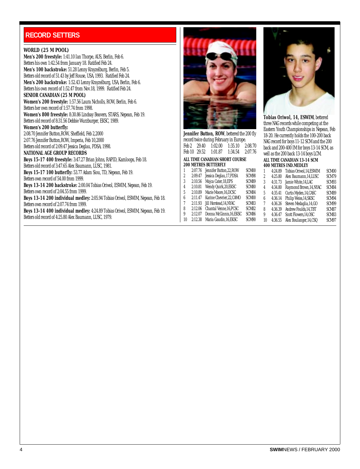#### <span id="page-3-0"></span>**RECORD SETTERS**

#### **WORLD (25 M POOL)**

**Men's 200 freestyle:** 1:41.10 Ian Thorpe, AUS, Berlin, Feb 6. Betters his own 1:42.54 from January 18. Ratified Feb 24. **Men's 100 backstroke:** 51.28 Lenny Krayzelburg, Berlin, Feb 5. Betters old record of 51.43 by Jeff Rouse, USA, 1993. Ratified Feb 24. **Men's 200 backstroke:** 1:52.43 Lenny Krayzelburg, USA, Berlin, Feb 6. Betters his own record of 1:52.47 from Nov.18, 1999. Ratified Feb 24. **SENIOR CANADIAN (25 M POOL)**

#### **Women's 200 freestyle:** 1:57.56 Laura Nicholls, ROW, Berlin, Feb 6. Betters her own record of 1:57.74 from 1998.

**Women's 800 freestyle:** 8:30.86 Lindsay Beavers, STARS, Nepean, Feb 19. Betters old record of 8:31.56 Debbie Wurzburger, EKSC, 1989.

#### **Women's 200 butterfly:**

2:08.70 Jennifer Button,ROW, Sheffield, Feb 2,2000 2:07.76 Jennifer Button,ROW, Imperia, Feb 10,2000 Betters old record of 2:09.47 Jessica Deglau, PDSA, 1998.

#### **NATIONAL AGE GROUP RECORDS**

**Boys 15-17 400 freestyle:** 3:47.27 Brian Johns, RAPID, Kamloops, Feb 18. Betters old record of 3:47.65 Alex Baumann, LUSC, 1981. **Boys 15-17 100 butterfly:** 53.77 Adam Siou, TD, Nepean, Feb 19.

Betters own record of 54.00 from 1999.

**Boys 13-14 200 backstroke:** 2:00.04 Tobias Oriwol, ESWIM, Nepean, Feb 19. Betters own record of 2:04.55 from 1999.

**Boys 13-14 200 individual medley:** 2:05.94 Tobias Oriwol, ESWIM, Nepean, Feb 18. Betters own record of 2:07.74 from 1999.

**Boys 13-14 400 individual medley:** 4:24.89 Tobias Oriwol, ESWIM, Nepean, Feb 19. Betters old record of 4:25.80 Alex Baumann, LUSC, 1979.



**Jennifer Button, ROW**, bettered the 200 fly record twice during February in Europe. Feb 2 29.40 1:02.00 1:35.10 2:08.70 Feb 10 29.52 1:01.87 1:34.54 2:07.76

#### **ALL TIME CANADIAN SHORT COURSE 200 METRES BUTTERFLY**

| 1  | 2:07.76 | Jennifer Button, 22, ROW | SCM <sub>00</sub> |
|----|---------|--------------------------|-------------------|
| 2  | 2:09.47 | Jessica Deglau, 17, PDSA | SCM98             |
| 3  | 2:10.56 | Mojca Cater, 18, EPS     | SCM89             |
| 4  | 2:10.81 | Wendy Quirk, 20, EKSC    | SCM80             |
| 5  | 2:10.89 | Marie Moore.16.DCSC      | SCM84             |
| 6  | 2:11.47 | Karine Chevrier.22.CAMO  | SCM <sub>00</sub> |
| 7  | 2:11.93 | Jill Horstead.14.NYAC    | SCM83             |
| 8  | 2:12.06 | Chantal Venne.16.PCSC    | SCM82             |
| 9  | 2:12.07 | Donna McGinnis.16.EKSC   | SCM86             |
| 10 | 2:12.38 | Maria Gaudin, 16, EKSC   | SCM90             |
|    |         |                          |                   |



**Tobias Oriwol, 14, ESWIM**, bettered three NAG records while competing at the Eastern Youth Championships in Nepean, Feb 18-20. He currently holds the 100-200 back NAG record for boys 11-12 SCM and the 200 back and 200-400 IM for boys 13-14 SCM, as well as the 200 back 13-14 boys LCM.

#### **ALL TIME CANADIAN 13-14 SCM 400 METRES IND.MEDLEY**

|    | 4:24.89 | Tobias Oriwol,14,ESWIM  | SCM00 |
|----|---------|-------------------------|-------|
| 2  | 4:25.80 | Alex Baumann, 14, LUSC  | SCM79 |
| 3  | 4:31.73 | Jamie White, 14, LAC    | SCM93 |
| 4  | 4:34.80 | Raymond Brown, 14, NYAC | SCM84 |
| 5  | 4:35.41 | Curtis Myden, 14, CASC  | SCM89 |
| 6  | 4:36.14 | Philip Weiss, 14, SKSC  | SCM94 |
| 7  | 4:36.26 | Steven Medaglia, 14, GO | SCM99 |
| 8  | 4:36.39 | Andrew Foulds.14.TBT    | SCM87 |
| 9  | 4:36.47 | Scott Flowers, 14, OSC  | SCM83 |
| 10 | 4:36.55 | Alex Boulanger, 14, CSQ | SCM97 |
|    |         |                         |       |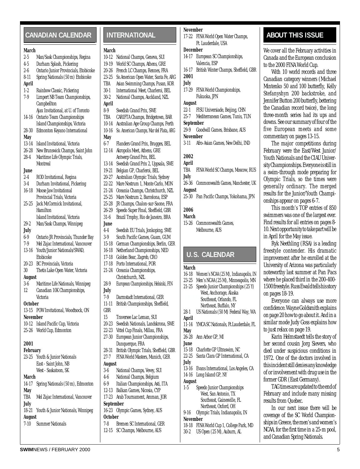#### <span id="page-4-0"></span>**CANADIAN CALENDAR INTERNATIONAL 17-22 FINA World Onen Water Chamns. ABOUT THIS ISSUE**

#### **March**

#### 2-5 Man/Sask Championships, Regina 4-5 Durham Splash, Pickering

- 2-6 Ontario Junior Provincials, Etobicoke
- 8-11 Spring Nationals (50 m) Etobicoke
- **April**
- 1-2 Rainbow Classic, Pickering
- 7-9 Limpert NB Team Championships, **Campbellton** Ajax Invitational, at U. of Toronto
- 14-16 Ontario Team Championships Island Championships, Victoria
- 28-30 Edmonton Keyano International

#### **May**

- 13-14 Island Invitational, Victoria
- 26-28 New Brunswick Champs, Saint John
- 28-4 Maritime Life Olympic Trials, **Montreal**

#### **June**

2-4 ROD Invitational, Regina 3-4 Durham Invitational, Pickering 16-18 Moose Jaw Invitational Provincial Trials, Victoria 25-25 Jack McCormick Invitational, Hamilton Island Invitational, Victoria 29-2 Man/Sask Champs, Winnipeg **July** 6-9 Ontario JR Provincials, Thunder Bay 7-9 Mel Zajac International, Vancouver 13-16 Youth/Junior Nationals/SWAD, Etobicoke 20-23 BC Provincials, Victoria 30 Thetis Lake Open Water, Victoria **August** 3-6 Maritime Life Nationals, Winnipeg 12 Canadian 10K Championships, Victoria **October** 13-15 POW Invitational, Woodtsock, ON **November** 10-12 Island Pacific Cup, Victoria 25-26 World Cup, Edmonton

#### **2001**

**February** 23-25 Youth & Junior Nationals East - Saint John, NB West - Saskatoon, SK **March** 14-17 Spring Nationals (50 m), Edmonton **May** TBA Mel Zajac International, Vancouver **July** 18-21 Youth & Junior Nationals, Winnipeg **August** 7-10 Summer Nationals

#### **INTERNATIONAL**

#### **March**

- 10-12 National Champs, Geneva, SUI
- 19-19 World SC Champs, Athens, GRE 20-26 French LC Champs, Rennes, FRA
- 23-25 So.American Open Water, Santa Fe, ARG
- TBA Asian Swimming Champs, Pusan, KOR
- 30-1 International Meet, Charleroi, BEL
- 30-2 National Champs, Auckland, NZL
- **April**
- 8-9 Swedish Grand Prix, SWE
- TBA CARIFTA Champs, Bridgetown, BAR
- 10-14 Australian Age Group Champs, Perth 10-16 So. American Champs, Mar del Plata, ARG
- **May**
- 6-7 Flanders Grand Prix, Brugges, BEL
- 12-14 Akropolis Meet, Athens, GRE Antwerp Grand Prix, BEL 13-14 Swedish Grand Prix 2, Uppsala, SWE 19-21 Belgian GP, Charleroi, BEL 20-27 Australian Olympic Trials, Sydney
- 22-22 Mare Nostrum 1, Monte Carlo, MON
- 21-24 Oceania Champs, Christchurch, NZL
- 25-25 Mare Nostrum 2, Barcelona, ESP
- 25-28 JR Champs, Chalon-sur-Saone, FRA 26-29 Speedo Super Final, Sheffield, GBR
- 31-6 Brazil Trophy, Rio de Janeiro, BRA **June**
- 4-4 Swedish EU Trials, Jonkoping, SWE 3-9 South Pacific Games, Guam, GUM 15-18 German Championships, Berlin, GER 16-18 Netherland Championships, NED
- 17-18 Golden Bear, Zagreb, CRO
- 17-18 Porto International, POR
- 21-24 Oceania Championships,
- Christchurch, NZL 28-9 European Championships, Helsinki, FIN
- **July** 7-9 Darmstadt International, GER
- 11-11 British Championships, Sheffield, GBR
- 15 Traversee Lac Leman, SUI
- 20-23 Swedish Nationals, Landskrona, SWE
- 22-23 Vittel Cup Finals, Millau, FRA
- 27-30 European Junior Championships, Dunquerque, FRA
- 28-31 British Olympic Trials, Sheffield, GBR
- 27-7 FINA World Masters, Munich, GER

#### **August**

- 3-6 National Champs, Vevey, SUI 4-6 National Champs, Belgium
- 6-9 Italian Championships, Asti, ITA
- 12-13 Balkan Games, Nicosia, CYP
- 17-23 Arab Tournament, Amman, JOR **September**
- 16-23 Olympic Games, Sydney, AUS **October**
- 7-8 Bremen SC International, GER 12-15 SC Champs, Melbourne, AUS

#### **November**

FINA World Open Water Champs, Ft. Lauderdale, USA

#### **December**

- 14-17 European SC Championships, Valencia, ESP
- 16-17 British Winter Champs, Sheffield, GBR **2001**

#### **July**

17-29 FINA World Championships, Fukuoka, JPN

#### **August**

- 22-1 FISU Universiade, Beijing, CHN
- 25-7 Mediterranean Games, Tunis, TUN

#### **September**

- 29-9 Goodwill Games, Brisbane, AUS **November**
- 3-11 Afro-Asian Games, New Delhi, IND

#### **2002**

- **April** TBA FINA World SC Champs, Moscow, RUS
- **July** 26-36 Commonwealth Games, Manchester, UK

#### **August**

25-30 Pan Pacific Champs, Yokohama, JPN

#### **2006**

#### **March**

15-26 Commonwealth Games, Melbourne, AUS

#### **U.S. CALENDAR**

#### **March**

west, Antthorage, Alask<br>Southeast, Orlando, FL 16-18 Women's NCAA (25 M), Indianapolis, IN 23-25 Men's NCAA (25 M), Minneapolis, MN 21-25 Speedo Junior Championships (25 Y) West, Anchorage, Alaska Northeast, Buffalo, NY 28-1 US Nationals (50 M) Federal Way, WA **April** 11-14 YMCA SC Nationals, Ft.Lauderdale, FL **May** 26-28 Ann Arbor GP, MI **June** 15-18 Charlotte GP Ultraswim, NC 22-25 Santa Clara GP International, CA **July** 13-16 Evans International, Los Angeles, CA 14-16 Long Island GP, NY **August** 1-5 Speedo Junior Championships West, San Antonio, TX Southeast, Gainesville, FL Northeast, Oxford, OH 9-16 Olympic Trials, Indianapolis, IN **November** 18-18 FINA World Cup 1, College Park, MD 30-2 US Open (25 M), Auburn, AL

We cover all the February activities in Canada and the European conclusion to the 2000 FINA World Cup.

With 10 world records and three Canadian category winners (Michael Mintenko 50 and 100 butterfly, Kelly Stefanyshyn 200 backstroke, and Jennifer Button 200 butterfly, bettering the Canadian record twice), the long three-month series had its ups and downs. See our summary of four of the five European meets and some commentary on pages 13-15.

The major competitions during February were the East/West Junior/ Youth Nationals and the CIAU University Championships. Everyone is still in a swim-through mode preparing for Olympic Trials, so the times were generally ordinary. The merged results for the Junior/Youth Championships appear on pages 6-7.

This month's TOP entries of 850 swimmers was one of the largest ever. Find results for all entries on pages 8- 10. Next opportunity to take part will be in April for the May issue.

Ryk Neethling (RSA) is a leading freestyle contender. His dramatic improvement after he enrolled at the University of Arizona was particularly noteworthy last summer at Pan Pacs where he placed third in the 200-400- 1500 freestyle. Russ Ewald tells his story on pages 18-19.

Everyone can always use more confidence. Wayne Goldsmith explains on page 20 how to go about it. And in a similar mode Judy Goss explains how to *just relax* on page 19.

Karin Helmstaedt tells the story of her second cousin Jorg Sievers, who died under suspicious conditions in 1972. One of the doctors involved in this incident still denies any knowledge of or involvement with drug use in the former GDR (East Germany).

TAG times are updated to the end of February and include many missing results from Quebec.

In our next issue there will be coverage of the SC World Championships in Greece, the men's and women's NCAA, for the first time in a 25-m pool, and Canadian Spring Nationals.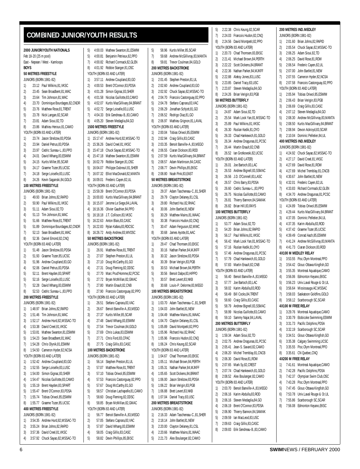#### <span id="page-5-0"></span>**COMBINED JUNIOR/YOUTH RESULTS**

4) 3:57.92 Chuck Sayao,82,MSSAC-TO

5) 58.82 Devin Phillips,85,EKSC

|             |                       | 2000 JUNIOR/YOUTH NATIONALS         | 5)                                    |       | 4:00.03 Mathew Swanton, 81, ESW                                |  |  |
|-------------|-----------------------|-------------------------------------|---------------------------------------|-------|----------------------------------------------------------------|--|--|
|             | Feb 18-20 (25 m pool) |                                     | 5)                                    |       | 4:00.81 Benjamin Petrieux, 82, PPC                             |  |  |
|             |                       | East - Nepean / West - Kamloops     | 7)                                    |       | 4:00.82 Richard Cormack.82.GLEI                                |  |  |
| <b>BOYS</b> |                       |                                     | 8)<br>4:01.92 Robbie Stanger, 81, OSC |       |                                                                |  |  |
|             |                       | <b>50 METRES FREESTYLE</b>          |                                       |       | YOUTH (BORN 83 AND LATER)                                      |  |  |
|             |                       | JUNIORS (BORN 1981-82)              | 1)                                    |       | 3:57.11 Andrew Coupland, 83, GO                                |  |  |
| 1)          |                       | 23.12 Paul Wilkins, 81, VKSC        | 2)                                    |       | 4:00.53 Brent O'Connor,83,PDSA                                 |  |  |
| 2)          |                       | 23.45 Sean Broadbent, 81, WAC       | 3)                                    |       | 4:01.28 Simon Gignac, 83, SHER                                 |  |  |
| 3)          |                       | 23.64 Tim Johnson, 81, WAC          | 4)                                    |       | 4:01.58 Nicolas Guillotte, 83, CAM                             |  |  |
| 4)          |                       | 23.70 Dominique Bourdages, 82, CNDR | 5)                                    |       | 4:02.07 Kurtis MacGillivary, 84, BR                            |  |  |
| 5)          |                       | 23.76 Matthew Rose.81.TRENT         | 5)                                    |       | 4:02.72 Serge Loiselle, 83, LUSC                               |  |  |
| 5)          |                       | 23.78 Nick Langan, 82, SCAR         | 7)                                    |       | 4:04.33 Erik Gendreau-B83.CAM                                  |  |  |
| 7)          |                       | 23.81 Adam Sioui, 82, TD            | 8)                                    |       | 4:05.20 Steven Medaglia, 84, GO                                |  |  |
| 8)          |                       | 23.86 Mathieu Heroux, 81, CAMO      |                                       |       | 1500 METRES FREESTYLE                                          |  |  |
|             |                       | YOUTH (BORN 83 AND LATER)           |                                       |       | <b>JUNIORS (BORN 1981-82)</b>                                  |  |  |
| 1)          |                       | 23.74 Jason Strelzow, 83, PDSA      | 1)                                    |       | 15:17.47 Andrew Hurd,82,MSSAC-                                 |  |  |
| 2)          |                       | 23.94 Daniel Petrus, 83, PDSA       | 2)                                    |       | 15:36.26 David Creel, 81, VKSC                                 |  |  |
| 3)          |                       | 23.97 Cedric Sureau-L., 83, PPO     | 3)                                    |       | 15:47.18 Chuck Sayao,82, MSSAC-                                |  |  |
| 4)          |                       | 24.01 David Whang,83,ESWIM          | 4)                                    |       | 15:47.18 Mathew Swanton, 81, ESW                               |  |  |
| 5)          |                       | 24.15 Kurtis Miller, 85, SCAR       | 5)                                    |       | 16:02.79 Robbie Stanger, 81, OSC                               |  |  |
| 5)          |                       | 24.17 Graeme Tozer, 85, UCSC        | 5)                                    |       | 16:04.07 Philippe Dubreuil, 81, SHE                            |  |  |
| 7)          |                       | 24.18 Serge Loiselle, 83, LUSC      | 7)                                    |       | 16:07.32 Elliot MacDonald, 82, MAN                             |  |  |
| 8)          |                       | 24.26 Kevin Saganski, 84, GOLD      | 8)                                    |       | 16:09.01 Frederic Cayen, 82, UL                                |  |  |
|             |                       | 100 METRES FREESTYLE                |                                       |       | YOUTH (BORN 83 AND LATER)                                      |  |  |
|             |                       | JUNIORS (BORN 1981-82)              | 1)                                    |       | 15:59.39 Brent O'Connor, 83, PDSA                              |  |  |
| 1)          |                       | 49.93 Brian Johns, 82, RAPID        | 2)                                    |       | 16:00.83 Kurtis MacGillivary, 84, BR                           |  |  |
| 2)          |                       | 50.90 Paul Wilkins, 81, VKSC        | 3)                                    |       | 16:15.07 Jerome Le Siege, 84, LAVA                             |  |  |
| 3)          |                       | 51.11 Adam Sioui,82,TD              | 4)                                    |       | 16:16.36 Olivier Gauthier, 84, PPO                             |  |  |
| 4)          |                       | 51.13 Tim Johnson, 81, WAC          | 5)                                    |       | 16:18.18 J.T. Collison, 83, VKSC                               |  |  |
| 5)          |                       | 51.66 Matthew Rose, 81, TRENT       | 5)                                    |       | 16:22.63 Anton Blais, 83, CASC                                 |  |  |
| 5)          |                       | 51.89 Dominique Bourdages, 82, CNDR | 7)                                    |       | 16:22.83 Rylan Kafara, 83, RDCSC                               |  |  |
|             |                       | 52.13 Sean Broadbent, 81, WAC       | 8)                                    |       |                                                                |  |  |
| 7)          |                       | 52.36 Daniel Emond, 82, CNQ         |                                       |       | 16:26.72 Andy Andrew, 83, WVOSC<br><b>50 METRES BACKSTROKE</b> |  |  |
| 8)          |                       | YOUTH (BORN 83 AND LATER)           |                                       |       | <b>JUNIORS (BORN 1981-82)</b>                                  |  |  |
| 1)          |                       | 51.48 Jason Strelzow, 83, PDSA      | 1)                                    |       | 26.91 Matthew Rose, 81, TRENT                                  |  |  |
|             |                       |                                     |                                       |       |                                                                |  |  |
| 2)          |                       | 51.93 Graeme Tozer, 85, UCSC        | 2)                                    |       | 27.07 Stephen Preston, 81, UL                                  |  |  |
| 3)          |                       | 51.96 Andrew Coupland, 83, GO       | 3)                                    |       | 27.10 Doug McCarthy,81,GO                                      |  |  |
| 4)          |                       | 52.06 Daniel Petrus, 83, PDSA       | 4)                                    |       | 27.31 Doug Fleming, 82, ODSC                                   |  |  |
| 5)          |                       | 52.11 Brent Hayden, 83, SPART       | 5)                                    |       | 27.70 Marc Prud'Homme, 82, PC                                  |  |  |
| 5)          |                       | 52.16 Serge Loiselle, 83, LUSC      | 5)                                    |       | 27.72 Bryan McMillan, 82, GMAC                                 |  |  |
| 7)          |                       | 52.28 David Whang,83,ESWIM          | 7)                                    |       | 27.80 Martin Enault, 82, CNB                                   |  |  |
| 8)          |                       | 52.53 Cedric Sureau-L.,83,PPO       | 8)                                    |       | 27.90 Francois Castonguay, 82, F                               |  |  |
|             |                       | <b>200 METRES FREESTYLE</b>         |                                       |       | YOUTH (BORN 83 AND LATER)                                      |  |  |
|             |                       | JUNIORS (BORN 1981-82)              | 1)                                    |       | 26.51 Stefano Caprara, 83, VAC                                 |  |  |
| 1)          |                       | 1:48.97 Brian Johns, 82, RAPID      | 2)                                    |       | 26.67 Benoit Banville-A., 83, MEO                              |  |  |
| 2)          |                       | 1:51.46 Tim Johnson,81,WAC          | 3)                                    |       | 27.37 Kurtis Miller, 85, SCAR                                  |  |  |
| 3)          |                       | 1:52.17 Andrew Hurd, 82, MSSAC-TO   | 4)                                    |       | 27.48 David Whang, 83, ESWIM                                   |  |  |
| 4)          |                       | 1:53.38 David Creel, 81, VKSC       | 5)                                    |       | 27.54 Trevor Coulman,84,GOLD                                   |  |  |
| 5)          |                       | 1:53.81 Mathew Swanton, 81, ESWIM   | 5)                                    |       | 27.69 Chris Lukas, 83, ESWIM                                   |  |  |
| 5)          |                       | 1:54.23 Sean Broadbent, 81, WAC     | 7)                                    |       | 27.71 Chris Ford, 83, CPAC                                     |  |  |
| 7)          |                       | 1:54.28 Chris Olynik,81,ESWIM       | 8)                                    |       | 27.75 Craig Gillis, 83, CASC                                   |  |  |
| 8)          |                       | 1:54.50 Cameron Hyder, 82, NCSA     |                                       |       | 100 METRES BACKSTROKE                                          |  |  |
|             |                       | YOUTH (BORN 83 AND LATER)           |                                       |       | <b>JUNIORS (BORN 1981-82)</b>                                  |  |  |
| 1)          |                       | 1:52.42 Andrew Coupland, 83, GO     | 1)                                    |       | 56.14 Stephen Preston, 81, UL                                  |  |  |
| 2)          |                       | 1:52.55 Serge Loiselle,83,LUSC      | 2)                                    |       | 57.07 Matthew Rose, 81, TRENT                                  |  |  |
| 3)          |                       | 1:54.00 Simon Gignac, 83, SHER      | 3)                                    |       | 57.10 Tobias Oriwol, 85, ESWIM                                 |  |  |
| 4)          |                       | 1:54.47 Nicolas Guillotte, 83, CAMO | 4)                                    |       | 57.53 Francois Castonguay, 82, F                               |  |  |
| 5)          |                       | 1:55.19 Brent Hayden,83, SPART      | 5)                                    |       | 57.67 Doug McCarthy,81,GO                                      |  |  |
| 5)          |                       | 1:55.47 Brent O'Connor, 83, PDSA    | 5)                                    |       | 58.57 Christian Lachapelle, 81, C                              |  |  |
| 7)          |                       | 1:55.74 Tobias Oriwol, 85, ESWIM    | 7)                                    |       | 58.60 Doug Fleming, 82, ODSC                                   |  |  |
| 8)          |                       | 1:55.77 Graeme Tozer, 85, UCSC      | 8)                                    | 58.85 | Bryan McMillan, 82, GMAC                                       |  |  |
|             |                       | <b>400 METRES FREESTYLE</b>         |                                       |       | YOUTH (BORN 83 AND LATER)                                      |  |  |
|             |                       | JUNIORS (BORN 1981-82)              | 1)                                    |       | 56.77 Benoit Banville-A.,83,MEO                                |  |  |
| 1)          |                       | 3:54.35 Andrew Hurd,82,MSSAC-TO     | 2)                                    |       | 57.05 Stefano Caprara, 83, VAC                                 |  |  |
| 2)          |                       | 3:55.24 Brian Johns, 82, RAPID      | 3)                                    | 57.87 | David Whang, 83, ESWIM                                         |  |  |
| 3)          |                       | 3:57.36 David Creel, 81, VKSC       | 4)                                    | 58.05 | Craig Gillis, 83, CASC                                         |  |  |

| IJ |       | 4.00.00 IVIDING MAINTAIN CU.U.P         | IJ,              |                |
|----|-------|-----------------------------------------|------------------|----------------|
| 5) |       | 4:00.81 Benjamin Petrieux, 82, PPO      | 7)               |                |
| 7) |       | 4:00.82 Richard Cormack, 82, GLEN       | 8)               |                |
| 8) |       | 4:01.92 Robbie Stanger, 81, OSC         | 200 N            |                |
|    |       | YOUTH (BORN 83 AND LATER)               | <b>JUNIO</b>     |                |
| 1) |       | 3:57.11 Andrew Coupland, 83, GO         | 1)               | 2              |
| 2) |       | 4:00.53 Brent O'Connor, 83, PDSA        | 2)               | 2              |
| 3) |       | 4:01.28 Simon Gignac, 83, SHER          | 3)               | 2              |
| 4) |       | 4:01.58 Nicolas Guillotte, 83, CAMO     | 4)               | 2              |
| 5) |       | 4:02.07 Kurtis MacGillivary, 84, BRANT  | 5)               | 2              |
| 5) |       | 4:02.72 Serge Loiselle,83,LUSC          | 5)               | 2              |
|    |       |                                         |                  |                |
| 7) |       | 4:04.33 Erik Gendreau-B., 83, CAMO      | 7)<br>8)         | 2              |
| 8) |       | 4:05.20 Steven Medaglia, 84, GO         |                  | 2              |
|    |       | 1500 METRES FREESTYLE                   | YOUTI            |                |
|    |       | JUNIORS (BORN 1981-82)                  | 1)               | 2              |
| 1) |       | 15:17.47 Andrew Hurd,82,MSSAC-TO        | 2)               | 2              |
| 2) |       | 15:36.26 David Creel, 81, VKSC          | 3)               | 2              |
| 3) |       | 15:47.18 Chuck Sayao, 82, MSSAC-TO      | 4)               | 2              |
| 4) |       | 15:47.18 Mathew Swanton, 81, ESWIM      | 5)               | 2              |
| 5) |       | 16:02.79 Robbie Stanger,81,0SC          | 5)               | 2              |
|    |       | 5) 16:04.07 Philippe Dubreuil,81,SHER   | 7)               | 2              |
| 7) |       | 16:07.32 Elliot MacDonald,82,MANTA      | 8)               | 2              |
| 8) |       | 16:09.01 Frederic Cayen, 82, UL         | 50 MI            |                |
|    |       | YOUTH (BORN 83 AND LATER)               | <b>JUNIO</b>     |                |
| 1) |       | 15:59.39 Brent O'Connor, 83, PDSA       | 1)               |                |
| 2) |       | 16:00.83 Kurtis MacGillivary, 84, BRANT | 2)               |                |
| 3) |       | 16:15.07 Jerome Le Siege, 84, LAVAL     | 3)               |                |
| 4) |       | 16:16.36 Olivier Gauthier, 84, PPO      | 4)               |                |
| 5) |       | 16:18.18 J.T. Collison, 83, VKSC        | 5)               |                |
| 5) |       | 16:22.63 Anton Blais, 83, CASC          | 5)               |                |
|    |       | 7) 16:22.83 Rylan Kafara,83,RDCSC       |                  |                |
|    |       |                                         | 7)               |                |
|    |       | 8) 16:26.72 Andy Andrew,83, WVOSC       | 8)               |                |
|    |       | 50 METRES BACKSTROKE                    | <b>YOUTI</b>     |                |
|    |       | JUNIORS (BORN 1981-82)                  | 1)               |                |
| 1) |       | 26.91 Matthew Rose, 81, TRENT           | 2)               |                |
| 2) |       | 27.07 Stephen Preston, 81, UL           | 3)               |                |
| 3) |       | 27.10 Doug McCarthy, 81, GO             | 4)               |                |
| 4) |       | 27.31 Doug Fleming, 82, ODSC            | 5)               |                |
| 5) |       | 27.70 Marc Prud'Homme, 82, PCSC         | 5)               |                |
| 5) |       | 27.72 Bryan McMillan, 82, GMAC          | 7)               |                |
| 7) |       | 27.80 Martin Enault, 82, CNB            | 8)               |                |
| 8) |       | 27.90 Francois Castonguay, 82, PPO      | 100 <sub>N</sub> |                |
|    |       | YOUTH (BORN 83 AND LATER)               | <b>JUNIO</b>     |                |
| 1) |       | 26.51 Stefano Caprara, 83, VAC          | 1)               | 1              |
| 2) |       | 26.67 Benoit Banville-A.,83, MEGO       | 2)               | $\mathbf{1}$   |
| 3) |       | 27.37 Kurtis Miller, 85, SCAR           | 3)               | $\mathbb{I}$   |
| 4) |       | 27.48 David Whang, 83, ESWIM            | 4)               | $\overline{1}$ |
| 5) | 27.54 | Trevor Coulman, 84, GOLD                | 5)               | 1              |
| 5) | 27.69 | Chris Lukas, 83, ESWIM                  | 5)               | 1              |
| 7) | 27.71 | Chris Ford, 83, CPAC                    | 7)               | 1              |
| 8) | 27.75 | Craig Gillis, 83, CASC                  | 8)               | 1              |
|    |       |                                         |                  |                |
|    |       | 100 METRES BACKSTROKE                   | YOUTI            |                |
|    |       | JUNIORS (BORN 1981-82)                  | 1)               | 1              |
| 1) | 56.14 | Stephen Preston, 81, UL                 | 2)               | 1              |
| 2) | 57.07 | Matthew Rose, 81, TRENT                 | 3)               | 1              |
| 3) | 57.10 | Tobias Oriwol, 85, ESWIM                | 4)               | 1              |
| 4) | 57.53 | Francois Castonguay, 82, PPO            | 5)               | 1              |
| 5) | 57.67 | Doug McCarthy, 81, GO                   | 5)               | 1              |
| 5) | 58.57 | Christian Lachapelle, 81, CAMO          | 7)               | 1              |
| 7) | 58.60 | Doug Fleming, 82, ODSC                  | 8)               | 1              |
| 8) | 58.85 | Bryan McMillan, 82, GMAC                | 200 N            |                |
|    |       | YOUTH (BORN 83 AND LATER)               | <b>JUNIO</b>     |                |
| 1) | 56.77 | Benoit Banville-A., 83, MEGO            | 1)               | 2              |
| 2) | 57.05 | Stefano Caprara, 83, VAC                | 2)               | 2              |
| 3) | 57.87 | David Whang, 83, ESWIM                  | 3)               | 2              |
|    |       |                                         |                  |                |

wathew 01 FCMIM

| 5)       |         | 58.96 Kurtis Miller, 85, SCAR                                        |
|----------|---------|----------------------------------------------------------------------|
| 7)       |         | 59.68 Andrew McGillivray, 83, MANTA                                  |
| 8)       |         | 59.81 Trevor Coulman, 84, GOLD                                       |
|          |         | <b>200 METRES BACKSTROKE</b>                                         |
| 1)       |         | JUNIORS (BORN 1981-82)<br>2:01.45 Stephen Preston, 81, UL            |
| 2)       |         | 2:02.60 Andrew Coupland, 83, GO                                      |
| 3)       |         | 2:02.92 Chuck Sayao, 82, MSSAC-TO                                    |
| 4)       |         | 2:04.70 Francois Castonguay,82,PPO                                   |
| 5)       |         | 2:04.78 Stefano Caprara, 83, VAC                                     |
| 5)       |         | 2:06.29 Jonathan Schjott,81,GO                                       |
| 7)       |         | 2:06.52 Rodrigo Diaz,81,GO                                           |
| 8)       |         | 2:06.97 Mathieu Grignon, 81, LAVAL                                   |
|          |         | YOUTH (BORN 83 AND LATER)                                            |
| 1)       |         | 2:00.04 Tobias Oriwol, 85, ESWIM                                     |
| 2)       |         | 2:02.94 Craig Gillis, 83, CASC<br>2:03.35 Benoit Banville-A.,83,MEGO |
| 3)<br>4) |         | 2:06.55 Ciaran Dickson, 83, ROD                                      |
| 5)       |         | 2:07.59 Kurtis MacGillivary, 84, BRANT                               |
| 5)       |         | 2:08.57 Adam Martinson, 84, CASC                                     |
| 7)       |         | 2:08.77 Devin Phillips, 85, EKSC                                     |
| 8)       |         | 2:08.80 Noah Pink,83,EAST                                            |
|          |         | 50 METRES BREASTSTROKE                                               |
|          |         | <b>JUNIORS (BORN 1981-82)</b>                                        |
| 1)       |         | 29.37 Adam Taschereau-C.,81, SHER                                    |
| 2)       |         | 29.79 Clayton Delaney, 81, CSL                                       |
| 3)       |         | 29.80 Richard Hui, 82, RHAC                                          |
| 4)       |         | 30.06 John Bartlet, 81, NEW                                          |
| 5)<br>5) |         | 30.29 Matthew Mains, 81, WAAC<br>30.38 Francois Hudon, 82, CNQ       |
| 7)       |         | 30.47 Adam Ferguson, 82, MWC                                         |
| 8)       |         | 30.68 James Ayotte, 81, AAC                                          |
|          |         | YOUTH (BORN 83 AND LATER)                                            |
| 1)       |         | 29.47 Chad Thomsen, 83, EKSC                                         |
| 2)       |         | 30.16 Nathan Parker, 84, MJKFF                                       |
| 3)       |         | 30.32 Jason Strelzow, 83, PDSA                                       |
| 4)       |         | 30.39 Brian Verigin, 83, PGB                                         |
| 5)       |         | 30.53 Michael Brown, 84, PERTH                                       |
| 5)       |         | 30.56 Benoit Dalpe, 83, HIPPO<br>30.57 Brett Levert, 83, NKB         |
| 7)       |         |                                                                      |
| 8)       |         | 30.68 Louis-P. Delorme, 83, MEGO<br>100 METRES BREASTSTROKE          |
|          |         | JUNIORS (BORN 1981-82)                                               |
| 1)       |         |                                                                      |
| 2)       |         | 1:03.70 Adam Taschereau-C.,81,SHER<br>1:04.03 John Bartlet,81,NEW    |
| 3)       |         | 1:04.49 Matthew Mains, 81, WAAC                                      |
| 4)       | 1:04.70 | Clayton Delaney, 81, CSL                                             |
| 5)       | 1:05.89 | David Montpetit, 82, PPO                                             |
| 5)       |         | 1:05.96 Richard Hui,82,RHAC                                          |
| 7)       | 1:05.96 | Francois Hudon, 82, CNO                                              |
| 8)       | 1:06.24 | Chris Keung, 82, SCAR                                                |
| 1)       | 1:04.67 | YOUTH (BORN 83 AND LATER)<br>Chad Thomsen, 83, EKSC                  |
| 2)       | 1:05.11 | Michael Brown, 84, PERTH                                             |
| 3)       | 1:05.31 | Nathan Parker, 84, MJKFF                                             |
| 4)       | 1:05.65 | Scott Dickens, 84, BRANT                                             |
| 5)       | 1:06.00 | Jason Strelzow, 83, PDSA                                             |
| 5)       | 1:06.22 | Brian Verigin, 83, PGB                                               |
| 7)       |         | 1:06.88 Brett Levert, 83, NKB                                        |
| 8)       | 1:07.04 | Daniel Tracy, 83, USC                                                |
|          |         | 200 METRES BREASTSTROKE                                              |
|          |         | JUNIORS (BORN 1981-82)                                               |
| 1)       | 2:16.33 | Adam Taschereau-C., 81, SHER                                         |
| 2)<br>3) |         | 2:18.14 John Bartlet, 81, NEW<br>2:20.00 Clayton Delaney, 81, CSL    |
| 4)       |         | 2:20.66 Matthew Mains, 81, WAAC                                      |

5) 2:21.73 Alex Boulanger,82,CAMO

7) 2:24.03 Francois Hudon,82,CNQ 8) 2:24.56 David Montpetit,82,PPO YOUTH (BORN 83 AND LATER) 1) 2:20.73 Chad Thomsen,83,EKSC 2) 2:21.41 Michael Brown,84,PERTH 3) 2:22.22 Scott Dickens,84,BRANT 4) 2:22.36 Nathan Parker,84,MJKFF 5) 2:22.88 Aleksy Jones,83,LUSC 5) 2:23.85 Daniel Tracy,83,USC 7) 2:23.87 Steven Medaglia,84,GO 8) 2:24.26 Brian Verigin,83,PGB **50 METRES BUTTERFLY** JUNIORS (BORN 1981-82) 1) 24.87 Adam Sioui,82,TD 2) 25.54 Mark Look Yan,81,MSSAC-TO 3) 25.89 Paul Wilkins,81,VKSC 4) 26.30 Ruslan Kedik,81,OYO 5) 26.33 Chad Hankewich,81,GOLD 5) 26.34 Andrew Dragunas,81,PCSC 7) 26.44 Martin Enault,82,CNB 8) 26.52 Ian Grotkowski,82,UCSC YOUTH (BORN 83 AND LATER) 1) 26.01 Joe Bartoch,83,LAC 2) 26.53 Andrew Bignell,83,SSMAC 3) 26.56 J.D. O'Connell,83,LASC 4) 26.57 Chris Barry,83,PDSA 5) 26.60 Cedric Sureau-L.,83,PPO 5) 26.75 Nicolas Guillotte,83,CAMO 7) 26.81 Thierry Bannon,84,SAMAK 8) 26.82 Brian Hill,83,RAYS **100 METRES BUTTERFLY** JUNIORS (BORN 1981-82) 1) 53.77 Adam Sioui,82,TD 2) 54.20 Brian Johns,82,RAPID 3) 56.17 Paul Wilkins 81 VKSC 4) 56.42 Mark Look Yan,81,MSSAC-TO 5) 57.16 Ruslan Kedik,81,OYO 5) 57.46 Andrew Dragunas,81,PCSC 7) 57.79 Chad Hankewich,81,GOLD 8) 57.83 Martin Enault 82 CNB YOUTH (BORN 83 AND LATER) 1) 56.40 Benoit Banville-A.,83,MEGO 2) 57.77 Joe Bartoch,83,LAC 3) 58.02 Karim Abdulla,83,ROD 4) 58.49 Bill Cocks,84,TRENT 5) 58.60 Craig Gillis,83,CASC 5) 58.79 Andrew Bignell,83,SSMAC 7) 58.99 Nicolas Guillotte,83,CAMO 8) 59.10 Sammy Najar, 84, LAVAL **200 METRES BUTTERFLY** JUNIORS (BORN 1981-82) 1) 1:59.34 Adam Sioui 82 TD 2) 2:02.75 Andrew Dragunas,81,PCSC 3) 2:05.41 Jean-S. Savard,82,CAMO 4) 2:06.20 Michel Tremblay,81,CNCB 5) 2:06.30 David Rose,81,ROW 5) 2:07.65 Mark Sy,82,CREST 7) 2:07.74 Chad Hankewich,81,GOLD 8) 2:08.52 Alex Boulanger,82,CAMO YOUTH (BORN 83 AND LATER) 1) 2:03.70 Benoit Banville-A.,83,MEGO 2) 2:06.16 Karim Abdulla,83,ROD 3) 2:06.16 Steven Medaglia,84,GO 4) 2:06.19 Brent O'Connor,83,PDSA 5) 2:06.90 Thierry Bannon,84,SAMAK 5) 2:09.59 Ian MacLeod,83,USC 7) 2:09.63 Craig Gillis,83,CASC

8) 2:09.83 Erik Gendreau-B.,83,CAMO

5) 2:22.38 Chris Keung,82,SCAR

#### **200 METRES IND.MEDLEY** JUNIORS (BORN 1981-82) 1) 2:01.60 Brian Johns,82,RAPID

2) 2:05.54 Chuck Sayao,82,MSSAC-TO 3) 2:06.25 Adam Sioui,82,TD 4) 2:06.25 David Rose,81,ROW 5) 2:06.54 Frederic Cayen,82,UL 5) 2:07.00 John Bartlet,81,NEW 7) 2:07.55 Cameron Hyder,82,NCSA 8) 2:07.58 Francois Castonguay,82,PPO YOUTH (BORN 83 AND LATER) 1) 2:05.94 Tobias Oriwol,85,ESWIM 2) 2:06.43 Brian Verigin,83,PGB 3) 2:06.69 Craig Gillis,83,CASC 4) 2:07.12 Steven Medaglia,84,GO 5) 2:08.30 Andrew McGillivray,83,MANTA 5) 2:08.50 Kurtis MacGillivary,84,BRANT 7) 2:08.94 Devon Ackroyd,83,SCAR 8) 2:10.04 Dominic Pelletier 84 UL **400 METRES IND.MEDLEY** JUNIORS (BORN 1981-82) 1) 4:24.92 Chuck Sayao,82,MSSAC-TO 2) 4:27.17 David Creel,81,VKSC 3) 4:27.69 David Rose,81,ROW 4) 4:27.69 Michel Tremblay,81,CNCB 5) 4:30.67 John Bartlet,81,NEW 5) 4:32.01 Frederic Cayen,82,UL 7) 4:33.83 Richard Cormack,82,GLEN 8) 4:34.70 Andrew Dragunas,81,PCSC YOUTH (BORN 83 AND LATER) 1) 4:24.89 Tobias Oriwol,85,ESWIM 2) 4:29.44 Kurtis MacGillivary,84,BRANT 3) 4:37.05 Dominic Pelletier,84,UL 4) 4:37.35 Karim Abdulla,83,ROD 5) 4:37.42 Graeme Tozer,85,UCSC 5) 4:39.49 Conrad Aach,85,ESWIM 7) 4:41.24 Andrew McGillivray,83,MANTA 8) 4:41.73 Ciaran Dickson,83,ROD **4X100 M MEDLEY RELAY** 1) 3:53.55 Pisc.Olym Montreal,PPO 2) 3:54.42 Glouc-Ottawa Kingfish GO 3) 3:55.35 Montreal Aquatique,CAMO 4) 3:56.06 Edmonton Keyano,EKSC 5) 3:56.23 Univ.Laval Rouge & Or,UL 6) 3:56.64 Mississauga AC,MSSAC 7) 3:58.03 Saskatoon Goldfins,GOLD 8) 3:58.12 Scarborough SC,SCAR **4X100 M FREE RELAY** 1) 3:29.76 Montreal Aquatique CAMO 2) 3:30.79 Etobicoke Swimming,ESWIM 3) 3:31.73 Pacific Dolphins,PDSA 4) 3:32.19 Scarborough SC,SCAR 5) 3:34.51 Glouc-Ottawa Kingfish,GO 6) 3:35.38 Calgary Swimming,UCSC 7) 3:35.55 Pisc.Olym Montreal,PPO 8) 3:35.61 CN Quebec,CNQ **4X200 M FREE RELAY** 1) 7:41.61 Montreal Aquatique,CAMO 2) 7:42.28 Pacific Dolphins,PDSA 3) 7:42.37 Olympian Swim Club,OSC 4) 7:43.28 Pisc.Olym Montreal,PPO 5) 7:47.45 Glouc-Ottawa Kingfish,GO 6) 7:53.78 Univ.Laval Rouge & Or,UL 7) 7:55.86 Scarborough SC,SCAR 8) 7:56.08 Edmonton Keyano,EKSC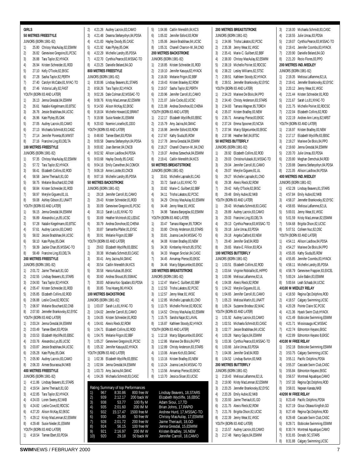#### **50 METRES FREESTYLE** JUNIORS (BORN 1981-82) 1) 25.80 Chrissy MacAulay,82,ESWIM 2) 26.82 Genevieve Gregoire,81,PCSC 3) 26.88 Tara Taylor,82,HYACK 4) 26.94 Kristen Schneider 81,ROD 5) 27.10 Kelly O'Toole,82,EKSC 6) 27.28 Sasha Taylor,82,PERTH 7) 27.40 Carolyn McCabe,81,NYAC-TO 8) 27.46 Victoria Lally,82,FAST YOUTH (BORN 83 AND LATER) 1) 26.13 Jenna Gresdal,84,ESWIM 2) 26.61 Natalie Kiegelmann,83,BTSC 3) 26.76 Jessie Bradshaw,84,UCSC 4) 26.96 Kate Plyley,85,OAK 5) 27.05 Audrey Lacroix,83,CAMO 6) 27.13 Michaela Schmidt,83,CASC 7) 27.14 Jennifer Porenta,85,MMST 8) 27.16 Francine Ling, 83, DELTA **100 METRES FREESTYLE** JUNIORS (BORN 1981-82) 1) 57.35 Chrissy MacAulay,82,ESWIM 2) 57.72 Tara Taylor,82,HYACK 3) 58.41 Elizabeth Collins,82,ROD 4) 58.58 Jaime Theriault,81,GO 5) 58.75 Melanie Bouchard,82,CNB 6) 58.84 Kristen Schneider 81,ROD 7) 58.97 Merylie Giguere,81,UL 8) 59.08 Ashley Gibson,81,UNATT YOUTH (BORN 83 AND LATER) 1) 56.15 Jenna Gresdal,84,ESWIM 2) 56.89 Alexandra Lys,85,UCSC 3) 57.28 Natalie Kiegelmann,83,BTSC 4) 57.61 Audrey Lacroix,83,CAMO 5) 58.02 Jessie Bradshaw,84,UCSC 6) 58.10 Kate Plyley,85,OAK 7) 58.39 Jackie Chan,85,MSSAC-TO 8) 58.49 Francine Ling,83,DELTA **200 METRES FREESTYLE** JUNIORS (BORN 1981-82) 1) 2:01.72 Jaime Theriault,81,GO 2) 2:02.55 Lindsay Beavers,81,STARS 3) 2:04.93 Tara Taylor,82,HYACK 4) 2:05.47 Kristen Schneider,81,ROD 5) 2:05.85 Elizabeth Collins,82,ROD 6) 2:06.88 Leslie Cove,82,RDCSC 7) 2:06.97 Melanie Bouchard,82,CNB 8) 2:07.93 Jennefer Brankovsky, 82, EYSC YOUTH (RORN 83 AND LATER) 1) 2:03.24 Jenna Gresdal,84,ESWIM 2) 2:03.49 Tamee Ebert 83 PDSA 3) 2:03.53 Elizabeth Wycliffe,83,EBSC 4) 2:03.76 Alexandra Lys,85,UCSC 5) 2:03.87 Jessie Bradshaw,84,UCSC 6) 2:05.28 Kate Plyley,85,OAK 7) 2:05.90 Audrey Lacroix,83,CAMO 8) 2:06.33 Aimee Bourassa,84,NKB **400 METRES FREESTYLE** JUNIORS (BORN 1981-82) 1) 4:11.86 Lindsay Beavers,81,STARS 2) 4:19.54 Jaime Theriault,81,GO 3) 4:22.85 Tara Taylor,82,HYACK 4) 4:24.03 Loren Sweny,82,NKB 5) 4:24.82 Leslie Cove,82,RDCSC 6) 4:27.20 Alison McKay,82,EKSC 7) 4:29.12 Kristy MacLennan,82,ESWIM 8) 4:29.48 Susie Nieder,81,ESWIM YOUTH (RORN 83 AND LATER) **800 METRES FREESTYLE** JUNIORS (BORN 1981-82) **50 METRES BACKSTROKE** JUNIORS (BORN 1981-82) JUNIORS (BORN 1981-82) 932 15:17.47 1500 free M<br>930 25.80 50 free W<br>928 2:01.72 200 free W 25.80 50 free W<br>2:01.72 200 free W 7) 928 2:01.72 200 free W<br>8) 924 56.15 100 free W<br>9) 921 2:16.97 200 IM W 924 56.15 100 free W<br>921 2:16.97 200 IM W 921 2:16.97 200 IM W<br>920 29.18 50 back W

**GIRLS**

| 1) | 4:18.54 Tamee Ebert, 83, PDSA |
|----|-------------------------------|

| 4:21.26 Audrey Lacroix,83,CAMO                                        | 1:04.86 Caitlin Meredith, 84, KCS                               |
|-----------------------------------------------------------------------|-----------------------------------------------------------------|
| 2)                                                                    | 5)                                                              |
| 4:21.48 Deanna Stefanyshyn,84,PDSA                                    | 1:05.02 Jennifer Esford, 83, ROW                                |
| 3)                                                                    | 6)                                                              |
| 4:21.83 Hayley Doody, 85, CASC                                        | 1:05.06 Jessie Bradshaw, 84, UCS                                |
| 4)                                                                    | 7)                                                              |
| 4:21.92 Kate Plyley, 85, OAK                                          | 1:05.31 Chanell Charron-W.,84,C                                 |
| 5)                                                                    | 8)                                                              |
| 4:22.29 Michelle Landry, 85, PDSA<br>6)                               | <b>200 METRES BACKSTROKE</b>                                    |
| 4:22.70 Cynthia Pearce,83, MSSAC-TO<br>7)                             | <b>JUNIORS (BORN 1981-82)</b>                                   |
| 8)                                                                    | 2:18.85 Kristen Schneider, 81, ROD                              |
| 4:23.25 Danielle Beland, 84, GO                                       | 1)                                                              |
| 800 METRES FREESTYLE                                                  | 2:19.10 Jennifer Kasuya, 82, HYAC<br>2)                         |
| JUNIORS (BORN 1981-82)                                                | 2:16.00 Melanie Frigon, 82, BBF                                 |
| 1)                                                                    | 3)                                                              |
| 8:30.86 Lindsay Beavers, 81, STARS                                    | 2:19.43 Kristen Brawley, 82, ROW                                |
| 2)<br>8:58.26 Tara Taylor, 82, HYACK                                  | 4)<br>2:19.57 Sasha Taylor, 82, PERTH<br>5)                     |
| 9:02.26 Dale Colman, 82, MSSAC-TO                                     | 2:20.96 Jennifer Carroll,81,CAMC                                |
| 3)                                                                    | 6)                                                              |
| 4)                                                                    | 2:21.07 Julie Cocks, 82, UCSC                                   |
| 9:08.76 Kristy MacLennan, 82, ESWIM                                   | 7)                                                              |
| 9:14.50 Alison McKay, 82, EKSC                                        | 2:21.08 Andrea Donohoe, 82, CHEI                                |
| 5)                                                                    | 8)                                                              |
| 6)<br>9:18.04 Michelle Howard, 82, BRANT                              | YOUTH (BORN 83 AND LATER)                                       |
| 7)                                                                    | 2:12.17 Elizabeth Wycliffe,83,EBS                               |
| 9:19.98 Susie Nieder, 81, ESWIM                                       | 1)                                                              |
| 9:20.63 Noemie Loiselle,81,DDO                                        | 2)                                                              |
| 8)                                                                    | 2:15.79 Amy Jacina, 84, GMAC                                    |
| YOUTH (BORN 83 AND LATER)                                             | 2:16.98 Jennifer Esford, 83, ROW<br>3)                          |
| 1)                                                                    | 2:17.67 Kathy Siuda, 85, ROW                                    |
| 8:48.60 Tamee Ebert, 83, PDSA                                         | 4)                                                              |
| 2)                                                                    | 2:17.78 Jenna Gresdal, 84, ESWIM                                |
| 9:00.58 Deanna Stefanyshyn,84,PDSA                                    | 5)                                                              |
| 9:00.82 Joan Bernier, 84, CNCB                                        | 2:18.27 Chanell Charron-W.,84,C                                 |
| 3)                                                                    | 6)                                                              |
| 9:02.92 Allison Laidlow,84,PDSA                                       | 2:19.37 Andrea Szewchuk,84,ESW                                  |
| 4)                                                                    | 7)                                                              |
| 9:03.68 Hayley Doody, 85, CASC                                        | 2:19.41 Caitlin Meredith, 84, KCS                               |
| 5)                                                                    | 8)                                                              |
| 6)<br>9:04.16 Emily Carwithen, 84, COMOX                              | 50 METRES BREASTSTROKE                                          |
| 9:06.19 Annie Lizotte, 83, CNCB<br>7)                                 | JUNIORS (BORN 1981-82)                                          |
| 8)                                                                    | 1)                                                              |
| 9:07.16 Michelle Landry, 85, PDSA                                     | 33.61 Michelle Laprade, 81, CAG                                 |
| <b>50 METRES BACKSTROKE</b>                                           | 2)<br>33.72 Sarah Lo,81, NYAC-TO                                |
| <b>JUNIORS (BORN 1981-82)</b>                                         | 33.82 Marie-C. Guilbert, 82, BBF<br>3)                          |
| 1)                                                                    | 34.11 Trisha Lakatos, 82, PCSC                                  |
| 29.18 Jennifer Carroll, 81, CAMO                                      | 4)                                                              |
| 2)                                                                    | 5)                                                              |
| 29.43 Kristen Schneider, 81, ROD                                      | 34.29 Chrissy MacAulay, 82, ESV                                 |
| 3)                                                                    | 34.48 Jenny Wear, 81, VKSC                                      |
| 30.09 Genevieve Gregoire, 81, PCSC                                    | 6)                                                              |
| 4)                                                                    | 34.98 Tatiana Banjeglav, 82, ESW                                |
| 30.13 Sarah Lo,81, NYAC-TO                                            | 7)                                                              |
| 5)<br>30.69 Heather McIntosh, 82, LEDUC                               | YOUTH (BORN 83 AND LATER)                                       |
| 6)                                                                    | 33.47 Tamara Wagner, 85, TORC                                   |
| 30.79 Andrea Donohoe, 82, CHENA                                       | 1)                                                              |
| 7)                                                                    | 33.80 Christy Anderson, 83, STA                                 |
| 30.87 Samantha Pfaller, 81, EYSC                                      | 2)                                                              |
| Melanie Frigon, 82, BBF<br>8)<br>30.91                                | 3)<br>33.81 Joanna Lee, 84, MSSAC-T                             |
| YOUTH (BORN 83 AND LATER)                                             | 34.08 Kristen Bradley, 83, NEW<br>4)                            |
| 1)                                                                    | 34.30 Kimberley Hirsch, 85, STS                                 |
| 29.63 Elizabeth Wycliffe, 83, EBSC                                    | 5)                                                              |
| 2)                                                                    | 34.33 Meagan Sinclair, 84, CASC                                 |
| 30.38 Michaela Schmidt, 83, CASC                                      | 6)                                                              |
| 30.41 Amy Jacina, 84, GMAC<br>3)<br>30.54 Caitlin Meredith, 84, KCS   | 34.45 Annamay Pierse, 83, EKSC<br>7)                            |
| 4)<br>30.58 Hania Kubas, 85, EKSC                                     | 34.46 Marcy Edgecumbe, 83, EKS<br>8)<br>100 METRES BREASTSTROKE |
| 5)<br>30.60 Andrea Shoust, 85, SSMAC<br>6)                            | <b>JUNIORS (BORN 1981-82)</b>                                   |
| 30.83 Adriana Koc-Spadaro, 83, PDSA                                   | 1:12.47 Marie-C. Guilbert, 82, BBF                              |
| 7)                                                                    | 1)                                                              |
| 8)                                                                    | 2)                                                              |
| 30.85 Tina Hoang, 86, HYACK                                           | 1:12.53 Trisha Lakatos, 82, PCSC                                |
| <b>100 METRES BACKSTROKE</b>                                          | 1:12.57 Jenny Wear, 81, VKSC<br>3)                              |
| <b>JUNIORS (BORN 1981-82)</b>                                         | 1:12.85 Michelle Laprade, 81, CNO<br>4)                         |
| 1:03.07 Sarah Lo,81, NYAC-TO                                          | 1:13.75 Michelle Poirier, 82, RDCS                              |
| 1)                                                                    | 5)                                                              |
| 2)                                                                    | 1:14.52 Chrissy MacAulay, 82, ESV                               |
| 1:04.02 Jennifer Carroll, 81, CAMO                                    | 6)                                                              |
| 3)                                                                    | 7)                                                              |
| 1:04.05 Kristen Schneider, 81, ROD                                    | 1:15.75 Sandra Najar,82,LAVAL                                   |
| 4)                                                                    | 8)                                                              |
| 1:04.61 Alexis Rieck, 82, ROW                                         | 1:16.87 Kathleen Stoody, 82, HYAC                               |
| 5)<br>1:04.71 Elizabeth Collins, 82, ROD                              | YOUTH (BORN 83 AND LATER)                                       |
| 6)                                                                    | 1:12.18 Marcy Edgecumbe, 83, EKS                                |
| 1:04.75 Melanie Frigon, 82, BBF                                       | 1)                                                              |
| 7)                                                                    | 2)                                                              |
| 1:05.27 Genevieve Gregoire,81,PCSC                                    | 1:12.86 Marieve De Blois, 84, PPO                               |
| 8)                                                                    | 3)                                                              |
| 1:05.32 Jennifer Kasuya,82,HYACK                                      | 1:12.89 Christy Anderson, 83, STA                               |
| YOUTH (BORN 83 AND LATER)                                             | 1:13.06 Ariane Kich, 83, GMAC<br>4)                             |
| 1:02.36 Elizabeth Wycliffe, 83, EBSC                                  | 1:13.16 Kristen Bradley, 83, NEW                                |
| 1)                                                                    | 5)                                                              |
| 2)                                                                    | 1:13.24 Joanna Lee, 84, MSSAC-T                                 |
| 1:02.84 Jenna Gresdal, 84, ESWIM                                      | 6)                                                              |
| 3)                                                                    | 1:13.56 Annamay Pierse, 83, EKSC                                |
| 1:03.73 Amy Jacina, 84, GMAC                                          | 7)                                                              |
| 4)                                                                    | 1:13.70 Jessica Sloan, 83, UCSC                                 |
| 1:04.26 Michaela Schmidt,83,CASC                                      | 8)                                                              |
|                                                                       |                                                                 |
| Rating Summary of top Performances                                    |                                                                 |
| 1)<br>967<br>8:30.86<br>800 free W                                    | Lindsay Beavers, 18, STARS                                      |
| 2)<br>939<br>200 back W<br>2:12.17<br>3)<br>938<br>53.77<br>100 fly M | Elizabeth Wycliffe, 16, EBSC<br>Adam Sioui, 17, TD              |
| 4)<br>935<br>2:01.60<br>200 IM M                                      | Brian Johns, 17, RAPID                                          |

50 back W

| 7) |         | 1:05.06 Jessie Bradshaw, 84, UCSC                                                                                                                                                                                         |
|----|---------|---------------------------------------------------------------------------------------------------------------------------------------------------------------------------------------------------------------------------|
| 8) |         | 1:05.31 Chanell Charron-W.,84,CNO                                                                                                                                                                                         |
|    |         | 200 METRES BACKSTROKE                                                                                                                                                                                                     |
|    |         | JUNIORS (BORN 1981-82)                                                                                                                                                                                                    |
| 1) |         | 2:18.85 Kristen Schneider, 81, ROD                                                                                                                                                                                        |
| 2) |         | 2:19.10 Jennifer Kasuya, 82, HYACK                                                                                                                                                                                        |
| 3) |         | 2:16.00 Melanie Frigon, 82, BBF                                                                                                                                                                                           |
| 4) |         | 2:19.43 Kristen Brawley, 82, ROW                                                                                                                                                                                          |
| 5) |         | 2:19.57 Sasha Taylor, 82, PERTH                                                                                                                                                                                           |
| 6) |         | 2:20.96 Jennifer Carroll, 81, CAMO                                                                                                                                                                                        |
| 7) |         | 2:21.07 Julie Cocks, 82, UCSC                                                                                                                                                                                             |
| 8) |         | 2:21.08 Andrea Donohoe, 82, CHENA                                                                                                                                                                                         |
|    |         | YOUTH (BORN 83 AND LATER)                                                                                                                                                                                                 |
| 1) |         | 2:12.17 Elizabeth Wycliffe, 83, EBSC                                                                                                                                                                                      |
| 2) | 2:15.79 | Amy Jacina, 84, GMAC                                                                                                                                                                                                      |
| 3) |         | 2:16.98 Jennifer Esford,83,ROW                                                                                                                                                                                            |
| 4) | 2:17.67 | Kathy Siuda, 85, ROW                                                                                                                                                                                                      |
| 5) |         | 2:17.78 Jenna Gresdal, 84, ESWIM                                                                                                                                                                                          |
| 6) |         | 2:18.27 Chanell Charron-W.,84,CNO                                                                                                                                                                                         |
| 7) |         | 2:19.37 Andrea Szewchuk, 84, ESWIM                                                                                                                                                                                        |
| 8) |         | 2:19.41 Caitlin Meredith, 84, KCS                                                                                                                                                                                         |
|    |         | 50 METRES BREASTSTROKE                                                                                                                                                                                                    |
|    |         | JUNIORS (BORN 1981-82)                                                                                                                                                                                                    |
| 1) |         | 33.61 Michelle Laprade, 81, CAG                                                                                                                                                                                           |
| 2) |         | 33.72 Sarah Lo,81, NYAC-TO                                                                                                                                                                                                |
| 3) |         | 33.82 Marie-C. Guilbert, 82, BBF                                                                                                                                                                                          |
| 4) |         | 34.11 Trisha Lakatos, 82, PCSC                                                                                                                                                                                            |
| 5) |         | 34.29 Chrissy MacAulay, 82, ESWIM                                                                                                                                                                                         |
| 6) |         | 34.48 Jenny Wear, 81, VKSC                                                                                                                                                                                                |
| 7) |         | 34.98 Tatiana Banjeglav, 82, ESWIM                                                                                                                                                                                        |
|    |         | YOUTH (BORN 83 AND LATER)                                                                                                                                                                                                 |
| 1) |         | 33.47 Tamara Wagner, 85, TORCH                                                                                                                                                                                            |
| 2) | 33.80   | Christy Anderson, 83, STARS                                                                                                                                                                                               |
| 3) |         | 33.81 Joanna Lee, 84, MSSAC-TO                                                                                                                                                                                            |
| 4) |         | 34.08 Kristen Bradley, 83, NEW                                                                                                                                                                                            |
| 5) |         | 34.30 Kimberley Hirsch, 85, STSC                                                                                                                                                                                          |
| 6) |         | 34.33 Meagan Sinclair, 84, CASC                                                                                                                                                                                           |
| 7) |         | 34.45 Annamay Pierse, 83, EKSC                                                                                                                                                                                            |
| 8) |         | 34.46 Marcy Edgecumbe, 83, EKSC                                                                                                                                                                                           |
|    |         | 100 METRES BREASTSTROKE                                                                                                                                                                                                   |
|    |         | <b>JUNIORS (BORN 1981-82)</b>                                                                                                                                                                                             |
| 1) |         | 1:12.47 Marie-C. Guilbert, 82, BBF                                                                                                                                                                                        |
| 2) | 1:12.53 | Trisha Lakatos, 82, PCSC                                                                                                                                                                                                  |
| 3) |         | 1:12.57 Jenny Wear, 81, VKSC                                                                                                                                                                                              |
| 4) |         | 1:12.85 Michelle Laprade, 81, CNO                                                                                                                                                                                         |
| 5) |         | 1:13.75 Michelle Poirier, 82, RDCSC                                                                                                                                                                                       |
| 6) | 1:14.52 | Chrissy MacAulay, 82, ESWIM                                                                                                                                                                                               |
| 7) | 1:15.75 | Sandra Najar, 82, LAVAL                                                                                                                                                                                                   |
| 8) | 1:16.87 | Kathleen Stoody, 82, HYACK                                                                                                                                                                                                |
|    |         | YOUTH (BORN 83 AND LATER)                                                                                                                                                                                                 |
| 1) | 1:12.18 | Marcy Edgecumbe, 83, EKSC                                                                                                                                                                                                 |
| 2) | 1:12.86 | Marieve De Blois, 84, PPO                                                                                                                                                                                                 |
| 3) | 1:12.89 | Christy Anderson, 83, STARS                                                                                                                                                                                               |
| 4) | 1:13.06 | Ariane Kich, 83, GMAC                                                                                                                                                                                                     |
| 5) | 1:13.16 | Kristen Bradley, 83, NEW                                                                                                                                                                                                  |
| 6) | 1:13.24 | Joanna Lee, 84, MSSAC-TO                                                                                                                                                                                                  |
| 7) | 1:13.56 | Annamay Pierse, 83, EKSC                                                                                                                                                                                                  |
| 8) | 1:13.70 | Jessica Sloan, 83, UCSC                                                                                                                                                                                                   |
|    |         | Lindsay Beavers, 18, STARS<br>Elizabeth Wycliffe, 16,EBSC<br>Adam Sioui, 17,TD<br>Brian Johns, 17,RAPID<br>Andrew Hurd, 17, MSSAC-TO<br>Chrissy MacAulay, 17, ESWIM<br>Jaime Theriault, 18,GO<br>Jenna Gresdal, 15, ESWIM |
|    |         | Kristen Bradley, 16, NEW<br>Jennifer Carroll. 18.CAMO                                                                                                                                                                     |

#### **200 METRES BREASTSTROKE** JUNIORS (BORN 1981-82) 1) 2:34.86 Trisha Lakatos,82,PCSC 2) 2:35.38 Jenny Wear,81,VKSC 3) 2:35.41 Marie-C. Guilbert,82,BBF 4) 2:38.00 Chrissy MacAulay,82,ESWIM 5) 2:38.19 Michelle Poirier, 82,RDCSC 6) 2:38.22 Lesley Williams,82,STSC 7) 2:39.51 Kathleen Stoody,82,HYACK 8) 2:39.51 Jennefer Brankovsky,82,EYSC YOUTH (BORN 83 AND LATER) 1) 2:34.23 Marieve De Blois,84,PPO 2) 2:34.40 Christy Anderson,83,STARS 3) 2:34.83 Tamara Wagner,85,TORCH 4) 2:35.07 Kristen Bradley,83,NEW 5) 2:35.71 Annamay Pierse,83,EKSC 6) 2:37.24 Emma Spooner,83,NCSA 7) 2:37.94 Marcy Edgecumbe,83,EKSC 8) 2:37.98 Heather Bell,84,BTSC **50 METRES BUTTERFLY** JUNIORS (BORN 1981-82) 1) 28.92 Elizabeth Collins,82,ROD 2) 29.03 Christina Kubacki,81,MSSAC-TO 3) 29.04 Jennifer Carroll 81 CAMO 4) 29.07 Merylie Giguere,81,UL 5) 29.27 Michelle Laprade,81,CNO 6) 29.38 Alexis Rieck,82,ROW 7) 29.42 Kelly O'Toole,82,EKSC 8) 29.48 Emily Aubie,82,NKB YOUTH (BORN 83 AND LATER) 1) 28.43 Michaela Schmidt,83,CASC 2) 28.89 Audrey Lacroix,83,CAMO 3) 29.03 Francine Ling,83,DELTA 4) 29.13 Cynthia Pearce,83,MSSAC-TO 5) 29.18 Julie Unrau,83,PDSA 6) 29.18 Angela Catford,83,NEW 7) 29.40 Jennifer Graf,84,ROD 8) 29.65 Marie-F. Fillion 83, RCA **100 METRES BUTTERFLY** JUNIORS (BORN 1981-82) 1) 1:03.51 Elizabeth Collins,82,ROD 2) 1:03.64 Virginie Robitaille,81,HIPPO 3) 1:03.96 Melissa Laflamme,82,UL 4) 1:04.08 Alexis Rieck,82,ROW 5) 1:04.22 Merylie Giguere,81,UL 6) 1:04.65 Jennifer Carroll,81,CAMO 7) 1:05.23 Melissa Martin,81,UNATT 8) 1:05.24 Suzanne Brodeur 82 MAC YOUTH (BORN 83 AND LATER) 1) 1:01.92 Audrey Lacroix,83,CAMO 2) 1:02.51 Michaela Schmidt,83,CASC 3) 1:02.77 Jessie Bradshaw,84,UCSC 4) 1:03.28 Nancy Gajos,84,ESWIM 5) 1:03.36 Cynthia Pearce,83,MSSAC-TO 6) 1:03.66 Julie Unrau,83,PDSA 7) 1:04.06 Jennifer Graf,84,ROD 8) 1:04.52 Lindsay Burton,83,NKB **200 METRES BUTTERFLY** JUNIORS (BORN 1981-82) 1) 2:18.43 Melissa Laflamme,82,UL 2) 2:19.90 Kristy MacLennan,82,ESWIM 3) 2:20.25 Jennefer Brankovsky,82,EYSC 4) 2:20.26 Emily Aubie,82,NKB 5) 2:20.93 Jaime Theriault,81,GO 6) 2:21.75 Alexis Rieck,82,ROW 7) 2:21.76 Brigitta Olson,82,UCSC 8) 2:22.39 Jenny Wear,81,VKSC YOUTH (BORN 83 AND LATER) 1) 2:15.57 Audrey Lacroix,83,CAMO 2) 2:17.48 Nancy Gajos,84,ESWIM

3) 2:18.00 Michaela Schmidt,83,CASC 4) 2:18.55 Julie Unrau,83,PDSA 5) 2:19.07 Cynthia Pearce,83,MSSAC-TO 6) 2:19.41 Jennifer Coombs,83,HYACK 7) 2:20.90 Danielle Beland,84,GO 8) 2:21.20 Rocio Flores,83,PPO **200 METRES IND.MEDLEY** JUNIORS (BORN 1981-82) 1) 2:19.35 Melissa Laflamme,82,UL 2) 2:19.41 Jennefer Brankovsky,82,EYSC 3) 2:20.12 Jenny Wear,81,VKSC 4) 2:21.44 Kristen Schneider,81,ROD 5) 2:21.67 Sarah Lo,81,NYAC-TO 6) 2:21.75 Michelle Poirier,82,RDCSC 7) 2:22.04 Elizabeth Collins,82,ROD 8) 2:22.19 Andree-Ann Leroy,82,NRST YOUTH (BORN 83 AND LATER) 1) 2:16.97 Kristen Bradley,83,NEW 2) 2:17.17 Elizabeth Wycliffe,83,EBSC 3) 2:19.27 Marieve De Blois,84,PPO 4) 2:19.60 Jenna Gresdal,84,ESWIM 5) 2:20.70 Julie Unrau,83,PDSA 6) 2:20.80 Meghan Demchuk,84,ROD 7) 2:20.88 Deanna Stefanyshyn,84,PDSA 8) 2:21.05 Allison Laidlow,84,PDSA **400 METRES IND.MEDLEY** JUNIORS (BORN 1981-82) 1) 4:52.28 Lindsay Beavers,81,STARS 2) 4:57.84 Emily Aubie,82,NKB 3) 4:58.37 Jennefer Brankovsky,82,EYSC 4) 4:58.65 Melissa Laflamme,82,UL 5) 5:00.01 Jenny Wear,81,VKSC 6) 5:01.59 Kristy MacLennan,82,ESWIM 7) 5:04.68 Brigitta Olson,82,UCSC 8) 5:07.51 Colleen Nuc,82,OSC YOUTH (BORN 83 AND LATER) 1) 4:54.11 Allison Laidlow,84,PDSA 2) 4:54.27 Marieve De Blois,84,PPO 3) 4:55.05 Kathy Siuda,85,ROW 4) 4:55.85 Jennifer Coombs,83,HYACK 5) 4:58.11 Michelle Landry,85,PDSA 6) 4:58.79 Genevieve Frappier,83,EXCEL 7) 5:00.24 Julie Babin,83,ESWIM 8) 5:00.64 Leah Schaab,84,UCSC **4X100 M MEDLEY RELAY** 1) 4:18.50 Regina Opt.Dolphins,ROD 2) 4:18.57 Calgary Swimming,UCSC 3) 4:20.28 Pointe Claire SC,PCSC 4) 4:21.36 Hyack Swim Club,HYACK 5) 4:21.49 Etobicoke Swimming,ESWIM 6) 4:21.71 Mississauga AC,MSSAC 7) 4:22.74 Edmonton Keyano,EKSC 8) 4:22.89 Edmonton Keyano B,EKSC **4X100 M FREE RELAY** 1) 3:52.18 Etobicoke Swimming,ESWIM 2) 3:53.75 Calgary Swimming,UCSC 3) 3:55.11 Pacific Dolphins,PDSA 4) 3:55.37 Cascade Swim Club,CASC 5) 3:55.84 Edmonton Keyano,EKSC 6) 3:56.57 Montreal Aquatique,CAMO 7) 3:57.33 Regina Opt.Dolphins,ROD 8) 3:58.01 Nepean Kanata, NKB **4X200 M FREE RELAY** 1) 8:23.49 Pacific Dolphins,PDSA 2) 8:27.19 Glouc-Ottawa Kingfish,GO 3) 8:27.49 Regina Opt.Dolphins,ROD 4) 8:29.48 Cascade Swim Club,CASC 5) 8:29.71 Etobicoke Swimming,ESWIM 6) 8:30.74 Montreal Aquatique,CAMO 7) 8:31.65 Dorado SC,STARS 8) 8:31.88 Calgary Swimming, UCSC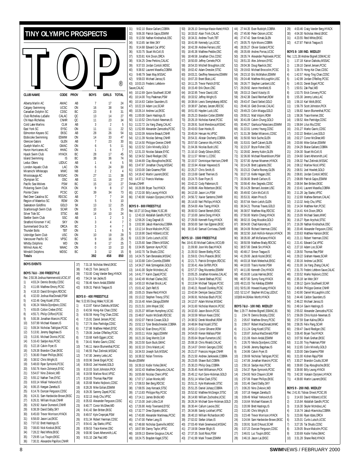<span id="page-7-0"></span>

| TINY OLYMPIC PROSPECTS                                                         |                            |                 |                                                                   |                      |              |
|--------------------------------------------------------------------------------|----------------------------|-----------------|-------------------------------------------------------------------|----------------------|--------------|
|                                                                                |                            |                 |                                                                   |                      |              |
|                                                                                |                            |                 |                                                                   |                      |              |
|                                                                                |                            |                 |                                                                   |                      | (R)          |
| <b>CLUB NAME</b>                                                               | CODE                       | <b>PROV</b>     | <b>BOYS</b>                                                       | GIRLS                | <b>TOTAL</b> |
| Alberta Marlin AC                                                              | AMAC                       | AB              | 7                                                                 | 17                   | 24           |
| Calgary Swimming<br>Canadian Dolphin SC                                        | UCSC<br>CDSC               | ON<br>BC        | 16<br>23                                                          | 38<br>8              | 54<br>31     |
| Club Richelieu LaSalle<br>CN Haut-Richelieu                                    | CALAC<br>CNHR              | QC<br>0C        | 13<br>11                                                          | 14<br>23             | 27<br>34     |
| Cold Lake Marlins                                                              | CLM                        | AB              | 3                                                                 | $\overline{2}$       | 5            |
| East York SC<br>Edmonton Keyano SC                                             | EYSC<br><b>EKSC</b>        | ON<br>AB        | 11<br>28                                                          | 11<br>26             | 22<br>54     |
| Etobicoke Swimming                                                             | <b>ESWIM</b>               | ON              | 14                                                                | 33                   | 47           |
| Glencoe Gators                                                                 | GLEN                       | AB              | 7                                                                 | 23                   | 30           |
| Guelph Marlin AC<br>Huron Hurricanes AC                                        | GMAC<br><b>HHAC</b>        | ON<br>ON        | 6<br>1                                                            | 5<br>6               | 11<br>7      |
| Hyack Swim Club                                                                | <b>HYACK</b>               | BC              | 28                                                                | 17                   | 45           |
| <b>Island Swimming</b><br>Leduc Otters                                         | IS<br>LEDUC                | BC.<br>AB       | 38<br>1                                                           | 36<br>4              | 74<br>5      |
| London Aquatic Club                                                            | LAC                        | ON              | 6                                                                 | 24                   | 30           |
| Miramichi Whitecaps<br>Mississauga AC                                          | MWC<br><b>MSSAC</b>        | <b>NB</b><br>ON | 2<br>27                                                           | $\overline{2}$<br>11 | 4<br>38      |
| Olympian SC                                                                    | 0SC                        | AB              | 11                                                                | 16                   | 27           |
| Pacific Sea Wolves<br>Pickering Swim Club                                      | <b>PSW</b><br>PICK         | BC<br>ON        | 15<br>9                                                           | 12<br>8              | 27<br>17     |
| Pointe Claire                                                                  | PCSC                       | QC              | 39                                                                | 34                   | 73           |
| Red Deer Catalina SC<br>Region of Waterloo SC                                  | <b>RDCSC</b><br><b>ROW</b> | AB<br>ON        | 7<br>5                                                            | 7<br>5               | 14<br>10     |
| Saskatoon Goldfins                                                             | GOLD                       | <b>SK</b>       | 13                                                                | 12                   | 25           |
| Scarborough Swim Club<br>Silver Tide SC                                        | <b>SCAR</b><br><b>STSC</b> | ON<br>AB        | 10<br>14                                                          | 5<br>10              | 15<br>24     |
| Stettler Swim Club                                                             | SSC                        | AB              | 1                                                                 | $\overline{2}$       | 3            |
| Stratford Kinsmen Y AC<br>Summerland Orca SC                                   | <b>SKY</b><br>ORCA         | ON<br>BC        | 3<br>3                                                            | 4<br>4               | 7<br>7       |
| <b>Thunder Bolts</b>                                                           | TBT                        | ON              | 1                                                                 | 4                    | 5            |
| Uxbridge Swim Club                                                             | <b>USC</b>                 | ON              | 10                                                                | 19                   | 29           |
| Vancouver Pacific SC<br><b>Whitby Dolphins</b>                                 | VPSC<br>WD                 | BC<br>ON        | 9<br>8                                                            | 16<br>17             | 25<br>25     |
| Wilmot Aces AC                                                                 | <b>WAAC</b>                | ON              | 0                                                                 | 10                   | 10           |
| Winskill Dolphins<br>Totals                                                    | WDSC                       | BC              | 3<br>392                                                          | 12<br>458            | 15<br>850    |
| <b>BOYS EVENTS</b>                                                             |                            | 37)<br>38)      | 7:31.18 Nicholas Wenzl, EKSC<br>7:49.23 Tom Jarosz, IS            |                      |              |
| BOYS 7&U - 200 FREESTYLE                                                       |                            | 39)             | 7:53.00 Craig Vander Berg, HYACK                                  |                      |              |
| Rec: 2:50.36 Joshua Hammervold, UCSC, 97<br>1)                                 |                            | 40)             | 7:54.24 Ian Jacke, IS                                             |                      |              |
| 4:03.24 Dennis Brotzky, CDSC<br>2)<br>4:11.66 Matthew Emory, PCSC              |                            | 41)<br>42)      | 7:56.46 Kevin Andal, ESWIM<br>9:09.31 Patrick Teaque, IS          |                      |              |
| 3)<br>4:18.33 David Errington, RDCSC                                           |                            |                 |                                                                   |                      |              |
| 4)<br>4:32.00 Joshua MacDonald.PSW<br>4:32.46 Greg Kozell, STSC<br>5)          |                            |                 | BOYS 8 - 400 FREESTYLE                                            |                      |              |
| 4:36.24 Nikola Djordjevic,CDSC<br>6)                                           |                            | 1)              | Rec: 5:22.65 Doug Wake, YLSC, 86<br>6:13.87 Kairun Daikoku, MSSAC |                      |              |
| 4:55.05 Colton Creber, EYSC<br>7)                                              |                            | 2)              | 6:43.56 Hong-Kei Chan, CDSC                                       |                      |              |
| 4:55.71 Philip Clifford, PCSC<br>8)<br>9)<br>5:00.36 Jonathan Mancini, PCSC    |                            | 3)<br>4)        | 6:50.59 Hong-Ting Chan, CDSC<br>7:15.91 Daniel Jensen, PCSC       |                      |              |
| 5:07.99 Michael Klassen, IS<br>10)                                             |                            | 5)              | 7:27.74 Alex Partridge, CDSC                                      |                      |              |
| 5:09.34 Nicholas Tatitigian, PCSC<br>11)<br>5:13.91 Jeremy Bagshaw, IS<br>12)  |                            | 6)              | 7:27.98 Matthew Hebert, EYSC<br>7:29.06 Jordan O'Reilley, PCSC    |                      |              |
| 13)<br>5:13.91 Michael Dionisi, PCSC                                           |                            | 7)<br>8)        | 7:33.68 Keith Eggen, UCSC                                         |                      |              |
| 5:16.43 Saidye Assi, PCSC<br>14)                                               |                            | 9)              | 7:34.41 Marko Gavric, CDSC                                        |                      |              |
| 15)<br>5:22.18 Calvin Fryer, IS<br>16)<br>5:29.38 Brandon Chan, EKSC           |                            | 10)<br>11)      | 7:46.11 Aaron Blumenthal, PCSC<br>7:46.55 Paul Zielinski, MSSAC   |                      |              |
| 5:36.80 Fraser Phillips, EKSC<br>17)                                           |                            | 12)             | 7:47.00 Jeremy Leite, LAC                                         |                      |              |
| 18)<br>5:38.52 Chris Wright, IS<br>19)<br>5:48.00 Ryan Symionik, PCSC          |                            | 13)             | 8:03.96 Derek Engel, PCSC                                         |                      |              |
| 5:50.76 Kevin Zolnieryk, EYSC<br>20)                                           |                            | 14)<br>15)      | 8:09.63 Joel Howlett, GOLD<br>8:10.03 Scott Johnston, PICK        |                      |              |
| 21)<br>5:54.07 Nino Zivkovic, WD                                               |                            | 16)             | 8:19.59 Marlow Nicol, VPSC                                        |                      |              |
| 22)<br>5:55.12 Nathan Tran, EYSC<br>6:03.14 Mikail Yerkovich, IS<br>23)        |                            | 17)             | 8:19.93 Thomas Rae, PSW<br>8:20.68 Marko Nojkovic, CDSC           |                      |              |
| 24)<br>6:06.15 Keegan Zanetta, IS                                              |                            | 18)<br>19)      | 8:28.26 Mike Golian, ESWIM                                        |                      |              |
| 25)<br>6:14.76 Duncan Ferguson, CDSC                                           |                            | (20)            | 8:29.35 Sammy Zayed, PCSC                                         |                      |              |
| 6:24.31 Sam Hardwicke-Brown, EKSC<br>26)<br>6:26.31 William Kruze, CNHR<br>27) |                            | 21)<br>22)      | 8:32.13 Andy Chu, VPSC<br>8:35.63 Alexander Ferguson, CDSC        |                      |              |
| 6:29.92 Xavier Dumesnil, CNHR<br>28)                                           |                            | 23)             | 8:40.77 Conor McGhee, WD                                          |                      |              |
| 29)<br>6:38.39 David Dalby, SKY<br>6:45.00 Trevor Morrison, HYACK              |                            | 24)             | 8:41.42 Ben Britten, EKSC                                         |                      |              |
| 30)<br>6:58.00 Jason Lai, EKSC<br>31)                                          |                            | 25)<br>26)      | 8:49.57 Kyle Crepnjak, PSW<br>8:51.34 Robert Yeerman, CDSC        |                      |              |
| 32)<br>7:07.02 Brett Hastings, IS                                              |                            | 27)             | 8:54.41 Jay Starko, VPSC                                          |                      |              |
| 7:08.83 Nick Kostiuk, EKSC<br>33)<br>7:28.22 Reid White, EKSC<br>34)           |                            | 28)             | 8:59.53 Trace Kremer, OSC                                         |                      |              |
| 7:29.95 Luc Toupin, EKSC<br>35)                                                |                            | 29)<br>30)      | 9:00.90 Grant Athersmith, LAC<br>9:01.10 Zak Paul, WD             |                      |              |
| 7:30.31 Alexandre Papillon.CNHR<br>36)                                         |                            |                 |                                                                   |                      |              |

31) 9:02.10 Blaise Gallant,COBRA 32) 9:06.30 Patrick Gajos,ESWIM 33) 9:13.58 Nathan Kindrachuk,OSC 34) 9:13.65 Ian Weir,SKY 9:14.68 Edward Cai, VPSC 36) 9:20.75 Stuart McColl, IS<br>37) 9:20.81 Kirk Dixon, ORCA 37) 9:20.81 Kirk Dixon,ORCA 9:34.25 Drew Perkins, CALAC 39) 9:37.03 Jordan Contoli,WDSC 40) 9:38.92 Laurent Masella,COBRA 41) 9:48.79 Sean May,MSSAC 42) 9:58.03 Michael Jarosz,IS 43) 10:03.15 Frederic Lefebvre-Sauve,CALAC 44) 10:12.69 Quinn Southwell, SCAR<br>45) 10:14.00 Trov Peakman.PSW 10:14.00 Troy Peakman, PSW 46) 10:14.63 Caldon Saunders, IS<br>47) 10:22.19 Adam Loo, SCAR 47) 10:22.19 Adam Loo,SCAR 10:26.14 Andrew Lai, EKSC 49) 11:00.00 Gavin Hastings,IS 50) 11:10.52 Chris Koziol-Newman,IS 51) 11:22.72 Jia Yang Zhang,CALAC 52) 11:52.69 Alexander Zamozdra,PCSC 53) 12:02.09 Antoine Breault,CNHR 54) 12:11.39 Nicolas Selmay,CNHR 55) 12:14.50 Philippe Grenier, CNHR<br>56) 12:22.52 Colin Minielly GOLD 56) 12:22.52 Colin Minielly,GOLD 57) 12:31.33 Nicolas Salazar,EYSC 12:34.52 David Riediger, OSC 59) 13:44.69 Clay Aboughoche,EKSC 60) 13:47.87 Jonathan Chung,MSSAC 61) 13:53.00 Dale Graeme,PSW 62) 14:18.42 Martin Laurent,EKSC 63) 14:37.12 Francis Marleau-Donais,CNHR 64) 16:26.99 Bryan Tse,HYACK 65) 17:22.00 Billy Leung,HYACK 66) 17:40.90 Vukasin Djorjevic,HYACK **BOYS 9 - 800 FREESTYLE** Rec: 10:27.10 Doug Wake,YLSC,86 1) 12:43.18 Abdallah Gandhi,PCSC 2) 12:58.26 Craig Dagnall,IS 3) 13:02.90 Jakub Hlavnicka,COBRA 4) 13:12.14 Bruce Malcolm,PCSC 5) 13:18.90 David Hibberd,UCSC 6) 13:22.39 Curtis Lutsch,UCSC 7) 13:25.60 Sean O'Beirn,MSSAC 8) 13:34.95 Spencer Ayre,PCSC 9) 14:02.70 Tai Shudo,CDSC 14:24.75 Sam Beranales, MSSAC 11) 14:33.68 Colin Coombs,ESWIM 12) 14:34.27 Alek Szmiegelski,GOLD 13) 14:41.00 Skyler McIndoe,LAC 14) 14:41.77 Karim Zayed,PCSC 15) 14:42.49 Michael Clarke,OSC 16) 14:50.10 Michael Brock, LAC 17) 15:01.42 Zach Relf,IS 18) 15:05.15 Shane Reid,HYACK 19) 15:13.22 Stephen Trevoy, STSC<br>20) 15:16.40 Artem Zaloga, ESWIM 20) 15:16.40 Artem Zaloga,ESWIM<br>21) 15:21.51 John Meyer,SSC 21) 15:21.51 John Meyer,SSC 22) 15:25.37 William Humphrey,UCSC 23) 15:48.07 Austin McGrath,RDCSC 24) 15:52.07 Patrick Cowan,GOLD 25) 15:52.13 Tyler Bredschneider,COBRA 26) 15:52.42 Evan Emory,PCSC 27) 16:03.11 Victor Jagsz,ESWIM 28) 16:21.16 Greg Merritt,CLM 29) 16:23.50 Euon Buck,GMAC 30) 16:32.10 Chris Malott,LAC 16:34.53 Joseph Suh, MSSAC 32) 16:38.32 Nolan Timmins-Boutin,ESWIM 33) 16:39.10 Kodie Yorke,GMAC 34) 16:52.43 Matthew Delpunto,CALAC 35) 16:55.68 Nicolas Chein,VPSC 36) 17:07.17 Julian Monks,WD 37) 17:08.53 Ben Berg,RDCSC 38) 17:08.55 Joey Keroack,STSC 39) 17:13.83 Philippe Roy,PCSC 40) 17:14.11 James Bridle,WD 17:15.00 Josh Little,CLM 42) 17:26.90 Andy Townsend,EYSC 43) 17:32.77 Drew Dipietro,EKSC 44) 17:43.80 Alexander Martineau,PCSC 45) 17:47.00 Parker Lang,IS 46) 17:48.68 Nicholas Quenville,WDSC 47) 18:07.89 Danny Taylor,VPSC 48) 18:09.13 Etienne Gougoux,CALAC 49) 18:24.75 Brayden Kagel,STSC

50) 18:26.10 Dominique Massie-Martel,HYACK 51) 18:33.02 Alain Trinh,CALAC 52) 18:34.31 Andrew Trush,TBT 53) 18:41.99 Kennedy Lys,UCSC 54) 18:42.39 Andrew Ferraro,USC 55) 18:45.38 Matthew Peddie,OSC 56) 18:49.58 Jonathan Choi, CDSC<br>57) 18:50.00 Jeffrey Cernele, PICK 18:50.00 Jeffrey Cernele,PICK 58) 18:54.33 Mitchell Broughton,USC 59) 19:02.42 Adam Dressler,STSC 60) 19:03.21 Geoffrey Newsome,ESWIM 61) 19:07.20 Brant Blais,LAC 62) 19:11.25 Trevor Partch,EYSC 63) 19:15.49 Erik Olson,OSC 64) 19:32.95 Trevor David,USC 65) 19:33.52 Jeffrey Wright,IS 66) 19:38.64 Lewis Siemplekanp,WDSC 67) 19:38.97 Zachary Janzen,RDCSC 19:51.93 Hayden Luck,USC 69) 20:25.23 Brandon Cotter,ESWIM 70) 20:26.19 Nicholas Kamel,PCSC 71) 20:28.91 Scott Mendonca,MSSAC 72) 20:43.63 Evan Hooks,IS 73) 20:45.04 Heruan Ho,VPSC 74) 20:54.31 Alistair Docherty,COBRA 75) 20:57.00 Cameron Wu,HYACK 76) 21:04.36 Nicolas Bush,USC 77) 21:10.10 Grady Gibson, EKSC<br>78) 22:11.57 Winter Li, CDSC 22:11.57 Winter Li,CDSC 79) 22:15.57 Dominique Harrison,CNHR 80) 22:15.94 Alistair Haywood,IS 81) 22:25.27 Chris Smith,IS 82) 23:13.69 Garett Therrien,IS 83) 23:24.75 Evan Fryer,IS 84) 23:42.22 Cody Patterson,IS 85) 24:09.86 Alex Robertson,EKSC 86) 24:12.00 Jason Lin,PSW 87) 24:56.72 Xavier Santerre,CNHR 88) 25:14.00 Neil Phillips, HYACK<br>89) 25:54.00 Alex Tseng, HYACK 25:54.00 Alex Tseng, HYACK 90) 26:00.53 Daniel Beresh,EKSC 91) 27:10.00 Jamie Dong,HYACK 92) 27:29.00 Kenneth Fung,HYACK 93) 29:50.00 Sam Van Egteren,EKSC 94) 30:15.40 Samuel Corriveau,CNHR **BOYS 10 - 1500 FREESTYLE** Rec: 18:41.93 Michael Calkins,VICO,89 1) 21:09.90 Joon Mo Bae,HYACK 2) 21:35.53 Steven Bielby,PCSC 3) 21:59.01 Chris Piasecki,EKSC 22:21.71 Patrick Errington,RDCSC 5) 22:30.41 Alex Griffith,PICK 6) 22:57.27 Oleg Murzenko,ESWIM 7) 23:05.25 Jonathan Knowles,CALAC 8) 23:13.74 Daniel Bekhazi,PCSC 9) 23:13.94 Michael Tatigian,PCSC 10) 23:40.21 Russell Dunkley,PCSC 11) 23:42.84 Demijan Savija,CDSC 12) 24:06.91 Nicholas Blach,PCSC 13) 24:12.07 Adam Molnar,MSSAC 24:31.60 Nicholas Mancini, PCSC 15) 24:32.83 Jason Boivin,PCSC 16) 24:33.59 Wilson Kwan,CDSC 17) 24:38.52 Derek Woodhall,ROW 18) 24:48.84 Brad Kozell,STSC 19) 24:53.13 Conor Gfroerer,ROW 20) 24:54.00 Kieran Wallace,PSW 21) 25:05.64 Bryan Fumerton,USC 22) 25:08.18 Chris Rinaldi,CALAC 23) 25:14.07 Dimitri Georges, CDSC<br>24) 25:21.07 Francois Hogan, CNHR 25:21.07 Francois Hogan,CNHR 25) 25:21.50 Andrew Jankowski,COBRA 26) 25:23.65 Shawn Bull,COBRA 27) 25:30.23 Philip Gray,COBRA 28) 25:35.45 Kent Williamson,PICK 29) 25:45.12 Kurt Gore-Hickman,GOLD 30) 25:51.14 Mike Clark,STSC 31) 25:51.21 Kyle Markowski,STSC 32) 25:51.25 Daniel Juhasz,COBRA 33) 25:52.82 Matthew McGregor,STSC 34) 26:14.90 William Zochodne, UCSC<br>35) 26:26.34 Michael Gore-Hickman, G 35) 26:26.34 Michael Gore-Hickman,GOLD 36) 26:30.44 Callum Lavoie,OSC 37) 26:34.86 Sandy Lockhart,VPSC 38) 26:40.10 William Richardson,WD 39) 27:02.02 Stefan Urban,IS 40) 27:03.49 Mark Greenwood,MSSAC 41) 27:19.58 Dexter Bligh,IS 42) 27:37.35 Scott Ross,PSW 43) 27:41.99 Mark Trower,ESWIM

44) 27:44.35 Evan Rudolph,COBRA 45) 27:45.90 Peter Ostrom,UCSC 46) 27:47.42 Sean Kimak,GLEN 47) 28:05.75 Kyle Moore,COBRA 48) 28:35.27 Olivier Godard,PCSC 49) 28:35.69 Andres Porras,UCSC 28:35.74 Alexander Peplowski, PCSC 51) 28:51.33 Alex Johnson,EYSC 52) 29:04.36 Doug Rawlick,OSC 53) 29:19.63 Michael Broccolini,PCSC 54) 29:23.10 Eric McMahon,ESWIM 55) 29:24.48 Matthew McLoughlin,USC 56) 29:26.77 Stephen Lambert,USC 57) 29:29.92 Aaron Horsfield,IS 58) 29:33.13 David Vizsolyi,IS 59) 29:42.38 David Reinhart,ROW 60) 29:43.47 David Seibel,GOLD 61) 29:46.16 Gleb Divinski,CALAC 62) 29:49.23 Colin Miazga,GOLD 63) 29:50.21 Matt Volpini,ROW 64) 30:41.09 Calvin Chung,GOLD 65) 30:49.27 Gianluca Palasciano,ESWIM 66) 31:22.01 Lorenz Yeung,CDSC 67) 31:31.39 Stefan Milanovic,CDSC 68) 31:50.93 Nick Suche,GLEN 69) 31:53.01 Geoff Calvert,GLEN 70) 32:23.37 Bryce Fisher,OSC 71) 32:28.82 Jeremy Kubin, GLEN<br>72) 32:36.00 Michael Rosenbloor 72) 32:36.00 Michael Rosenbloom,PSW 73) 32:57.00 Ayman Moamen,HYACK 74) 33:14.26 Brett Laplante,OSC 75) 33:23.22 Charlie Rooney,GLEN 76) 33:27.15 Kiefer Hagan,OSC 77) 33:36.00 Brandt Carlson,IS 78) 33:58.40 Alex Segredo,CDSC 79) 35:14.29 Bernard Joosten,USC 80) 35:49.92 Colin McColl,IS 81) 35:53.31 Adam Price,IS 82) 35:57.64 Kevin Leitch, GLEN<br>83) 36:34.21 Thomas Traves, GC 36:34.21 Thomas Traves, GOLD 84) 36:38.57 Matthew May,RDCSC 85) 37:50.00 Martin Cheng,HYACK 86) 38:02.15 Greg Muszkie,GOLD 87) 38:04.00 Chad Kanorsky,IS 88) 38:24.09 Richard Veerman,CDSC 89) 38:32.50 Josh Hollick-Kenyon,HYACK 90) 38:35.00 Jeff McFarlane,HYACK 91) 38:50.59 Matthew Brady, RDCSC 92) 38:57.00 Derek Sin,HYACK 93) 40:48.17 Simon Teague, IS<br>94) 41:29.00 Jacob Koziel, EKS 41:29.00 Jacob Koziel,EKSC 95) 44:03.18 Mark Mekechuk,EKSC 96) 44:10.03 Travis Hunter,PSW 97) 44:11.00 Kenneth Cho,HYACK 98) 45:16.00 Lucas Harries,EKSC 99) 46:57.00 Sunny Fung,HYACK 100) 49:21.03 Teo Kelebay,ESWIM 101) 50:51.00 Howard Kuang,HYACK 102) 52:12.47 Stephen McCray,LEDUC 103)69:44.00Alex Worth,HYACK **BOYS 7&U - 100 IND. MEDLEY** Rec: 1:29.77 Andrew Bignell,SSMAC,91 1) 2:04.78 Dennis Brotzky,CDSC 2) 2:05.67 Matthew Emory,PCSC 3) 2:09.07 Robert MacDonald,MWC 4) 2:11.24 Greg Kozell,STSC 5) 2:20.87 Joshua MacDonald,PSW 6) 2:21.06 Kevin Andal,ESWIM 7) 2:26.70 Nikola Djordjevic,CDSC 8) 2:34.86 Jeremy Bagshaw,IS 2:34.86 Calvin Fryer, IS 10) 2:39.69 Nicholas Tatitigian,PCSC 11) 2:47.06 Jonathan Mancini,PCSC 12) 2:50.16 Saidye Assi,PCSC 13) 2:54.37 Ryan Symionik,PCSC 14) 2:54.93 Nick Chauvin,SCAR 15) 2:57.06 Fraser Phillips,EKSC 16) 3:01.46 David Dalby,SKY 17) 3:06.20 Nino Zivkovic,WD 18) 3:07.18 Keegan Zanetta,IS 19) 3:09.49 Mikail Yerkovich, IS<br>20) 3:16.64 Michael Klassen, IS 3:16.64 Michael Klassen,IS 21) 3:20.99 Brett Hastings,IS 22) 3:21.80 Chris Wright,IS 23) 3:23.48 Trevor Morrison,HYACK 24) 3:24.94 Sam Hardwicke-Brown,EKSC 25) 3:30.91 Scott D'Aoust,SCAR 26) 3:37.23 Duncan Ferguson,CDSC 27) 3:46.01 Luc Toupin,EKSC 28) 3:46.16 Jason Lai,EKSC

29) 4:03.46 Craig Vander Berg,HYACK 30) 4:04.30 Nicholas Wenzl,EKSC 31) 4:23.55 Reid White,EKSC 32) 4:27.87 Patrick Teague,IS **BOYS 8- 100 IND. MEDLEY** Rec: 1:21.38 Andrew Bignell,SSMAC,92 1) 1:37.18 Kairun Daikoku,MSSAC 2) 1:39.10 Daniel Jensen,PCSC 3) 1:39.70 Hong-Kei Chan,CDSC 4) 1:42.57 Hong-Ting Chan,CDSC 5) 1:42.99 Jordan O'Reilley,PCSC 6) 1:49.31 Derek Engel,PCSC 7) 1:50.51 Zak Paul,WD 8) 1:53.75 Erick Convery, PCSC 9) 1:55.30 Jeremy Leite,LAC 10) 1:56.10 Karl Wolk,EKSC 11) 1:56.79 Scott Johnston, PICK<br>12) 1:56.82 Aaron Blumenthal, PO 1:56.82 Aaron Blumenthal, PCSC 13) 1:58.36 Trace Kremer,OSC 14) 1:58.52 Alex Partridge,CDSC 15) 1:58.84 Lilus Ma,CDSC 16) 2:01.27 Marko Gavric,CDSC 17) 2:02.22 Bretton Love,GOLD 18) 2:02.27 Conor McGhee,WD 19) 2:03.66 Mike Golian,ESWIM 20) 2:04.29 Blaise Gallant,COBRA 21) 2:04.30 Stuart McColl,IS 22) 2:04.60 Grant Athersmith,LAC 23) 2:06.32 Paul Zielinski,MSSAC 24) 2:08.12 Marlow Nicol, VPSC<br>25) 2:08.51 Joel Howlett, GOLD 2:08.51 Joel Howlett,GOLD 26) 2:08.81 Jordan Contoli,WDSC 27) 2:08.89 Patrick Gajos,ESWIM 28) 2:08.94 Ben Britten,EKSC 29) 2:10.41 Laurent Masella,COBRA 30) 2:11.28 Jay Starko,VPSC 31) 2:12.69 Mathew Bertram,CALAC 32) 2:13.32 Andy Chu,VPSC 2:14.34 Matthew Kerr, PCSC 34) 2:14.41 Kirk Dixon,ORCA 35) 2:15.09 Michael Sears,MWC 36) 2:16.27 Ryan Arychuk,STSC 37) 2:16.39 Nathan Kindrachuk,OSC 38) 2:20.46 Alexander Ferguson,CDSC 39) 2:20.63 Matthew Hanson,EKSC 40) 2:21.11 Robert Yeerman,CDSC 41) 2:21.41 Edward Cai,VPSC 42) 2:27.10 Adam Loo,SCAR 43) 2:28.50 Thomas Rae,PSW 2:29.22 Graham Hawes, SCAR 45) 2:30.16 Andrew Lai,EKSC 46) 2:31.00 Jia Yang Zhang,CALAC 47) 2:31.70 Frederic Lefebvre-Sauve,CALAC 48) 2:33.52 Marko Nojkovic,CDSC 49) 2:35.18 Ian Weir,SKY 50) 2:39.12 Quinn Southwell,SCAR 51) 2:40.84 Philippe Grenier,CNHR 52) 2:43.90 Daniel McLaughlin,USC 53) 2:44.46 Caldon Saunders, IS<br>54) 2:46.22 Michael Jarosz, IS 54) 2:46.22 Michael Jarosz, IS<br>55) 2:49.14 Gavin Hastings, IS 2:49.14 Gavin Hastings, IS 56) 2:55.02 Alexander Zamozdra,PCSC 57) 2:56.09 Chris Koziol-Newman,IS 58) 2:57.59 Evan Kalina,ORCA 59) 2:58.35 Felix Pang,SCAR 60) 2:59.47 David Riediger,OSC 61) 3:06.40 Bryan Tse,HYACK 62) 3:07.56 Mark Grehan,EKSC 63) 3:11.00 Troy Peakman,PSW 64) 3:12.65 Colin Minielly, GOLD<br>65) 3:20.00 Dale Graeme, PSW 65) 3:20.00 Dale Graeme,PSW 66) 3:21.00 Kishen Raja,PSW 67) 3:30.27 Brandon Coutts,SCAR 68) 3:39.80 Clay Aboughoche,EKSC 69) 3:39.90 Billy Leung,HYACK 70) 3:42.30 Vukasin Djorjevic,HYACK 71) 4:39.80 Martin Laurent,EKSC **BOYS 9 - 200 IND. MEDLEY** Rec: 2:41.91 Tobias Oriwol,PCSC,95 1) 3:14.93 David Hibberd,UCSC 2) 3:15.84 Abdallah Gandhi,PCSC 3) 3:16.30 Skyler McIndoe,LAC 4) 3:16.74 Jakub Hlavnicka,COBRA 5) 3:23.66 Ryan Idzes,ORCA 6) 3:25.01 Curtis Lutsch,UCSC 7) 3:27.35 Tai Shudo,CDSC 8) 3:29.05 Bruce Malcolm, PCSC

9) 3:30.69 Kodie Yorke, GMAC<br>10) 3:31.28 Shane Reid HYACK 3:31.28 Shane Reid, HYACK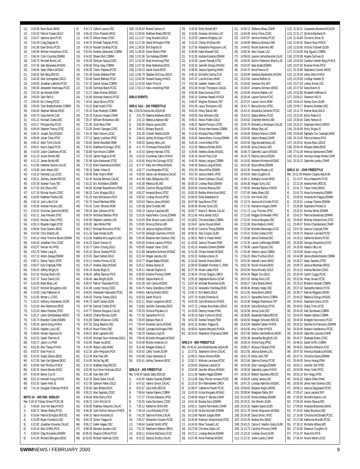11) 3:32.06 Euon Buck,GMAC 12) 3:32.93 Patrick Cowan,GOLD 13) 3:33.47 Spencer Ayre,PCSC 14) 3:34.39 Craig Dagnall,IS 15) 3:41.89 Evan Emory,PCSC 16) 3:45.99 William Humphrey,UCSC 17) 3:46.34 Colin Coombs,ESWIM 3:46.70 Michael Brock,LAC 19) 3:47.06 Sam Beranales,MSSAC 20) 3:48.06 Sean O'Beirn, MSSAC<br>21) 3:48.92 Ben Berg, RDCSC 21) 3:48.92 Ben Berg,RDCSC 22) 3:49.30 Alek Szmiegelski,GOLD 23) 3:49.45 Jonathan Lafleche,PCSC 24) 3:50.56 Alexander Martineau,PCSC 25) 3:52.36 Ian Kendall,ROW 26) 3:56.09 Zach Relf, IS<br>27) 3:56.83 Eric Cheng, I 27) 3:56.83 Eric Cheng,PCSC 28) 3:59.95 Tyler Bredschneider, COBRA<br>29) 4:00.00 Stephan Wenzel, EKSC 29) 4:00.00 Stephan Wenzel, EKSC<br>30) 4:00.76 Greg Merritt, CLM 30) 4:00.76 Greg Merritt, CLM<br>31) 4:01.22 Michael Clarke, OS 4:01.22 Michael Clarke, OSC 32) 4:03.17 Philippe Roy,PCSC 33) 4:06.69 Stephen Trevoy,STSC 34) 4:08.15 Joseph Suh,MSSAC 35) 4:08.99 Julian Chan,VPSC 36) 4:09.12 Alain Trinh,CALAC 37) 4:09.51 Karim Zayed,PCSC 38) 4:10.50 Justin Castellano, PCSC<br>39) 4:12.10 Julian Monks, WD 4:12.10 Julian Monks, WD 40) 4:12.12 James Bridle,WD 41) 4:12.66 Matthew Sexton,CALAC 42) 4:15.80 John Meyer,SSC 43) 4:16.10 Kennedy Lys,UCSC 44) 4:25.21 Zachary Janzen,RDCSC 45) 4:25.39 Andrew Trush,TBT 46) 4:27.02 Erik Olson,OSC 47) 4:27.19 Murray Huynh,CDSC<br>48) 4:28.85 Matthew Peddie.OSC 48) 4:28.85 Matthew Peddie, OSC<br>49) 4:30.16 Josh Little, CLM 49) 4:30.16 Josh Little, CLM<br>50) 4:30.66 Andrew Ferraro, 50) 4:30.66 Andrew Ferraro,USC 51) 4:32.02 Nicholas Quenville, WDSC<br>52) 4:32.11 Joey Keroack, STSC 52) 4:32.11 Joey Keroack, STSC<br>53) 4:38.92 Nicolas Chein. VPSC 53) 4:38.92 Nicolas Chein,VPSC 54) 4:39.13 Brayden Kagel,STSC 55) 4:39.84 Drew Dipietro,EKSC 56) 4:42.60 Chris Malott.LAC 57) 4:44.10 Nolan Timmins-Boutin, ESWIM<br>58) 4:45.43 Jonathan Choi, CDSC 58) 4:45.43 Jonathan Choi, CDSC<br>59) 4:52.57 Heruan Ho. VPSC 59) 4:52.57 Heruan Ho,VPSC 60) 4:52.79 Parker Lang, IS<br>61) 4:57.13 Artem Zaloga, E! 4:57.13 Artem Zaloga,ESWIM 62) 4:58.11 Danny Taylor,VPSC 63) 4:58.57 Kyle Crepnjak, PSW<br>64) 5:06.25 leftrey Wright IS 5:06.25 Jeffrey Wright,IS 65) 5:07.02 Nicolas Bush,USC 66) 5:07.37 Trevor David,USC 67) 5:10.30 Brant Blais,LAC 68) 5:10.37 Mitchell Broughton,USC 69) 5:15.05 Cody Patterson,IS 70) 5:15.60 Winter Li,CDSC 71) 5:18.22 Anthony Andreevski, SCAR<br>72) 5:22.00 Alex Robertson, EKSC 5:22.00 Alex Robertson, EKSC 73) 5:22.04 Adam Dressler, STSC<br>74) 5:25.17 Lewis Siemplekanp, V 5:25.17 Lewis Siemplekanp, WDSC 75) 5:30.74 Brandon Cotter,ESWIM 76) 5:35.00 Jamie Dong,HYACK 77) 5:38.64 Hayden Luck,USC 78) 5:49.66 Alistair Haywood,IS 79) 5:52.53 Garett Therrien, IS<br>80) 5:56.72 Jason Lin PSW 80) 5:56.72 Jason Lin, PSW<br>81) 6:03.36 Alex Tseng, HYA 81) 6:03.36 Alex Tseng, HYACK<br>82) 6:03.57 Evan Fryer, IS 6:03.57 Evan Fryer, IS 83) 6:10.35 Grady Gibson,EKSC 84) 6:27.00 Sam Van Egteren, EKSC<br>85) 6:29.96 Neil Phillips. HYACK 85) 6:29.96 Neil Phillips,HYACK 86) 6:30.35 Daniel Beresh,EKSC 87) 6:43.39 Benny Cox,IS 88) 6:52.10 Kenneth Fung, HYACK 89) 6:53.35 Gaven Hohl, IS<br>90) 7:01.40 Douglas Chang 7:01.40 Douglas Chancey, HYACK **BOYS 10 - 400 IND. MEDLEY** Rec: 5:29.10 Tobias Oriwol,PCSC,96 1) 5:49.80 Joon Mo Bae,HYACK 2) 6:05.72 Steven Bielby,PCSC 3) 6:16.64 Patrick Errington,RDCSC 4) 6:16.99 Bryan Fumerton,USC 5) 6:22.92 Jonathan Knowles,CALAC 6) 6:29.16 Alex Griffith,PICK 7) 6:38.04 Oleg Murzenko,ESWIM

9) 6:41.71 Callum Lavoie,OSC 10) 6:45.24 Chris Piasecki,EKSC 11) 6:45.75 Wilson Kwan,CDSC 12) 6:49.70 Michael Tatigian,PCSC 13) 6:50.24 Russell Dunkley,PCSC 14) 6:53.91 Andrew Jankowski,COBRA 15) 6:54.03 Shawn Bull,COBRA 6:55.09 Demijan Savija,CDSC 17) 6:56.66 Philip Gray,COBRA 18) 6:58.35 Cedric Pepelea, PCSC<br>19) 7:01.00 Kieran Wallace, PSW 19) 7:01.00 Kieran Wallace,PSW 20) 7:03.48 Daniel Bekhazi,PCSC 21) 7:07.15 Daniel Juhasz,COBRA 22) 7:10.09 Nicholas Blach,PCSC 23) 7:12.27 Adam Molnar,MSSAC 24) 7:16.85 Nicholas Mancini,PCSC 25) 7:18.54 Jason Boivin, PCSC<br>26) 7:19.23 Brad Kozell, STSC 26) 7:19.23 Brad Kozell, STSC<br>27) 7:20.16 Evan Rudolph, CO 27) 7:20.16 Evan Rudolph,COBRA 28) 7:20.19 Francois Hogan,CNHR 29) 7:20.47 William Richardson,WD 30) 7:21.00 Scott Ross,PSW 31) 7:23.28 Dimitri Georges,CDSC 32) 7:24.18 Peter Ostrom,UCSC 33) 7:27.13 Sandy Lockhart,VPSC 34) 7:29.83 Derek Woodhall, ROW<br>35) 7:30.51 Matthew McGregor, ST 7:30.51 Matthew McGregor, STSC 36) 7:30.80 Kyle Moore, COBRA<br>37) 7:31.53 James Higgins, EYS 37) 7:31.53 James Higgins,EYSC 38) 7:32.98 Kyle Markowski,STSC 39) 7:37.02 Mark Greenwood,MSSAC 40) 7:39.19 Stefan Urban,IS 41) 7:39.46 Matt Volpini,ROW 42) 7:42.40 Nicolas Bertram,CALAC 43) 7:43.10 Eric McMahon,ESWIM 44) 7:44.00 Michael Rosenbloom,PSW 45) 7:48.32 Colin Miazga,GOLD 46) 7:51.29 Kent Williamson, PICK<br>47) 7:52.70 David Reinhart, ROW 47) 7:52.70 David Reinhart, ROW<br>48) 7:54.91 Conor Gfroerer, ROW 7:54.91 Conor Gfroerer,ROW 49) 7:59.18 Sam Johnson,EYSC 50) 8:00.54 Nicholas Barbaro, PICK<br>51) 8:02.58 Stephen Lambert, USC 8:02.58 Stephen Lambert,USC 52) 8:03.00 Jake White,PSW 53) 8:09.17 Michael Broccolini,PCSC 54) 8:11.34 Sean Kimak,GLEN 55) 8:13.39 Matthew McLoughlin,USC 56) 8:16.23 David Vizsolyi,IS 57) 8:18.77 Calvin Chung, GOLD<br>58) 8:20.10 Olivier Godard, PCSC 58) 8:20.10 Olivier Godard,PCSC 8:23.81 David Seibel, GOLD 60) 8:24.11 Andres Porras,UCSC 61) 8:25.27 Andrew Jelec,MSSAC 62) 8:34.19 Dexter Bligh,IS 63) 8:36.63 Jeffrey Hannon,PICK 64) 8:38.40 Jake Wright,GLEN 65) 8:39.57 Patrick Thauvette,PCSC 66) 8:41.68 Lorenz Yeung,CDSC 67) 8:44.81 Alexander Peplowski,PCSC 68) 8:46.62 Thomas Traves, GOLD<br>69) 8:46.73 Geoff Calvert, GLEN 69) 8:46.73 Geoff Calvert, GLEN<br>70) 8:47.50 Damian Creber, EYS 8:47.50 Damian Creber, EYSC 71) 8:47.77 Etienne Gougoux,CALAC 72) 8:48.83 Charlie Rooney,GLEN 73) 8:51.99 Stefan Milanovic,CDSC 74) 8:57.02 Doug Rawlick,OSC 75) 8:58.19 Bryce Fisher,OSC 76) 8:59.01 Brett Laplante,OSC 77) 9:03.05 Michael Gore-Hickman,GOLD 78) 9:10.00 Shawn Au, EKSC<br>79) 9:10.59 Robyn Lobb, HHA 79) 9:10.59 Robyn Lobb,HHAC 9:12.26 John Ferguson, PICK 81) 9:13.39 Max Paul,WD 82) 9:14.06 Nichol Ng, WD<br>83) 9:19.32 Matthew May, F 9:19.32 Matthew May, RDCSC 84) 9:20.09 Kurt Gore-Hickman,GOLD 85) 9:21.90 Alan Weir,SKY 86) 9:22.35 David Sokel,CALAC 87) 9:27.08 Spencer Fetter, GOLD 88) 9:30.00 Sam Britten,EKSC 89) 9:30.22 Alex Segredo,CDSC<br>90) 9:30.84 Mike Storto,PICK 90) 9:30.84 Mike Storto, PICK<br>91) 9:36.31 Colin McColl, IS 9:36.31 Colin McColl, IS 92) 9:39.65 Matthew Delpunto,CALAC 93) 9:46.30 Josh Hollick-Kenyon, HYACK<br>94) 9:48.10 Aaron Horsfield IS 9:48.10 Aaron Horsfield, IS 95) 9:54.32 Simon Teague,IS 96) 9:55.17 Kiefer Hagan,OSC 97) 9:58.58 Bernard Joosten, USC 98) 10:06.63 Shayne Clifford, PCSC<br>99) 10:33.81 Richard Veerman, CDS 10:33.81 Richard Veerman,CDSC

101) 11:00.56 Matthew Brady,RDCSC 102) 11:11.57 Greg Muszkie,GOLD 103) 11:17.00 David Millington,PSW 104) 11:39.30 Erik English,IS 105) 11:45.00 Dylan Martin,PSW 106) 11:51.56 Teo Kelebay,ESWIM 107) 11:52.00 Brad Armstrong,PSW 108) 11:57.30 Mark Mekechuk,EKSC 109) 11:59.23 Jacob Koziel,EKSC 110) 12:40.79 Stephen McCray,LEDUC 111) 12:42.00 Howard Kuang,HYACK 112) 12:43.30 Adam Price,IS 113) 17:02.13 Hans immerling,PSW **GIRLS EVENTS GIRLS 7&U - 200 FREESTYLE** Rec: 2:55.04 Donna Wu,AQUA,85 1) 3:31.78 Deanna Mathews,EKSC 2) 3:41.22 Rebecca Ataman,WD 3) 3:45.30 Maura Lavoie,OSC 4) 3:48.31 Brittany Buna,IS 5) 3:51.35 Colleen Nesbitt,GLEN 6) 3:56.43 Ashley McGregor,PCSC 7) 4:08.20 Sydney Atkin,LAC 8) 4:11.70 Fionnuala Pierse,EKSC 9) 4:15.53 Sydney Harnack, STSC<br>10) 4:16.20 Courtenay Catlin, HYAC 4:16.20 Courtenay Catlin, HYACK 11) 4:16.60 Molly McCullough,PCSC 12) 4:17.47 Kelly Ann White,MSSAC 13) 4:25.77 Lina Mograbie,PCSC 14) 4:29.59 Jamie-Lee Allardyce,CALAC 15) 4:41.58 Katie Stefopulas,USC 16) 4:43.38 Rebecca Ro,WD 17) 4:45.85 Caroline Shung,MSSAC 18) 4:50.37 Amanda Burns,STSC 19) 4:55.02 Lindsey Moore, VPSC<br>20) 5:03.63 Patricia Jaros, MSSA 20) 5:03.63 Patricia Jaros, MSSAC<br>21) 5:04.38 Gina Crowder, WD 5:04.38 Gina Crowder, WD 22) 5:06.23 Carolyn Cassista,WD 23) 5:10.26 Kayla Menu-Courey,ESWIM 24) 5:24.50 Ellen Moore-Lewis,GLEN 25) 5:29.65 Monica Dhillon,WD 26) 5:41.19 Jessica Hughes,MSSAC 27) 5:47.00 Ashleigh Guerreiro, HYACK 28) 5:53.46 Breanne Hart-Dowhun,OSC 29) 6:05.00 Kristine Lawson,HYACK 30) 6:05.85 Anasazi Valair,CDSC 31) 6:11.89 Samantha Schmidt, MSSAC<br>32) 6:21.54 Megan Jacobs, USC 32) 6:21.54 Megan Jacobs,USC 33) 6:24.77 Megan Bates, MSSAC<br>34) 6:26.12 Mikela Sturko, IS 34) 6:26.12 Mikela Sturko, IS<br>35) 6:28.11 Hannah English. 6:28.11 Hannah English,IS 36) 6:35.09 Arianne Provost,CNHR 37) 6:36.82 Dayna Martin,IS 38) 6:41.39 Jodi Cairns,MSSAC 39) 6:44.75 Fanny Grandbois,CNHR 40) 6:49.61 Katrina Hockin,EKSC 41) 6:50.63 Sarah Price, IS<br>42) 6:51.11 Shyler Langstr 42) 6:51.11 Shyler Langstrom, EKSC<br>43) 7:16.83 Jennifer Zukowsky, EKSC 7:16.83 Jennifer Zukowsky, EKSC 44) 7:20.29 Victoria Polyakov, IS<br>45) 7:27.00 Samantha Prill, IS 45) 7:27.00 Samantha Prill,IS 46) 7:28.09 Barbara Pack,IS 47) 7:35.44 Amanda Cairns,MSSAC 48) 7:56.00 Lynnaea Mullingan,PSW 49) 7:56.29 Vanessa Lloyd,IS 50) 7:56.49 Michelle Morgado,MSSAC 51) 8:19.58 Brooke Anderson,IS 52) 9:15.48 Meagan Keleny, IS<br>53) 9:24.92 Cathy Tusien, SCAF 9:24.92 Cathy Tusien, SCAR 54) 9:33.98 Claire Stemplen,IS 55) 9:53.41 Ashley Cameron,EKSC **GIRLS 8 - 400 FREESTYLE** Rec: 5:49.44 Sandy Sabo,DDO,83 1) 6:43.45 Natalie Swanek,ESWIM 2) 6:47.62 Valerie Simon,CALAC 3) 6:51.97 Julie Kells,RDCSC 4) 7:06.64 Kaylee Dakers,COBRA 5) 7:27.27 Christie Edwards,VPSC 7:29.26 Ivana Djordjevic,CDSC 7) 7:35.12 Katherine Smith,WD 8) 7:39.18 Lisa Alibrando,PCSC 9) 7:41.35 Sabrina Forbes,CALAC 10) 7:45.27 Alexandre Cloutier,PCSC 11) 7:48.64 Scarlett Smith,VPSC 12) 7:51.32 Stephanie Watson,ORCA 13) 8:06.11 Kristine MaCleod, UCSC<br>14) 8:13.22 Jessica Sciotto, CALAC 8:13.22 Jessica Sciotto,CALAC

100) 10:34.64 Brandt Carlson,IS

15) 8:16.55 Emily Ennett,SKY 16) 8:16.80 Amanda Johnston, LAC 17) 8:23.00 Leeanne Midgley, LAC 18) 8:23.16 Chelsy McGhee,WD 19) 8:27.50 Alexandra Fergusson,LAC 20) 8:30.69 Katie Maxwell, SSC<br>21) 8:32.00 Andrea Kostecki, ES 21) 8:32.00 Andrea Kostecki, ESWIM<br>22) 8:33.05 Lauren Pasnak, STSC 8:33.05 Lauren Pasnak, STSC 23) 8:33.34 Jennifer Slongo,MSSAC 24) 8:38.69 Jessica Sparling,HHAC 25) 8:40.10 Michelle Cachia,CLM 26) 8:47.47 Lisa McCann,HHAC 27) 8:51.06 Isabelle Yeadon,USC 28) 8:51.06 Kristol Thompson,CALAC 29) 8:59.58 Elana Duncan,EYSC 9:00.10 Siobhan Newell, HYACK 31) 9:00.87 Meghan Elcheson, TBT<br>32) 9:01.06 Laura Thompson, USC 32) 9:01.06 Laura Thompson, USC<br>33) 9:02.03 Hilary Eatock, WD 9:02.03 Hilary Eatock,WD 34) 9:03.65 Alex Williams,OSC 9:06.01 Alexis Pufahl, GOLD 36) 9:06.37 Rachel Poliquin,STSC 37) 9:06.42 Alisha Harricharan,COBRA 38) 9:12.50 Miranda Pala,COBRA 39) 9:20.00 Sasha Menu-Courey,ESWIM 40) 9:20.26 Linne Kottke,STSC 41) 9:22.55 Rebecca Britten,EKSC 42) 9:29.96 Stefania Stratti, MSSAC<br>43) 9:30.16 Nicole Post, CLM 43) 9:30.16 Nicole Post,CLM 44) 9:40.35 Kelsey Lavigne,COBRA 45) 9:46.58 Bianca Liang,MSSAC 46) 9:51.93 Alexa Miller,ESWIM 9:57.34 Jessica Wallin, VPSC 48) 9:57.41 Marie Carlesso,CALAC 49) 10:00.16 Lindsey Rizzo,ESWIM 50) 10:03.40 Victoria Roduta,OSC 51) 10:05.29 Bobbie Mielnichuk,EKSC 52) 10:06.00 Erika Sweetland, IS<br>53) 10:07.88 Sara Burns, STSC 53) 10:07.88 Sara Burns,STSC 54) 10:08.38 Brooke Scott,USC 55) 10:09.77 Marie-E. Bernier,CALAC 56) 10:11.66 Anna Seibel,GOLD 57) 10:18.81 Christina Baier,COBRA 58) 10:24.67 Jaime Doucet,WAAC 59) 10:49.29 Caroline Thong,ESWIM 60) 10:58.31 Amy Cooper,GLEN 61) 11:08.51 Ruth A. Fraser,WAAC 62) 11:43.00 Jessica Thrower,PSW 63) 11:43.10 Amanda Schenk,ESWIM 64) 11:51.45 Chiara Holwell, MSSAC<br>65) 11:53.22 Andrea vizsolyi, IS 11:53.22 Andrea vizsolyi,IS 66) 11:54.40 Kendra Vliana,GMAC 67) 12:09.00 Elizabeth Forrester-C.,PSW 68) 12:27.30 Alizeh Ladak,PICK 69) 12:36.54 Christy Gregory,ORCA 70) 12:55.28 Stephanie Bolton,SCAR 71) 13:07.40 Michael Brownlee,GLEN 72) 13:12.32 Alexandra Tremblay,EKSC 73) 13:40.72 Erin Beech,GOLD 74) 13:57.76 Kristie Foreman, IS<br>75) 14:02.00 Julie Brinkhurst, HY 75) 14:02.00 Julie Brinkhurst, HYACK<br>76) 14:07.72 Lindsey Brouillette, LED 76) 14:07.72 Lindsey Brouillette,LEDUC 77) 14:19.00 Destiny Hunter,PSW 78) 14:30.10 Katie Yurkovich,EKSC 79) 14:52.00 Andrea Temple,PSW 80) 16:01.32 Brittany Teague,IS 81) 16:06.64 Ayesha Renyard,HYACK 82) 19:10.62 Stephanie Villarueva,CNHR **GIRLS 9 - 800 FREESTYLE** Rec: 10:45.42 Julie Bodenbender,AQUA,88 1) 12:37.01 Stephanie Simon,CALAC 2) 12:49.21 Dayna Ahrens,ROW 3) 12:50.17 Melissa Larocque,PCSC 4) 12:59.83 Shawnee Landolt,IS 5) 13:04.80 Jennifer Wilson,MSSAC 6) 13:11.06 Natalie Hagan,ESWIM 7) 13:13.99 Stacy Perrier-Armaos,PCSC 8) 13:19.15 Erin Wamsteeker,ORCA 9) 13:38.07 Catherine Powell,PCSC 10) 13:43.93 Krista Morgado,MSSAC 11) 13:49.58 Marie-P. Berube,CNHR 12) 14:01.40 Bojana Duric,ESWIM 13) 14:03.11 Sophie Normandin,CNHR 14) 14:12.09 Alisha Ancinelli,ESWIM 15) 14:13.90 Rachel Judges,ROW 16) 14:20.48 Madisyn Achtymichuk,STSC 17) 14:24.50 Riley Truswell,LAC 18) 14:27.00 Christine Zwart, LAC 19) 14:27.11 Lindsay Bennet, ESWIM<br>20) 14:27.49 Anna Freeman, MSSAC 14:27.49 Anna Freeman, MSSAC

21) 14:30.12 Stefanny Bleau,CNHR 22) 14:44.08 Amity Chow,CDSC 23) 14:47.87 Jemma Hinkley,PCSC 24) 14:48.69 Rebecca Acheson,WD 25) 14:49.61 Nicole Guerriero,WD 26) 14:50.30 Alex Cooper,LAC 27) 14:58.63 Laurence VachonDesrocher,CALAC<br>28) 15:00.00 Aislinn Patterson-March,LAC 15:00.00 Aislinn Patterson-March,LAC 29) 15:02.87 Kate Andal,ESWIM 30) 15:04.70 Anna Francis,IS 31) 15:04.89 Vanessa Niedzielski,MSSAC 32) 15:23.64 Joanna Ruffolo,IS 33) 15:26.62 Vanessa Vito,SKY 34) 15:28.07 Johanna Johnson,WDSC 35) 15:30.00 Kristine Walker,LAC 36) 15:36.44 Lauren Fairlie,PCSC 37) 15:37.67 Lauren Voisin,ROW 38) 15:41.72 Becca Murton,VPSC 39) 15:42.15 Alexandra Centomo,PCSC 40) 15:42.51 Seana Sterner,PCSC 41) 15:44.62 Charlotte Werlick,WD 42) 15:45.79 Michele Le Moeligon,CALAC 43) 15:54.50 Abbey Oke,LAC 44) 15:59.09 Melanie Marion,CNHR 45) 15:59.92 Valerie Breault,CNHR 46) 16:02.50 Olga Bordatcheva, LAC<br>47) 16:04.09 Sonia Zivkovic, WD 16:04.09 Sonia Zivkovic, WD 48) 16:08.73 Gabrielle Laurin, MSSAC<br>49) 16:15.73 Paulina Jaros, MSSAC 16:15.73 Paulina Jaros, MSSAC 50) 16:16.83 Melanie McIntyre,MSSAC 51) 16:41.00 Elysia White,ESWIM 16:43.30 Amanda Rosato,LAC 53) 16:45.83 Katie Coughlin,IS 54) 16:46.11 Mahalia Coniah,EKSC 55) 16:49.38 Megan Sully,USC 56) 17:00.50 Mariana Ramus,HYACK 57) 17:07.65 Kaela Shaw,USC 58) 17:12.91 Kim Kosik,OSC 59) 17:13.74 Jessica McCrindle, PCSC<br>60) 17:17.32 Marianne Hogan, CNHR 17:17.32 Marianne Hogan,CNHR 61) 17:21.72 Lucy Thuristo,VPSC 62) 17:21.83 Maggie Drinkwater,VPSC 63) 17:22.02 Victoria Burgess,OSC 64) 17:22.06 Erika Mattucci,HHAC 65) 17:23.94 Michelle Bevendge,UCSC 66) 17:24.22 Kirstie Creber,EYSC 67) 17:29.88 Jenna Chelowa,OSC 68) 17:32.30 Lauren Lethbridge,ESWIM 69) 17:39.98 Lauren Pigozzo,USC 70) 17:45.48 Valerie Lopez,COBRA 71) 17:54.23 Rikia Trischuk,GOLD 72) 18:01.60 Hannah Lewis,GMAC 73) 18:02.30 Nicole Vincent,EKSC 74) 18:02.84 Kiera Minielly,GOLD 75) 18:04.34 Regan Ton,GOLD 76) 18:07.81 Kelsey Mills,USC 77) 18:08.27 Celia Shantz,WAAC 78) 18:08.36 Brittany Vadar,OSC 79) 18:12.60 Alana Byron,GMAC 80) 18:16.71 Samantha Ferno, COBRA<br>81) 18:16.90 Maegan MacKenzie, TBT 81) 18:16.90 Maegan MacKenzie, TBT<br>82) 18:20.00 Sofia Bortoluzzi, EYSC 18:20.00 Sofia Bortoluzzi, EYSC 83) 18:26.58 Jenna Cook,USC 84) 18:39.85 Savannah Kafara,RDCSC 85) 18:40.50 Meagan Schuster,RDCSC 86) 18:43.00 Natasha Calder,HYACK 87) 18:54.00 Amy Crider,HYACK 88) 18:57.88 Debbie VanDenBrink,WDSC 89) 19:02.38 Samantha Borgford,USC 90) 19:09.18 Alisha Fung,VPSC 91) 19:09.27 Allyssa Clelland, STSC<br>92) 19:13.50 Jessica Eykens, LAC 19:13.50 Jessica Eykens, LAC 93) 19:21.79 Keltie John,TBT 94) 19:21.84 Sabrina Dionisi,PCSC 95) 19:25.00 Sheri Carnegie,ESWIM 96) 19:30.50 Gabriella Lopez,HYACK 97) 19:36.19 Bretton Saunders, RDCSC 98) 19:39.05 Lesley James,USC 99) 19:47.25 Lindsay Hamilton,MSSAC 100) 19:59.63 Melanie Anglin,WDSC 101) 20:08.94 Meaghan Dalby,SKY 102) 20:15.09 Emma Kelebay,ESWIM 103) 20:19.31 Zoe Wonfor,GLEN 104) 20:25.32 Natalie Sykes,GLEN 105) 20:31.79 Hiroko Mayuzumi,MSSAC 106) 20:34.30 Diana Sirotic,VPSC 107) 20:35.29 Andrea Aho,WAAC 108) 20:43.21 Carrie-E. Hantho-Soby,GLEN 109) 21:13.73 Caroline Provost,CNHR 110) 21:20.32 Lindsay Gould,GLEN 111) 21:22.31 Joelle Landry,CNHR

112) 21:30.21 Cassandra Bunkerhoff.GLEN 113) 21:31.17 Qristina Bachand,IS 114) 21:43.84 Christine Silver,IS 115) 21:46.30 Sharon May,HYACK 116) 21:50.89 Victoria Tidswell,GLEN 117) 21:54.05 Mac Eguchi,COBRA 118) 22:02.98 Angela Sullivan,IS 119) 22:05.00 Candice Vander Berg,HYACK 120) 22:07.00 Brianne Porter,PICK 121) 22:15.89 Stephanie Contoli,WDSC 122) 22:18.44 Jenny Wan,HYACK 123) 22:20.00 Lindsay Hoetzel,IS 124) 22:27.03 Lesley Arnott,USC 125) 22:27.63 Dana March,IS 126) 22:52.69 Elizabeth Hoffman,IS 127) 23:00.21 Shannon Hill,IS 128) 23:04.14 Kelsey Dunn,GLEN 129) 23:09.17 Breanna Stoddart,OSC 130) 23:12.75 Marlee Budz,GOLD 131) 23:22.00 Emily Pearce,IS 132) 23:30.64 Darby Nelson,IS 133) 23:32.47 Stephanie Norris,WDSC 134) 23:36.58 Emily Singer,IS 135) 23:56.98 Raphaelle Tosi-Cavanagh,WAAC 136) 24:13.00 Patricia Manos,PICK 137) 24:29.52 Alyssa Ryan,LEDUC 138) 25:56.40 Mikayla Stelte,EKSC 139) 27:51.09 Melissa Dandurand,CNHR 140) 32:11.64 Veronique Granger-Brodeur,CNHR 141) 33:19.12 Gabrielle Landry,CNHR **GIRLS 10 - 1500 FREESTYLE** Rec: 19:12.09 Melanie Copple,AQUA,86 1) 21:13.57 Alicia Neasmith,PCSC 2) 22:23.26 Andrea Kells,RDCSC 3) 22:41.71 Tessa Yorke,GMAC 4) 22:41.78 Alexa Kormanycky,ESWIM 5) 23:05.63 Amanda McTeague,ESWIM 6) 23:25.51 Lindsay Charles,ESWIM 7) 23:30.86 Stephanie Pollard,IS 8) 23:32.41 Monika Stitski,ESWIM 9) 23:42.57 Patricia Buenbrazo, ESWIM<br>10) 23:46.82 Brittney Achtymichuk.STSC 23:46.82 Brittney Achtymichuk,STSC 11) 23:49.07 Emilie Chamberland,CNHR 12) 23:57.00 Jessica Crepnjak,PSW 13) 24:06.75 Shannon Leonard,PCSC 14) 24:25.21 Katherine Bowlin,PCSC 15) 24:28.85 Georgia Desjardins,EYSC 16) 24:35.80 Katelyn Oke,LAC 17) 24:43.00 Susan Long,LAC 24:44.98 Jessica Bredschneider,COBRA 19) 24:48.27 Kaley Sanders,STSC 20) 25:09.70 Jessica Renshaw,WDSC 21) 25:16.32 Andrea Reichert,CDSC 22) 25:20.40 Caitlin Cuggy,PCSC 23) 25:22.56 Hilary Govan,PCSC 24) 25:29.14 Brittanie Semper,COBRA 25) 25:37.42 Samantha Nelson,PCSC 26) 25:39.77 Katrina Wiggans,WDSC 27) 25:40.22 Rebecca Slongo,MSSAC 28) 25:40.61 Stephanie Davis, UCSC<br>29) 25:40.61 Giang Trinh, UCSC 29) 25:40.61 Giang Trinh,UCSC 30) 25:43.20 Kalli Buchanan,COBRA 31) 25:44.04 Natalie Gallant,COBRA 32) 25:44.94 Bridgitte Desrosiers,PCSC 33) 26:02.51 Daniela De Francesco,ESWIM 34) 26:39.46 Melanie Vandersluis,PCSC 35) 26:40.83 Gabrielle Lacomte,CNHR 36) 26:42.57 Shahada Evans,CDSC 37) 26:46.01 Sarah Griffin,COBRA 38) 26:46.51 Daniella Hibberd, UCSC<br>39) 26:47.50 Antonija Mazalica, MSS 26:47.50 Antonija Mazalica,MSSAC 40) 26:47.51 Christine Evans,ESWIM 41) 26:49.00 Sunny Huang,PSW 42) 26:50.11 Jennifer Self,VPSC 43) 26:50.98 Hilary Todd,VPSC 44) 26:53.10 Erin Hogg,VPSC 45) 26:54.32 Valerie Otten,HHAC 46) 26:55.46 Jenny Hart-Dowhun,OSC 47) 26:58.11 Jessica Daigneault,PCSC 48) 27:05.47 Laura Layland,SKY 27:05.50 Michelle Easton,LAC 50) 27:06.28 Anelyn Deuna,OSC 51) 27:09.50 Amanda Bissonett,GMAC 52) 27:10.42 Kaley Brookson, WD<br>53) 27:14.98 Chrsitina McDonald 53) 27:14.98 Chrsitina McDonald,PCSC 54) 27:17.88 Katherine Morielli,PCSC 55) 27:18.12 Michelle Wilkes,WD 56) 27:25.85 Shannon Coughlin,IS 57) 27:31.47 Maia Kirk, PICK<br>58) 27:36.44 Nicole Welsh.UI 27:36.44 Nicole Welsh,UCSC

#### **SWIM**NEWS / FEBRUARY 2000 9

8) 6:41.00 Richard Elkington,EKSC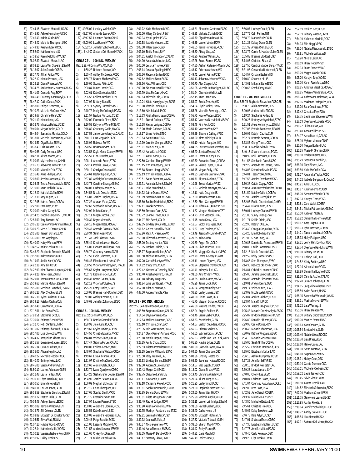59) 27:44.15 Elizabeth MacNeill,UCSC 60) 27:45.90 Ashlee Humphrey,UCSC 61) 27:46.43 Kaitlin Olidis,USC 62) 27:48.42 Melanie Thompson,USC 63) 27:49.33 Kerstyn Edey,WDSC 64) 27:52.00 Kathleen Noble, IS<br>65) 27:53.53 Karen Ratchford, W 65) 27:53.53 Karen Ratchford, WDSC<br>66) 28:02.30 Flizabeth Moskal.LAC 28:02.30 Elizabeth Moskal,LAC 67) 28:03.10 Laura Van Staveren,ESWIM 68) 28:13.97 Julie Search,COBRA 69) 28:17.75 Jillian Fulton,WD 70) 28:22.12 Nicole Peacock,USC 71) 28:22.16 Diana Fraser,WAAC 72) 28:34.25 AndreeAnne Melancon,CALAC 73) 28:41.09 Cressida Frey,ROW 74) 28:46.49 Courtney Kapustanyk,GOLD 75) 28:47.12 Cailie Douse,PICK 76) 28:58.00 Bridget Kempster, LAC<br>77) 29:10.23 Melanie McCann, HHA 29:10.23 Melanie McCann, HHAC 78) 29:19.67 Christine Hale,USC 79) 29:21.10 Nicole Leite, LAC 80) 29:32.76 Miranda Halasz,UCSC 81) 29:40.04 Megan Walsh,GOLD 82) 29:42.04 Samantha Morrice,GOLD 83) 30:18.01 Melanie Drozdowsky,MSSAC 84) 30:19.53 Olga Redko, ESWIM<br>85) 30:38.43 Caitilan Kerr UCSC 30:38.43 Caitilan Kerr, UCSC 86) 30:40.68 Carly Perreaux, OSC<br>87) 30:42.11 Alison Moore, VPSC 30:42.11 Alison Moore, VPSC 88) 31:00.93 Mylene Moreau,CNHR 89) 31:06.73 Alexandra Taylor,PCSC 90) 31:20.50 Michelle Falk, STSC 91) 31:36.46 Anna Phillips,VPSC 92) 32:03.00 Jessica Johnson,GLEN 93) 32:05.45 Trisha Petrosoniak,MSSAC 94) 32:10.00 Anna Mahleb, CALAC<br>95) 32:12.40 Katie McGuffin. ROW 32:12.40 Katie McGuffin,ROW 96) 32:13.19 Amy Dugan, GOLD<br>97) 32:17.95 Katrina Ferno, COB 97) 32:17.95 Katrina Ferno, COBRA<br>98) 32:22.00 Bree Ross.PSW 98) 32:22.00 Bree Ross,PSW 99) 32:30.00 Hailee Casey,LAC 100) 32:54.25 Isabelle Bergeron-T.,CALAC 101) 32:55.50 Tory Blewett,LAC 102) 33:05.10 Danica Vance-Grimard,HYACK 103) 33:09.23 Marie-F. Grenier,CNHR 104) 33:25.00 Teagan Borland,LAC 105) 33:35.00 Lara Wayling,IS 106) 33:40.00 Haley Workun,PSW 107) 33:42.52 Kristy Smitas,WDSC 108) 33:43.20 Stephanie Rendulis,ESWIM 109) 33:52.00 Kelby Warters,GLEN 110) 34:19.03 Jackie Koot,WDSC 111) 34:22.16 Amy Lin,UCSC 112) 34:22.93 Kim Phaneuf-Laporte,CNHR 113) 34:43.26 Jane Tozer,ESWIM 114) 35:29.01 Tamara Iacobucci,COBRA 115) 35:39.63 Martha McIvor,ESWIM 116) 35:55.00 Madison Campbell,ESWIM 117) 36:01.23 Alex Crookes,GLEN 118) 36:25.18 Tyler Harrison,COBRA 119) 36:39.16 Katelyn Cachia,CLM 120) 36:53.40 Cara Walsh,COBRA 121) 37:12.51 Lisa Brass,EKSC 122) 37:28.51 Stephanie Scott,IS 123) 37:30.54 Brittany Elchuk,PSW 124) 37:32.75 Fidji Santerre,CNHR 125) 38:15.02 Brittany Shortreed,COBRA 126) 38:17.00 Lisa Crofoot,ESWIM 127) 38:24.37 Jacqueline Alberta,EKSC 128) 38:25.57 Genevieve Laurent,EKSC 129) 38:26.34 Cassie Durksen,OSC 130) 38:35.00 Alayna Hryclik,LAC 131) 38:40.27 Michelle Riediger,OSC 132) 38:40.40 Brittney Heisz,LAC 133) 38:45.00 Sarah Andrews,GLEN 134) 38:50.10 Lauren Adamson,GLEN 135) 39:12.48 Laura Tailleur,OSC 136) 39:30.10 Elyse Tremblay,CNHR 137) 39:30.55 Erin Manes,GLEN 138) 39:40.11 Lauren Jones,GLEN 139) 39:58.59 Stephanie Smolsky,ESWIM 140) 39:59.72 Bretton Hills,GLEN 141) 40:04.48 Ashley Sauve,LEDUC 142) 40:10.09 Tamsin Wilson,GLEN 143) 40:19.79 Jill Coleman,GLEN 144) 41:03.89 Elizabeth Schowalter,EKSC 145) 41:06.51 Silvia Vlad,ESWIM 146) 41:07.10 Natalie Wood,RDCSC 147) 41:22.44 Katherine Mills,WDSC 148) 41:30.22 Vanessa Isabele-Roy,CNHR 149) 41:50.97 Hailey Cook,OSC

150) 42:35.00 Lyndsey Welsh,GLEN 151) 43:27.00 Amanda Baniuk,PICK 152) 46:47.59 Laurence Boivin,CNHR 153) 48:00.00 Liza Horne,HYACK 154) 50:32.17 Jennifer Schofield,LEDUC 155)1: 6:42.00 Stefanie Del Monte,HYACK **GIRLS 7&U - 100 IND. MEDLEY** Rec: 1:28.46 Donna Wu,AQUA,85 1) 1:50.22 Rebecca Ataman,WD 2) 1:55.44 Ashley McGregor,PCSC 3) 1:56.76 Deanna Mathews,EKSC 4) 1:59.00 Sydney Atkin, LAC 5) 2:00.84 Maura Lavoie,OSC 6) 2:02.61 Katie Stefopulas,USC 7) 2:06.52 Colleen Nesbitt,GLEN 8) 2:07.92 Brittany Buna,IS 9) 2:09.71 Sydney Harnack, STSC<br>10) 2:10.72 Molly McCullough, PC 2:10.72 Molly McCullough, PCSC 11) 2:11.57 Isadora Nojkovic,CDSC 12) 2:12.00 Fionnuala Pierse,EKSC 13) 2:16.58 Kelly Ann White,MSSAC 14) 2:16.80 Courtenay Catlin,HYACK 15) 2:17.53 Jamie-Lee Allardyce,CALAC 16) 2:18.10 Lina Mograbie,PCSC 17) 2:18.92 Rebecca Ro,WD 18) 2:20.56 Brianna Baxter, PCSC<br>19) 2:23.58 Kayla Menu-Courey, E 19) 2:23.58 Kayla Menu-Courey, ESWIM<br>20) 2:25.59 Gina Crowder, WD 2:25.59 Gina Crowder, WD 21) 2:28.11 Amanda Burns,STSC 22) 2:29.14 Patricia Jaros,MSSAC 23) 2:30.19 Carolyn Cassista,WD 24) 2:34.61 Hayley Lippiatt,PCSC 25) 2:37.80 Ashleigh Guerreiro,HYACK 26) 2:43.75 Caroline Shung,MSSAC 27) 2:44.08 Lindsey Moore,VPSC 28) 2:54.58 Nicole Dressler,STSC 29) 3:06.87 Jessica Hughes, MSSAC<br>30) 3:07.22 Anasazi Valair, CDSC 30) 3:07.22 Anasazi Valair,CDSC<br>31) 3:12.62 Stephanie Wilson,MS 31) 3:12.62 Stephanie Wilson,MSSAC 32) 3:12.90 Mikela Sturko,IS 33) 3:17.11 Megan Jacobs,USC 34) 3:20.39 Dayna Martin,IS 35) 3:26.16 Megan Bates,MSSAC 36) 3:29.43 Amanda Cairns,MSSAC 37) 3:30.34 Sarah Assi,PCSC 38) 3:31.47 Jodi Cairns, MSSAC<br>39) 3:35.44 Kristine Lawson. HYA 3:35.44 Kristine Lawson, HYACK 40) 3:36.00 Lynnaea Mullingan, PSW<br>41) 3:36.72 Courtney Hawes, SCAR 41) 3:36.72 Courtney Hawes, SCAR<br>42) 3:37.50 Lydia Schramm, EKSC 3:37.50 Lydia Schramm,EKSC 43) 3:48.47 Ellen Moore-Lewis,GLEN 44) 3:50.50 Victoria Vandereyden, HYACK<br>45) 3:55.67 Shyler Langstrom.FKSC 3:55.67 Shyler Langstrom,EKSC 46) 4:02.78 Katrina Hockin,EKSC 47) 4:10.33 Devon Coutts,SCAR 48) 4:22.13 Victoria Polyakov,IS 49) 4:25.28 Cathy Tusien,SCAR 50) 5:06.06 Breanne Hart-Dowhun,OSC 51) 5:13.88 Ashley Cameron, EKSC<br>52) 5:46.63 Jennifer Zukowsky, EKS 52) 5:46.63 Jennifer Zukowsky,EKSC **GIRLS 8 - 100 IND. MEDLEY** Rec: 1:27.52 Donna Wu,AQUA,85 1) 1:38.71 Natalie Swanek,ESWIM 2) 1:38.93 Julie Kells,RDCSC 3) 1:39.60 Kaylee Dakers,COBRA 4) 1:44.50 Christie Edwards,VPSC 5) 1:44.81 Valerie Simon,CALAC 6) 1:47.47 Sabrina Forbes,CALAC 7) 1:48.00 Colleen Lehnert, MWC<br>8) 1:48.04 Stephanie Watson, OR 1:48.04 Stephanie Watson, ORCA 1:49.67 Lisa Alibrando, PCSC 10) 1:51.97 Kristine MaCleod, UCSC<br>11) 1:52.60 Alexis Pufahl, GOLD 1:52.60 Alexis Pufahl, GOLD 12) 1:53.74 Ivana Djordjevic,CDSC 13) 1:54.28 Sasha Menu-Courey,ESWIM 14) 1:54.99 Jessica Sciotto,CALAC 15) 1:56.09 Meghan Elcheson,TBT 16) 1:57.16 Laura Thompson,USC 17) 1:57.65 Scarlett Smith,VPSC 18) 1:57.75 Katherine Smith, WD<br>19) 1:57.94 Lauren Pasnak, STS 1:57.94 Lauren Pasnak,STSC 20) 1:58.00 Alexandre Cloutier,PCSC 21) 1:58.56 Katie Maxwell,SSC 22) 1:59.08 Alexandra Fergusson,LAC 23) 2:00.48 Paige Schultz,EYSC 24) 2:01.00 Leeanne Midgley,LAC 25) 2:01.57 Andrea Kostecki,ESWIM 26) 2:01.60 Chelsy McGhee, WD<br>27) 2:01.71 Michelle Cachia, CLM 2:01.71 Michelle Cachia,CLM 28) 3:42.55 Marie-P. Berube, CNHR<br>29) 3:43.17 Stefanny Bleau. CNHR

28) 2:01.72 Katie Matheson,MWC 29) 2:02.00 Hilary Caldwell,PSW 30) 2:02.34 Kyra Lippiatt,PCSC 31) 2:02.58 Isabelle Yeadon,USC 32) 2:03.08 Hilary Eatock,WD 33) 2:03.10 Emily Ennett, SKY<br>34) 2:04.31 Kristol Thompson 34) 2:04.31 Kristol Thompson, CALAC<br>35) 2:04.90 Amanda Johnston, LAC 35) 2:04.90 Amanda Johnston,LAC 36) 2:05.00 Jessica Thrower,PSW 37) 2:06.14 Jessica Sparling, HHAC<br>38) 2:07.36 Rebecca Britten, EKSC 38) 2:07.36 Rebecca Britten,EKSC 39) 2:07.62 Melissa Biron,EYSC 40) 2:08.36 Alex Williams,OSC 41) 2:09.00 Siobhan Newell,HYACK 42) 2:09.79 Lisa McCann,HHAC 43) 2:09.83 Miranda Pala,COBRA 44) 2:12.24 Krista Hawrylynshyn, SCAR<br>45) 2:13.08 Victoria Roduta, OSC 45) 2:13.08 Victoria Roduta, OSC<br>46) 2:13.60 Alizeh Ladak, PICK 2:13.60 Alizeh Ladak, PICK 47) 2:13.63 Alisha Harricharan,COBRA 48) 2:15.31 Rachel Poliquin,STSC 49) 2:16.38 Kelsey Lavigne,COBRA 50) 2:18.00 Marie Carlesso,CALAC 51) 2:18.17 Linne Kottke, STSC 52) 2:19.83 Sara Burns,STSC 53) 2:19.99 Jennifer Slongo, MSSAC<br>54) 2:23.01 Nicole Post.CLM 54) 2:23.01 Nicole Post,CLM 55) 2:23.42 Anna Seibel, GOLD<br>56) 2:25.31 Amy Cooper, GLEN 2:25.31 Amy Cooper, GLEN 57) 2:27.50 Caroline Thong,ESWIM 58) 2:28.15 Christy Gregory, ORCA<br>59) 2:28.88 Bianca Liang. MSSAC 2:28.88 Bianca Liang, MSSAC 60) 2:29.13 Christina Baier,COBRA 61) 2:29.51 Sarah Schmitter,WAAC 62) 2:29.71 Amanda Schenk,ESWIM 63) 2:33.71 Erika Sweetland,IS 64) 2:34.72 Jaime Doucet,WAAC 65) 2:35.09 Stefania Stratti,MSSAC 66) 2:36.80 Bobbie Mielnichuk, EKSC<br>67) 2:37.11 Brooke Scott, USC 2:37.11 Brooke Scott,USC 68) 2:38.59 Rebecca Gano,SSC 69) 2:38.72 Joanne Traves,GOLD 70) 2:44.07 Erin Beech,GOLD 71) 2:49.05 Lindsey Brouillette,LEDUC 72) 2:51.62 Chiara Holwell,MSSAC 73) 2:53.26 Ruth A. Fraser,WAAC 74) 2:55.00 Elizabeth Forrester-C.,PSW<br>75) 2:55.00 Destiny Hunter,PSW 2:55.00 Destiny Hunter, PSW 76) 2:55.05 Daphne Palidis,STSC 77) 2:58.77 Stephanie Bolton, SCAR<br>78) 3:03.58 Michael Brownlee, GLEN 3:03.58 Michael Brownlee, GLEN 79) 3:07.20 Carra Ballantyne, WAAC<br>80) 3:14.82 Cindy Chu.CDSC 3:14.82 Cindy Chu,CDSC 81) 3:22.42 Alexandra Tremblay,EKSC 82) 3:36.40 Ayesha Renyard,HYACK 83) 3:40.18 Brittany Teague, IS 84) 3:41.84 Julie Brinkhurst,HYACK 85) 3:52.00 Kristie Foreman, IS<br>86) 4:47.00 Andrea Temple PS 86) 4:47.00 Andrea Temple,PSW **GIRLS 9 - 200 IND. MEDLEY** Rec: 2:50.84 Leslie Dowson,WISC,88 1) 3:08.59 Stephanie Simon,CALAC 2) 3:14.34 Dayna Ahrens,ROW 3) 3:17.83 Melissa Larocque,PCSC 4) 3:23.10 Christine Zwart, LAC 5) 3:23.35 Erin Wamsteeker,ORCA 6) 3:24.27 Stacy Perrier-Armaos,PCSC 7) 3:25.68 Natalie Hagan,ESWIM 8) 3:27.25 Amity Chow,CDSC 9) 3:27.53 Kristen Pomerleau, UCSC<br>10) 3:28.25 Jennifer Wilson, MSSAC 3:28.25 Jennifer Wilson,MSSAC 11) 3:28.50 Riley Truswell,LAC 12) 3:29.93 Lindsay Bennet, ESWIM<br>13) 3:32.30 Andrea St.Jules, EYSC 13) 3:32.30 Andrea St.Jules,EYSC 14) 3:32.43 Megan Chi,EKSC 15) 3:32.75 Shawnee Landolt,IS 16) 3:33.11 Kate Andal,ESWIM 17) 3:33.18 Catherine Powell,PCSC 18) 3:35.81 Sophie Normandin,CNHR 19) 3:35.85 Bojana Duric,ESWIM 20) 3:36.01 Krista Morgado,MSSAC 21) 3:36.49 Rachel Judges,ROW 22) 3:36.90 Alisha Ancinelli,ESWIM 23) 3:37.75 Madisyn Achtymichuk, STSC<br>24) 3:39.81 Jemma Hinkley, PCSC 3:39.81 Jemma Hinkley, PCSC 25) 3:39.92 Joanna Ruffolo,IS 26) 3:40.37 Nicole Guerriero,WD 27) 3:41.46 Anna Freeman,MSSAC

3:43.17 Stefanny Bleau,CNHR

30) 3:43.81 Alexandra Centomo,PCSC 31) 3:45.35 Mahalia Coniah,EKSC 32) 3:45.70 Olga Bordatcheva,LAC 33) 3:46.39 Lauren Voisin,ROW 34) 3:46.65 Tanya Hurtubise,PCSC 35) 3:46.80 Abbey Oke, LAC<br>36) 3:46.90 Kristine Walker, 36) 3:46.90 Kristine Walker, LAC<br>37) 3:47.26 Seana Sterner, PCSC 3:47.26 Seana Sterner, PCSC 38) 3:47.80 Aislinn Patterson-March, LAC<br>39) 3:48.12 Rebecca Acheson, WD 39) 3:48.12 Rebecca Acheson, WD<br>40) 3:49.41 Lauren Fairlie, PCSC 40) 3:49.41 Lauren Fairlie,PCSC 41) 3:50.13 Johanna Johnson,WDSC 42) 3:50.70 Alex Cooper, LAC 43) 3:51.08 Michele Le Moeligon,CALAC 44) 3:51.94 Charlotte Werlick, WD<br>45) 3:52.15 Anna Francis.IS 45) 3:52.15 Anna Francis,IS 46) 3:53.97 Sonia Zivkovic, WD<br>47) 3:54.84 Elysia White, ESWIN 47) 3:54.84 Elysia White,ESWIM<br>48) 3:55.26 Michelle Bevendge,L 3:55.26 Michelle Bevendge,UCSC 49) 3:55.75 Nicole Vincent,EKSC 50) 3:56.12 Vanessa Niedzielski,MSSAC 51) 3:58.46 Kim Kosik,OSC 52) 3:59.10 Vanessa Vito,SKY 53) 3:59.29 Eleanora Dalling,VPSC 54) 4:03.90 Kiera Minielly,GOLD 55) 4:04.10 Kristen Pargetter,WD 56) 4:04.85 Laurence VachonDesrocher,CALAC<br>57) 4:05.20 Jessica Eykens,LAC 57) 4:05.20 Jessica Eykens, LAC<br>58) 4:07.31 Emma Dunphy, EYSO 4:07.31 Emma Dunphy,EYSC 59) 4:07.70 Samantha Ferno,COBRA 60) 4:07.84 Valerie Lopez,COBRA 61) 4:08.45 Megan Sully,USC 62) 4:09.35 Gabrielle Laurin,MSSAC 63) 4:09.71 Allyssa Clelland,STSC 64) 4:10.96 Becca Murton,VPSC 65) 4:11.83 Melanie McIntyre,MSSAC 66) 4:12.11 Katie Coughlin,IS 67) 4:12.30 Amanda Rosato,LAC 68) 4:12.50 Sheri Carnegie, ESWIM<br>69) 4:14.30 Tiffany-A. Quimet, PCS 69) 4:14.30 Tiffany-A. Quimet,PCSC 70) 4:14.32 Maegan MacKenzie,TBT 71) 4:14.73 Erika Mattucci,HHAC 72) 4:16.45 Kaela Shaw,USC 73) 4:16.57 Victoria Burgess,OSC 74) 4:16.57 Lucy Thuristo,VPSC 75) 4:19.49 Jessica McCrindle,PCSC 76) 4:20.65 Keltie John,TBT 77) 4:20.89 Regan Ton,GOLD 78) 4:24.68 Rikia Trischuk, GOLD<br>79) 4:26.31 Maggie Drinkwater, VF 79) 4:26.31 Maggie Drinkwater, VPSC<br>80) 4:27.79 Emma Kelebay, ESWIM 4:27.79 Emma Kelebay,ESWIM 81) 4:28.11 Lauren Pigozzo,USC 82) 4:31.24 Stephanie Contoli,WDSC 83) 4:31.41 Kelsey Mills,USC 84) 4:33.00 Amy Crider,HYACK 85) 4:33.35 Paulina Jaros,MSSAC 86) 4:35.26 Jenna Cook,USC 87) 4:36.04 Meaghan Dalby, SKY 88) 4:36.35 Lesley James, USC 89) 4:40.00 Elaine Gross, EKSC<br>90) 4:41.70 Meagan Schuster, R 90) 4:41.70 Meagan Schuster, RDCSC<br>91) 4:46.00 Natasha Calder, HYACK 91) 4:46.00 Natasha Calder,HYACK 92) 4:52.04 Angela Sullivan, IS 93) 4:53.46 Breau Garber,CDSC 94) 4:53.53 Zoe Wonfor,GLEN 95) 4:54.07 Bretton Saunders, RDCSC 96) 4:55.93 Brittany Vadar,OSC 97) 4:56.05 Sabrina Dionisi,PCSC 98) 4:56.63 Debbie Van Den Brink, WDSC<br>99) 5:01.30 Natalie Sykes.GLEN 99) 5:01.30 Natalie Sykes, GLEN<br>100) 5:01.30 Gabriella Lopez, HYA 100) 5:01.30 Gabriella Lopez, HYACK<br>101) 5:04.50 Jenna Chelowa, OSC 5:04.50 Jenna Chelowa,OSC 102) 5:08.36 Lindsay Hoetzel,IS 103) 5:08.50 Savannah Kafara,RDCSC 5:14.57 Mac Eguchi,COBRA 105) 5:18.02 Diana Sirotic,VPSC 106) 5:19.40 Christina Walsh,PICK 107) 5:20.94 Alisha Fung,VPSC 108) 5:21.25 Lesley Arnott,USC 109) 5:23.30 Stephanie Norris,WDSC 110) 5:24.50 Jenny Wan,HYACK 111) 5:25.90 Melanie Anglin,WDSC 112) 5:32.15 Lauren Lethbridge,ESWIM 113) 5:33.50 Rachel Grehan,EKSC 114) 5:35.40 Darby Nelson, IS<br>115) 5:36.40 Elizabeth Hoffmar 115) 5:36.40 Elizabeth Hoffman,IS 116) 5:37.32 Victoria Tidswell,GLEN 117) 5:38.60 Sharon May,HYACK 118) 5:39.42 Emily Pearce,IS 119) 5:44.32 Dana March,IS 120) 5:46.49 Emily Singer,IS

121) 5:56.07 Lindsay Gould,GLEN 122) 5:57.75 Calli Perrier,TBT 123) 5:58.72 Marlee Budz,GOLD 124) 6:01.23 Kelsey Dunn,GLEN 125) 6:01.39 Alyssa Ryan,LEDUC 126) 6:03.72 Carrie-E. Hantho-Soby,GLEN 127) 6:05.83 Breanna Stoddart,OSC 6:14.06 Christine Silver, IS 129) 6:27.55 Candice Vander Berg,HYACK 130) 6:31.98 Cassandra Bunkerhoff,GLEN 131) 7:04.57 Qristina Bachand,IS 132) 7:10.80 Shannon Hill,IS 133) 9:43.61 Mikayla Stelte,EKSC 134) 10:00.63 Sarah Facey,WAAC **GIRLS 10 - 400 IND. MEDLEY** Rec: 5:36.76 Stephanie Shewchuk,PCSC,85 1) 6:00.73 Alicia Neasmith,PCSC 2) 6:09.08 Andrea Kells,RDCSC 3) 6:19.24 Stephanie Pollard, IS<br>4) 6:20.25 Brittney Achtymichuk 4) 6:20.25 Brittney Achtymichuk,STSC 5) 6:21.51 Alexa Kormanycky,ESWIM 6) 6:27.05 Patricia Buenbrazo,ESWIM 7) 6:30.95 Katelyn Cachia,CLM 8) 6:32.74 Brittanie Semper,COBRA 9) 6:33.83 Giang Trinh, UCSC<br>10) 6:38.11 Monika Stitski, ESW 6:38.11 Monika Stitski,ESWIM 11) 6:40.15 Shannon Leonard, PCSC<br>12) 6:40.99 Kalli Buchanan, COBRA 6:40.99 Kalli Buchanan,COBRA 13) 6:41.58 Stephanie Davis,UCSC 14) 6:42.29 Amanda McTeague, ESWIM<br>15) 6:43.03 Katherine Bowlin PCSC 15) 6:43.03 Katherine Bowlin,PCSC 16) 6:44.81 Tessa Yorke,GMAC 17) 6:47.53 Jessica Renshaw,WDSC 18) 6:50.37 Caitlin Cuggy,PCSC 19) 6:50.51 Jessica Bredschneider,COBRA 20) 6:51.59 Natalie Gallant,COBRA 21) 6:52.00 Jessica Crepnjak, PSW<br>22) 6:52.06 Emilie Chamberland, C 22) 6:52.06 Emilie Chamberland, CNHR<br>23) 6:54.47 Hilary Govan, PCSC 23) 6:54.47 Hilary Govan,PCSC 24) 6:59.01 Lindsay Charles,ESWIM 25) 7:01.00 Sunny Huang, PSW<br>26) 7:01.71 Kaitlin Olidis, USC 26) 7:01.71 Kaitlin Olidis,USC 27) 7:02.90 Katelyn Oke,LAC 28) 7:03.49 Georgia Desjardins,EYSC 29) 7:04.25 Erin Robichaud,STSC 30) 7:07.00 Susan Long,LAC 31) 7:09.85 Daniela De Francesco,ESWIM 32) 7:10.00 Emilie Robertson, EKSC<br>33) 7:12.18 Nicole Peacock, USC 33) 7:12.18 Nicole Peacock, USC<br>34) 7:12.59 Kaley Sanders, STSC 7:12.59 Kaley Sanders, STSC 35) 7:13.65 Sara Thompson,EYSC 36) 7:14.35 Rebecca Slongo, MSSAC<br>37) 7:14.81 Gabrielle Lacomte, CNHR 37) 7:14.81 Gabrielle Lacomte,CNHR 38) 7:15.00 Janelle Bonkowski,EKSC 39) 7:16.08 Amanda Bissonett,GMAC 40) 7:19.01 Anelyn Deuna,OSC 41) 7:19.14 Valerie Otten,HHAC 42) 7:23.02 Nicole Welsh, UCSC<br>43) 7:23.84 Andrea Reichert, CDS 43) 7:23.84 Andrea Reichert, CDSC<br>44) 7:23.94 Maia Kirk, PICK 44) 7:23.94 Maia Kirk, PICK<br>45) 7:25.34 Jessica Daignea 45) 7:25.34 Jessica Daigneault,PCSC 46) 7:25.43 Melanie Drozdowsky, MSSAC<br>47) 7:25.87 Bridgitte Desrosiers, PCSC 47) 7:25.87 Bridgitte Desrosiers,PCSC 48) 7:26.80 Daniella Hibberd,UCSC 49) 7:29.98 Cailie Douse,PICK 50) 7:30.48 Melanie Thompson,USC 51) 7:30.62 Katrina Wiggans,WDSC 52) 7:34.18 Melanie McCann,HHAC 53) 7:35.05 Sarah Griffin,COBRA 54) 7:35.59 Chrsitina McDonald, PCSC<br>55) 7:35.60 Elizabeth Moskal, LAC 55) 7:35.60 Elizabeth Moskal,LAC 56) 7:36.18 Ashlee Humphrey,UCSC 57) 7:37.28 Jennifer Self,VPSC 7:38.10 Bridget Kempster,LAC 59) 7:39.28 Laura Layland,SKY 60) 7:40.00 Cherry Lee,EKSC 61) 7:40.04 Christine Evans,ESWIM 62) 7:41.04 Courtney Kapustanyk,GOLD 63) 7:42.00 Bree Ross,PSW 64) 7:42.53 Julie Search, COBRA<br>65) 7:43.37 Michelle Falk, STSC 65) 7:43.37 Michelle Falk,STSC 7:43.50 Michelle Easton,LAC 67) 7:45.61 Christine Hale,USC 68) 7:45.62 Kaley Brookson,WD 69) 7:46.78 Kara Artym,UCSC 70) 7:47.01 Shahada Evans,CDSC 71) 7:47.35 Elizabeth MacNeill,UCSC 72) 7:47.75 Jennifer Milton,PCSC 73) 7:48.45 Carly Perreaux,OSC 7:49.20 Olga Redko, ESWIM

75) 7:52.19 Caitilan Kerr,UCSC 76) 7:52.39 Brittany Watson,ORCA 77) 7:54.19 Katherine Morielli,PCSC 78) 7:54.93 Erin Hogg,VPSC 79) 7:56.14 Natalia Mieszczanski, EYSC<br>80) 7:56.91 Michelle Wilkes.WD 80) 7:56.91 Michelle Wilkes,WD 81) 7:58.20 Nicole Leite,LAC 82) 8:00.19 Hilary Todd VPSC 83) 8:02.93 Diana Fraser,WAAC 84) 8:03.79 Megan Walsh, GOLD 85) 8:05.20 Kerstyn Edey,WDSC 86) 8:07.10 Karen Ratchford,WDSC 87) 8:08.25 Antonija Mazalica,MSSAC 88) 8:08.25 Melanie Vandersluis, PCSC<br>89) 8:08.34 AndreeAnne Melancon.CALA 8:08.34 AndreeAnne Melancon,CALAC 90) 8:12.96 Marianne Stefopulos,USC 91) 8:13.70 Sara Cousineau.EYSC 92) 8:17.42 Cressida Frey,ROW 93) 8:17.75 Laura Van Staveren ESWIM 94) 8:18.13 Stephanie Ludgate, PCSC 95) 8:19.72 Jillian Fulton WD 96) 8:23.48 Anna Phillips,VPSC 97) 8:24.17 Anna Mahleb, CALAC 98) 8:25.19 Mylene Moreau,CNHR 99) 8:25.20 Teagan Borland,LAC 100) 8:25.35 Marie-F. Grenier,CNHR 101) 8:30.00 Chelsey Harma,EKSC 102) 8:35.29 Shannon Coughlin,IS 103) 8:38.30 Tory Blewett LAC. 104) 8:39.80 Katie McGuffin,ROW 105) 8:41.17 Alexandra Taylor,PCSC 106) 8:44.12 Isabelle Bergeron-T.,CALAC 107) 8:45.21 Amy Lin,UCSC 108) 8:45.87 Katrina Ferno,COBRA 109) 8:46.00 Shannon Woods,GLEN 110) 8:47.13 Katelyn Fines,VPSC 111) 8:50.81 Cara Walsh,COBRA 112) 8:54.51 Trisha Petrosoniak,MSSAC 113) 8:55.00 Kathleen Noble,IS 114) 8:56.82 Samantha Morrice GOLD 115) 9:00.62 Amy Dugan,GOLD 116) 9:08.03 Tyler Harrison,COBRA 117) 9:14.71 Tamara Iacobucci,COBRA 118) 9:15.93 Holly Pettigrew,USC 119) 9:17.31 Jenny Hart-Dowhun,OSC 120) 9:17.74 Stephanie Rendulis,ESWIM 121) 9:18.00 Brittney Heisz,LAC 122) 9:20.53 Kathryn Ball,PICK 123) 9:24.52 Kristy Smitas,WDSC 124) 9:27.14 Alison Moore VPSC 125) 9:27.89 Samantha Borgford,USC 126) 9:31.50 Camilla Ascher,CALAC 127) 9:32.20 Jessica Johnson,GLEN 128) 9:34.85 Jacqueline Alberta,EKSC 129) 9:35.59 Aiden Barnett,HHAC 130) 9:36.15 Samantha Whiteside,WAAC 131) 9:38.31 Martha McIvor ESWIM 132) 9:41.12 Lara Wayling,IS 133) 9:55.06 Hilary Balaban,WD 134) 9:58.50 Brittany Shortreed,COBRA 135) 10:00.00 Monica Emme,EKSC 136) 10:00.63 Alex Crookes,GLEN 137) 10:05.54 Bretton Hills GLEN 138) 10:09.40 Natalie Wood,RDCSC 139) 10:16.70 Lisa Brass,EKSC 140) 10:18.60 Hailee Casey,LAC 141) 10:31.90 Sarah Andrews,GLEN 142) 10:46.68 Stephanie Scott IS 143) 10:46.91 Hailey Cook,OSC 144) 10:50.14 Cassie Durksen OSC 145) 10:53.11 Michelle Riediger,OSC 146) 10:59.02 Laura Tailleur,OSC 147) 11:03.45 Silvia Vlad,ESWIM 148) 11:08.50 Alayna Hryclik,LAC 149) 11:34.82 Elizabeth Schowalter,EKSC 150) 12:07.00 Madison Cannel,PSW 151) 12:11.75 Genevieve Laurent,EKSC 152) 12:16.95 Ashley Pivetta,IS 153) 12:30.84 Jennifer Schofield LEDUC 154) 13:40.72 Ashley Sauve,LEDUC 155) 14:36.84 Liza Horne,HYACK 156) 14:47.91 Stefanie Del Monte,HYACK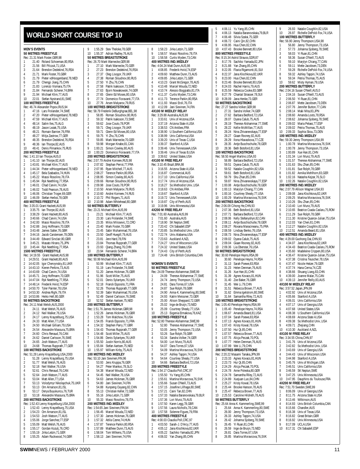#### <span id="page-10-0"></span>**WORLD SHORT COURSE TOP 10**

| <b>MEN'S EVENTS</b><br>ς<br>50 METRES FREESTYLE<br>1 |                                                                       |        |
|------------------------------------------------------|-----------------------------------------------------------------------|--------|
|                                                      | Rec: 21.31 Mark Foster, GBR, 98                                       | E      |
| 1<br>21.40                                           | Roland Schoeman, 80, RSA                                              | F      |
| 2<br>21.56                                           | Bill Pilczuk, 71, USA                                                 | 1      |
| 3<br>4                                               | 21.64 Brendon Dedekind, 76, RSA                                       | 2<br>3 |
| 5                                                    | 21.71 Mark Foster, 70, GBR<br>21.79 Pieter vdHoogenband, 78, NED      | 4      |
| 6<br>21.79                                           | Chengji Jiang, 75, CHN                                                | E      |
| 7                                                    | 21.83 Lorenzo Vismara, 75, ITA                                        | Ć      |
| 8                                                    | 21.84 Fernando Scherer, 74, BRA                                       | 7      |
| 9<br>21.94<br>10<br>22.01                            | Michael Klim, 77, AUS<br>Stefan Nystrand,81,SWE                       | ε<br>ς |
|                                                      | <b>100 METRES FREESTYLE</b>                                           | 1      |
|                                                      | Rec: 46.74 Alexander Popov, RUS, 94                                   | 1      |
| 47.16<br>1                                           | Lars Frolander, 74, SWE                                               | F      |
| $\overline{c}$<br>47.20<br>3                         | Pieter vdHoogenband, 78, NED<br>47.59 Michael Klim, 77, AUS           | 1<br>2 |
| 4<br>48.14                                           | Salim Iles, 75, ALG                                                   | 3      |
| 5<br>48.19                                           | Jason Lezak, 75, USA                                                  | 4      |
| 6                                                    | 48.21 Romain Barnier, 76, FRA                                         | E      |
| 7                                                    | 48.27 Mitja Zastrow, 77, GER                                          | Е      |
| 8<br>48.35<br>9<br>48.36                             | Brendon Dedekind, 76, RSA                                             | 7<br>٤ |
| 10<br>48.41                                          | lan Thorpe, 82, AUS<br>Denis Pimankov, 75, RUS                        | ς      |
|                                                      | 200 METRES FREESTYLE                                                  | 1      |
|                                                      | Rec: 1:41.10 lan Thorpe, AUS, 0                                       | 2      |
| 1                                                    | 1:41.10 Ian Thorpe,82,AUS                                             | F      |
| $\overline{2}$<br>3                                  | 1:43.81 Michael Klim, 77, AUS<br>1:44.34 Pieter vdHoogenband, 78, NED | 1<br>2 |
| 4                                                    | 1:45.17 Bela Szabados, 74, HUN                                        | 3      |
| 5                                                    | 1:45.22 Massi Rosolino, 78, ITA                                       | 4      |
| 6                                                    | 1:45.94 Ryk Neethling, 77, RSA                                        | 5      |
| 7<br>1:46.01                                         | Chad Carvin, 74, USA                                                  | Ć      |
| 8<br>1:46.02<br>9                                    | Todd Pearson, 78, AUS<br>1:46.06 Christian Troger, 69, GER            | 7<br>٤ |
| 10<br>1:46.09                                        | Stefan Herbst, 78, GER                                                | ς      |
|                                                      | <b>400 METRES FREESTYLE</b>                                           | 1      |
|                                                      | Rec: 3:35.01 Grant Hackett, AUS, 99                                   | E      |
| 3:35.75<br>1                                         | lan Thorpe, 82, AUS                                                   | F      |
| $\overline{2}$<br>3:38.29<br>3<br>3:40.66            | Grant Hackett, 80, AUS<br>Chad Carvin, 74, USA                        | 1<br>2 |
| 4                                                    | 3:42.00 Massi Rosolino, 78, ITA                                       | 3      |
| 5                                                    | 3:42.88 Jorg Hoffmann, 70, GER                                        | 4      |
| 6<br>3:43.48                                         | James Salter, 76, GBR                                                 | E      |
| 3:44.16<br>7                                         | Jacob Carstensen, 78, DEN                                             | Ć      |
| 8<br>9                                               | 3:44.49 Edward Sinclair, 80, GBR<br>3:45.21 Masato Hirano, 75, JPN    | 7<br>ε |
| 10                                                   | 3:45.44 Ryk Neethling, 77, RSA                                        | ς      |
|                                                      | 1500 METRES FREESTYLE                                                 | 1      |
| Rec: 14:19.55                                        | Grant Hackett, AUS, 98                                                | 1      |
| 14:29.51<br>1                                        | Grant Hackett, 80, AUS                                                | F      |
| $\overline{\mathbf{c}}$<br>14:42.05<br>3<br>14:43.10 | Igor Chervynskiy,81,UKR<br>Kieren Perkins, 73, AUS                    | 1<br>2 |
| 4<br>14:43.69                                        | Chad Carvin, 74, USA                                                  | 3      |
| 5<br>14:45.71                                        | Jorg Hoffmann, 70, GER                                                | 4      |
| 14:47.04<br>6                                        | Ryk Neethling, 77, RSA                                                | 5      |
| 7<br>14:48.14                                        | Frederik Hviid, 74, ESP                                               | ć      |
| 8<br>14:50.70<br>9<br>14:53.30                       | Tyler Painter, 78, USA<br>Andrea Righi, 79, ITA                       | 7      |
| 10<br>14:53.86                                       | Heiko Hell,80,GER                                                     | ξ<br>ς |
|                                                      | 50 METRES BACKSTROKE                                                  | 1      |
|                                                      | Rec: 24.11 Matt Welsh, AUS, 2000                                      | 2      |
| 24.11<br>1                                           | Matt Welsh, 76, AUS                                                   | F      |
| 2<br>24.12                                           | Neil Walker, 76, USA                                                  | 1      |
| 3<br>24. I /<br>24.33<br>4                           | Lenny Krayzelburg, 75, USA<br>Matt Allen, 77, USA                     | 3      |
| 5<br>24.50                                           | Michael Gilliam, 79, USA                                              | 4      |
| 6<br>24.54                                           | Alexandre Massura, 75, BRA                                            | E      |
| 7<br>24.60                                           | Chris Renaud, 76, CAN                                                 | Ć      |
| 8<br>24.62<br>9<br>24.65                             | Daniel Carlsson, 76, SWE<br>Josh Watson, 77, AUS                      | 7<br>٤ |
| 10<br>24.68                                          | Thomas Rupprath, 77, GER                                              | ς      |
|                                                      | <b>100 METRES BACKSTROKE</b>                                          | 1      |
|                                                      | Rec: 51.28 Lenny Krayzelburg, USA, 2000                               | 1      |
| 1<br>51.28                                           | Lenny Krayzelburg, 75, USA                                            | F      |
| $\overline{c}$<br>51.77<br>3<br>52.18                | Matt Welsh, 76, AUS<br>Neil Walker, 76, USA                           | 1<br>2 |
| 4<br>52.61                                           | Chris Renaud, 76, CAN                                                 | 3      |
| 5<br>52.64                                           | Josh Watson, 77, AUS                                                  | 4      |
| 6<br>53.04                                           | Matt Allen, 77, USA                                                   | E      |
| 7<br>53.13                                           | Volodymyr Nikolaychuk, 75, UKR                                        | ć      |
| 8<br>53.13<br>9<br>53.17                             | Orn Arnarson, 81, ISL<br>Derya Buyukuncu, 76, TUR                     | 7<br>ξ |
| 10<br>53.18                                          | Alexandre Massura, 75, BRA                                            | ς      |
|                                                      | 200 METRES BACKSTROKE                                                 | 1      |
|                                                      | Rec: 1:52.43 Lenny Krayzelburg,USA,2000                               | 2      |
| 1<br>1:52.43                                         | Lenny Krayzelburg, 75, USA                                            | F      |
| $\overline{2}$<br>1:54.23<br>3                       | Orn Arnarson, 81, ISL                                                 | 1      |
| 1:54.53<br>4<br>1:55.06                              | Josh Watson, 77, AUS<br>Jorge Sanchez, 77, ESP                        | 2<br>3 |
| 5<br>1:55.09                                         | Matt Welsh, 76, AUS                                                   | 4      |
| 6<br>1:55.17                                         | Gordan Kozulj, 76, CRO                                                | E      |
| 7<br>1:55.19                                         | Jirka Letzin, 71, GER                                                 | Ć      |

|                              |                    | 9 1:55.29 Stev Theloke,78,GER<br>10 1:55.37 Adrian Radley,76,AUS                                                                                                                                                                                    |
|------------------------------|--------------------|-----------------------------------------------------------------------------------------------------------------------------------------------------------------------------------------------------------------------------------------------------|
|                              |                    | 50 METRES BREASTSTROKE                                                                                                                                                                                                                              |
| 1                            |                    | Rec: 26.70 Mark Warnecke,GER,98<br>27.10 Mark Warnecke, 70, GER                                                                                                                                                                                     |
| 2                            |                    | 27.23 Brendon Dedekind, 76, RSA                                                                                                                                                                                                                     |
| 3                            |                    |                                                                                                                                                                                                                                                     |
| 4<br>5                       |                    | 27.33 Rentauro Hotels (1976)<br>27.37 Oleg Lisogor, 79, UKR<br>27.38 Roman Sloudnov, 80, RUS<br>27.50 Yi Zhu, 76, CHN<br>27.58 Patrik Isaksson, 73, SWE<br>27.63 Bjorn Nowakowski, 74, GER<br>27.65 Gienn Ed Moses, 80, USA<br>27.74 Arcon Maherov  |
| 6                            |                    |                                                                                                                                                                                                                                                     |
| 7                            |                    |                                                                                                                                                                                                                                                     |
| 8<br>9                       |                    |                                                                                                                                                                                                                                                     |
| 10                           |                    | 27.76 Arsen Malyarov, 79, RUS                                                                                                                                                                                                                       |
|                              |                    | 100 METRES BREASTSTROKE                                                                                                                                                                                                                             |
| 1                            |                    | Rec: 58.79 Frederik DeBurghgrae,BEL,98<br>58.85 Roman Sloudnov, 80, RUS                                                                                                                                                                             |
| 2                            |                    | 59.32 Patrik Isaksson, 73, SWE                                                                                                                                                                                                                      |
| 3                            |                    | 59.62 Jose Couto, 78, POR<br>59.62 Jose Couto, 78, POR<br>59.71 Oleg Lisogor, 79, UKR<br>59.71 Glenn Ed Moses, 80, USA                                                                                                                              |
| 4<br>5                       |                    |                                                                                                                                                                                                                                                     |
| 6                            |                    |                                                                                                                                                                                                                                                     |
| 7                            |                    | 59.75 Yi Zhu, 76, CHN<br>59.85 Mark Warnecke, 70, GER<br>59.98 Morgan Knabe, 81, CAN                                                                                                                                                                |
| 8<br>9                       |                    |                                                                                                                                                                                                                                                     |
| 10                           |                    | 1:00.21 Simon Cowley, 80, AUS<br>1:00.23 Domenico Fioravanti, 77, ITA                                                                                                                                                                               |
|                              |                    | 200 METRES BREASTSTROKE                                                                                                                                                                                                                             |
|                              |                    | Rec: 2:07.79 Andrei Korneev, RUS, 98                                                                                                                                                                                                                |
| 1<br>$\overline{a}$          | 2:07.82            | Stephan Perrot, 77, FRA                                                                                                                                                                                                                             |
| 3                            |                    | 2:07.95 Ryan Mitchell, 77, AUS<br>2:08.27 Terence Parkin, 80, RSA<br>2:08.95 Simon Cowley, 80, AUS                                                                                                                                                  |
| 4                            |                    |                                                                                                                                                                                                                                                     |
| 5                            |                    |                                                                                                                                                                                                                                                     |
| 6<br>7                       |                    | 2:09.66 Roman Sloudnov, 80, RUS<br>2:09.98 Jose Couto, 78, POR<br>2:10.50 Arsen Malyarov, 79, RUS                                                                                                                                                   |
| 8                            |                    | 2:10.60 Andrei Korneev, 74, RUS                                                                                                                                                                                                                     |
| 9<br>10                      | 2:10.98            | 2:10.72 Phil Rogers, 71, AUS<br>Adam Whitehead, 80, GBR                                                                                                                                                                                             |
|                              |                    | 50 METRES BUTTERFLY                                                                                                                                                                                                                                 |
|                              |                    | Rec: 23.21 Michael Klim,AUS,99                                                                                                                                                                                                                      |
| 1<br>$\overline{c}$          |                    | 23.21 Michael Klim, 77, AUS<br>23.30 Lars Frolander, 74, SWE<br>23.35 Milos Milosevic, 72, CRO                                                                                                                                                      |
| 3                            |                    |                                                                                                                                                                                                                                                     |
| 4                            |                    | 23.40 Mark Foster, 70, GBR                                                                                                                                                                                                                          |
| 5                            |                    | 23.45 Sabir Muhammad, 76, USA<br>23.50 Geoff Huegill, 79, AUS                                                                                                                                                                                       |
| 6<br>7                       |                    | Jere Hard, 78, FIN                                                                                                                                                                                                                                  |
| 8                            | 23.81<br>23.84     | Thomas Rupprath, 77, GER                                                                                                                                                                                                                            |
| 9                            |                    | 23.93 Qiang Zhang, 76, CHN<br>23.94 Fernando Scherer, 74, BRA                                                                                                                                                                                       |
| 10                           |                    | 100 METRES BUTTERFLY                                                                                                                                                                                                                                |
|                              |                    | Rec: 50.99 Michael Klim,AUS,99                                                                                                                                                                                                                      |
| 1                            |                    | 50.99 Michael Klim, 77, AUS<br>51.19 Lars Frolander, 74, SWE                                                                                                                                                                                        |
| $\overline{\mathbf{c}}$<br>3 |                    | 31.19 Lars Frolander, 74, SWE<br>51.20 James Hickman, 76, GBR<br>51.96 Soott Miller, 75, AUS<br>52.01 Denis Sylantyev, 76, UKR<br>52.18 Franck Esposito, 71, FGR<br>52.26 Thomas Rupptaln, 77, GER<br>52.39 Sabir Muhammad, 76, USA<br>52.49 Daniel |
| 4                            |                    |                                                                                                                                                                                                                                                     |
| 5                            |                    |                                                                                                                                                                                                                                                     |
| 6<br>7                       |                    |                                                                                                                                                                                                                                                     |
| 8                            |                    |                                                                                                                                                                                                                                                     |
| 9                            |                    |                                                                                                                                                                                                                                                     |
| 10                           |                    | 200 METRES BUTTERFLY                                                                                                                                                                                                                                |
|                              |                    | Rec: 1:51.76 James Hickman,GBR,98                                                                                                                                                                                                                   |
| 1                            |                    | 1:52.26 James Hickman, 76, GBR                                                                                                                                                                                                                      |
| $\overline{c}$<br>3          | 1:53.28<br>1:54.05 | Tom Malchow, 76, USA<br>Franck Esposito, 71, FRA                                                                                                                                                                                                    |
| 4                            | 1:54.32            | Stephen Parry, 77, GBR                                                                                                                                                                                                                              |
| 5                            | 1:54.43            | Thomas Rupprath, 77, GER                                                                                                                                                                                                                            |
| 6<br>7                       | 1:54.48<br>1:54.86 | Scott Miller, 75, AUS<br>Denis Sylantyev, 76, UKR                                                                                                                                                                                                   |
| 8                            | 1:55.50            | Justin Norris, 80, AUS                                                                                                                                                                                                                              |
| 9                            | 1:55.84            | Stefan Aartsen, 75, NED                                                                                                                                                                                                                             |
| 10                           | 1:55.97            | William Kirby, 75, AUS<br>100 METRES IND.MEDLEY                                                                                                                                                                                                     |
|                              |                    | Rec: 53.10 Jani Sievinen, FIN, 96                                                                                                                                                                                                                   |
| 1                            | 53.93              | Jens Kruppa, 76, GER                                                                                                                                                                                                                                |
| 2<br>3                       | 54.27<br>54.38     | Peter Mankoc, 78, SLO<br>Marcel Wouda, 72, NED                                                                                                                                                                                                      |
| 4                            | 54.45              | Neil Walker, 76, USA                                                                                                                                                                                                                                |
| 5                            | 54.63              | James Hickman, 76, GBR                                                                                                                                                                                                                              |
| 6                            | 54.80              | Jani Sievinen, 74, FIN                                                                                                                                                                                                                              |
| 7<br>8                       | 54.88<br>55.13     | Kunpeng Ouyang, 82, CHN<br>Christian Keller, 72, GER                                                                                                                                                                                                |
| 9                            | 55.16              | Jirka Letzin, 71, GER                                                                                                                                                                                                                               |
| $\overline{10}$              | 55.33              | Massi Rosolino, 78, ITA                                                                                                                                                                                                                             |
|                              |                    | 200 METRES IND.MEDLEY<br>Rec: 1:54.65 Jani Sievinen,FIN,94                                                                                                                                                                                          |
| 1                            | 1:56.45            | Marcel Wouda, 72, NED                                                                                                                                                                                                                               |
| $\overline{c}$               | 1:57.30            | James Hickman, 76, GBR                                                                                                                                                                                                                              |
| 3<br>4                       | 1:57.32<br>1:57.87 | Attila Czene,74,HUN<br>Terence Parkin, 80, RSA                                                                                                                                                                                                      |
|                              | 1:57.89            | Matthew Dunn, 73, AUS                                                                                                                                                                                                                               |
| 5                            |                    |                                                                                                                                                                                                                                                     |

1:58.13 Jani Sievinen,74,FIN

| 8                            |                    | 1:58.23 Jirka Letzin, 71, GER                                                                                                                                                                                                                                                                                               |
|------------------------------|--------------------|-----------------------------------------------------------------------------------------------------------------------------------------------------------------------------------------------------------------------------------------------------------------------------------------------------------------------------|
|                              |                    | 9 1:58.57 Massi Rosolino,78,ITA<br>10 1:58.58 Curtis Myden,73,CAN                                                                                                                                                                                                                                                           |
|                              |                    |                                                                                                                                                                                                                                                                                                                             |
|                              |                    | <b>400 METRES IND.MEDLEY</b>                                                                                                                                                                                                                                                                                                |
| 1                            |                    | Rec: 4:04.24 Matt Dunn, AUS, 98                                                                                                                                                                                                                                                                                             |
| 2                            |                    |                                                                                                                                                                                                                                                                                                                             |
| 3                            |                    |                                                                                                                                                                                                                                                                                                                             |
| 4                            |                    |                                                                                                                                                                                                                                                                                                                             |
| 5<br>6                       |                    |                                                                                                                                                                                                                                                                                                                             |
| 7                            |                    |                                                                                                                                                                                                                                                                                                                             |
| 8                            |                    |                                                                                                                                                                                                                                                                                                                             |
| 9                            |                    |                                                                                                                                                                                                                                                                                                                             |
| $10-10$                      |                    | 4.10.48 Find Dum, AUS, 89<br>4.08.85 Frederik Hvilid, 74.ESP<br>4.09.85 Find Leizin, 71, GER<br>4.09.85 Jirka Leizin, 71, GER<br>4.10.23 Grant McGregor, 78, AUS<br>4.10.48 Marcel Wouda, 72, NED<br>4.10.74 Alessio Boggiatto, 81, 114<br>4.11.37<br>4X100 M MEDLEY RELAY                                                  |
|                              |                    | Rec: 3:29.88 Australia, AUS, 99                                                                                                                                                                                                                                                                                             |
| 1                            |                    | 3.33.61 Univ.of Arizona, USA<br>3.37.19 Arizona State A, USA<br>3.37.19 Arizona State A, USA<br>3.38.53 CN Antibes, FRA<br>3.38.90 U.Southern California, USA                                                                                                                                                               |
| $\overline{c}$               |                    |                                                                                                                                                                                                                                                                                                                             |
| 3<br>4                       |                    |                                                                                                                                                                                                                                                                                                                             |
|                              |                    |                                                                                                                                                                                                                                                                                                                             |
|                              |                    |                                                                                                                                                                                                                                                                                                                             |
|                              |                    | 4<br>5 3:38.99 Univ.California,USA<br>6 3:39.20 Univ.of Texas C,USA<br>7 3:38.99 Univ.of Texas C,USA<br>8 3:39.46 Univ.TemesseeA,USA<br>9 3:39.46 Univ.of Texas B,USA<br>10 3:39.62 United States,USA<br>10 3:39.62 United States,USA                                                                                       |
|                              |                    |                                                                                                                                                                                                                                                                                                                             |
|                              |                    |                                                                                                                                                                                                                                                                                                                             |
|                              |                    | 4X100 M FREE RELAY                                                                                                                                                                                                                                                                                                          |
|                              |                    | Rec: 3:10.45 Brazil, BRA, 98                                                                                                                                                                                                                                                                                                |
| トレ<br>12<br>4<br>5           |                    |                                                                                                                                                                                                                                                                                                                             |
|                              |                    |                                                                                                                                                                                                                                                                                                                             |
|                              |                    |                                                                                                                                                                                                                                                                                                                             |
|                              |                    |                                                                                                                                                                                                                                                                                                                             |
|                              |                    |                                                                                                                                                                                                                                                                                                                             |
|                              |                    | $11.31.48$ and Mazillistay, 98<br>1.3.16.55 Arizona Stale A, USA<br>2.3.16.87 Commercial, AUS<br>3.3.17.7.0 Univ. California, USA<br>5.3.17.74 Univ. California, USA<br>5.3.18.27 So. Melhodist Univ., USA<br>6.3.18.63 CN Antibes, FRA<br>8.3.19.                                                                          |
|                              |                    |                                                                                                                                                                                                                                                                                                                             |
|                              |                    |                                                                                                                                                                                                                                                                                                                             |
|                              |                    | 4X200 M FREE RELAY                                                                                                                                                                                                                                                                                                          |
|                              |                    | Rec: 7:01.60 Australia, AUS, 99                                                                                                                                                                                                                                                                                             |
| 1<br>$\overline{\mathbf{c}}$ |                    | 7:01.60 Australia, AUS                                                                                                                                                                                                                                                                                                      |
| 3                            |                    | 7:18.90 SK Neptun, SWE                                                                                                                                                                                                                                                                                                      |
| 4                            |                    |                                                                                                                                                                                                                                                                                                                             |
| 5                            |                    |                                                                                                                                                                                                                                                                                                                             |
| 6                            |                    |                                                                                                                                                                                                                                                                                                                             |
|                              |                    |                                                                                                                                                                                                                                                                                                                             |
| 7                            |                    |                                                                                                                                                                                                                                                                                                                             |
| 8<br>9                       |                    |                                                                                                                                                                                                                                                                                                                             |
| 10                           |                    | 7:10.90 Streepun, Streepun, The Team<br>T20.85 So.Methodist Univ., USA<br>T22.74 Univ.Alabama, USA<br>T22.74 Univ.Alabama, USA<br>T23.63 Auckland A,NZL<br>T24.27 Univ.of Wisconsin, USA<br>T24.23 United States, USA<br>T24.43 City of Perth, AUS<br>7:24.48 Univ.British Columbia,CAN                                     |
|                              |                    |                                                                                                                                                                                                                                                                                                                             |
|                              | WOMEN'S EVENTS     |                                                                                                                                                                                                                                                                                                                             |
|                              |                    | 50 METRES FREESTYLE                                                                                                                                                                                                                                                                                                         |
| 1                            |                    | Rec: 24.09 Therese Alshammar, SWE, 99                                                                                                                                                                                                                                                                                       |
| 2                            |                    |                                                                                                                                                                                                                                                                                                                             |
| 3                            |                    |                                                                                                                                                                                                                                                                                                                             |
| 4                            |                    |                                                                                                                                                                                                                                                                                                                             |
| 5                            |                    |                                                                                                                                                                                                                                                                                                                             |
| 6<br>7                       |                    |                                                                                                                                                                                                                                                                                                                             |
| 8                            |                    |                                                                                                                                                                                                                                                                                                                             |
| 9                            |                    |                                                                                                                                                                                                                                                                                                                             |
| $\frac{1}{10}$               |                    |                                                                                                                                                                                                                                                                                                                             |
|                              |                    | 1.09 Interese Alshammar, 2012, 91<br>24.09 Therese Alshammar, 77, SWE<br>24.74 Jenny Thompson, 73, USA<br>24.81 Dara Torres, 67, USA<br>24.87 Sue Rolph, 78, GBR<br>24.90 Anna-K. Kammerling, 80, SWE<br>24.90 Anna-K. Kammerling, 80, SWE<br>25.00<br><b>100 METRES FREESTYLE</b><br>Rec: 52.80 Therese Alshammar, SWE, 99 |
| 1                            | 52.80              | Therese Alshammar, 77, SWE                                                                                                                                                                                                                                                                                                  |
| $\overline{c}$               | 53.05              | Jenny Thompson, 73, USA                                                                                                                                                                                                                                                                                                     |
| 3                            | 53.26              | Sue Rolph, 78, GBR                                                                                                                                                                                                                                                                                                          |
| 4                            | 53.34              | Sandra Volker, 74, GER                                                                                                                                                                                                                                                                                                      |
| 5<br>6                       | 54.00<br>54.07     | Lori Munz,79,AUS<br>Dara Torres, 67, USA                                                                                                                                                                                                                                                                                    |
| 7                            | 54.09              | Martina Moravcova, 76, SVK                                                                                                                                                                                                                                                                                                  |
| 8                            | 54.37              | Ashley Tappin, 74, USA                                                                                                                                                                                                                                                                                                      |
| 9                            | 54.64              | Courtney Shealy, 77, USA                                                                                                                                                                                                                                                                                                    |
| 10                           | 54.66              | Barbara Bedford, 72, USA                                                                                                                                                                                                                                                                                                    |
|                              |                    | 200 METRES FREESTYLE<br>Rec: 1:54.17 Claudia Poll, CRC, 97                                                                                                                                                                                                                                                                  |
| 1                            | 1:55.50            | Yu Yang,85,CHN                                                                                                                                                                                                                                                                                                              |
| 2                            | 1:55.61            | Martina Moravcova, 76, SVK                                                                                                                                                                                                                                                                                                  |
| 3<br>4                       | 1:55.66            | Susan O'Neill, 73, AUS                                                                                                                                                                                                                                                                                                      |
| 5                            | 1:57.15<br>1:57.21 | Josefine Lillhage, 80, SWE<br>Caini Tan,82,CHN                                                                                                                                                                                                                                                                              |
| 6                            | 1:57.33            | Natalia Baranovskaia, 79, BLR                                                                                                                                                                                                                                                                                               |
| 7                            | 1:57.36            | Lori Munz, 79, AUS                                                                                                                                                                                                                                                                                                          |
| 8                            | 1:57.50            | Karen Legg, 78, GBR                                                                                                                                                                                                                                                                                                         |
| 9                            | 1:57.56<br>1:57.58 | Laura Nicholls,78,CAN<br>Solenne Figues, 79, FRA                                                                                                                                                                                                                                                                            |
| 10                           |                    | 400 METRES FREESTYLE                                                                                                                                                                                                                                                                                                        |
|                              |                    | Rec: 4:00.03 Claudia Poll,CRC,97                                                                                                                                                                                                                                                                                            |
| 1                            | 4:03.50            | Sarah-J. D'Arcy, 77, AUS                                                                                                                                                                                                                                                                                                    |
| $\overline{c}$<br>3          | 4:05.12<br>4:05.22 | Jana Klochkova, 82, UKR<br>Sachiko Yamada, 82, JPN                                                                                                                                                                                                                                                                          |

| 5              | 4:06.11        | Yu Yang, 85, CHN                                                 |
|----------------|----------------|------------------------------------------------------------------|
| 6              |                | 4:06.13 Natalia Baranovskaia, 79, BLR                            |
| 7              | 4:06.48        | Silvia Szalai, 75, GER                                           |
| 8              |                | 4:06.72 Caini Qin,82,CHN                                         |
| 9              | 4:06.95        | Hua Chen, 82, CHN                                                |
| 10             | 4:07.43        | Brooke Bennett, 80, USA                                          |
|                |                | 800 METRES FREESTYLE                                             |
|                |                | Rec: 8:15.34 Astrid Strauss, GDR, 87                             |
| 1              | 8:17.76        | Sachiko Yamada,82,JPN                                            |
| $\overline{a}$ | 8:21.88        | Yan Zhang, 85, CHN                                               |
| 3              | 8:22.05        | Flavia Rigamonti,81,SUI                                          |
| 4              |                |                                                                  |
| 5              |                | 8:22.37 Jana Klochkova, 82, UKR<br>8:23.00 Hua Chen, 82, CHN     |
| 6              |                | 8:23.46 Brooke Bennett, 80, USA                                  |
| 7              |                | 8:24.03 Rachel Harris, 79, AUS                                   |
| 8              |                | 8:25.59 Rebecca Cooke,83,GBR                                     |
| 9              |                |                                                                  |
| 10             |                | 8:27.79 Chantal Strasser, 78, SUI<br>8:28.09 Jana Henke, 73, GER |
|                |                | 50 METRES BACKSTROKE                                             |
|                |                | Rec: 27.27 Sandra Volker, GER, 98                                |
| 1              | 27.31          | Sandra Volker, 74, GER                                           |
| 2              | 27.62          | Barbara Bedford, 72, USA                                         |
| 3              |                | 28.07 Dyana Calub, 75, AUS                                       |
| 4              | 28.19          |                                                                  |
| 5              |                | Therese Alshammar, 77, SWE<br>28.22 Kellie McMillan, 77, AUS     |
|                |                |                                                                  |
| 6              |                | 28.24 Nina Zhivanevskaya, 77, ESP                                |
| 7              |                | 28.27 Giaan Rooney, 82, AUS<br>28.29 Ilona Hlavackova, 77, CZE   |
| 8              |                |                                                                  |
| 9              | 28.35          | Antje Buschschulte, 78, GER                                      |
| 10             | 28.36          | Beth Botsford, 81, USA                                           |
|                |                | 100 METRES BACKSTROKE                                            |
|                |                | Rec: 58.50 Angel Martino, USA, 93                                |
| 1              |                | 58.89 Barbara Bedford, 72, USA                                   |
| $\overline{c}$ |                | 59.51 Dyana Calub, 75, AUS                                       |
| 3              |                | 59.52 Natalie Coughlin,82,USA<br>59.61 Beth Botsford,81,USA      |
| 4              |                |                                                                  |
| 5              | 59.79          | Shu Zhan, 85, CHN                                                |
| 6              | 59.87          | Nina Zhivanevskaya, 77, ESP                                      |
| 7              |                | 1:00.08 Antje Buschschulte, 78, GER                              |
| 8              |                | 1:00.13 Marylyn Chiang, 77, CAN                                  |
| 9              | 1:00.16        | Courtney Shealy, 77, USA                                         |
| 10             | 1:00.29        | Martina Moravcova, 76, SVK                                       |
|                |                | 200 METRES BACKSTROKE                                            |
|                |                | Rec: 2:06.09 Cihong He,CHN,93                                    |
| 1              | 2:07.36        | Beth Botsford, 81, USA                                           |
| $\overline{c}$ | 2:07.71        | Barbara Bedford, 72, USA                                         |
| 3              | 2:08.06        | Kelly Stefanyshyn, 82, CAN                                       |
| 4              | 2:08.11        | Antje Buschschulte, 78, GER                                      |
| 5              |                | 2:08.27 Roxana Maracineanu, 75, FRA<br>Lindsay Benko, 76, USA    |
| 6              |                |                                                                  |
|                | 2:08.59        |                                                                  |
| 7              |                | 2:08.73 Nina Zhivanevskaya,77,ESP                                |
| 8              |                | 2:09.02 Dyana Calub, 75, AUS                                     |
| 9              | 2:09.04        | Giaan Rooney, 82, AUS                                            |
| 10             | 2:09.36        | Lia Oberstar, 76, USA                                            |
|                |                | 50 METRES BREASTSTROKE                                           |
|                |                | Rec: 30.60 Penelope Heyns, RSA, 99                               |
| 1              |                | 30.60 Penelope Heyns, 74, RSA                                    |
| $\overline{c}$ | 31.13          | Sarah Poewe, 83, RSA                                             |
| 3              |                | 31.23 Helen Denman, 76, AUS                                      |
| 4              | 31.26          | Xue Han, 81, CHN                                                 |
| 5              | 31.39          | Agnes Kovacs, 81, HUN                                            |
| 6              | 31.40          | Zoe Baker, 76, GBR                                               |
| 7              | 31.45          | Wei Li,79,CHN                                                    |
| 8              | 31.51          | Rebecca Brown, 77, AUS                                           |
| 9              | 31.62          | Emma Igelstrom, 80, SWE                                          |
| 10             | 31.64          | Samantha Riley, 72, AUS                                          |
|                |                | 100 METRES BREASTSTROKE                                          |
| 1              | 1:05.40        | Rec: 1:05.40 Penelope Heyns, RSA, 99                             |
| $\overline{a}$ | 1:06.67        | Penelope Heyns, 74, RSA<br>Amanda Beard, 81, USA                 |
| 3              | 1:07.04        | Sarah Poewe,83,RSA                                               |
| 4              | 1:07.13        | Agnes Kovacs, 81, HUN                                            |
| 5              | 1:07.43        | Kristy Kowal, 78, USA                                            |
| 6              | 1:07.50        | Hui Qi,85,CHN                                                    |
| 7              | 1:07.57        | Rebecca Brown, 77, AUS                                           |
| 8              | 1:07.75        | Alicja Peczak, 70, POL                                           |
| 9              | 1:07.77        | Helen Denman, 76, AUS                                            |
| 10             | 1:07.99        | Wei Li,79,CHN                                                    |
|                |                | 200 METRES BREASTSTROKE                                          |
|                |                | Rec: 2:20.22 Masami Tanaka, JPN, 99                              |
| 1              | 2:23.33        | Agnes Kovacs, 81, HUN                                            |
| 2              | 2:23.73        | Hui Qi,85,CHN                                                    |
| 3              | 2:24.29        | Alicja Peczak, 70, POL                                           |
| 4              | 2:24.78        | Anne Poleska, 80, GER                                            |
| 5              | 2:24.78        | Samantha Riley, 72, AUS                                          |
| 6              | 2:24.89        | Xuejuan Luo,84,CHN                                               |
| 7              | 2:25.27        | Kristy Kowal, 78, USA                                            |
| 8              | 2:25.44        | Brooke Hanson, 78, AUS                                           |
| 9              | 2:25.47        | Rebecca Brown, 77, AUS                                           |
| 10             | 2:25.53        | Caroline Hildreth, 78, AUS                                       |
|                |                | 50 METRES BUTTERFLY                                              |
|                |                | Rec: 25.64 Anna K. Kammerling, SWE, 99                           |
| 1              | 25.64          | Anna-K. Kammerling, 80, SWE                                      |
| $\overline{c}$ | 26.00          | Jenny Thompson, 73, USA                                          |
| 3              | 26.33          | Ashley Tappin, 74, USA                                           |
| 4              | 26.42          | Johanna Sjoberg, 78, SWE                                         |
| 5              | 26.45          | Yi Ruan,81,CHN                                                   |
| 6<br>7         | 26.59<br>26.81 | Inge de Bruijn, 73, NED<br>Dara Torres, 67, USA                  |

9 26.93 Natalie Coughlin,82,USA<br>10 26.97 Richelle DePold-Eox 74 L 26.97 Richelle DePold-Fox,74,USA **100 METRES BUTTERFLY** Rec: 56.90 Jenny Thompson,USA,98 56.80 Jenny Thompson,73,USA 2 57.73 Johanna Sjoberg, 78, SWE<br>3 58.03 Yi Ruan 81. CHN 3<br>3 58.03 Yi Ruan,81,CHN<br>4 58.36 Susan O'Neill,73 4 58.36 Susan O'Neill, 73, AUS<br>5 59.10 Marylyn Chiang, 77.CA 59.10 Marylyn Chiang,77,CAN 6 59.11 Mette Jacobsen,73,DEN 7 59.28 Richelle DePold-Fox, 74, USA<br>8 59.32 Ashley Tannin 74 USA 59.32 Ashley Tappin,74,USA 9 59.34 Petria Thomas,75,AUS 10 59.62 Misty Hyman,79,USA **200 METRES BUTTERFLY** Rec: 2:04.16 Susan O'Neill,AUS,0 2:04.16 Susan O'Neill,73,AUS 2 2:06.50 Yi Ruan,81,CHN 2:06.87 Mette Jacobsen,73,DEN 4 2:07.76 Jennifer Button,77,CAN 5 2:08.14 Maki Mita,83, JPN<br>6 2:08.60 Amanda Loots 78 6 2:08.60 Amanda Loots, 78, RSA<br>7 2:08.62 Johanna Sioberg, 78. SI 2:08.62 Johanna Sjoberg,78,SWE 8 2:09.02 Maria Pelaez,77,ESP 2:09.02 Petria Thomas,75,AUS 10 2:09.33 Sophia Skou,73,DEN **100 METRES IND.MEDLEY** Rec: 59.30 Jenny Thompson,USA,99 1 1:00.78 Martina Moravcova,76,SVK 2 1:00.78 Jenny Thompson, 73, USA<br>3 1:00.89 Xue Han 81 CHN 1:00.89 Xue Han,81,CHN 1:001.34 Lori Munz, 79, AUS<br>5 1:01.57 Therese Alshamma 1:01.57 Therese Alshammar,77,SWE 1:01.63 Shu Zhan,85,CHN 7 1:01.81 Sue Rolph, 78, GBR<br>8 1:01.82 Annika Mehlborn 8 1:01.82 Annika Mehlhorn,83,GER 9 1:02.16 Natasha Kejzar,76,SLO<br>10 1:02.26 Natalie Coughlin,82,US. 10 1:02.26 Natalie Coughlin,82,USA **200 METRES IND.MEDLEY** Rec: 2:07.79 Allison Wagner,USA,93 2:09.08 Jana Klochkova,82,UKR 2 2:09.25 Martina Moravcova, 76, SVK<br>3 2:10.26 Shu Zhan.85. CHN 2:10.26 Shu Zhan,85,CHN<br>
4 2:10.40 Lori Munz 79 ALIS 2:10.40 Lori Munz, 79, AUS 5 2:10.65 Beatrice Coada-Caslaru, 75, ROM<br>6 2:11.29 Sue Rolph 78.GBR 6 2:11.29 Sue Rolph, 78, GBR<br>7 2:11.30 Kristine Quance, Ju 2:11.30 Kristine Quance-Julian,75,USA 8 2:12.03 Yan Chen,81,CHN<br>0 2:12.03 Yan Chen,81,CHN 9 2:12.27 Natalie Coughlin,82,USA<br>10 2:12.51 Amanda Reard 81 USA 10 2:12.51 Amanda Beard,81,USA **400 METRES IND.MEDLEY** Rec: 4:29.00 Guohong Dai,CHN,93 4:34.07 Jana Klochkova,82,UKR 2 4:34.43 Beatrice Coada-Caslaru, 75, ROM<br>3 4:35.60 Madeleine Crippen. 80. USA 4:35.60 Madeleine Crippen,80,USA 4:36.47 Kristine Quance-Julian,75,USA<br>5 4:37.38 Cristina Teuscher.78.USA 4:37.38 Cristina Teuscher, 78, USA<br>6 4:37.47 Nicole Hetzer. 79. GER 4:37.47 Nicole Hetzer,79,GER 7 4:37.74 Hana Cerna, 74, CZE 8 4:38.66 Shuang Liang, 83, CHN<br>9 4:39.00 Joanne Malar 75 CAN 9 4:39.00 Joanne Malar, 75, CAN<br>10 4:39.13 Jennifer Reilly.83.AUS 10 4:39.13 Jennifer Reilly,83,AUS **4X100 M MEDLEY RELAY** Rec: 3:57.52 Japan,JPN,99 1  $4:02.92$  Univ.of Arizona, USA<br>2  $4:05.66$  Stanford A USA 2  $4:05.66$  Stanford A, USA<br>3  $4:06.01$  Unive California I 4:06.01 Univ.California,USA<br>4 4:07.17 Univ.of Georgia,USA 4 4:07.17 Univ.of Georgia,USA<br>5 4:07.68 United States.USA 4:07.68 United States,USA 6 4:08.38 U.Southern California,USA 7 4:08.69 Arizona State A,USA<br>8 4:09.38 So Methodist Univ T 4:09.38 So.Methodist Univ.,USA 4:09.71 Zhejiang,CHN 10 4:10.30 Auckland A,NZL **4X100 M FREE RELAY** Rec: 3:34.55 China,CHN,97 3:41.76 Univ.of Arizona,USA 2 3:42.82 So.Methodist Univ.,USA<br>3 3:42.69 Univ.of Georgia USA 3 3:43.69 Univ.of Georgia, USA<br>4 3:44.43 Univ.of Wisconsin US 3:44.43 Univ.of Wisconsin, USA<br>5 3:44.98 Stanford A.USA 5 3:44.98 Stanford A,USA<br>6 3:45.76 Univ.of Michigal 6 3:45.76 Univ.of Michigan, USA<br>7 3:46.51 Univ.California.USA 3:46.51 Univ.California,USA 8 3:46.59 SK Neptun, SWE<br>9 3:47.25 Univ. Minnesota. 9 3:47.25 Univ.Minnesota,USA<br>10 3:47.95 Dauphins du Toulous 3:47.95 Dauphins du Toulouse,FRA **4X200 M FREE RELAY** Rec: 7:51.70 Sweden,SWE,99 1 8:06.09 Univ.of Georgia,USA 8:11.75 Arizona State A,USA 8:13.46 Wilkinson,AUS 8:14.93 Univ.British Columbia,CAN<br>5 8:15.66 Chandler.AUS 8:15.66 Chandler,AUS 8:16.38 Univ.of Texas,USA 2 8:16.92 Great Britain, GBR<br>8 8:16.92 Univ Minnesota U 8 8:16.92 Univ.Minnesota,USA 8:17.09 UCLA,USA 10 8:17.31 CN Sabadell,ESP

1:55.25 Adam Ruckwood,74,GBR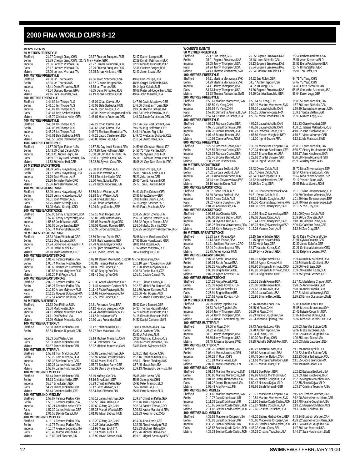#### <span id="page-11-0"></span>**2000 FINA WORLD CUPS 8-12**

#### **MEN'S EVENTS**

**50 METRES FREESTYLE<br>
Sheffield** 21.97 Chengji Jiang,CHN Sheffield 21.97 Chengji Jiang,CHN 22.37 Ricardo Busquets,PUR 22.47 Darren Lange,AUS<br>
Berlin 21.79 Chengji Jiang,CHN / 21.79 Mark Foster,GBR<br>
Imperia 22.06 Lorenzo Vismara,ITA 21.27 Dimitri Kalinovski,BLR 22.29 Ricardo Busq Berlin 21.79 Chengji Jiang,CHN / 21.79 Mark Foster,GBR 22.29 Dimitri Kalinovski,BLR Imperia 22.06 Lorenzo Vismara,ITA 22.27 Dimitri Kalinovski,BLR 22.29 Ricardo Busquets,PUR Paris 22.17 Lorenzo Vismara, ITA 22.29 Ricardo Busquets, PUR 22.38 Gustavo Borges, BRA<br>Malmo 22.00 Lorenzo Vismara. ITA 22.25 Johan Kenkhuis, NFD 22.40 Jason Lezak LISA 22.00 Lorenzo Vismara, ITA **100 METRES FREESTYLE**<br>Sheffield **49 38 Jan TI** Sheffield 49.38 Ian Thorpe,AUS 49.66 Jarod Schroeder,USA 49.68 Dan Phillips,USA<br>Berlin 48.36 Ian Thorpe,AUS 48.52 Gustavo Borges,BRA 48.95 Sergei Ashikhmin Berlin 48.36 Ian Thorpe,AUS 48.52 Gustavo Borges,BRA 48.95 Sergei Ashikhmin,RUS<br>1999 1991 48.41 Denis Pimankov,RUS 48.68 Ian Thorpe,AUS 49.14 Igor Koleda,BLR Imperia 48.41 Denis Pimankov,RUS 48.68 Ian Thorpe,AUS 49.14 Igor Koleda,BLR Paris 48.54 Gustavo Borges,BRA 48.55 Denis Pimankov,RUS 48.68 Pieter vdHoogenband,NED Malmo 49.16 Lars Frolander,SWE 49.19 Johan Kenkhuis,NED 49.64 John Miranda,USA **200 METRES FREESTYLE**<br>Sheffield **1:44.82 Ian Thorpe,AUS** Sheffield 1:44.82 Ian Thorpe,AUS 1:46.01 Chad Carvin,USA 1:47.66 Gavin Meadows,GBR<br>
Berlin 1:41.10 Ian Thorpe,AUS 1:46.02 Bela Szabados,HUN 1:46.06 Christian Troger,GER<br>
Imperia 1:45.47 Bela Szabados,HUN 1:46.06 Pieter vdH Berlin 1:41.10 Ian Thorpe,AUS 1:46.02 Bela Szabados,HUN 1:46.06 Christian Troger,GER Imperia 1:45.87 Ian Thorpe,AUS 1:47.05 Igor Koleda,BLR 1:49.06 Moreno Gallina,ITA Paris 1:45.47 Bela Szabados,HUN 1:46.06 Pieter vdHoogenband,NED 1:46.33 Denis Pimankov,RUS Malmo 1:46.70 Christian Keller,GER 1:48.01 Henrik Andersen,DEN 1:48.23 Jacob Carstensen,DEN **400 METRES FREESTYLE** Sheffield 3:40.94 Ian Thorpe,AUS 3:42.27 Chad Carvin,USA 3:47.26 Guy-Noel Schmitt,FRA Berlin 3:39.03 Ian Thorpe,AUS 3:40.66 Chad Carvin,USA 3:45.55 Jorg Hoffmann,GER<br>Berlin 3:39.03 Ian Thorpe,AUS 3:40.66 Chad Carvin,USA 3:45.55 Jorg Hoffmann,GER<br>Imperia 3:45.27 Ian Thorpe,AUS 3:47.71 Emiliano Brembilla,ITA Imperia 3:45.27 Ian Thorpe,AUS 3:47.71 Emiliano Brembilla,ITA 3:48.44 Andrea Righi,ITA<br>Paris 3:47.01 Rela Szabados HUN 3:47.22 Jacob Carstensen DEN 3:49.42 Kvetoslav Svoboda CZE 2:47.22 Jacob Carstensen, DEN 3:49.42 Kvetoslav Svobod<br>3:46.80 Heiko Hell, GER 3:51.64 Stuart Trees, GBR mo 3:46.55 Jacob Carstensen,DEN **1500 METRES FREESTYLE**<br>
Sheffield
14:57.20 Tyler Painter, USA<br>
Berlin
14:43.69 Chad Carvin, USA Sheffield 14:57.20 Tyler Painter, USA 14:57.38 Guy-Noel Schmitt, FRA 14:59.94 Christian Minotti, ITA<br>14:49.36 Deril 14:48.69 Chad Carvin, USA 14:49.36 Jorg Hoffmann, GER 14:50.70 Tyler Painter, USA Berlin 14:43.69 Chad Carvin,USA 14:49.36 Jorg Hoffmann,GER 14:50.70 Tyler Painter,USA Imperia 14:53.41 Andrea Righi,ITA 15:00.30 Christian Minotti,ITA 15:05.99 Sylvain Cros,FRA Berlin 14:43.89 Chad Carvin, USA 14:49.36 Jorg Hoffmann, GER 14:50.70 Tyler Painter, USA<br>Paris 14:53.41 Andrea Righi, ITA 15:00.30 Christian Minotit, ITA 15:05.99 Sylvain Cros, FRA<br>Paris 14:59.87 Guy-Noel Schmitt,FRA 15:00 **50 METRES BACKSTROKE**<br>Sheffield 24.39 Lenny Sheffield 24.39 Lenny Krayzelburg,USA 25.08 Josh Watson,AUS 25.13 Dan Phillips,USA<br>Berlin 24.17 Lenny Krayzelburg,USA 24.76 Josh Watson,AUS 25.06 Tomislav Karlo,CRO<br>Imperia 24.79 Josh Watson,AUS 25.14 Tomislav Karlo,CRO 25 Berlin 24.17 Lenny Krayzelburg,USA 24.76 Josh Watson,AUS 25.06 Tomislav Karlo,CRO Imperia 24.79 Josh Watson,AUS 25.14 Tomislav Karlo,CRO 25.23 Jirka Letzin,GER Paris 25.26 Tomislav Karlo,CRO 25.60 Felix Sutanto, INA 25.63 Tom E. Karlsen, NOR<br>Malmo 25.36 Tomislav Karlo,CRO 25.73 Jakob Andersen,DEN 25.77 Tom E. Karlsen, NOR Malmo 25.56 Tomis Balanto, CRO 25.73 Jakob Andersen, DEN **100 METRES BACKSTROKE**<br>Sheffield 52,09 Lenny K Sheffield 52.09 Lenny Krayzelburg,USA 53.59 Josh Watson,AUS 54.91 Steffen Driesen,GER Berlin 51.28 Lenny Krayzelburg,USA 52.98 Josh Watson,AUS 53.85 Mitja Zastrow,GER Imperia 53.01 Josh Watson,AUS 53.84 Jirka Letzin,GER 53.86 Marko Strahija,CRO Paris 53.75 Marko Strahija,CRO 53.78 Eithan Urbach, ISR<br>Malmo 54.08 Marko Strahija,CRO 54.29 Jorge Sanchez,ESP Malmo 54.08 Marko Strahija,CRO 54.29 Jorge Sanchez,ESP 54.99 Paulo Machado,BRA **200 METRES BACKSTROKE**<br>Sheffield **1:53.96 Lenn** Sheffield 1:53.96 Lenny Krayzelburg,USA 1:57.18 Matt Hooper,USA 1:58.25 Shibin Zheng,CHN Berlin 1:52.43 Lenny Krayzelburg,USA 1:55.82 Josh Watson,AUS 1:56.33 Rogerio Romero,BRA Imperia 1:55.66 Josh Watson,AUS 1:56.07 Marko Strahija,CRO 1:56.22 Rogerio Romero,BRA Section 1:55.06 Learny Krayzelburg, USA 1:55.82 Josh Walson, AUS 1:56.33 Rogerio Romero, BRA<br>Paris 1:55.66 Josh Walson, AUS 1:56.07 Marko Strahija,CRO 1:56.22 Rogerio Romero, BRA<br>Paris 1:55.04 Marko Strahija,CRO 1:56.37 Jo **50 METRES BREASTSTROKE**<br>Sheffield 28.33 Adam Wh Sheffield 28.33 Adam Whitehead,GBR 28.69 Terence Parkin,RSA 28.96 Michel Boulianne,CAN<br>19 Am 20.71 Oleg Lisogor, UKR 27.89 Mark Warnecke,GER 27.93 Bjorn Nowakowski,GEF<br>19 Imperia 27.74 Domenico Fioravanti,ITA 27.78 Arsen M Berlin 27.71 Oleg Lisogor, UKR 27.89 Mark Warnecke, GER 27.93 Bjorn Nowakowski, GER<br>
Imperia 27.74 Domenico Fioravanti JTA 27.78 Arsen Malyarov RUS 28.01 Phil Rogers AIJS Imperia 27.74 Domenico Fioravanti,ITA 27.78 Arsen Malyarov,RUS 28.01 Phil Rogers,AUS<br>Paris 27.80 Daniel Malek,CZE 27.89 Bjorn Nowakowski,GER 27.92 Arsen Malyarov,RUS<br>Malmo 28.18 Mark Warnecke,GER 28.43 Davide Cassol,ITA 28 Paris 27.80 Daniel Malek,CZE 27.89 Bjorn Nowakowski,GER 27.92 Arsen Malyarov,RUS Malmo 28.18 Mark Warnecke,GER 28.43 Davide Cassol,ITA 28.52 Daqing Yu,CHN **100 METRES BREASTSTROKE**<br>
Sheffield
1:01.48 Terence Parkin, RSA<br>
Berlin
1:00.74 Michael Fischer, GER Sheffield 1:01.48 Terence Parkin,RSA 1:02.04 Darren Mew,GBR / 1:02.04 Michel Boulianne,CAN Berlin 1:00.74 Michael Fischer,GER 1:00.82 Terence Parkin,RSA 1:01.10 Bjorn Nowakowski,GER<br>Imperia 1:00.63 Domenico Fioravanti,ITA 1:01.00 Phil Rogers,AUS 1:01.20 Arsen Malvarov.RUS 1:01.00 Phil Rogers,AUS 1:01.20 Arsen Malyarov,RI<br>1:00.82 Daqing Yu,CHN 1:00.84 Daniel Malek,CZE<br>1:01.41 Daqing Yu,CHN 1:01.61 Davide Cassol,ITA Paris 1:00.53 Arsen Malyarov,RUS 1:00.82 Arsen Malyarov,RUS 1:00.82 Daqing Yu,CHN 1:00.84 Daniel Malek,CZE<br>1.00.84 Daniel Malek,CZE 1:00.82 Daqing Yu,CHN 1:00.84 Daniel Malek,CZE Malmo 1:01.20 Phil Rogers,AUS 1:01.41 Daqing Yu,CHN 1:01.61 Davide Cassol,ITA **200 METRES BREASTSTROKE** Sheffield 2:09.75 Terence Parkin,RSA 2:13.36 Adam Whitehead,GBR 2:13.51 Simon Cowley,AUS<br>Sheffield 2:09.77 Terence Parkin,RSA 2:11.41 Alexander Goukov,BLR 2:12.57 Michel Boultainne,CAN<br>Imperia 2:10.50 Arsen Malyarov,RUS 2: Berlin 2:08.27 Terence Parkin,RSA 2:11.41 Alexander Goukov,BLR 2:12.57 Michel Boulianne,CAN Imperia 2:10.50 Arsen Malyarov,RUS 2:11.42 Fabio Farabegoli,ITA 2:11.76 Andrei Korneev,RUS Paris 2:11.23 Hugues Duboscq,FRA 2:11.61 Fabio Farabegoli, ITA<br>2:11.23 Hugues Duboscq,FRA 2:11.61 Fabio Farabegoli, ITA<br>2:12.54 Alfonso Uruburu,ESP 2:12.55 Phil Rogers,AUS **50 METRES BUTTERFLY**<br>Sheffield 24.32 Dan Sheffield 24.32 Dan Phillips, USA 24.81 Fernando Alves, BRA 25.02 David Bennett, GBR<br>24.12 Partield 23.60 Mark Foster, GBR 24.12 Ricardo Busquets, PUR 24.35 Thomas Rupprath, GER Berlin 23.60 Mark Foster,GBR 24.12 Ricardo Busquets,PUR<br>
24.12 Ricardo Busquets,PUR<br>
24.11 Michael Mintenko,CAN 24.24 Vladislav Kulikov,RUS 1.12 Michael Busquets, PM 2.1.36 Richael Mappian, 24.24 Vladislav Kulikov,RUS 24.26 Ricardo Busquets,PUR<br>24.12 Joris Keizer,NED 24.15 Ricardo Busquets,PUR Paris 24.11 Diod Wales, USA 24.24 Vadislav Kunstvings 24.25 Oktober, Paris 24.15 Ricardo Busquets, PU<br>Paris 24.11 Dod Wales,USA 24.12 Joris Keizer,NED 24.15 Ricardo Busquets,PU<br>Malmo 24.26 Michael Mintenko.CAN 24.30 Lars F 24.30 Lars Frolander,SWF **100 METRES BUTTERFLY** Sheffield 51.68 James Hickman,GBR 53.42 Christian Keller,GER 53.86 Fernando Alves,BRA 52.84 Thomas Rupprath,GER Imperia 53.03 Dod Wales,USA 53.14 Michael Mintenko,CAN 53.26 Vladislav KuOJ<br>19 13.53.19 Stames Hickman,GBR 5254 Dod Wales,USA 52.88 Michael Mintenko,CAN<br>19 15.07 Danis Hickman,GBR 52.92 Michael Mintenko,CAN 53.09 Denis Syl Paris 52.53 James Hickman,GBR 52.54 Dod Wales,USA 52.88 Michael Mintenko,CAN Malmo 51.67 James Hickman,GBR 52.92 Michael Mintenko,CAN 53.09 Denis Sylantyev,UKR **200 METRES BUTTERFLY** Sheffield 1:53.61 Tom Malchow,USA 1:53.83 James Hickman,GBR 1:58.51 Matt Hooper,USA Berlin 1:53.28 Tom Malchow,USA 1:56.92 Anatoli Poliakov,RUS 1:57.16 Christian Keller,GER<br>11:06:168 T:56.33 Stephen Parry,GBR 1:57.57 Massi Eroli,ITA 1:58.71 Shane Fielding,AUS<br>1:57.45 Paris 1:52.26 James Hickman,GBR 1:55.7 Imperia 1:56.33 Stephen Parry,GBR 1:57.67 Massi Eroli,ITA 1:58.71 Shane Fielding,AUS Paris 1:52.26 James Hickman,GBR 1:55.74 Stephen Parry,GBR 1:57.45 Massi Eroli,ITA Malmo 1:52.67 James Hickman, GBR 1:55.99 Denis Sylantyev, UKR 1:59.13 Alessandro Benvisto, ITA **100 METRES IND.MEDLEY**<br>Sheffield 55.44 James Sheffield 55.44 James Hickman, GBR 55.49 Xufeng Xie, CHN 55.85 Jirka Letzin, GER<br>Sheffield 55.13 Christian Keller, GER 55.19 Jirka Letzin, GER 55.93 Xufeng Xie, CHN<br>Imperia 55.27 Jirka Letzin, GER 55.29 Christian Keller, G Berlin 5amps Finderman, BBR<br>55.13 Christian Keller, GER<br>55.27 Jirka Letzin, GER Imperia 55.27 Jirka Letzin, GER 55.29 Christian Keller, GER 55.92 Peter Mankoc,<br>
Paris 54.79 James Hickman CRP 55.12 Peter Mankoc SLO 55.67 Indrek Sei ES Paris 54.79 James Hickman,GBR 55.12 Peter Mankoc,SLO 55.67 Indrek Sei,EST Malmo 55.44 Christian Keller,GER 55.54 Jani Sievinen,FIN 55.58 Peter Mankoc,SLO **200 METRES IND.MEDLEY** Sheffield 1:57.87 Terence Parkin,RSA 1:58.12 James Hickman,GBR 1:59.37 Christian Keller,GER Berlin 1:58.18 Terence Parkin,RSA 1:58.56 Jirka Letzin,GER 2:01.46 Jens Kruppa,GER<br>Imperia 1:59.21 Christian Keller,GER 2:00.60 Xufeng Xie.CHN 2:02.03 Sandro Tomas.CRO Imperia 1:59.21 Christian Keller,GER 2:00.60 Xufeng Xie,CHN<br>Imperia 1:57.21 Christian Keller,GER 2:00.60 Xufeng Xie,CHN<br>Paris 1:57.30 James Hickman,GBR 1:58.35 Marcel Wouda,NED Paris 1:57.30 James Hickman,GBR 1:58.35 Marcel Wouda,NED 2:00.83 Xavier Marchand,FRA<br>1.57.30 James Hickman,GBR 1:58.35 Marcel Wouda,NED 2:00.83 Xavier Marchand,FRA<br>1.58 Davide Cassol JTA 2:01.88 Istvan Bathazi HUN 2:02.83 2:01.88 Istvan Bathazi,HUN **400 METRES IND.MEDLEY**<br>Sheffield 4:13.14 Tere Sheffield 4:13.14 Terence Parkin,RSA 4:13.20 Xufeng Xie,CHN 4:14.06 Jirka Letzin,GER<br>Sheffield 4:11.73 Terence Parkin,RSA 4:12.23 Jirka Letzin,GER 4:12.25 Alexis Kovrigin,RUS<br>Imperia 4:10.74 Alessio Boggiatto,ITA 4:11.93 M Berlin 4:11.73 Terence Parkin,RSA 4:12.23 Jirka Letzin,GER 4:12.25 Alexei Kovrigin,RUS Imperia 4:10.74 Alessio Boggiatto,ITA 4:11.93 Massi Eroli,ITA 4:15.83 Michael Halika,ISR Paris 4:10.48 Marcel Wouda, NED 4:15.14 Massi Eroli, ITA 4:15.76 Michael Halika, ISR<br>14:18.82 Malmo 4:15.82 Jani Sievinen, FIN 4:18.99 Istvan Bathazi, HUN 4:19.81 Miguel Santolaya, E 4:19.81 Miguel Santolaya,ESP

15:06.24 Guy-Noel Schmitt,FRA 1:56.95 Volodymyr Nikolaychuk,UKR 2:12.06 Phil Rogers,AUS<br>2:12.06 Phil Rogers,AUS<br>2:17.25 Martin Gustavsson,SWE 53.92 A.Poliakov,RUS

#### **WOMEN'S EVENTS 50 METRES FREESTYLE**<br>
Sheffield
25.17 Sue Rolph, GBR
<br>
Berlin
25.21 Evgenia Ermakova, KAZ Sheffield 25.17 Sue Rolph,GBR 25.35 Evgenia Ermakova,KAZ 25.54 Barbara Bedford,USA<br>Berlin 25.21 Evgenia Ermakova,KAZ 25.48 Laura Nichol Imperia 25.05 Jenny Thompson, USA 25.13 Evgenia Ermakova, KAZ 25.52 Elena Poptchenko, BLR<br>Paris 24.94 Jenny Thompson, USA 25.34 Evgenia Ermakova, KAZ 25.77 Britta Steffen, GER Paris 25.05 Jenny Thompson, USA 25.13 Evgenia Ermakova, KAZ 25.52 Elena Poptcher<br>Paris 24.94 Jenny Thompson, USA 25.34 Evgenia Ermakova, KAZ 25.77 Britta Steffen,G<br>Malmo 24.43 Therese Alshammar. SWE 25.84 Daniela Samulski, 24.43 Therese Alshammar,SWE **100 METRES FREESTYLE** Sheffield 54.51 Martina Moravcova,SVK 54.62 Sue Rolph,GBR 54.71 Yu Yang,CHN<br>Berlin 54.29 Martina Moravcova,SVK 54.37 Ashley Tappin,USA 54.67 Yu Yang,CHN<br>Imperia 54.41 Jenny Thompson,USA 54.82 Yu Yang,CHN 54.89 Laura Nichol Berlin 54.29 Martina Moravcova,SVK 54.37 Ashley Tappin,USA 54.67 Yu Yang,CHN Imperia 54.41 Jenny Thompson,USA 54.82 Yu Yang,CHN 54.89 Laura Nicholls,CAN Paris 53.73 Jenny Thompson,USA 54.66 Evgenia Ermakova,KAZ 55.65 Samantha Arsenault,USA 53.63 Therese Alshammar,SWE **200 METRES FREESTYLE**<br>Sheffield **1:55.61 Ma** Sheffield 1:55.61 Martina Moravcova,SVK 1:55.64 Yu Yang,CHN 1:58.25 Laura Nicholls,CAN Berlin 1:55.50 Yu Yang, CHN 1:56.10 Martina Moravcova, SVK 1:57.56 Laura Nicholls, CAN<br>Imperia 1:56.89 Yu Yang CHN 1:58.34 Laura Nicholls CAN 1:59.39 Samantha Arsenault IISA Imperia 1:56.89 Yu Yang,CHN 1:58.34 Laura Nicholls,CAN 1:59.39 Samantha Arsenault,USA Paris 1:57.80 Samantha Arsenault,USA 1:58.15 Solenne Figues,FRA 1:59.17 Britta Steffen,GER Malmo 1:57.64 Cristina Teuscher,USA 1:58.56 Mette Jacobsen,DEN 1:59.06 Karen Legg,GBR **400 METRES FREESTYLE**<br>Sheffield **4:09.24 Rel** Sheffield 4:09.24 Rebecca Cooke,GBR 4:09.29 Laura Nicholls,CAN 4:11.83 Claire Huddart,GBR Berlin 4:07.75 Jana Klochkova, UKR 4:08.09 Laura Nicholls, CAN 4:08.61 Tatiana Mikhailova, RUS<br>Imperia 4:07.70 Brooke Bennett, USA 4:09.27 Rebecca Cooke, GBR 4:10.32 Jana Klochkova, UKR Imperia 4:07.70 Brooke Bennett,USA 4:09.27 Rebecca Cooke,GBR 4:10.32 Jana Klochkova,UKR Paris 4:07.43 Brooke Bennett,USA 4:07.89 Kirsten Vlieghuis,NED 4:10.51 Victoria Horner,GBR 4:10.06 Camelia Potec,ROM **800 METRES FREESTYLE**<br>**800 METRES FREESTYLE**<br>Sheffield 8:29.53 Rebecca Cooke.GBR Sheffield 8:29.53 Rebecca Cooke,GBR 8:35.97 Madeleine Crippen,USA 8:38.21 Laura Nicholls,CAN Berlin 8:25.59 Rebecca Cooke,GBR 8:29.34 Hannah Stockbauer,GER 8:30.67 Stacey Houldsworth,GBR Imperia 8:28.35 Rebecca Cooke,GBR 8:30.37 Brooke Bennett,USA 8:35.17 Jana Klochkova,UKR Paris 8:23.46 Brooke Bennett, USA 8:29.61 Chantal Strasser, SUI 8:36.09 Flavia Rigamonti, SUI<br>Malmo 8:34.27 Eva Risztov, HUN 8:34.37 Ingrid Bourre, FRA 8:39.34 Kristy Ward, AUS 8:34.37 Ingrid Bourre,FRA **50 METRES BACKSTROKE**<br>
Sheffield
28.05 Barbara Bedford, USA<br>
Berlin
27.62 Barbara Bedford, USA Sheffield 28.05 Barbara Bedford,USA 28.42 Dyana Calub,AUS 28.70 Nina Zhivanevskaya,ESP Berlin 27.62 Barbara Bedford,USA 28.07 Dyana Calub,AUS 28.54 Charlene Wittstock,RSA Imperia 28.63 Anna Kopatchenia,BLR 28.64 Urska Slapsak,SLO 28.67 Nina Zhivanevskaya,ESP onim – 20.82 Nina Zhivanevskaya, 20.84 Nina Zhivanevskaya, 20.872 Nina Zhivanevskaya<br>Paris – 28.45 Alma Zhivanevskaya,ESP – 28.72 Ilona Hlavackova,CZE – 29.17 Yasmin Dunn,AUS<br>19.16 – 29.16 Yasmin Dunn,AUS – 29.19 Zoe Crav 29.16 Yasmin Dunn,AUS **100 METRES BACKSTROKE**<br> **Sheffield** 59.57 Dyana Calub, AUS Sheffield 59.57 Dyana Calub,AUS 1:00.78 Charlene Wittstock,RSA 1:01.37 Nina Zhivanevskaya,ESP Berlin 58.89 Barbara Bedford,USA 59.51 Dyana Calub,AUS 1:00.59 Charlene Wittstock,RSA Imperia 59.83 Dyana Calub,AUS 1:01.11 Natalie Coughlin,USA 1:01.69 Nina Zhivanevskaya,ESP Paris 59.52 Natalie Coughlin,USA 1:00.56 Roxana Maracineanu,FRA 1:00.70 Nina Zhivanevskaya,ESP Malmo 1:01.28 Anu Koivisto,FIN 1:01.32 Kelly Stefanyshyn,CAN 1:01.85 Zoe Cray,GBR<br>**200 METRES BACKSTROKE** Sheffield 2:09.66 Lia Oberstar,USA 2:10.92 Nina Zhivanevskaya,ESP 2:11.00 Dyana Calub,AUS Berlin 2:08.60 Barbara Bedford, USA 2:09.02 Dyana Calub,AUS 2:09.36 Lia Oberstar,USA<br>Berlin 2:09.36 Dyana Calub,AUS 2:10.44 Kelly Stefanystyn,CAN 2:10.50 Calleen Rund,GER<br>Paris 2:08.27 Roxana Maracineanu,FRA 2:08.73 Nina Z Imperia 2:09.34 Dyana Calub,AUS 2:10.44 Kelly Stefanyshyn,CAN 2:10.50 Cathleen Rund,GER Paris 2:08.27 Paris 2:08.27 Paris 2:08.27 Paris 2:08.27 Paris 2:08.27 Roxana Maracineanu,FRA 2:08.73 Nina Zhivanevskaya,ESP 2:09.43 Cathleen Rund,<br>Malmo 2:10.03 Kelly Stefanyshyn,CAN 2:12.26 Yasmin Dunn,AUS 2:12.54 Zoe Cra Malmo 2:10.03 Kelly Stefanyshyn,CAN 2:12.26 Yasmin Dunn,AUS 2:12.54 Zoe Cray,GBR **50 METRES BREASTSTROKE**<br>Sheffield 31.33 Sarah Po Sheffield 31.33 Sarah Poewe, RSA 32.15 Janne Schafer, GER 32.46 Katie McClelland,USA<br>Berlin 31.13 Sarah Poewe, RSA 31.45 Agnes Kovacs, HUN 31.91 Sylvia Gerasch,GER<br>Imperia 31.91 Smilljana Marinovic,CRO 32.33 Heidi Earp,GBR Berlin 31.13 Sarah Poewe,RSA 31.45 Agnes Kovacs,HUN 31.13 Sarah Poewe,RSA 31.45 Agnes Kovacs,HUN 31.91 Smiljana Marinovic,CRO 32.33 Heidi Earp,GBR Imperia 31.91 Smilliana Marinovic,CRO 32.33 Heidi Earp,GBR 32.39 Janne Schafer,GER<br>Paris 32.04 Delphine I eprest FRA 32.17 Natasha Keizar SLO 32.29 Janne Schafer,GER Paris 1991, Paris 32.17 Natasha Kejzar,SLO 32.21 Smilliana Marinovic,C<br>Paris 32.19 Sylvia Gerasch,GER 32.50 Delphine Leprest,FRA Malmo 31.75 Agnes Kovacs,HUN 32.19 Sylvia Gerasch,GER 32.50 Delphine Leprest,FRA **100 METRES BREASTSTROKE** Sheffield 1:07.33 Sarah Poewe, RSA 1:07.75 Alicja Peczak, POL 1:09.44 Katie McClelland, USA<br>Berlin 1:07.04 Sarah Poewe, RSA 1:07.13 Agnes Kovacs, HUN 1:08.64 Katie McClelland, USA Berlin 1:07.34 Sarah Poewe,RSA 1:07.13 Agnes Kovacs,HUN 1:08.64 Katie McClelland,USA<br>Berlin 1:08.64 Katie McClelland,USA 1:07.13 Agnes Kovacs,HUN 1:08.64 Katie McClelland,USA Imperia 1:08.25 Alicja Peczak, POL 1:08.80 Smiljana Marinovic, CRO 1:09.06 Heidi Earp, GBR<br>Paris 1:08.09 Brigitte Becue, BEL 1:08.92 Smiljana Marinovic, CRO 1:09.09 Natasha Kejzar, SLO Paris 1:08.09<br>1:08.92 Smiljana Marinovic,CRO<br>1:08.74 Brigitte Becue,BEL Malmo 1:07.37 Agnes Kovacs, HUN 1:08.74 Brigitte Becue, BEL 1:09.75 Sylvia Gerasch, GER **200 METRES BREASTSTROKE**<br> **2:24.29 Alicja Prediction** Sheffield 2:24.29 Alicja Peczak, POL 2:26.51 Sarah Poewe, RSA 2:27.41 Madeleine Crippen, USA<br>Berlin 2:23.33 Annes Kovacs HUN 2:26.08 Sarah Poewe RSA 2:28.05 Anne Poleska GFR Express Contract Contract Contract Contract Contract Contract Contract Contract Contract Contract Contract Contract Contract Contract Contract Contract Contract Contract Contract Contract Contract Contract Contract Contrac 2:26.83 Alicja Peczak,POL 2:27.62 Laura Davis,USA<br>2:26.83 Alicja Peczak,POL 2:27.62 Laura Davis,USA<br>2:25.91 Brigitte Becue,BEL 2:27.19 Laura Davis,USA Malmo 2:24.52 Agnes Kovacs,HUN 2:25.95 Brigitte Becue,BEL 2:29.23 Emma Gustafsson,SWE **50 METRES BUTTERFLY** Sheffield 26.99 Ashley Tappin,USA 27.76 Amanda Loots,RSA 27.85 Caroline Foot,GBR Berlin 26.33 Ashley Tappin,USA 26.45 Yi Ruan,CHN 26.85 Martina Moravcova, SVK<br>Berlin 26.33 Ashley Tappin,USA 26.45 Yi Ruan,CHN 26.85 Martina Moravcova,SVK<br>Imperia 26.54 Jenny Thompson,USA 26.60 Yi Ruan,CHN 27.45 Natalie Co Imperia 26.54 Jenny Thompson,USA 26.60 Yi Ruan,CHN 27.45 Natalie Coughlin,USA Paris 26.54 Jenny Thompson,USA 26.93 Natalie Coughlin,USA 27.07 Fabienne Dufour,BEL Marting 26.54 Jenny Thompson, USA 26.93 Natalie Coughlin, USA 27.07 Fabienne Dufour, BEL<br>Malmo 26.63 Anna-K. Kammerling,SWE 26.93 Johanna Sjoberg,SWE 26.97 Richelle DePold-Fox,USA **100 METRES BUTTERFLY**<br>Sheffield 59.06 Yi Ru Sheffield 59.06 Yi Ruan,CHN 59.73 Amanda Loots,RSA 1:00.03 Jennifer Button,CAN Berlin 58.22 Yi Ruan, CHN 59.78 Ashley Tappin, USA<br>
Imperia 58.01 Jenny Thompson, USA 58.03 Yi Ruan, CHN<br>
Paris 56.80 Jenny Thompson, USA 1:00.30 Ran Pang, CHN Paris 56.80 Jenny Thompson,USA 1:00.30 Ran Pang,CHN 1:00.65 Laura Davis,USA Malmo 58.45 Johanna Sjoberg,SWE 59.28 Richelle DePold-Fox,USA 1:00.03 Mette Jacobsen,DEN **200 METRES BUTTERFLY**<br>Sheffield 2:08.70 Jen Sheffield 2:08.70 Jennifer Button,CAN 2:09.22 Amanda Loots,RSA 2:11.79 Anna Uryniuk,POL Berlin 2:08.41 Mette Jacobsen,DEN 2:08.60 Amanda Loots,RSA 2:08.72 Jennifer Button,CAN Imperia 2:07.22 Yi Ruan,CHN 2:07.76 Jennifer Button,CAN 2:12.23 Otilia Jedrzejczak,POL Paris 2:10.24 Maria Pelaez,ESP 2:11.61 Margaretha Pedder,GBR 2:11.85 Cecile Jeanson,FRA<br>2:10.24 Maria Pelaez,ESP 2:11.61 Margaretha Pedder,GBR 2:11.85 Cecile Jeanson,FRA<br>2:07.85 Mette Jacobsen,DEN 2:09.15 Maria Pelaez,ESP Malmo 2:07.85 Mette Jacobsen,DEN 2:09.15 Maria Pelaez,ESP 2:10.19 Katrin Jake,GER **100 METRES IND.MEDLEY**<br>Sheffield<br>1:01.34 Mart November 1:00.34 Martina Moravcova, SVK 1:01.81 Sue Rolph, GBR 1:02.32 Barbara Bedford, USA<br>Sheffield 1:00.36 Martina Moravcova, SVK 1:02.99 Annika Mehlhorn, GER 1:03.03 Jana Klochkova, UKR Berlin 1:00.86 Martina Moravcova,SVK 1:02.99 Annika Mehlhorn,GER 1:03.03 Jana Klochkova,UKR<br>Imperia 1:01.07 Jenny Thompson,USA 1:02.26 Natalie Coughlin,USA 1:02.95 Megan McMahon,AUS<br>Paris 1:01.22 Jenny Thompson,USA 1:02.47 Imperia 1:01.07 Jenny Thompson,USA 1:02.26 Natalie Coughlin,USA 1:02.95 Megan McMahon,AUS Paris 1:01.22 Jenny Thompson,USA 1:02.47 Natasha Kejzar,SLO 1:02.55 Alenka Kejzar,SLO Malmo 1:02.43 Anu Koivisto,FIN 1:02.65 Sarah Whewell,GBR 1:03.27 Cristina Teuscher,USA **200 METRES IND.MEDLEY**<br>Sheffield **2:11.65 Mar** Sheffield 2:11.65 Martina Moravcova, SVK 2:13.72 Madeleine Crippen, USA 2:15.12 Elizabeth Warden, CAN<br>1999 - 2:10.65 Martina Moravcova, SVK 2:13.72 Martina Moravcova, SVK 2:12.90 Sabine Herbst-Klenz G Berlin 2:10.77 Jana Klochkova,UKR 2:12.51 Martina Moravcova,SVK 2:12.90 Sabine Herbst-Klenz,GER<br>Imperia 2:11.39 Jana Klochkova,UKR 2:11.60 Beatrice Coada-Castan,ROM 2:14.78 Natalie Coughtin,USA<br>Paris 2:10.65 Beatrice Coada Imperia 2:11.39 Jana Klochkova, UKR 2:11.60 Beatrice Coada-Caslaru, ROM<br>Paris 2:10.65 Beatrice Coada-Caslaru,ROM 2:12.27 Natalie Coughlin,USA Paris 2:10.65 Beatrice Coada-Caslaru,ROM 2:12.27 Natalie Coughlin,USA 2:13.91 Megan McMahon,<br>Malmo 2:11.83 Beatrice Coada-Caslaru,ROM 2:12.66 Cristina Teuscher,USA 2:13.63 Anu Koivisto,FIN 2:11.83 Beatrice Coada-Caslaru,ROM 2:12.66 Cristina Teuscher,USA **400 METRES IND.MEDLEY**<br>Sheffield 4:39.59 Mac Sheffield 4:39.59 Madeleine Crippen,USA 4:43.20 Sabine Herbst-Klenz,GER 4:43.34 Elizabeth Warden,CAN<br>Serilin 4:35.01 Jana Klochkova,UKR 4:35.60 Madeleine Crippen,USA 4:39.32 Sabine Herbst-Klenz,GER<br>Imperia 4:36.25 Jana Klo Berlin 4:35.01 Jana Klochkova,UKR 4:35.60 Madeleine Crippen,USA 4:39.32 Sabine Herbst-Klenz,GER Imperia 4:36.25 Jana Klochkova,UKR 4:37.20 Beatrice Coada-Caslaru,ROM 4:41.34 Natalie Coughlin,USA Paris (1.36.87 Beatrice Coada-Castaru,ROM 4:46.32 Yseult Gervy,BEL 4:47.76 Leah Monroe,USA<br>Malmo 4:36.33 Beatrice Coada-Castaru,ROM 4:47.38 Cristina Teuscher,USA 4:44.57 Sara Nordenstam,SWE 4:36.33 Beatrice Coada-Caslaru,ROM 4:37.38 Cristina Teuscher,USA

2:27.19 Laura Davis, USA 2:27.61 Martina Krawczyk, POL<br>2:25.95 Brigitte Becue, BEL 2:29.23 Emma Gustafsson, SWE

1:00.52 Natalie Coughlin,USA<br>1:00.65 Laura Davis,USA<br>1:00.03 Mette Jacobsen,DEN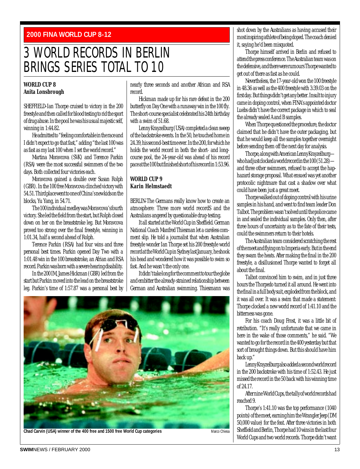#### <span id="page-12-0"></span>**2000 FINA WORLD CUP 8-12**

### 3 WORLD RECORDS IN BERLIN BRINGS SERIES TOTAL TO 10

#### **WORLD CUP 8 Anita Lonsbrough**

SHEFFIELD-Ian Thorpe cruised to victory in the 200 freestyle and then called for blood testing to rid the sport of drug abuse. In the pool he was his usual majestic self, winning in 1:44.82.

He admitted to "feeling comfortable in the race and I didn't expect to go that fast," adding "the last 100 was as fast as my last 100 when I set the world record."

Martina Moravcova (SVK) and Terence Parkin (RSA) were the most successful swimmers of the two days. Both collected four victories each.

Moravcova gained a double over Susan Rolph (GBR). In the 100 free Moravcova clinched victory with 54.51. Third place went to one of China's new kids on the blocks, Yu Yang, in 54.71.

The 100 individual medley was Moravcova's fourth victory. She led the field from the start, but Rolph closed down on her on the breaststroke leg. But Moravcova proved too strong over the final freestyle, winning in 1:01.34, half a second ahead of Rolph.

Terence Parkin (RSA) had four wins and three personal best times. Parkin opened Day Two with a 1:01.48 win in the 100 breaststroke, an Afrian and RSA record. Parkin was born with a severe hearing disability.

In the 200 IM, James Hickman (GBR) led from the start but Parkin moved into the lead on the breaststroke leg. Parkin's time of 1:57.87 was a personal best by nearly three seconds and another African and RSA record.

Hickman made up for his rare defeat in the 200 butterfly on Day One with a runaway win in the 100 fly. The short-course specialist celebrated his 24th birthday with a swim of 51.68.

Lenny Krayzelburg (USA) completed a clean sweep of the backstroke events. In the 50, he touched home in 24.39, his second-best time ever. In the 200, for which he holds the world record in both the short- and longcourse pool, the 24-year-old was ahead of his record pace at the 100 but finished short of his record in 1:53.96.

#### **WORLD CUP 9 Karin Helmstaedt**

BERLIN-The Germans really know how to create an atmosphere: Three more world recordS and the Australians angered by questionable drug-testing.

It all started at the World Cup in Sheffield. German National Coach Manfred Thiesman let a careless comment slip. He told a journalist that when Australian freestyle wonder Ian Thorpe set his 200 freestyle world record at the World Cup in Sydney last January, he shook his head and wondered how it was possible to swim so fast. And he wasn't the only one.

It didn't take long for the comment to tour the globe and embitter the already-strained relationship between German and Australian swimming. Thiesmann was



shot down by the Australians as having accused their most inspiring athlete of being doped. The coach denied it, saying he'd been misquoted.

Thorpe himself arrived in Berlin and refused to attend the press conference. The Australian team was on the defensive, and there were rumours Thorpe wanted to get out of there as fast as he could.

Nevertheless, the 17-year-old won the 100 freestyle in 48.36 as well as the 400 freestyle with 3:39.03 on the first day. But things didn't get any better. Insult to injury came in doping control, when FINA's appointed doctor Luebs didn't have the correct package in which to seal the already sealed A and B samples.

When Thorpe questioned the procedure, the doctor claimed that he didn't have the outer packaging, but that he would keep all the samples together overnight before sending them off the next day for analysis.

Thorpe, along with American Lenny Krayzelburg who had just clocked a world record in the 100 (51.28) and three other swimmers, refused to accept the haphazard storage proposal. What ensued was yet another protocolic nightmare that cast a shadow over what could have been just a great meet.

Thorpe walked out of doping control with his urine samples in his hand, and went to find team leader Don Talbot. The problem wasn't solved until the police came in and sealed the individual samples. Only then, after three hours of uncertainty as to the fate of their tests, could the swimmers return to their hotels.

The Australian team considered scratching the rest of the meet and flying on to Imperia early. But in the end they swam the heats. After making the final in the 200 freestyle, a disillusioned Thorpe wanted to forget all about the final.

Talbot convinced him to swim, and in just three hours the Thorpedo turned it all around. He went into the final in a full body suit, exploded from the block, and it was all over. It was a swim that made a statement: Thorpe clocked a new world record of 1:41.10 and the bitterness was gone.

For his coach Doug Frost, it was a little bit of retribution. "It's really unfortunate that we came in here in the wake of those comments," he said. "We wanted to go for the record in the 400 yesterday but that sort of brought things down. But this should have him back up."

Lenny Krayzelburg also added a second world record in the 200 backstroke with his time of 1:52.43. He just missed the record in the 50 back with his winning time of 24.17.

After nine World Cups, the tally of world records had reached 9.

Thorpe's 1:41.10 was the top performance (1040 points) of the meet, earning him the Wrangler Jeep (DM 50,000 value) for the feat. After three victories in both Sheffield and Berlin, Thorpe had 10 wins in the last four World Cups and two world records. Thorpe didn't want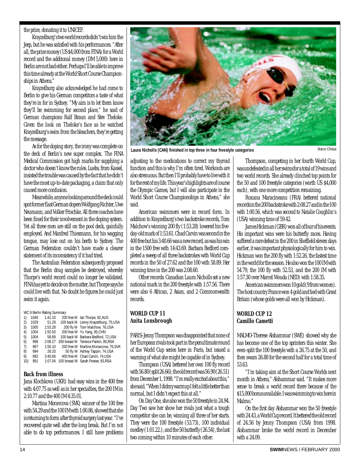#### <span id="page-13-0"></span>the prize, donating it to UNICEF.

Krayzelburg's two world records didn't win him the Jeep, but he was satisfied with his performances. "After all, the prize money (US \$4,000 from FINA) for a World record and the additonal money (DM 5,000) here in Berlin are not bad either. Perhaps I'll be able to improve this time already at the World Short Course Championships in Athens."

Krayzelburg also acknowledged he had come to Berlin to give his German competitors a taste of what they're in for in Sydney. "My aim is to let them know they'll be swimming for second place," he said of German champions Ralf Braun and Stev Theloke. Given the look on Theloke's face as he watched Krayzelburg's swim from the bleachers, they're getting the message.

As for the doping story, the irony was complete on the deck of Berlin's new super complex. The FINA Medical Commission got high marks for supplying a doctor who doesn't know the rules. Luebs, from Kassel, insisted the trouble was caused by the fact that he didn't have the most up-to-date packaging, a claim that only caused more confusion.

Meanwhile, anyone looking around the deck could spot former East German dopers Wolfgang Richter, Uwe Neumann, and Volker Frischke. All three coaches have been fined for their involvement in the doping system. Yet all three men are still on the pool deck, gainfully employed. And Manfred Thiesmann, for his wagging tongue, may lose out on his berth to Sydney. The German Federation couldn't have made a clearer statement of its inconsistency if it had tried.

The Australian Federation subsequently proposed that the Berlin drug samples be destroyed, whereby Thorpe's world record could no longer be validated. FINA has yet to decide on the matter, but Thorpe says he could live with that. No doubt he figures he could just swim it again.

|  |  | WC 9 Berlin Rating Summary |  |
|--|--|----------------------------|--|
|  |  |                            |  |

| 1)  | 1040 | 1:41.10 | 200 free M lan Thorpe, 82, AUS               |
|-----|------|---------|----------------------------------------------|
| 2)  | 1029 | 51.28   | 100 back M Lenny Krayzelburg, 75, USA        |
| 3)  | 1005 | 1:53.28 | 200 fly M Tom Malchow, 76, USA               |
| 4)  | 1004 | 1:55.50 | 200 free W Yu Yang, 85, CHN                  |
| 5)  | 1004 | 58.89   | 100 back W Barbara Bedford, 72.USA           |
| 6)  | 998  |         | 2:08.27 200 breast M Terence Parkin, 80, RSA |
| 7)  | 997  | 1:56.10 | 200 free W Martina Moravcova, 76.SVK         |
| 8)  | 994  | 26.33   | 50 fly W Ashley Tappin, 74, USA              |
| 9)  | 992  | 3:40.66 | 400 free M Chad Carvin, 74, USA              |
| 10) | 991  | 1:07.04 | 100 breast W Sarah Poewe, 83, RSA            |
|     |      |         |                                              |

#### **Back from illness**

Jana Klochkova (UKR) had easy wins in the 400 free with 4:07.75 as well as in her specialties, the 200 IM in 2:10.77 and the 400 IM 4:35.01.

Martina Moravcova (SVK) winner of the 100 free with 54.29 and the 100 IM with 1:00.86, showed that she is returning to form after thyroid surgery last year. "I've recovered quite well after the long break. But I'm not able to do top performances. I still have problems



**Laura Nicholls (CAN) finished in top three in four freestyle categories** Marco Chiesa

adjusting to the medications to correct my thyroid function and this is why I'm often tired. Workouts are also strenuous. But then I'll probably have to live with it for the rest of my life. This year's highlights are of course the Olympic Games, but I will also participate in the World Short Course Championships in Athens," she said.

American swimmers were in record form. In addition to Krayzelburg's two backstroke records, Tom Malchow's winning 200 fly (1:53.28) lowered his fiveday-old mark of 1:53.61. Chad Carvin was second in the 400 free but his 3:40.66 was a new record, as was his win in the 1500 free with 14:43.69. Barbara Bedford completed a sweep of all three backstrokes with World Cup records in the 50 of 27.62 and the 100 with 58.89. Her winning time in the 200 was 2:08.60.

Other records: Canadian Laura Nicholls set a new national mark in the 200 freestyle with 1:57.56. There were also 6 African, 2 Asian, and 2 Commonwealth records.

#### **WORLD CUP 11 Anita Lonsbrough**

PARIS-Jenny Thompson was disappointed that none of her European rivals took part in the penultimate round of the World Cup series here in Paris, but issued a warning of what she might be capable of in Sydney.

Thompson (USA) bettered her own 100 fly record with 56.80 (split 26.66); the old record was 56.90 (26.51) from December 1, 1998. "I'm really excited about this," she said. "When I didmy warmup I felt a little better than normal, but I didn't expect this at all."

On Day One, she also won the 50 freestyle in 24.94. Day Two saw her show her rivals just what a tough competitor she can be, winning all three of her starts. They were the 100 freestyle (53.73), 100 individual medley (1:01.22.), and the 50 butterfly (26.54), the last two coming within 10 minutes of each other.

Thompson, competing in her fourth World Cup, was undefeated in all her swims for a total of 19 wins and two world records. She already clinched top points for the 50 and 100 freestyle categories (worth US \$4,000 each), with one more competition remaining.

Roxana Maracineanu (FRA) bettered national records in the 200 backstroke with 2:08.27 and in the 100 with 1:00.56, which was second to Natalie Coughlin's (USA) winning time of 59.42.

James Hickman (GBR) won all of four of his events. His important wins were his butterfly races. Having suffered a rare defeat in the 200 in Sheffield eleven days earlier, it was important physiologically for him to win. Hickman won the 200 fly with 1:52.26, the fastest time in the world for the season. He also won the 100 IM with 54.79, the 100 fly with 52.53, and the 200 IM with 1:57.30 over Marcel Wouda (NED) with 1:58.35.

American swimmers won 10 gold (9 from women). The host country France won 4 gold and tied with Great Britain (whose golds were all won by Hickman).

#### **WORLD CUP 12 Camillo Cametti**

MALMO-Therese Alshammar (SWE) showed why she has become one of the top sprinters this winter. She even-split the 100 freestyle with a 26.75 at the 50, and then swam 26.88 for the second half for a total time of 53.63.

"I'm taking aim at the Short Course Worlds next month in Athens," Alshammar said. "It makes more sense to break a world record there because of the \$15,000 bonus available. I was swimming to win here in Malmo."

On the first day Alshammar won the 50 freestyle with 24.43, a World Cup record. It bettered the old record of 24.56 by Jenny Thompson (USA) from 1998. Alshammar broke the world record in December with a 24.09.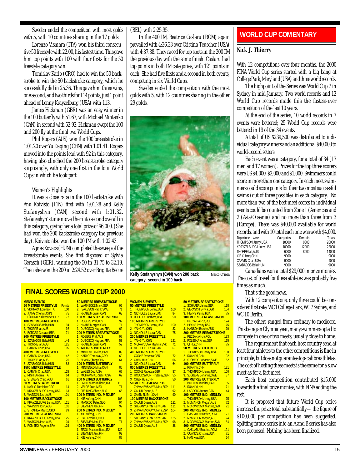<span id="page-14-0"></span>Sweden ended the competition with most golds with 5, with 10 countries sharing in the 17 golds.

Lorenzo Vismara (ITA) won his third consecutive 50 freestyle with 22.00, his fastest time. This gave him top points with 100 with four firsts for the 50 freestyle category win.

Tomislav Karlo (CRO) had to win the 50 backstroke to win the 50 backstroke category, which he successfully did in 25.36. This gave him three wins, one second, and two thirds for 114 points, just 1 point ahead of Lenny Krayzelburg (USA) with 113.

James Hickman (GBR) was an easy winner in the 100 butterfly with 51.67, with Michael Mintenko (CAN) in second with 52.92. Hickman swept the 100 and 200 fly at the final two World Cups.

Phil Rogers (AUS) won the 100 breaststroke in 1:01.20 over Yu Daqing (CHN) with 1:01.41. Rogers moved into the points lead with 92 in this category, having also clinched the 200 breaststroke category surprisingly, with only one first in the four World Cups in which he took part.

#### Women's Highlights

It was a close race in the 100 backstroke with Anu Koivisto (FIN) first with 1:01.28 and Kelly Stefanyshyn (CAN) second with 1:01.32. Stefanyshyn's time moved her into second overall in this category, giving her a total prize of \$6,000. (She had won the 200 backstroke category the previous day). Koivisto also won the 100 IM with 1:02.43.

Agnes Kovacs (HUN) completed the sweep of the breaststroke events. She first disposed of Sylvia Gerasch (GER), winning the 50 in 31.75 to 32.19. Then she won the 200 in 2:24.52 over Brigitte Becue (BEL) with 2:25.95.

In the 400 IM, Beatrice Caslaru (ROM) again prevailed with 4:36.33 over Cristina Teuscher (USA) with 4:37.38. They raced for top spots in the 200 IM the previous day with the same finish. Caslaru had top points in both IM categories, with 121 points in each. She had five firsts and a second in both events, competing in six World Cups.

Sweden ended the competition with the most golds with 5, with 12 countries sharing in the other 29 golds.



**Kelly Stefanyshyn (CAN) won 200 back category, second in 100 back** Marco Chiesa

#### **FINAL SCORES WORLD CUP 2000**

| <b>MEN'S EVENTS</b>          |               |
|------------------------------|---------------|
| <b>50 METRES FREESTYLE</b>   | <b>Points</b> |
| 1. VISMARA Lorenzo, ITA      | 100           |
| 2. JIANG Chengji, CHN        | 75            |
| 3. LÜDERITZ Alexander, GER   | 72            |
| <b>100 METRES FREESTYLE</b>  |               |
| 1. SZABADOS Bela.HUN         | 94            |
| 2. THORPE Ian.AUS            | 92            |
| 3. BORGES Gustavo, BRA       | 71            |
| <b>200 METRES FREESTYLE</b>  |               |
| 1. SZABADOS Bela, HUN        | 146           |
| 2. THORPE Ian, AUS           | 125           |
| 3. CARVIN Chad, USA          | 105           |
| <b>400 METRES FREESTYLE</b>  |               |
| 1 CARVIN Chad, USA           | 142           |
| 2 THORPE Ian, AUS            | 125           |
| 3 SZABADOS Bela.HUN          | 88            |
| <b>1500 METRES FREESTYLE</b> |               |
| 1. CARVIN Chad.USA           | 125           |
| 2. RIGHI Andrea, ITA         | 64            |
| 3. STEVENS Craig AUS         | 61            |
| <b>50 METRES BACKSTROKE</b>  |               |
| 1. KARLO Tomislav.CRO        | 114           |
| 2. KRAYZELBURG Lenny, USA    | 113           |
| 3. WATSON Josh, AUS          | 101           |
| <b>100 METRES BACKSTROKE</b> |               |
| 1. KRAYZELBURG Lenny, USA    | 121           |
| 2. WATSON Josh, AUS          | 101           |
| 3. STRAHIJA Marko.CRO        | 89            |
| <b>200 METRES BACKSTROKE</b> |               |
| 1. KRAYZELBURG Lenny, USA    | 125           |
| 2. WATSON Josh AUS,          | 104           |
| 3. ROMERO Rogerio, BRA       | 103           |
|                              |               |
|                              |               |

| <u>WORLD CUP 2000</u>                                 |       |
|-------------------------------------------------------|-------|
| <b>50 METRES BREASTSTROKE</b>                         |       |
| 1. WARNECKE Mark.GER                                  | 92    |
| 2. ISAKSSON Patrik.SWE                                | 71    |
| 3. KNABE Morgan, CAN                                  | 63    |
| <b>100 METRES BREASTSTROKE</b>                        |       |
| 1. ROGERS Phil.AUS                                    | 92    |
| 2. KNABE Morgan, CAN                                  | 71    |
| 3. DUBOSCO Hugues, FRA                                | 62    |
| <b>200 METRES BREASTSTROKE</b>                        |       |
| 1 ROGERS Phil, AUS                                    | 97    |
| 2 DUBOSCO Hugues, FRA                                 | 53    |
|                                                       | 52    |
| <b>50 METRES BUTTERFLY</b>                            |       |
| 1. MINTENKO Mike.CAN                                  | $-89$ |
| 2. KARLO Tomislav, CRO                                | 69    |
| 3. ZHANG Qiang, CHN                                   | 64    |
| <b>100 METRES BUTTERFLY</b>                           |       |
| 1. MINTENKO Mike, CAN                                 | 85    |
| 2. WALES Dod, USA                                     | 67    |
| 3. MUHAMMAD Sabir, USA<br><b>200 METRES BUTTERFLY</b> | 62    |
| 1. EROLI Massimiliano, ITA                            | 115   |
| 2. VELOZ Juan.MEX                                     | 71    |
| 3. FIELDING Shane.AUS                                 | 66    |
| <b>100 METRES IND. MEDLEY</b>                         |       |
| 1. XIE Xufeng, CHN                                    | 103   |
| 2. MANKOC Peter, SLO                                  | 94    |
| 3. SIEVINEN Jani, FIN                                 | 92    |
| 200 METRES IND. MEDLEY                                |       |
| 1. XIE Xufeng, CHN                                    | 85    |
| 2. CAC Kresimir, CRO                                  | 83    |
| 3. SIEVINEN Jani, FIN                                 | 71    |
| <b>400 METRES IND. MEDLEY</b>                         |       |
| 1. EROLI Massimiliano, ITA                            | 122   |
| 2. SIEVINEN Jani, FIN                                 | 93    |
| 3. XIE Xufeng, CHN                                    | 87    |
|                                                       |       |

| <b>WOMEN'S EVENTS</b><br><b>50 METRES FREESTYLE</b>     |     |
|---------------------------------------------------------|-----|
| 1. THOMPSON Jenny.USA                                   | 100 |
| 2. NICHOLLS Laura, CAN                                  | 84  |
| 3. BEDFORD Barbara.USA                                  | 50  |
| <b>100 METRES FREESTYLE</b>                             |     |
| 1. THOMPSON Jenny, USA                                  | 100 |
| 2. YANG Yu, CHN                                         | 82  |
| 3. NICHOLLS Laura.CAN                                   | 75  |
| <b>200 METRES FREESTYLE</b>                             |     |
| 1. YANG Yu, CHN                                         | 121 |
| 2. MORAVCOVA Martina, SVK                               | 71  |
| 3. NICHOLLS Laura, CAN                                  | 67  |
| <b>400 METRES FREESTYLE</b>                             |     |
| 1. COOKE Rebecca, GBR                                   | 72  |
| 2. CHEN Hua, CHN                                        | 66  |
| 3. NICHOLLS Laura.CAN                                   | 64  |
| <b>800 METRES FREESTYLE</b>                             |     |
| 1. COOKE Rebecca, GBR                                   | 87  |
| 2. HOULDSWORTH Stacey, GBR                              | 55  |
| 3. CHEN Hua, CHN                                        | 50  |
| <b>50 METRES BACKSTROKE</b>                             |     |
| 1. ZHIVANEVSKAYA Nina, ESP                              | 111 |
| 2. CALUB Dyana, AUS<br>3. GAMMEL Erin, CAN              | 92  |
|                                                         | 90  |
| <b>100 METRES BACKSTROKE</b>                            |     |
| 1. CALUB Dyana, AUS                                     | 121 |
| 2. STEFANYSHYN Kelly, CAN<br>3. ZHIVANEVSKAYA Nina, ESP | 111 |
|                                                         | 104 |
| <b>200 METRES BACKSTROKE</b>                            |     |
| 1. STEFANYSHYN Kelly, CAN                               | 135 |
| 2. ZHIVANEVSKAYA Nina, ESP                              | 98  |
| 3. CALUB Dyana, AUS                                     | 88  |

|               | <b>50 METRES BREASTSTROKE</b>  |     |
|---------------|--------------------------------|-----|
|               | 1. SCHÄFER Janne.GER           | 118 |
| O             | 2. GERASCH Sylvia, GER         | 104 |
| $\frac{4}{1}$ | 3. HEYNS Penny, RSA            | 75  |
|               | <b>100 METRES BREASTSTROKE</b> |     |
|               | 1. PECZAK Alicja, POL          | 124 |
| j             | 2. HEYNS Penny, RSA            | 75  |
| $\frac{2}{5}$ | 3. HANSON Brooke, AUS          | 70  |
|               | <b>200 METRES BREASTSTROKE</b> |     |
|               | 1. PECZAK Alicja, POL          | 133 |
| i             | 2. POLESKA Anne, GER           | 115 |
| i             | 3. OI Hui.CHN                  | 75  |
| 7             | <b>50 METRES BUTTERFLY</b>     |     |
|               | 1 THOMPSON Jenny, USA          | 100 |
| $\frac{2}{5}$ | 2 RUAN YI, CHN                 | 92  |
|               | 3 SJÖBERG Johanna, SWE         | 82  |
| 4             | <b>100 METRES BUTTERFLY</b>    |     |
|               | 1. RUAN Yi.CHN                 | 121 |
|               | 2. THOMPSON Jenny, USA         | 100 |
| $\frac{1}{5}$ | 3. SJÖBERG Johanna.SWE         | 87  |
|               | <b>200 METRES BUTTERFLY</b>    |     |
|               | 1. BUTTON Jennifer, CAN        | 85  |
| i             | 2. RUAN Yi, HN                 | 71  |
| $\frac{2}{1}$ | 3. LACROIX Audrey.CAN          | 43  |
|               | <b>100 METRES IND. MEDLEY</b>  |     |
|               | 1. THOMPSON Jenny, USA         | 75  |
| 1             | 2. McMAHON Megan, AUS          | 72  |
| i             | 3. MORAVCOVA Martina, SVK      | 71  |
| 4             | <b>200 METRES IND. MEDLEY</b>  |     |
|               | 1 CASLARU Beatrice.ROM         | 121 |
|               | 2 McMAHON Megan, AUS           | 74  |
| 5<br>9        | 3 MORAVCOVA Martina, SVK       | 64  |
|               | <b>400 METRES IND. MEDLEY</b>  |     |
|               | 1. CASLARU Beatrice.ROM        | 121 |
|               | 2. QUANCE Kristine, USA        | 71  |
|               | 3. HAN Xue, USA                | 64  |

#### **WORLD CUP COMENTARY**

#### **Nick J. Thierry**

With 12 competitions over four months, the 2000 FINA World Cup series started with a big bang at College Park, Maryland (USA) and three world records.

The highpoint of the Series was World Cup 7 in Sydney in mid-January. Two world records and 12 World Cup records made this the fastest-ever competition of the last 10 years.

At the end of the series, 10 world records in 7 events were bettered; 25 World Cup records were bettered in 19 of the 34 events.

A total of US \$239,500 was distributed to individual category winners and an additional \$40,000 to world-record setters.

Each event was a category, for a total of 34 (17 men and 17 women). Prizes for the top three scorers were US \$4,000, \$2,000 and \$1,000. Swimmers could score in more than one category. In each meet swimmers could score points for their two most successful swims (out of three possible) in each category. No more than two of the best meet scores in individual events could be counted from Zone 1 (Americas and 2 (Asia/Oceania) and no more than three from 3 (Europe). There was \$40,000 available for world records, and with 10 total each one was worth \$4,000.

| Top winners were:     | Categories | Records | Totals |
|-----------------------|------------|---------|--------|
| THOMPSON Jenny,USA    | 18000      | 8000    | 26000  |
| KRAYZELBURG Lenny,USA | 10000      | 12000   | 22000  |
| THORPE Ian.AUS        | 6000       | 8000    | 14000  |
| XIE Xufeng,CHN        | 9000       |         | 9000   |
| CARVIN Chad.USA       | 9000       |         | 9000   |
| SZABADOS Bela.HUN     | 9000       |         | 9000   |
|                       |            |         |        |

Canadians won a total \$29,000 in prize monies. The cost of travel for these athletes was probably five times as much.

That's the good news.

With 12 competitions, only three could be considered first rate: WC 1 College Park, WC 7 Sydney, and WC 10 Berlin.

The others ranged from ordinary to mediocre. This being an Olympic year, many swimmers opted to compete in one or two meets, usually close to home.

The requirement that each host country send at least four athletes to the other competitions is fine in principle, but does not guarantee top-calibre athletes. The cost of hosting these meets is the same for a slow meet as for a fast meet.

Each host competition contributed \$15,000 towards the final prize monies, with FINA adding the rest.

It is proposed that future World Cup series increase the prize total substantially—the figure of \$100,000 per competition has been suggested. Splitting future series into an A and B series has also been proposed. Nothing has been finalized.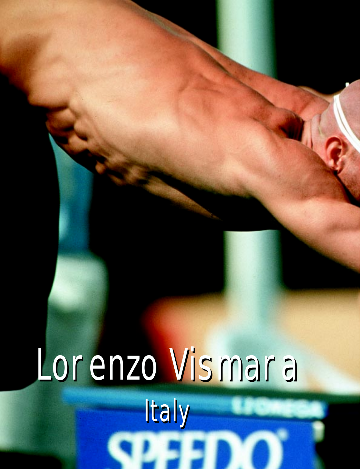# <span id="page-15-0"></span>Lorenzo Vismara Lorenzo Vismara Italy Italy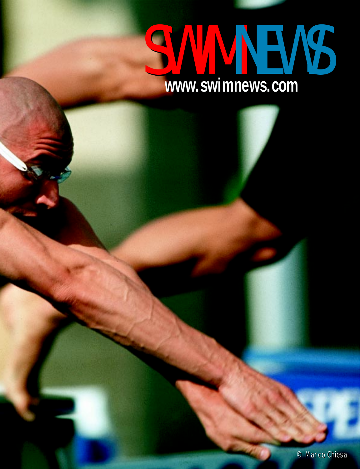# **www.swimnews.com www.swimnews.com** SWIMMEWS COM

© Marco Chiesa © Marco Chiesa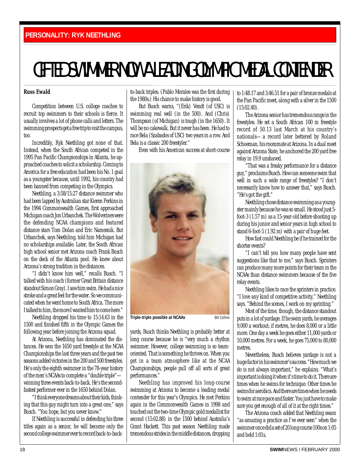# <span id="page-17-0"></span>GIFTED SWIMMER NOW A LEADING OLYMPIC MEDAL CONTENDER

#### **Russ Ewald**

Competition between U.S. college coaches to recruit top swimmers to their schools is fierce. It usually involves a lot of phone calls and letters. The swimming prospects get a free trip to visit the campus, too.

Incredibly, Ryk Neethling got none of that. Instead, when the South African competed in the 1995 Pan Pacific Championships in Atlanta, he approached coaches to solicit a scholarship. Coming to America for a free education had been his No. 1 goal as a youngster because, until 1992, his country had been banned from competing in the Olympics.

Neethling, a 3:58/15:27 distance swimmer who had been lapped by Australian star Kieren Perkins in the 1994 Commonwealth Games, first approached Michigan coach Jon Urbanchek. The Wolverines were the defending NCAA champions and featured distance stars Tom Dolan and Eric Namesnik. But Urbanchek, says Neethling, told him Michigan had no scholarships available. Later, the South African high school senior met Arizona coach Frank Busch on the deck of the Atlanta pool. He knew about Arizona's strong tradition in the distances.

"I didn't know him well," recalls Busch. "I talked with his coach (former Great Britain distance standout Simon Gray). I saw him swim. He had a nice stroke and a great feel for the water. So we communicated when he went home to South Africa. The more I talked to him, the more I wanted him to come here."

Neethling dropped his time to 15:14.63 in the 1500 and finished fifth in the Olympic Games the following year before joining the Arizona squad.

At Arizona, Neethling has dominated the distances. He won the 1650 yard freestyle at the NCAA Championships the last three years and the past two seasons added victories in the 200 and 500 freestyles. He's only the eighth swimmer in the 78-year history of the men's NCAAs to complete a "double triple" winning three events back-to-back. He's the secondfastest performer ever in the 1650 behind Dolan.

"I think everyone dreams about their kids, thinking that this guy might turn into a great one," says Busch. "You hope, but you never know."

If Neethling is successful in defending his three titles again as a senior, he will become only the second college swimmer ever to record back-to-backto-back triples. (Pablo Morales was the first during the 1980s.) His chance to make history is good.

But Busch warns, "(Erik) Vendt (of USC) is swimming real well (in the 500). And (Chris) Thompson (of Michigan) is tough (in the 1650). It will be no cakewalk. But it never has been. He had to race Bela (Szabados of USC) two years in a row. And Bela is a classic 200 freestyler."

Even with his American success at short-course



**Triple-triple possible at NCAAs** Bill Collins

yards, Busch thinks Neethling is probably better at long course because he is "very much a rhythm swimmer. However, college swimming is so teamoriented. That is something he thrives on. When you get in a team atmosphere like at the NCAA Championships, people pull off all sorts of great performances."

Neethling has improved his long-course swimming at Arizona to become a leading medal contender for this year's Olympics. He met Perkins again in the Commonwealth Games in 1998 and touched out the two-time Olympic gold medallist for second (15:02.88) in the 1500 behind Australia's Grant Hackett. This past season Neethling made tremendous strides in the middle distances, dropping to 1:48.17 and 3:46.51 for a pair of bronze medals at the Pan Pacific meet, along with a silver in the 1500 (15:02.40).

The Arizona senior has tremendous range in the freestyles. He set a South African 100 m freestyle record of 50.13 last March at his country's nationals—a record later bettered by Roland Schoeman, his roommate at Arizona. In a dual meet against Arizona State, he anchored the 200 yard free relay in 19.9 unshaved.

"That was a freaky performance for a distance guy," proclaims Busch. How can someone swim that well in such a wide range of freestyles? "I don't necessarily know how to answer that," says Busch. "He's got the gift."

Neethling chose distance swimming as a youngster mainly because he was so small. He stood just 5 foot-3 (1.57 m) as a 15-year-old before shooting up during his junior and senior years in high school to stand 6-foot-5 (1.92 m) with a pair of huge feet.

How fast could Neethling be if he trained for the shorter events?

"I can't tell you how many people have sent suggestions like that to me," says Busch. Sprinters can produce many more points for their team in the NCAAs than distance swimmers because of the five relay events.

Neethling likes to race the sprinters in practice. "I love any kind of competitive activity," Neethling says. "Behind the scenes, I work on my sprinting."

Most of the time, though, the distance standout puts in a lot of yardage. If he swim yards, he averages 9,000 a workout; if metres, he does 8,000 or a little more. One day a week he goes either 11,000 yards or 10,000 metres. For a week, he goes 75,000 to 80,000 metres.

Nevertheless, Busch believes yardage is not a huge factor in his swimmer's success. "How much we do is not always important," he explains. "What's important is doing it when it's time to do it. There are times when he swims for technique. Other times he swims for aerobics. And there are times when he needs to swim at race pace and faster. You just have to make sure you get enough of all of it at the right times."

The Arizona coach added that Neethling swam "as amazing a practice as I've ever seen" when the swimmer once did a set of 20 long course 100s on 1:05 and held 1:01s.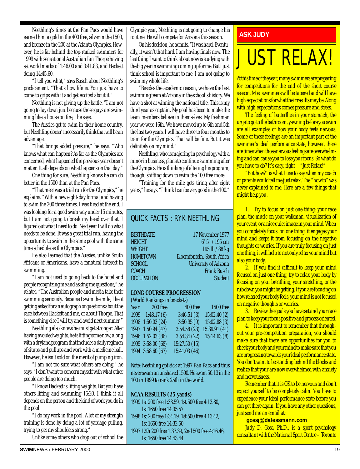Neethling's times at the Pan Pacs would have earned him a gold in the 400 free, silver in the 1500, and bronze in the 200 at the Atlanta Olympics. However, he is far behind the top-ranked swimmers for 1999 with sensational Australian Ian Thorpe having set world marks of 1:46.00 and 3:41.83, and Hackett doing 14:45.60.

"I tell you what," says Busch about Neethling's predicament. "That's how life is. You just have to come to grips with it and get excited about it."

Neethling is not giving up the battle. "I am not going to lay down just because those guys are swimming like a house on fire," he says.

The Aussies get to swim in their home country, but Neethling doesn't necessarily think that will be an advantage.

"That brings added pressure," he says. "Who knows what can happen? As far as the Olympics are concerned, what happened the previous year doesn't matter. It all depends on what happens on that day."

One thing for sure, Neethling knows he can do better in the 1500 than at the Pan Pacs.

"That meet was a trial run for the Olympics," he explains. "With a new eight-day format and having to swim the 200 three times, I was tired at the end. I was looking for a good swim way under 15 minutes, but I am not going to break my head over that. I figured out what I need to do. Next year I will do what needs to be done. It was a great trial run, having the opportunity to swim in the same pool with the same time schedule as the Olympics."

He also learned that the Aussies, unlike South Africans or Americans, have a fanatical interest in swimming.

"I am not used to going back to the hotel and people recognizing me and asking me questions," he relates. "The Australian people and media take their swimming seriously. Because I swim the mile, I kept getting asked for an autograph or questions about the race between Hackett and me, or about Thorpe. That is something else I will try and avoid next summer."

Neethling also knows he must get stronger. After having avoided weights, he is lifting some now, along with a dryland program that includes a daily regimen of situps and pullups and work with a medicine ball. However, he isn't sold on the merit of pumping iron.

"I am not too sure what others are doing," he says. "I don't want to concern myself with what other people are doing too much.

"I know Hackett is lifting weights. But you have others lifting and swimming 15:20. I think it all depends on the person and the kind of work you do in the pool.

"I do my work in the pool. A lot of my strength training is done by doing a lot of yardage pulling, trying to get my shoulders strong."

Unlike some others who drop out of school the

Olympic year, Neethling is not going to change his routine. He will compete for Arizona this season.

On his decision, he admits, "It was hard. Eventually, it wasn't that hard. I am having finals now. The last thing I want to think about now is studying with the big year in swimming coming up for me. But I just think school is important to me. I am not going to swim my whole life.

"Besides the academic reason, we have the best swimming team at Arizona in the school's history. We have a shot at winning the national title. This is my third year as captain. My goal has been to make the team members believe in themselves. My freshman year we were 16th. We have moved up to 6th and 5th the last two years. I will have three to four months to train for the Olympics. That will be fine. But it was definitely on my mind."

Neethling, who is majoring in psychology with a minor in business, plans to continue swimming after the Olympics. He is thinking of altering his program, though, shifting down to swim the 100 free more.

"Training for the mile gets tiring after eight years," he says. "I think I can be very good in the 100."

#### QUICK FACTS : RYK NEETHLING

| <b>BIRTHDATE</b>  | 17 November 1977             |
|-------------------|------------------------------|
| HEIGHT            | 6' 5" / 195 cm               |
| WEIGHT            | 195 lb / 88 kg               |
| <b>HOMETOWN</b>   | Bloemfontein, South Africa   |
| SCHOOL            | <b>University of Arizona</b> |
| COACH             | <b>Frank Busch</b>           |
| <b>OCCUPATION</b> | Student                      |
|                   |                              |

#### **LONG COURSE PROGRESSION**

#### (World Rankings in brackets)

| Year 200 free     | 400 free      | <b>1500 free</b> |
|-------------------|---------------|------------------|
| 1999 1:48.17 (6)  | 3:46.51(3)    | 15:02.40(2)      |
| 1998 1:50.03 (24) | 3:50.95(9)    | 15:02.88(3)      |
| 1997 1:50.94 (47) | 3:54.58(23)   | 15:39.91 (41)    |
| 1996 1:52.03 (86) | 3:54.34(22)   | 15:14.63(8)      |
| 1995 3:58.00 (68) | 15:27.50 (15) |                  |
| 1994 3:58.60 (67) | 15:41.03 (46) |                  |
|                   |               |                  |

Note: Neethling got sick at 1997 Pan Pacs and thus never swam an unshaved 1500. He swam 50.13 in the 100 in 1999 to rank 25th in the world.

#### **NCAA RESULTS (25 yards)**

1999 1st 200 free 1:33.59, 1st 500 free 4:13.80, 1st 1650 free 14:35.57

1998 1st 200 free 1:34.19, 1st 500 free 4:13.42, 1st 1650 free 14:32.50

1997 12th 200 free 1:37.39, 2nd 500 free 4:16.46, 1st 1650 free 14:43.44

#### **ASK JUDY**

# JUST RELAX!

At this time of the year, many swimmers are preparing for competitions for the end of the short course season. Most swimmers will be tapered and will have high expectations for what their results may be. Along with high expectations comes pressure and stress.

The feeling of butterflies in your stomach, the urge to go to the bathroom, yawning before you swim are all examples of how your body feels nervous. Some of these feelings are an important part of the swimmer's ideal performance state, however, there are times when those nervous feelings are overwhelming and can cause you to lose your focus. So what do you have to do? It's easy, right – "Just Relax!"

"But how?" is what I use to say when my coach or parents would tell me just relax. The "how to" was never explained to me. Here are a few things that might help you.

1. Try to focus on just one thing: your race plan, the music on your walkman, visualization of your event, or a nice quiet image in your mind. When you completely focus on one thing, it engages your mind and keeps it from focusing on the negative thoughts or worries. If you are truly focusing on just one thing, it will help to not only relax your mind but also your body.

2. If you find it difficult to keep your mind focused on just one thing, try to relax your body by focusing on your breathing, your stretching, or the rub down you might be getting. If you are focusing on how relaxed your body feels, your mind is not focused on negative thoughts or worries.

3. Review the goals you have set and your race plan to keep your focus positive and process oriented.

4. It is important to remember that throughout your pre-competition preparation, you should make sure that there are opportunities for you to check your body and your mind to make sure that you are progressing towards your ideal performance state. You don't want to be standing behind the blocks and realize that your are now overwhelmed with anxiety and nervousness.

Remember that it is OK to be nervous and don't expect yourself to be completely calm. You have to experience your ideal performance state before you can get there again. If you have any other questions, just send me an email at:

#### **gossj@dalessmann.com**

*Judy D. Goss, Ph.D., is a sport psychology consultant with the National Sport Centre – Toronto*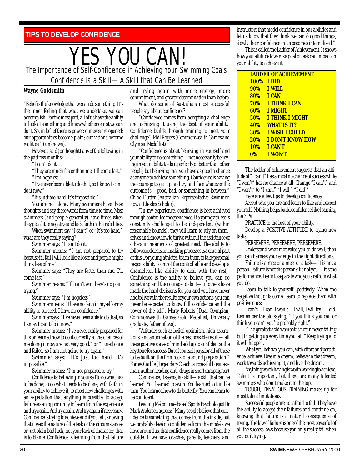<span id="page-19-0"></span>**TIPS TO DEVELOP CONFIDENCE**

#### YES YOU CAN! The Importance of Self-Confidence in Achieving Your Swimming Goals Confidence is a Skill—A Skill that Can Be Learned

#### **Wayne Goldsmith**

"Belief is the knowledge that we can do something. It's the inner feeling that what we undertake, we can accomplish. For the most part, all of us have the ability to look at something and know whether or not we can do it. So, in belief there is power: our eyes are opened; our opportunities become plain; our visions become realities." (unknown).

Have you said (or thought) any of the following in the past few months?

"I can't do it."

"They are much faster than me. I'll come last." "I'm hopeless."

"I've never been able to do that, so I know I can't do it now."

"It's just too hard. It's impossible."

You are not alone. Many swimmers have these thoughts and say these words from time to time. Most swimmers (and people generally) have times when they get a little negative and lack faith in their abilities.

When swimmers say "I can't" or "It's too hard," what are they really saying?

Swimmer says: "I can't do it."

Swimmer means: "I am not prepared to try because if I fail I will look like a loser and people might think less of me."

Swimmer says: "They are faster than me. I'll come last."

Swimmer means: "If I can't win there's no point trying."

Swimmer says: "I'm hopeless."

Swimmer means: "I have no faith in myself or my ability to succeed. I have no confidence."

Swimmer says: "I've never been able to do that, so I know I can't do it now."

Swimmer means: "I've never really prepared for this or learned how to do it correctly so the chances of me doing it now are not very good." or "I tried once and failed, so I am not going to try again."

Swimmer says: "It's just too hard. It's impossible."

Swimmer means: "I'm not prepared to try."

Confidence is: believing in yourself to do what has to be done; to do what needs to be done, with faith in your ability to achieve it; to meet new challenges with an expectation that anything is possible; to accept failure as an opportunity to learn from the experience and try again. And try again. And try again if necessary. Confidence is trying to achieve and if you fail, knowing that it was the nature of the task or the circumstances or just plain bad luck, not your lack of character, that is to blame. Confidence is learning from that failure

and trying again with more energy, more commitment, and greater determination than before.

What do some of Australia's most successful people say about confidence?

"Confidence comes from accepting a challenge and achieving it using the best of your ability. Confidence builds through training to meet your challenge". Phil Rogers (Commonwealth Games and Olympic Medallist).

"Confidence is about believing in yourself and your ability to do something—not necessarily believing in your ability to do it perfectly or better than other people, but believing that you have as good a chance as anyone to achieve something. Confidence is having the courage to get up and try and face whatever the outcome is—good, bad, or something in between." Chloe Flutter (Australian Representative Swimmer, now a Rhodes Scholar).

"In my experience, confidence is best achieved through controlled independence. If a young athlete is constantly challenged to be independent (within reasonable bounds), they will learn to rely on themselves and know how to thrive without the assistance of others in moments of greatest need. The ability to follow good decision making processes is a crucial part of this. For young athletes, teach them to take personal responsibility (control the controllable and develop a chameleon-like ability to deal with the rest). Confidence is the ability to believe you can do something and the courage to do it— if others have made the hard decisions for you and you have never had to live with the results of your own actions, you can never be expected to know full confidence and the power of the self". Marty Roberts (Dual Olympian, Commonwealth Games Gold Medallist, University graduate, father of two).

"Attitudes such as belief, optimism, high aspirations, and anticipation of the best possible result—all these positive states of mind add up to confidence, the keystone for success. But of course it pays for all of these to be built on the firm rock of a sound preparation." Forbes Carlile (Legendary Coach, successful businessman, author, leading anti-drugs in sport campaigner)

Confidence, it seems, is a skill—a skill that can be learned. You learned to swim. You learned to tumble turn. You learned how to do butterfly. You can learn to be confident.

Leading Melbourne-based Sports Psychologist Dr Mark Andersen agrees: "Many people believe that confidence is something that comes from the inside, but we probably develop confidence from the models we have around us, that confidence really comes from the outside. If we have coaches, parents, teachers, and instructors that model confidence in our abilities and let us know that they think we can do good things, slowly their confidence in us becomes internalized."

This is called the Ladder of Achievement. It shows how your attitude towards a goal or task can impact on your ability to achieve it.

|            | <b>LADDER OF ACHIEVEMENT</b> |
|------------|------------------------------|
|            | <b>100% IDID</b>             |
|            | <b>90% I WILL</b>            |
|            | 80% I CAN                    |
|            | <b>70% I THINK I CAN</b>     |
|            | 60% I MIGHT                  |
| <b>50%</b> | <b>I THINK I MIGHT</b>       |
| <b>40%</b> | <b>WHAT IS IT?</b>           |
| $30\%$     | <u>I WISH I COULD</u>        |
|            | <b>20% I DON'T KNOW HOW</b>  |
|            | <b>10% I CAN'T</b>           |
| <b>0%</b>  | <b>I WON'T</b>               |

The ladder of achievement suggests that an attitude of "I can't" has almost no chance of success while "I won't" has no chance at all. Change "I can't" and "I won't" to "I can," "I will," "I did!"

Here are a few tips to develop confidence:

Accept who you are and learn to like and respect yourself. Nothing helps build confidence like learning the 3 Ps.

PRACTICE to the best of your ability. Develop a POSITIVE ATTITUDE to trying new tasks.

PERSEVERE, PERSEVERE, PERSEVERE.

Understand what motivates you to do well; then you can harness your energy in the right directions.

Failure is a race or a meet or a task—it is not a person. Failure is not the person: it's not you—it's the performance. Learn to separate who you are from what you do.

Learn to talk to yourself...positively. When the negative thoughts come, learn to replace them with positive ones:

I can't = I can, I won't = I will, I will try = I did. Remember the old saying, "If you think you can or think you can't you're probably right."

"The greatest achievement is not in never failing but in getting up every time you fall." Keep trying and it will happen.

What you believe, you can, with effort and persistence, achieve. Dream a dream, believe in that dream, work towards achieving it, and live the dream.

Anything worth having is worth working to achieve. Talent is important, but there are many talented swimmers who don't make it to the top.

TOUGH, TENACIOUS TRAINING makes up for most talent limitations.

Successful people are not afraid to fail. They have the ability to accept their failures and continue on, knowing that failure is a natural consequence of trying. The law of failure is one of the most powerful of all the success laws because you only really fail when you quit trying.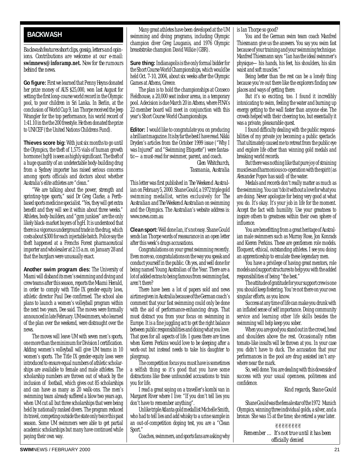#### <span id="page-20-0"></span>**BACKWASH**

*Backwash features short clips, gossip, letters and opinions. Contributions are welcome at our e-mail:* **swimnews@inforamp.net.** *Now for the rumours behind the news.*

**Go figure:**First we learned that Penny Heyns donated her prize money of AUS \$25,000, won last August for setting the first long-course world record in the Olympic pool, to poor children in Sri Lanka. In Berlin, at the conclusion of World Cup 9, Ian Thorpe received the Jeep Wrangler for the top performance, his world record of 1:41.10 in the the 200 freestyle. He then donated the prize to UNICEF (the United Nations Childrens Fund).

**Thieves score big:** With just six months to go until the Olympics, the theft of 1,575 vials of human growth hormone (hgH) is seen as highly significant. The theft of a huge quantity of an undetectable body-building drug from a Sydney importer has raised serious concerns among sports officials and doctors about whether Australia's elite athletes are "clean."

"We are talking about the power, strength and sprinting-type sports," said Dr Greg Clarke, a Perthbased sports medicine specialist. "Yes, they will get extra benefit and they will see it within about three weeks." Athletes, body-builders, and "gym junkies" are the only likely black-market buyers of hgH. It is understood that there is a vigorous underground trade in the drug, which costs about \$300 for each injectable batch. Police say the theft happened at a Frenchs Forest pharmaceutical importer and wholesaler at 2:15 a.m. on January 28 and that the burglars were unusually exact.

**Another swim program dies:** The University of Miami will disband its men's swimming and diving and crew teams after this season, reports the *Miami Herald,* in order to comply with Title IX gender-equity laws, athletic director Paul Dee confirmed. The school also plans to launch a women's volleyball program within the next two years, Dee said. The moves were formally announced in late February. UM swimmers, who learned of the plan over the weekend, were distraught over the news.

The moves will leave UM with seven men's sports, one more than the minimum for Division I certification. Adding women's volleyball will give UM teams in 10 women's sports. The Title IX gender-equity laws were introduced to ensure equal numbers of athletic scholarships are available to female and male athletes. The scholarship numbers are thrown out of whack by the inclusion of football, which gives out 85 scholarships and can have as many as 20 walk-ons. The men's swimming team already suffered a blow two years ago, when UM cut all but three scholarships that were being held by nationally ranked divers. The program reduced its travel, competing outside the state only twice this past season. Some UM swimmers were able to get partial academic scholarships but many have continued while paying their own way.

Many great athletes have been developed at the UM swimming and diving programs, including Olympic champion diver Greg Louganis, and 1976 Olympic breaststroke champion David Wilkie (GBR).

**Sure thing:** Indianapolis is the only formal bidder for the Short Course World Championships, which would be held Oct. 7-10, 2004, about six weeks after the Olympic Games at Athens, Greece.

The plan is to hold the championships at Conseco Fieldhouse, a 20,000 seat indoor arena, in a temporary pool. A decision is due March 20 in Athens, where FINA's 22-member board will meet in conjunction with this year's Short Course World Championships.

**Editor:** I would like to congratulate you on producing a brilliant magazine. It is by far the best I have read. Nikki Dryden's articles from the October 1999 issue ("Why I was Injured" and "Swimming Etiquette") were fantastic—a must-read for swimmer, parent, and coach.

> *Glen Whitchurch, Tasmania, Australia*

This letter was first published in *The Weekend Australian*on February 5, 2000. Shane Gould, a 1972 triple gold swimming medallist, writes exclusively for *The Australian* and *The Weekend Australian* on swimming and the Olympics. The Australian's website address is: www.news.com.au

**Clean sport:**Well done Ian, it's not easy. Shane Gould sends Ian Thorpe words of reassurance in an open letter after this week's drugs accusations.

Congratulations on your great swimming recently. Even more so, congratulations on the way you speak and conduct yourself in the public. Oh yes, and well done for being named Young Australian of the Year. There are a lot of added extras to being famous from swimming fast, aren't there?

There have been a lot of papers sold and news airtime given in Australia because of the German coach's comment that your fast swimming could only be done with the aid of performance-enhancing drugs. That must distract you from your focus on swimming in Europe. It is a fine juggling act to get the right balance between public responsibilities and doing what you love. That goes for all aspects of life. I guess there are times when Kieren Perkins would love to be sleeping after a work-out but instead needs to take his daughter to playgroup.

The competition focus you must have is sometimes a selfish thing so it's good that you have some distractions like these unfounded accusations to train you for life.

I read a great saying on a traveller's kombi van in Margaret River where I live: "If you don't tell lies you don't have to remember anything".

Unlike triple Atlanta gold medallist Michelle Smith, who had to tell lies and add whisky to a urine sample in an out-of-competition doping test, you are a "Clean Sport."

Coaches, swimmers, and sports fans are asking why

is Ian Thorpe so good?

You and the German swim team coach Manfred Thiesmann give us the answers. You say you swim fast because of your training and your swimming technique. Manfred Thiesmann says: "Ian has the ideal swimmer's physique—his hands, his feet, his shoulders, his slim waist and soft muscles."

Being better than the rest can be a lonely thing because you're out there like the explorers finding new places and ways of getting there.

But it's so exciting, too. I found it incredibly intoxicating to swim, feeling the water and burning up energy getting to the wall faster than anyone else. The crowds helped with their cheering too, but essentially it was a private, pleasurable quest.

I found difficulty dealing with the public responsibilities of my private joy becoming a public spectacle. That ultimately caused me to retreat from the public eye and explore life other than winning gold medals and breaking world records.

But there was nothing like that pure joy of straining muscles and harmonious co-operation with the spirit (as Alexander Popov has said) of the water.

Medals and records don't really matter as much as the swimming. You can't do it without a love for what you are doing. Never apologize for being very good at what you do. It's okay. It's your job in life for the moment. Accept the fact with humility. Use your greatness to inspire others to greatness within their own sphere of influence.

You are benefitting from a great heritage of Australian male swimmers such as Murray Rose, Jon Konrads and Kieren Perkins. These are gentlemen role models. Eloquent, ethical, outstanding athletes. I see you doing an apprenticeship to emulate these legendary men.

You have a privilege of having great mentors, role models and support structures to help you with the added responsibilities of being "the best."

The attitude of gratitude for your support crew is one you should keep fostering. You're not there on your own singular efforts, as you know.

Success at any time of life can make you drunk with an inflated sense of self importance. Doing community service and learning other life skills besides the swimming will help keep you sober.

When you are good you stand out in the crowd, head and shoulders above the rest. Occasionally rotten tomato-like insults will be thrown at you. In your case you didn't have to duck. The accusation that your performances in the pool are drug assisted isn't anywhere near the mark.

So, well done. You are dealing with this downside of success with your usual openness, politeness and confidence.

*Kind regards, Shane Gould*

Shane Gould was the female star of the 1972 Munich Olympics, winning three individual golds, a silver, and a bronze. She was 15 at the time; she retired a year later.

✌✌✌✌✌✌✌✌ *Remember … It's not true until it has been officially denied*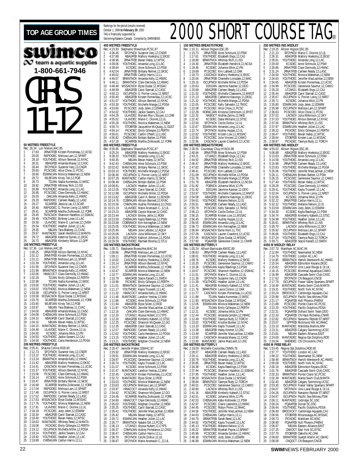#### <span id="page-21-0"></span>TOP AGE GROUP TIMES **REACH OF DEPROC** (results received)<br>
SHORT COURSE TAG® Rankings for the period (results received) TAG is financially supported by **400 METRES FREESTYLE** swimco  $\infty$  team a aquatic supplies **1-800-661-7946** GIRLS 11-12 **50 METRES FREESTYLE 800 METRES FREESTYLE**<br>Rec: 8:55.85 Stephanie She Rec: 26.34 Lori Melien, AAC, 85<br>1 27.83 JRNATEEB Kirs 27.83 JRNATFEB Kirsten Pomerleau, 12, UCSC<br>28.00 PAPIDDEC Melissa Lam 12 SPAPT 2 28.00 RAPIDDEC Melissa Lam,12,SPART 3 28.18 YOUTHDEC Allison Bennett,12,NYAC 4 28.31 ABAGFEB Amanda Maxey,12,CASC<br>5 28.44 SFOYNOV Suzanne Vary,13,CNDR<br>6 28.65 PCSCDEC Alice Chow,11,PCSC<br>7 28.66 ESWIMJAN Monica Wakeman,12,NEW 8 28.72 WLBFJAN Kirsty Teit,12,PGB 9 28.73 TDJAN Nadia Kumentas,12,WISC 10 28.82 JRNATFEB Whitney Rich,12,ISS 11 28.89 YOUTHDEC Amanda Long,12,LAC 12 28.95 PCSCDEC Clare Dermody,12,HWAC 13 29.03 OAKJAN Amanda Kelly,12,HWAC 14 29.20 RAPIDDEC Carleen Ready,12,LASC 15 29.27 SCARFEB Jessica Lau,12,SCAR 16 29.40 RAPIDDEC G. Poirier-Leroy,12,NRST 17 29.41 SCARFEB Martha Ziolkowski,12,YORK 18 29.45 TMSCNOV Shannon Hazelton,12,SSMAC 19 29.49 YOUTHDEC Brittney Lowe,12,LAC 20 29.50 ULAVDEC Marie-E. Larrivee,12,CNSH 29.49 YOUTHDEC Brittney Lowe, 12, LAC 20 29.50 ULAVDEC Marie-E. Larrivee, 12, LAC 22 29.55 NBJAN Tara Blakney, 11, CVAC 22 29.55 NBJAN Tara Blakney, 11, CVAC<br>22 29.55 NBJAN Tara Blakney, 11, CVAC<br>23 29.67 MANTADEC Sarah Heckford, 12, MA 23 29.67 MANTADEC Sarah Heckford, 12, MANTA<br>24 29.72 ABAGFEB Katerina Symes, 11, EKSC<br>25 29.73 ABAGFER Kimberly Wilson 12 GPP 24 29.72 ABAGFEB Katerina Symes,11,EKSC 25 29.73 ABAGFEB Kimberly Wilson,12,GPP **100 METRES FREESTYLE** Rec: 57.36 Lori Melien,AAC,85 1 1:00.25 JRNATFEB Allison Bennett,12,NYAC 2 1:01.12 JRNATFEB Kirsten Pomerleau,12,UCSC 1:01.12<br>1:01.21 JRNATFEB Melissa Lam,12,SPART<br>1:01.39 YOUTHDEC Amanda Long,12,LAC 4 1:01.39 YOUTHDEC Amanda Long,12,LAC 5 1:01.58 SFOYNOV Suzanne Vary,12,CNDR 6 1:01.96 BRANTNOV Amanda Kelly,12,HWAC 7 1:02.06 HWACOCT Clare Dermody,12,HWAC 8 1:02.29 TDJAN Emily Gillespie,12,PERTH 9 1:02.98 TDJAN Nadia Kumentas,12,WISC 10 1:03.00 YOUTHDEC Heather Julien,12,LAC 11 1:03.02 YOUTHDEC Monica Wakeman,12,NEW 12 1:03.58 ISCUPNOV G. Poirier-Leroy,12,NRST 1:03.58 MSSACNOV Elyse Dudar,12,MSSAC<br>14 1:03.76 SCARFEB Martha Ziolkowski,12,YORK<br>15 1:03.97 WLBFJAN Kirsty Teit,12,PGB<br>16 1:03.97 NBJAN Tara Blakney,11,CVAC<br>17 1:04.00 ABAGFEB Amanda Maxey,12,CASC 18 1:04.08 CHENAJAN Anne Schmuck, 12, PSW<br>19 1:04.10 ABAGFEB Carol Starratt, 12, CASC<br>20 1:04.10 NBJAN Bevan Haley, 12, WTSC 19 1:04.10 ABAGFEB Carol Starratt,12,CASC<br>20 1:04.10 NBJAN Bevan Haley,12,WTSC<br>22 1:04.48 ULAVDEC Brittany Reimer,11,SKSC<br>22 1:04.48 ULAVDEC Marie-C. Dionne,12,UL<br>23 1:04.50 KCSDEC Johanna Wick,12,PN 24 1:04.50 YOUTHDEC Jackie Sweers, 12, CAJ<br>25 1:04.56 YOUTHDEC Carla Hondorson 12.B 25 1:04.56 YOUTHDEC Carla Henderson,12,PDSA **200 METRES FREESTYLE**<br>Rec: 2:05.41 Shauna Collin<br>1 2:12.73 SFOYNOV Rec: 2:05.41 Shauna Collins,ROD,90<br>1 2:12.73 SFOYNOV Suzanne Vary,12,CNDR<br>2 2:13.22 BRANTNOV Amanda Long,12,LAC<br>3 2:13.42 ABAGFEB Mallory Hoekstra,12,EKSC<br>4 2:13.42 ABAGFEB 5 2:14.41 CASCNOV Kirsten Pomerleau, 11, UCSC<br>6 2:15.37 YOUTHDEC Allison Bennett, 12, NYAC 2:15.37 YOUTHDEC Allison Bennett, 12, NYAC<br>2:15.56 PCSCDEC Clare Dermody, 12, HWAC 7 2:15.56 PCSCDEC Clare Dermody,12,HWAC<br>8 2:16.14 KCSDEC Anne Schmuck,12,PSW<br>9 2:16.47 JRNATFEB Brittany Reimer,12,SKSC<br>10 2:16.68 SCARFEB Martha Ziolkowski,12,YORK 11 2:17.04 RAPIDDEC Melissa Lam,12,SPART<br>12 2:17.48 ISCUPNOV G. Poirier-Leroy,12,NR<br>13 2:17.52 RAPIDDEC Carleen Ready,12,LASG 12 2:17.48 ISCUPNOV G. Poirier-Leroy,12,NRST 13 2:17.52 RAPIDDEC Carleen Ready,12,LASC 14 2:17.63 MSSACNOV Elyse Dudar,12,MSSAC 15 2:17.76 YOUTHDEC Monica Wakeman,12,NEW 16 2:17.91 ULAVDEC Marie-C. Dionne,12,UL 17 2:18.18 PCSCDEC Jody Jelen,12,ESWIM 18 2:18.34 ABAGFEB Carol Starratt,12,CASC 19 2:18.40 YOUTHDEC Bevan Haley,12,WTSC 20 2:18.63 MANTADEC Whitney Reed,12,MANTA 21 2:19.08 PICKDEC Emily Gillespie,12,PERTH 22 2:19.12 ISCUPNOV Michelle Miller,12,PD:<br>23 2:19.14 YOUTHDEC Jackie Sweers,12,CAJ<br>24 2:19.40 YOUTHDEC Heather Julien,12,LAC<br>25 2:19.88 CHENAJAN Caitlyn Harris 12.LL 22 2:19.12 ISCUPNOV Michelle Miller,12,PDSA 23 2:19.14 YOUTHDEC Jackie Sweers,12,CAJ

October 1, 1999 **to February 29**, 2000 Swimming/Natation Canada. Compiled by SWIMNEWS Rec: 4:23.93 Stephanie Shewchuk,PCSC,87<br>1 4:36.46 SFOYNOV Suzanne Vary,12,CNDR<br>2 4:37.88 ABAGFEB Mallory Hoekstra,12,EKSC<br>3 4:38.96 JRNATFEB Bevan Haley,12,WTSC 4 4:39.06 YOUTHDEC Amanda Long,12,LAC 5 4:39.64 KCSDEC Anne Schmuck,12,PSW 6 4:42.04 JRNATFEB Brittany Reimer,12,SKSC 7 4:46.02 JRNATFEB Caitlyn Harris,12,LL 8 4:46.07 BRANTNOV Amanda Kelly,12,HWAC 9 4:46.11 BRANTNOV Clare Dermody,12,HWAC 10 4:48.48 MSSACNOV Elyse Dudar,12,MSSAC 11 4:48.99 ABAGFEB Carol Starratt,12,CASC 12 4:50.13 ISCUPNOV G. Poirier-Leroy, 12, NRST<br>13 4:50.40 ABAGFEB Kirsten Pomerleau, 12, UC 13 4:50.40 ABAGFEB Kirsten Pomerleau,12,UCSC<br>14 4:51.07 YOUTHDEC Allison Bennett 12.NYAC 14 4:51.07 YOUTHDEC Allison Bennett, 12, NYAC<br>15 4:53.30 YOUTHDEC Michelle Mange, 12, PDSA<br>16 4:53.60 PCSCDEC Jody Jelen, 12, ESWIM<br>17 4:54.02 YOUTHDEC Jackie Sweers, 12, CAJ<br>18 4:55.02 ULAVDEC Marie-C. Dionne, 12, UL<br>19 4 20 4:55.28 YOUTHDEC Monica Wakeman,12,NEW 21 4:55.74 ETOBFEB Jacqueline McQuaig,11,GGST 22 4:56.14 PICKDEC Emily Gillespie,12,PERTH 23 4:56.61 PCSCDEC Caitlin O'Neill,12,LUSC 24 4:56.82 CHENAJAN Brittani Barber,12,PSW 25 4:57.18 SCARFFR Martha Ziolkowski 12 YORK REC: 8:55.85 Stephanie Shewchuk, PCSC, 87<br>9:25.24 ARAGEER Mallory Hoekstra 1 9:25.24 ABAGFEB Mallory Hoekstra, 1.2.EKSC<br>2 9:38.20 YOUTHDEC Amarda Long, 1.2.1.AG<br>3 9:40.35 NBJAN Bevan Haley, 1.2.WTSC<br>4 9:42.43 CHENAJAN Anne Schmuck, 1.2.PSW<br>5 10:03.10 YOUTHDEC Mitchelle Mange, 12.PDSA 7 10:06.46 ISCUPNOV G. Poirier-Leroy,12,NRST 8 10:07.29 MANTADEC Caitlyn Harris,12,SKSC 9 10:08.48 CHENAJAN Brittani Barber,12,PSW 10 10:08.81 LACNOV Heather Julien,12,LAC 11 10:12.05 YOUTHDEC Carol Starratt,12,CASC 12 10:12.98 ISCUPNOV Michelle Miller,12,PDSA<br>13 10:13.62 ABAGFEB Carol A. Besler,11,EDSON<br>14 10:14.76 COBRAJAN Allison Bennett,12,NYAC 15 10:15.56 CNMNJAN Audrey Portelance,12,CNSJ 16 10:21.19 ULAVDEC Marie Arsenault-C.,12,UL 17 10:23.23 ABAGFEB Cassie Macrae,12,CASC 18 10:23.44 LACNOV Emiley Jellie,11,ROW 19 10:23.50 CHENAJAN Kayla Rawlings,12,PSW 20 10:23.68 COBRANOV Kim Kernaghan,12,NEW 21 10:25.05 YOUTHDEC Monica Wakeman,12,NEW 22 10:25.90 NBJAN Julie Leblanc,12,AQUA 23 10:26.06 LACNOV Julia Wilkinson,12,SKY 24 10:26.55 ISCUPNOV Kathryn Johnson,11,PDSA 25 10:26.55 ISCUPNOV Sana Wikingon, 12, 2012<br>25 10:26.58 YOUTHDEC Rachael Bosma, 12, STJJ **100 METRES BACKSTROKE**<br>Rec: 1:05.71 Stephanie Brues Rec: 1:05.71 Stephanie Brueschke,MAC,94<br>1 1:08.86 JRNATFEB Melissa Lam,12,SPART<br>2 1:09.11 JRNATFEB Kirsten Pomerleau,12,UCSC<br>3 1:10.02 CASCNOV Mallory Hoekstra,11,EKSC 4 1:10.14 JRNATFEB Allison Bennett, 12, NYAC<br>5 1:10.27 SCARFEB Martha Ziolkowski, 12, YO 5 1:10.27 SCARFEB Martha Ziolkowski,12,YORK 6 1:10.47 SCARFEB Monica Wakeman,12,NEW 7 1:10.77 ESWIMJAN Amanda Long,12,LAC<br>8 1:10.79 ABAGFEB Stacie Karach,11,SWDV<br>9 1:10.99 PICKDEC Emily Gillespie,12,PERTH<br>10 1:11.01 BRANTNOV Genevieve Saumur,12,CAMO<br>11 1:11.17 YOUTHDEC Kayla Truswell,12,LAC 12 1:11.32 HWACOCT Amanda Kelly,12,HWAC 13 1:11.46 MANTADEC Landice Yestrau,12,MM 14 1:11.86 KCSDEC Anne Schmuck,12,PSW 15 1:11.94 ABAGFEB Elyse Silzer,12,ROD 16 1:11.97 YOUTHDEC Jennifer MacLachlan,12,NEW 17 1:12.16 OAKJAN Clare Dermody,12,HWAC 18 1:12.20 UTJAN21 Alyssa Hubert,12,CYPS 19 1:12.20 ABAGFEB Kimberly Kabesh,12,STSC 20 1:12.25 PCSCDEC Shannon McQueen,12,GO 21 1:12.35 ABAGFEB Carol Starratt,12,CASC 22 1:12.57 RAPIDDEC Carleen Ready,12,LASC 23 1:12.62 YOUTHDEC Carla Henderson,12,PDSA 24 1:13.15 YOUTHDEC Heather Julien,12,LAC 25 1:13.21 YOUTHDEC Meghan Croucher,12,NEW 200 **METRES BACKSTROKE**<br>Rec: 2:20.47 Jennifer Fratesi, 9 Rec: 2:20.47 Jennifer Fratesi,SSMAC,97 1 2:25.92 JRNATFEB Mallory Hoekstra,12,EKSC 2 2:29.91 ESWIMJAN Amanda Long,12,LAC 3 2:29.97 PCSCDEC Genevieve Saumur,12,CAMO 4 2:30.74 YOUTHDEC Kayla Truswell,12,LAC 5 2:31.07 KCSDEC Anne Schmuck,12,PSW 6 2:31.47 MANTADEC Landice Yestrau,12,MM 2:32.45 CASCNOV Kirsten Pomerleau, 11, UCSC<br>2:32.72 MANTADEC Elyse Silzer, 12, ROD<br>2:33.03 YOUTHDEC Monica Wakeman, 12, NEW 8 2:32.72 MANTADEC Elyse Silzer,12,ROD 9 2:33.03 YOUTHDEC Monica Wakeman,12,NEW 10 2:33.63 ISCUPNOV Melissa Lam,12,SPART 11 2:33.97 HWACOCT Amanda Kelly,12,HWAC 12 2:34.42 PCSCDEC Shannon McQueen,12,GO 13 2:34.46 SCARFEB Martha Ziolkowski, 12, YORK<br>14 2:34.60 HWACOCT Clare Dermody, 12, HWAC 14 2:34.60 HWACOCT Clare Dermody, 12, HWAC<br>15 2:35.02 YOUTHDEC Meghan Croucher. 12.NEV 15 2:35.02 YOUTHDEC Meghan Croucher,12,NEW 16 2:35.25 YOUTHDEC Carol Starratt,12,CASC 17 2:35.41 YOUTHDEC Jennifer MacLachlan,12,NEW 18 2:35.42 NBJAN Bevan Haley,12,WTSC 19 2:35.71 ESWIMJAN Heather Julien,12,LAC 20 2:35.77 BRANTNOV Natalie Gill,12,PCSC 21 2:36.13 UTJAN21 Alyssa Hubert,12,CYPS<br>22 2:36.37 CNMNJAN Audrey Portelance,12,C<br>23 2:36.47 CHENAJAN Caitlyn Harris,12,LL 22 2:36.37 CNMNJAN Audrey Portelance,12,CNSJ 23 2:36.47 CHENAJAN Caitlyn Harris,12,LL<br>24 2:36.70 SFOYNOV Cecile Dufour,12,UL<br>25 2:36.87 SFOYNOV Marie Arsenault-C.. 2:36.70 SFOYNOV Cecile Dufour, 12, UL<br>2:36.87 SFOYNOV Marie Arsenault-C. 25 2:36.87 SFOYNOV Marie Arsenault-C.,12,UL

#### **100 METRES BREASTSTROKE** Rec: 1:10.11 Allison Higson,ESC,85 1 1:15.73 JRNATFEB Anne Schmuck,12,PSW 2 1:17.61 YOUTHDEC Elizabeth Engs,12,CAJ 3 1:18.80 BRANTNOV Whitney Rich,11,ISS 4 1:19.30 JRNATFEB Elizabeth Hendrick,12,NCSA 5 1:19.46 KCSDEC Johanna Wick, 12, PN<br>6 1:19.69 PCSCDEC Kim Labbett, 12, 0AK 6 1:19.69 PCSCDEC Kim Labbett,12,OAK 7 1:19.73 CASCNOV Mallory Hoekstra,11,EKSC 8 1:20.04 JRNATFEB Chantelle Lonsdale,12,WAC 8 1:20.04 JRNATFEB Chantelle Lonsdale, 12, W<br>9 1:20.15 ISCUPNOV Michelle Miller, 12, PDSA<br>10 1:20.63 DDOJAN Jasmine Kastner, 12, DDO 10 1:20.63 DDOJAN Jasmine Kastner,12,DDO 11 1:20.68 ABAGFEB Carleen Ready,12,LASC 12 1:21.02 YOUTHDEC Michelle Claessens,12,MMST 13 1:21.13 ABAGFEB Catherine Kasongo,11,EKSC 14 1:21.32 YOUTHDEC Michelle Mange,12,PDSA 15 1:22.05 PCSCDEC Kelly Salvador,12,TMSC 16 1:22.08 PCSCDEC Alice Chow,11,PCSC 17 1:22.28 NORACJAN Kristyna Cleminson,12,BYST 18 1:22.32 NKBOCT Andrea Zarins,12,NKB 19 1:22.42 KCSDEC Dana Williams,12,STSC 20 1:22.50 SFOYNOV Cecile Dufour,12,UL 21 1:22.67 ESWIMJAN Amanda Long,12,LAC 22 1:22.74 SFOYNOV Audrey Huppe,12,UL 23 1:22.82 YOUTHDEC Kristen Low,11,MSSAC 24 1:22.94 PCSCDEC Julie Vincent,12,CAMO 25 1:22.96 CASCNOV Lauren Crawford,12,UCSC **200 METRES BREASTSTROKE** Rec: 2:30.55 Courtenay Chuy,HYACK,98 1 2:40.94 JRNATFEB Anne Schmuck,12,PSW 2 2:43.21 UTJAN21 Elizabeth Engs,12,CAJ 3 2:44.92 JRNATFEB Whitney Rich,12,ISS 4 2:46.47 JRNATFEB Mallory Hoekstra,12,EKSC 5 2:47.82 JRNATFEB Chantelle Lonsdale,12,WAC 6 2:48.41 PCSCDEC Kim Labbett,12,OAK 7 2:51.09 ISCUPNOV Michelle Miller,12,PDSA 8 2:51.76 JRNATFEB Michelle Mange,12,PDSA 8 2:51.76 JRNATFEB Michelle Mange, 12, PDSA<br>9 2:51.78 ABAGFEB Elizabeth Hendrick, 12, NCSA<br>10 2:51.82 PGBNOV Johanna Wick, 12, PN<br>12 12:51.92 DDOJAN Jasmine Kastner, 12, DDO<br>12 2:53.97 YOUTHDEC Michelle Claessens, 12, MMS 10 2:51.82 PGBNOV Johanna Wick,12,PN 11 2:51.92 DDOJAN Jasmine Kastner,12,DDO 12 2:53.97 YOUTHDEC Michelle Claessens,12,MMST<br>13 2:54.58 ABAGFEB Catherine Kasongo,11,EKSC<br>14 2:54.61 YOUTHDEC Melanie Nelson,12,IS 13 2:54.58 ABAGFEB Catherine Kasongo,11,EKSC 14 2:54.61 YOUTHDEC Melanie Nelson,12,IS 15 2:55.51 ABAGFEB Carleen Ready,12,LASC<br>16 2:55.79 PCSCDEC Kelly Salvador,12,TMS<br>17 2:56.13 SFOYNOV Cecile Dufour,12,UL 2:55.79 PCSCDEC Kelly Salvador, 12, TMSC<br>2:56.13 SEOYNOV Cecile Dufour 12.11 17 2:56.13 SFOYNOV Cecile Dufour,12,UL<br>18 2:56.15 SCARFEB Kristen Low,11,MSS<br>19 2:56.45 SFOYNOV Audrey Huppe,12,UL 18 2:56.15 SCARFEB Kristen Low,11,MSSAC 19 2:56.45 SFOYNOV Audrey Huppe,12,UL 20 2:56.55 ESWIMJAN Amanda Long,12,LAC 21 2:56.73 ESWIMJAN Kim Kernaghan,12,NEW 22 2:56.94 MSSACNOV Esme Hom,11,TSC 23 2:57.09 CASCNOV Lauren Crawford,12,UCSC 24 2:57.44 MSSACNOV Elyse Dudar,12,MSSAC 25 2:57.80 PQAAFEB Genevieve Crevier,11,CNHR **100 METRES BUTTERFLY**<br>Rec: 1:05.24 Allison Barris RETRES BOTTERT ET<br>1:05.24 Allison Barriscale, KMSC, 89<br>1:06.63 JRNATFEB Carleen Ready 1:06.63 JRNATFEB Carleen Ready, 12, LASC<br>1:08.01 YOUTHDEC Amanda Long 12 LAC 2 1:08.01 YOUTHDEC Amanda Long,12,LAC 3 1:09.76 KCSDEC Mallory Hoekstra,12,EKSC 4 1:10.20 PCSCDEC Genevieve Saumur,12,CAMO 5 1:10.36 CHENAJAN Kayla Rawlings,12,PSW 6 1:10.67 PCSCDEC Shannon Hazelton,12,SSMAC 7 1:11.01 SFOYNOV Marie-C. Dionne,12,UL 8 1:11.36 SFOYNOV Suzanne Vary,12,CNDR 9 1:11.39 YOUTHDEC Heather Julien,12,LAC 10 1:11.41 ABAGFEB Kimberly Kabesh,12,STSC 11 1:11.76 BRANTNOV Laura Connor,12,OAK 12 1:11.77 CASCNOV Kirsten Pomerleau, 11, UCSC<br>13 1:11.88 MSSACNOV Kirsten Pomerlas, 12, WISC<br>14 1:11.93 MSSACNOV Kirse Dudar, 12, MSSAC<br>15 1:12.05 ESWIMJAN Monica Wakeman, 12, NEW<br>17 1:12.21 KCSDEC Johanna Wick, 12, PN 18 1:12.44 PCSCDEC Amanda Gordon, 12, HWAC<br>19 1:12.49 YOUTHDEC Tawnya Rudy, 12, TORCH 19 1:12.49 YOUTHDEC Tawnya Rudy,12,TORCH<br>20 1:13.02 YOUTHDEC Tawnya Rudy,12,TORCH 20 1:13.02 YOUTHDEC Kristine Bunker, 12, NYAC<br>21 1:13.33 ESWIMJAN Kayla Truswell, 12, LAC<br>22 1:13.38 ABAGFEB Haley Kremer, 12, OSC 21 1:13.33 ESWIMJAN Kayla Truswell,12,LAC 22 1:13.38 ABAGFEB Haley Kremer,12,OSC 23 1:13.49 SCARFEB Jennifer MacLachlan,12,NEW<br>24 1:13.50 CASCNOV Amanda Maxey,12,CASC<br>25 1:13.90 MANTADEC Jamie MacLeod,12,USC 24 1:13.50 CASCNOV Amanda Maxey,12,CASC 25 1:13.90 MANTADEC Jamie MacLeod,12,USC **200 METRES BUTTERFLY** Rec: 2:18.09 Michelle Coulombe,CNMN,78<br>1 2:28.57 ABAGFEB Carleen Ready,12,LASC<br>2 2:29.11 ABAGFEB Mallory Hoekstra,12,EKSC 3 2:30.79 YOUTHDEC Amanda Long,12,LAC 4 2:30.85 JRNATFEB Bevan Haley,12,WTSC 5 2:34.38 KCSDEC Kayla Rawlings,12,PSW 6 2:37.94 PCSCDEC Shannon Hazelton,12,SSMAC 7 2:37.95 YOUTHDEC Heather Julien, 12.LAC<br>8 2:38.20 MSSACNOV Elyse Dudar, 12.MSSAC<br>9 2:39.84 BRANTNOV Tawnya Rudy, 12.TORCH<br>10 2:40.01 PCSCDEC Geneview Saumur, 12.CAMO<br>11 2:40.60 LACNOV Whitney Richesh, 12.STSC<br>12 2:41.16 13 2:40.60 LACNOV Whitney Rich,11,1SS<br>
12 2:41.16 ABAGFEB Kimberly Kabesh,12,1<br>
2:42.51 KCSDEC Johanna Wick,12,PN<br>
14 2:42.53 CHENAJAN Katie Kotlowski,11,PS 14 2:42.53 CHENAJAN Katie Kotlowski, 11, PSW<br>15 2:42.97 PCSCDEC Claire Lawrence. 12. HW 15 2:42.97 PCSCDEC Claire Lawrence,12,HWAC 16 2:44.45 PCSCDEC Robyn Pimm,12,RHAC 17 2:44.56 YOUTHDEC Jennifer MacLachlan,12,NEW 18 2:44.63 CHENAJAN Caitlyn Harris,12,LL<br>19 2:44.70 BRANTFEB Sarah Reed,12,LAC<br>20 2:44.92 YOUTHDEC Kayla Truswell,12,LA 19 2:44.70 BRANTFEB Sarah Reed,12,LAC 20 2:44.92 YOUTHDEC Kayla Truswell,12,LAC 21 2:45.13 YOUTHDEC Melanie Nelson,12,IS 22 2:45.22 BRANTFEB Myekah Payne,12,BRANT 23 2:45.96 PCSCDEC Amanda Gordon,12,HWAC 24 2:46.30 YOUTHDEC Jody Jelen,11,ESWIM 25 2:46.89 ESWIMJAN Monica Wakeman,12,NEW

#### **200 METRES IND .MEDLEY**<br>Rec: 2:19.25 Allison Higson,ESC,85<br>1 2:21.23 SFOYNOV Marie-C. Dionne,12,UL<br>2 2:26.31 ABAGFEB Mallory Hoekstra,12,EKSC 3 2:28.81 YOUTHDEC Amanda Long,12,LAC 4 2:29.00 KCSDEC Anne Schmuck,12,PSW 5 2:30.86 JRNATFEB Clare Dermody,12,HWAC 6 2:31.24 JRNATFEB Carleen Ready,12,LASC 7 2:34.00 YOUTHDEC Monica Wakeman,12,NEW 8 2:34.63 YOUTHDEC Jennifer MacLachin, 12.NEW<br>9 2:34.65 ABAGEEB Kirsten Pomerleau, 12.UCSC<br>10 2:34.99 PCSCDEC Geneview Saumur, 12.CAMO<br>11 2:35.20 UTJAN21 Elizabeth Engs, 12.CAJ<br>12 2:35.44 ABAGEEB Carol Starrat, 12.CASC<br>12 20 2:37.56 BRANTNOV Whitney Rich,11,ISS 21 2:37.97 ESWIMJAN Heather Julien,12,LAC 22 2:38.32 PICKDEC Emily Gillespie,12,PERTH 23 2:38.47 YOUTHDEC Bevan Haley,12,WTSC 24 2:38.64 ETOBFEB Kristen Low,11,MSSAC 25 2:38.87 PICKDEC Tawnya Rudy,12,TORCH **400 METRES IND.MEDLEY** Rec: 4:55.03 Allison Higson,ESC,85 1 5:06.88 ABAGFEB Mallory Hoekstra,12,EKSC 2 5:13.63 JRNATFEB Anne Schmuck,12,PSW 3 5:14.58 YOUTHDEC Amanda Long,12,LAC 4 5:15.99 JRNATFEB Carleen Ready,12,LASC 5 5:23.83 YOUTHDEC Michelle Mange,12,PDSA 6 5:26.06 VOUTHDEC Jennifer MacLachtan, 12.NEW<br>7 5:26.11 CHENAJAN Brittani Barbe, 12.PSW<br>8 5:26.15 PCSCDEC Geneviews Saumur, 12.CAMO<br>9 5:27.40 VOUTHDEC Bevan Haley, 12.WTSC<br>10 5:28.29 PCSCDEC Care Dermody, 12.HWAC<br>11 5:29. 17 5:34.30 KCSDEC Kayla Rawlings,12,PSW 18 5:34.74 ABAGFEB Kimberly Kabesh,12,STSC 19 5:34.98 YOUTHDEC Heather Julien,12,LAC 20 5:35.61 BRANTNOV Whitney Rich,11,ISS<br>21 5:35.70 LACNOV Julia Wilkinson,12,SKY<br>22 5:35.92 ISCUPNOV Melissa Lam,12,SPART 23 5:36.66 YOUTHDEC Elizabeth Engs,12,CAJ 24 5:37.24 YOUTHDEC Tawnya Rudy,12,TORCH 25.36.66 YOUTHDEC Elizabeth Engs, 12, CAJ<br>5:36.66 YOUTHDEC Tawnya Rudy, 12, TORCH<br>5:39.71 ABAGFEB Stacie Karach.12.SWDV **4X50 M MEDLEY RELAY**<br>Rec: 2:07.70 Markham A O M MEDLET RELAT<br>: 2:07.70 Markham AC,MAC,94<br>2:12.84 YOUTHDEC Newmar 2:12.84 YOUTHDEC Newmarket SC, NEW<br>2:14.79 YOUTHDEC London AC LAC 2 2:14.79 YOUTHDEC London AC,LAC 3 2:14.85 BRANTNOV Hamilt-Wentworth AC,HWAC 4 2:15.54 ABAGFEB Edmonton Keyano,EKSC<br>5 2:15.82 SFOYNOV Univ.Laval Rouge & Or,UL<br>6 2:16.15 PCSCDEC Montreal Aquatique,CAMO<br>7 2:16.99 ABAGFEB Cascade Swim Club,CASC 8 2:17.62 SFOYNOV CN Beauport,CNCB<br>9 2:17.79 ISCUPNOV Fraser Valley Spartans,SPART<br>10 2:18.40 MANTADEC Manta Swim Club,MANTA 11 2:19.31 YOUTHDEC North York AC, NYAC<br>12 2:20.24 BROCKOCT Cambridge Aquajets. 12 2:20.24 BROCKOCT Cambridge Aquajets,CAJ 13 2:20.98 ISCUPNOV Pacific Sea Wolves,PSW 14 2:21.17 PQAAFEB Hull Phoenix,PHENX 15 2:21.88 PCSCDEC Pointe Claire SC,PCSC 16 2:22.20 YOUTHDEC Pacific Dolphins,PDSA 17 2:22.31 PQAAFEB Dollard Swim Team,DDO 18 2:22.33 POAAFEB CN Haut-Richelieu,CNHR<br>19 2:22.82 ISCUPNOV Nanaimo Riptide ST, NRS1 19 2:22.82 ISCUPNOV Nanaimo Riptide ST,NRST 20 2:23.07 GPPFEB Richmond Hill AC, RHAC<br>21 2:23.10 MANTADEC Manitoba Marlins, MM<br>22 2:23.31 ABAGFEB Calgary Swimming, UCS 21 2:23.10 MANTADEC Manitoba Marlins,MM 22 2:23.31 ABAGFEB Calgary Swimming,UCSC 23 2:23.81 NBJAN Eastern Alliance,EAST 24 2:24.00 MANTADEC Regina Opt.Dolphins,ROD 25 2:24.04 SHERDEC CN Chicoutimi,CNCI **4X50 M FREE RELAY**<br> **Rec: 1:53.45 Regina O**<br> **1 1:57.77 YOUTH** Rec: 1:53.45 Regina Opt.Dolphins,ROD,90<br>1 1:57.77 YOUTHDEC London AC,LAC<br>2 1:58.22 YOUTHDEC Newmarket SC,NEW<br>3 1:58.48 BRANTNOV Hamilt-Wentworth AC,HWAC<br>4 2:00.09 YOUTHDEC North York AC,NYAC 5 2:00.18 ABAGFEB Edmonton Keyano,EKSC 6 2:01.76 ABAGFEB Cascade Swim Club,CASC 7 2:02.33 BRANTNOV Pointe Claire SC, PCSC<br>8 2:02.38 MANTADEC Manta Swim Club, MANTA<br>9 2:02.40 ABAGFEB Calgary Swimming, UCSC<br>10 2:03.30 ISCUPNOV Fraser Valley Spartans, SPART<br>11 2:04.07 SFOYNOV Univi...Laval Rouge & Or, UL 13 2:04.07 ISCO NOV Univ.Laval Rouge & Or, 1<br>11 2:04.26 ISCUPNOV Univ.Laval Rouge & Or, 1<br>12 2:04.26 ISCUPNOV Nanalmo Riptide ST, NR<br>13 2:04.67 ISCUPNOV Pacific Sea Wolves, PSW<br>14 2:06.11 MANTADEC Uxbridge SC, USC 14 2:06.11 MANTADEC Uxbridge SC,USC 15 2:06.24 PQAAFEB Dorval SC,DSC 16 2:06.44 YOUTHDEC Pacific Dolphins,PDSA<br>17 2:06.49 BROCKOCT Cambridge Aquajets,CAJ<br>18 2:06.56 ETOBFEB Mississauga AC,MSSAC<br>19 2:06.73 PICKDEC Markham AC,MAC<br>20 2:06.90 POAAFEB Hull Phoenix,PHENX 21 2:06.97 NBJAN Eastern Alliance, EAST<br>22 2:07.25 OAKOCT East York SC, EYSC<br>23 2:07.70 ETOBFEB Oakville AC, OAK 2:07.25 OAKOCT East York SC, EYSC<br>2:07.25 OAKOCT East York SC, EYSC 23 2:07.70 ETOBFEB Oakville AC, OAK<br>24 2:08.00 BRANTFEB Guelph Marlin A<br>25 2:08.09 CNOOCT CN Beauport.CN 24 2:08.00 BRANTFEB Guelph Marlin AC,GMAC 25 2:08.09 CNQOCT CN Beauport,CNCB

22 **SWIM**NEWS FEBRUARY 2000

25 2:19.88 CHENAJAN Caitlyn Harris,12,LL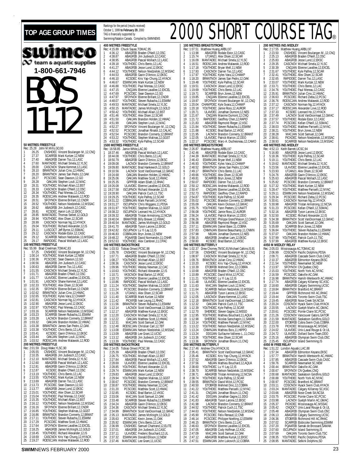| <b>TOP AGE GROUP TIMES</b>                                                                                                                                         | TAG is financially supported by           | Rankings for the period (results received)<br>October 1, 1999 to February 29, 2000<br>Swimming/Natation Canada. Compiled I |
|--------------------------------------------------------------------------------------------------------------------------------------------------------------------|-------------------------------------------|----------------------------------------------------------------------------------------------------------------------------|
|                                                                                                                                                                    |                                           |                                                                                                                            |
|                                                                                                                                                                    |                                           | <b>400 METRES FREESTYLE</b><br>Rec: 4:15.89 Chuck Sayao, TOMA                                                              |
| ՄՈ<br>mco                                                                                                                                                          | 1<br>4:36.12                              | ABAGFEB Brade                                                                                                              |
|                                                                                                                                                                    | $\overline{a}$<br>4:38.87<br>3<br>4:38.95 | ABAGFEB Jim J<br><b>ABAGFEB Pasca</b>                                                                                      |
| team & aquatic supplies                                                                                                                                            | 4<br>4:39.18                              | YOUTHDEC Chris                                                                                                             |
|                                                                                                                                                                    | 5<br>4:41.27                              | ABAGFEB Jesse                                                                                                              |
| 1-800-661-7946                                                                                                                                                     | 6<br>4:44.12<br>7<br>4:44.53              | YOUTHDEC Nelso<br>ABAGFEB Gavin                                                                                            |
|                                                                                                                                                                    | 8<br>4:46.10                              | KCSDEC Kris Y                                                                                                              |
|                                                                                                                                                                    | 9<br>4:46.67                              | <b>ESWIMJAN Mark</b>                                                                                                       |
| $\mathsf{l}$                                                                                                                                                       | 10<br>4:46.88<br>4:47.15<br>11            | YOUTHDEC Paul I<br>CNQJAN Etienr                                                                                           |
|                                                                                                                                                                    | 4:47.69<br>12                             | PCSCDEC Sean                                                                                                               |
|                                                                                                                                                                    | 4:47.97<br>13<br>14<br>4:48.07            | SFOYNOV Etienr<br>YOUTHDEC Steve                                                                                           |
|                                                                                                                                                                    | 15<br>4:49.53                             |                                                                                                                            |
|                                                                                                                                                                    | 4:50.15<br>16                             | MANTADEC Micha<br>MANTADEC James<br>YOUTHDEC Micha<br>YOUTHDEC Alex (                                                      |
|                                                                                                                                                                    | 17<br>4:50.42<br>18<br>4:51.46            |                                                                                                                            |
|                                                                                                                                                                    | 4:51.50<br>19                             | OAKJAN Brand                                                                                                               |
| $\mathsf{I}$                                                                                                                                                       | 20<br>4:51.99<br>21<br>4:52.27            | OAKJAN Steph<br>SFOYNOV Vince                                                                                              |
|                                                                                                                                                                    | 4:52.52<br>22                             |                                                                                                                            |
|                                                                                                                                                                    | 4:52.54<br>23                             | PCSCDEC Jonat<br>PCSCDEC Branc                                                                                             |
|                                                                                                                                                                    | 4:53.22<br>24<br>25<br>4:53.32            | YOUTHDEC Steph<br>YOUTHDEC Kyle F                                                                                          |
| 50 METRES FREESTYLE                                                                                                                                                |                                           | 1500 METRES FREESTYLE                                                                                                      |
| Rec: 25.28 John M.Mills,GO,93<br>1<br>26.25<br>CNSHDEC Vincent Boulanger-M., 12, CNQ                                                                               | Rec: 16:58.85<br>18:37.46<br>1            | Jamie White, LAC,<br>ABAGFEB Pasca                                                                                         |
| 2<br>27.37<br>SCARFEB Mark Kurtzer, 12, NEW                                                                                                                        | 2<br>18:44.08                             | YOUTHDEC Chris                                                                                                             |
| 3<br>27.40<br>ABAGFEB Darren Tso, 12, LASC<br>4<br>27.60                                                                                                           | 3<br>18:50.79                             | ABAGFEB Gavin                                                                                                              |
| MANTADEC Michael Smela,12,YLSC<br>5<br>CASCNOV Shane Kemmet, 12, LASC<br>28.00                                                                                     | 4<br>19:09.08<br>5<br>19:09.80            | LACNOV Branc<br>MANTADEC Brad                                                                                              |
| 6<br>BRANTNOV Julian Cino, 12, HWAC<br>28.10                                                                                                                       | 6<br>19:10.56                             | LACNOV Scott                                                                                                               |
| 7<br>BRANTNOV James San Pedro, 12, OAK<br>28.20<br>8<br>PCSCDEC Sean Dawson, 12, GO<br>28.27                                                                       | 7<br>19:24.68<br>8<br>19:25.06            | OAKJAN Brand<br><b>OAKJAN Matth</b>                                                                                        |
| 9<br>OAKJAN Stephen Louli, 12, MAC<br>28.28                                                                                                                        | 9<br>19:25.35                             | GPPFEB Adam                                                                                                                |
| 10<br>28.31<br>YOUTHDEC Michael Allain, 12, BST<br>11<br>CASCNOV Braden O'Neill, 12, OSC                                                                           | 10 19:26.08                               | <b>ULAVDEC</b> Etienr                                                                                                      |
| 28.33<br>12<br>YOUTHDEC Paul Mereau,12,CASC<br>28.34                                                                                                               | 11 19:27.58<br>12 19:28.90                | <b>ISCUPNOV Richa</b><br>OAKJAN Patric                                                                                     |
| 13<br>28.35<br>RODSCJAN Andrew Malawski, 12, ROD                                                                                                                   | 13 19:29.25                               | YOUTHDEC Kyle F                                                                                                            |
| 14<br>28.51<br>SFOYNOV Etienne Brillant, 12, CNDR<br>15<br>28.52<br>YOUTHDEC Nelson Niedzielski,12,MSSAC                                                           | 14 19:31.22<br>15 19:31.27                | COBRAJAN Mark<br><b>ISCUPNOV Chris</b>                                                                                     |
| 16<br>28.62<br>ABAGFEB Jim Judiesch, 12, CASC                                                                                                                      | 16 19:31.97                               | YOUTHDEC Steph                                                                                                             |
| 17<br>28.81<br>KCSDEC Aaron Loh,12,EKSC<br>MANTADEC Thomas Seibel, 12, GOLD<br>18<br>28.85                                                                         | 17 19:38.22<br>18 19:39.32                | <b>ISCUPNOV Leona</b><br><b>ABAGFEB Trista</b>                                                                             |
| YOUTHDEC Alex Olsen, 12, SCAR<br>19<br>28.94                                                                                                                       | 19 19:40.04                               | <b>BRANTFEB Billy I</b>                                                                                                    |
| 28.99<br>CASCNOV Norman Ng, 12, HYACK<br>20<br>21<br>29.04<br>YOUTHDEC Richard Alexander, 12, IS                                                                   | 20 19:40.54                               | MANTADEC Jame:                                                                                                             |
| LUSCOCT Jeff Byrne, 12, SSMAC<br>22<br>29.11                                                                                                                       | 21.<br>19:41.70<br>22<br>19:42.82         | <b>ABAGFEB Tysor</b><br>ISCUPNOV Lu Yi                                                                                     |
| CASCNOV Rodale Estor, 12, CASC<br>23<br>29.12<br>24<br>29.12                                                                                                       | 23<br>19:46.83                            | COBRAJAN Bryn.                                                                                                             |
| SCARFEB Nelson Nedzielski, 13, MSSAC<br>RAPIDDEC Pascal Wollach, 12, LASC<br>25<br>29.17                                                                           | 24<br>19:48.22<br>25 19:52.63             | PQAAFEB David<br>YOUTHDEC Alex (                                                                                           |
| 100 METRES FREESTYLE                                                                                                                                               |                                           | 100 METRES BACKSTROKE                                                                                                      |
| Rec: 55.99 Brad Creelman, TOMAC, 83<br>1<br>57.25                                                                                                                  | Rec: 1:03.53<br>1<br>1:05.78              | Tobias Oriwol, PCS<br>CNSHDEC Vince                                                                                        |
| CNSHDEC Vincent Boulanger-M.,12,CNQ<br>YOUTHDEC Mark Kurtzer,12,NEW<br>PCSCDEC Sean Dawson,12,GO<br>ABAGFEB Jim Judiesch,12,CASC<br>$\overline{a}$<br>1:00.14<br>3 | $\overline{a}$<br>1:07.71                 | <b>ABAGFEB Brade</b>                                                                                                       |
| 1:00.36<br>4<br>1:00.56                                                                                                                                            | 3<br>1:08.27<br>4<br>1:08.36              | YOUTHDEC Micha<br><b>CASCNOV Jesse</b>                                                                                     |
| 5<br>1:00.63<br>ABAGFEB Darren Tso, 12, LASC                                                                                                                       | 5<br>1:09.96                              | YOUTHDEC Wesle                                                                                                             |
| 6<br>CASCNOV Michael Smela, 12, YLSC<br>1:01.55<br>7<br>1:01.71<br>ABAGFEB Braden O'Neill, 12, OSC                                                                 | 6<br>1:10.63<br>7<br>1:10.71              | YOUTHDEC Richa<br><b>VKSCNOV Brad</b> I                                                                                    |
| 8<br>1:01.77<br>ULAVDEC Etienne Lavallee, 12, EXCEL                                                                                                                | 8<br>1:10.73                              | <b>SFOYNOV Etienr</b>                                                                                                      |
| 9<br>LASCNOV Shane Kemmet, 12, LASC<br>YOUTHDEC Alex Olsen, 12, SCAR<br>1:01.91<br>10<br>1:02.33                                                                   | 9<br>1:10.86                              | RAPIDDEC Pasca                                                                                                             |
| SFOYNOV Etienne Brillant, 12, CNDR<br>11<br>1:02.35                                                                                                                | 10<br>1:11.24<br>11<br>1:11.24            | YOUTHDEC Steph<br>PCSCDEC Brand                                                                                            |
| 12<br>BRANTNOV Julian Cino, 12, HWAC<br>1:02.62                                                                                                                    | 12<br>1:11.26                             | UTJAN21 Alex (                                                                                                             |
| YOUTHDEC Kyles Vara, 12, CHAMP<br>13<br>1:02.65<br>14<br>CASCNOV Norman Ng, 12, HYACK<br>1:02.81                                                                   | 13<br>1:11.40<br>14<br>1:11.42            | <b>SCARFEB Mark</b><br>PICKFEB Ivan L                                                                                      |
| 15<br>1:02.90<br>ABAGFEB Jesse Lund, 12, EKSC                                                                                                                      | 15<br>1:11.56                             | <b>BRANTNOV Steve</b>                                                                                                      |
| 16<br>1:02.97<br>YOUTHDEC Paul Mereau.12.CASC<br>17<br>1:03.16<br>SCARFEB Nelson Nedzielski, 13, MSSAC                                                             | 16<br>1:12.14<br>1:12.17<br>17            | <b>LACNOV Scott</b><br><b>ABAGFEB Matth</b>                                                                                |
| 18<br>1:03.23<br>SCARFEB Steven Rubacha, 11, ESWIM                                                                                                                 | 1:12.20<br>18                             | CASCNOV Micha                                                                                                              |
| 19<br>1:03.28<br>LACNOV Brandon Connerty, 12, BRANT<br>20<br>1:03.32<br>OAKJAN Brandon Holden, 12, HWAC                                                            | 1:12.22<br>19                             | <b>OAKJAN Matth</b>                                                                                                        |
| 21<br>1:03.38<br>BRANTNOV James San Pedro, 12, OAK                                                                                                                 | 1:12.31<br>20<br>21<br>1:12.48            | MACJAN Scott<br>RODSCJAN Chris                                                                                             |
| YOUTHDEC Chris Bento, 12, LAC<br>22<br>1:03.38                                                                                                                     | 22<br>1:13.08                             | <b>ESWIMJAN Nelso</b>                                                                                                      |
| KCSDEC Gavin D'Amico, 12, EKSC<br>23<br>1:03.41<br>24<br>OAKJAN Stephen Louli, 12, MAC<br>1:03.44                                                                  | 23<br>1:13.09<br>24<br>1:13.12            | ABAGFEB Lee G<br>ABAGFEB Jim J                                                                                             |
| 25<br>1:03.52<br>RODSCJAN Andrew Malawski, 12, ROD                                                                                                                 | 25<br>1:13.39                             | YOUTHDEC Paul I                                                                                                            |
| 200 METRES FREESTYLE<br>Rec: 2:01.59 Doug Wake, YLSC, 90                                                                                                           | Rec: 2:14.05                              | <b>200 METRES BACKSTROKE</b><br>Tobias Oriwol, PCS                                                                         |
| CNSHDEC Vincent Boulanger-M., 12, CNQ<br>2:05.55<br>1                                                                                                              | 2:25.39<br>1                              | ABAGFEB Brade                                                                                                              |
| ABAGFEB Jim Judiesch, 12, CASC<br>$\overline{a}$<br>2:10.35<br>MANTADEC Michael Smela, 12, YLSC<br>3<br>2:12.10                                                    | 2<br>2:26.75<br>3<br>2:27.84              | YOUTHDEC Micha<br><b>ABAGFEB Pasca</b>                                                                                     |
| 4<br>2:12.60<br>ABAGFEB Pascal Wollach, 12, LASC                                                                                                                   | 4<br>2:28.69                              | <b>ULAVDEC Etienr</b>                                                                                                      |
| 5<br>2:12.81<br>ABAGFEB Gavin D'Amico, 12, EKSC<br>KCSDEC Braden O'Neill, 12,0SC<br>6<br>2:12.87                                                                   | 5<br>2:28.85                              | YOUTHDEC Richa                                                                                                             |
| 7<br>2:13.19<br>YOUTHDEC Chris Bento, 12, LAC                                                                                                                      | 6<br>2:29.74<br>7<br>2:29.83              | <b>ESWIMJAN Mark</b><br>ABAGFEB Jesse                                                                                      |
| 8<br>2:13.55<br>YOUTHDEC Mark Kurtzer, 12, NEW                                                                                                                     | 8<br>2:29.94                              | YOUTHDEC Steph                                                                                                             |
| 9<br>2:13.69<br>ABAGFEB Darren Tso, 12, LASC<br>10<br>2:13.73<br>PCSCDEC Sean Dawson, 12, GO                                                                       | 9<br>2:30.67<br>10<br>2:30.87             | <b>PCSCDEC Brand</b><br>YOUTHDEC Wesle                                                                                     |
| 11<br>2:13.77<br>ABAGFEB Jesse Lund, 12, EKSC                                                                                                                      | 11<br>2:31.20                             | <b>PCSCDEC Matth</b>                                                                                                       |
| YOUTHDEC Alex Olsen, 12, SCAR<br>12<br>2:15.01<br>YOUTHDEC Paul Mereau, 12, CASC<br>13<br>2:15.04                                                                  | 12<br>2:32.85<br>13<br>2:33.06            | KCSDEC Brad  <br>MACJAN Scott                                                                                              |
| 14<br>YOUTHDEC Michael Allain, 12, BST<br>2:15.35                                                                                                                  | 14<br>2:33.48                             | <b>SCARFEB Steve</b>                                                                                                       |
| YOUTHDEC Nelson Niedzielski, 12, MSSAC<br>15<br>2:16.12<br>SFOYNOV Etienne Brillant, 12, CNDR<br>16<br>2:16.16                                                     | 15<br>2:34.24                             | ABAGFEB Gavin                                                                                                              |
| YOUTHDEC Stephen Malinas, 12, GGST<br>17<br>2:16.85                                                                                                                | 16<br>2:34.36<br>17<br>2:34.99            | CASCNOV Micha<br><b>BRANTNOV Scott</b>                                                                                     |
| BRANTNOV Brandon Connerty, 12, BRANT<br>18<br>2:16.86                                                                                                              | 18<br>2:35.13                             | MANTADEC Jame:                                                                                                             |
| 19<br>2:17.11<br>YOUTHDEC Steven Rubacha, 11, ESWIM<br>PCSCDEC Matthew Scott, 12, HWAC<br>20<br>2:17.29                                                            | 19<br>2:35.63<br>2:35.92<br>20            | PCSCDEC Kevin<br>ESWIMJAN Chris                                                                                            |
| 21<br>2:17.64<br>SFOYNOV Etienne Lavallee, 12, EXCEL                                                                                                               | 21<br>2:36.99                             | CNSHDEC Samu                                                                                                               |
| 22<br>2:18.25<br>ABAGFEB James McKnight, 12, GOLD<br>23<br>YOUTHDEC Richard Alexander, 12, IS<br>2:18.45                                                           | 22<br>2:37.01<br>23<br>2:37.11            | ABAGFEB Jim J<br><b>ULAVDEC</b> Frede                                                                                      |
| CASCNOV Kris Yap-Chung, 12, HYACK<br>24<br>2:18.69                                                                                                                 | 24<br>2:37.32                             | <b>ESWIMJAN Donal</b>                                                                                                      |

1999 **to February 29**, 2000 ancially supported by /Natation Canada. Compiled by SWIMNEWS **RES FREESTYLE**<br>89 Chuck Savao Rec: 4:15.89 Chuck Sayao,TOMAC,95 1 4:36.12 ABAGFEB Braden O'Neill,12,OSC 2 4:38.87 ABAGFEB Jim Judiesch,12,CASC 3 4:38.95 ABAGFEB Pascal Wollach,12,LASC 4 4:39.18 YOUTHDEC Chris Bento,12,LAC 5 4:41.27 ABAGFEB Jesse Lund,12,EKSC 6 4:44.12 YOUTHDEC Nelson Niedzielski,12,MSSAC<br>7 4:44.53 ABAGFEB Gavin D'Amico,12,EKSC<br>8 4:46.10 KCSDEC Kris Yap-Chung,12,HYACK<br>9 4:46.67 ESWIMJAN Mark Kurtzer,12,NEW<br>10 4:46.88 YOUTHDEC Paul Mereau,12,CASC 11 4:47.15 CNOJAN Elienne Lavallee, 12. EXCEL<br>12 4:47.69 PCSCDEC Sean Dawson, 12. GO<br>13 4:47.97 SFOYNOV Elienne Brillant, 12. CNDR<br>14 4:48.07 YOUTHDEC Steven Rubacha, 11, ESWIM<br>15 4:49.53 MANTADEC Michael Smela, 12, YLSC<br>1 20 4:51.99 COAKJAN Stephen Louli,12,MAC<br>21 4:52.27 SFOYNOV Vincent Boulanger-M.,12,CNQ<br>22 4:52.52 PCSCDEC Jonathan Rinaldi,12,CALAC<br>23 4:52.54 PCSCDEC Brandon Connerty,12,BRANT<br>24 4:53.32 YOUTHDEC Kyle Palfrey,12,SCAR<br>25 4 **1500 METRES FREESTYLE** Rec: 16:58.85 Jamie White,LAC,90 1 18:37.46 ABAGFEB Pascal Wollach,12,LASC<br>2 18:44.08 YOUTHDEC Chris Bento,12,LAC<br>3 18:50.79 ABAGFEB Gavin D'Amico,12,EKSC 4 19:09.08 LACNOV Brandon Connerty,12,BRANT 5 19:09.80 MANTADEC Brad Hankewich,12,GOLD 6 19:10.56 LACNOV Scott VanDoormaal,12,GMAC 7 19:24.68 OAKJAN Brandon Holden,12,HWAC 8 19:25.06 OAKJAN Matthew Scott,12,HWAC 9 19:25.35 GPPFEB Adam Eilath,12,RHAC 10 19:26.08 ULAVDEC Etienne Lavallee,12,EXCEL 11 19:27.58 ISCUPNOV Richard Alexander,12,IS 1.90 OAKJAN Patrick Cuch,11,TSC<br>125 YOUTHDEC Kyle Palfrey,12,SCAF<br>122 COBRAJAN Mark Pariselli,14,NY.<br>127 ISCUPNOV Chris Wiggans,11,PT. 13 19:29.25 YOUTHDEC Kyle Palfrey,12,SCAR 14 19:31.22 COBRAJAN Mark Pariselli,14,NYAC 15 19:31.27 ISCUPNOV Chris Wiggans,11,PDSA 16 19:31.97 YOUTHDEC Stephen Malinas,12,GGST 17 19:38.22 ISCUPNOV Leonard Ho, 12, HYACK<br>18 19:39.32 ABAGFEB Tristan Armstrong, 12, NCSA<br>19 19:40.04 BRANTFEB Billy Brewer, 12, HVAC<br>20 19:40.54 MANTADEC James McKnight, 12, GOLD<br>21 19:42.82 ISCUPNOV Lu Yi Lay, 12, IS 23 19:46.83 COBRAJAN Bryn Jones,12,NEW 24 19:48.22 PQAAFEB David Normandin,11,CNHR 25 19:52.63 YOUTHDEC Alex Cambreri,11,CPAC **IRES BACKSTROKE** Rec: 1:03.53 Tobias Oriwol,PCSC,98 1 1:05.78 CNSHDEC Vincent Boulanger-M.,12,CNQ 2 1:07.71 ABAGFEB Braden O'Neill,12,OSC 3 1:08.27 YOUTHDEC Michael Allain,12,BST 8.36 CASCNOV Jesse Lund,12,EKSC<br>9.96 YOUTHDEC Wesley Newman,12,0 5 1:09.96 YOUTHDEC Wesley Newman,12,CAC 6 1:10.63 YOUTHDEC Richard Alexander,12,IS 7 1:10.71 VKSCNOV Brad Barton,12,VKSC 8 1:10.73 SFOYNOV Etienne Lavallee,12,EXCEL 9 1:10.86 RAPIDDEC Pascal Wollach,12,LASC 10 1:11.24 YOUTHDEC Stephen Malinas,12,GGST 11 1:11.24 PCSCDEC Brandon Connerty,12,BRANT 12 1:11.26 UTJAN21 Alex Olsen,12,SCAR 13 1:11.40 SCARFEB Mark Kurtzer,12,NEW<br>14 1:11.42 PICKFEB Ivan Leung,11,RHAC<br>15 1:11.56 BRANTNOV Steven Rubacha,11,ESWIM<br>16 1:12.14 LACNOV Scott VanDoormaal,12,GMAC<br>17 1:12.17 CASCNOV Michael Smela,12,YLSC 19 1:22 OAKJAN Matthew Scott,12,HWAC<br>19 1:22 OAKJAN Matthew Scott,12,HWAC<br>19 MACJAN Scott Samuel 12,0AK 20 1:31 MACJAN Scott Samuel, 12, OAK<br>20 RODSC JAN Christian Carl 12 TRT 21 1:12.48 RODSCJAN Christian Carl,12,TBT 22 1:13.08 ESWIMJAN Nelson Niedzielski,12,MSSAC 09 ABAGFEB Lee Grant,12,UCSC<br>012 ABAGFEB Jim Judiesch,12,CA<br>039 YOUTHDEC Paul Mereau,12.CA 24 1:13.12 ABAGFEB Jim Judiesch,12,CASC 25 1:13.39 YOUTHDEC Paul Mereau,12,CASC **7RES BACKSTROKE**<br>4.05 Tobias Oriwol, PO Rec: 2:14.05 Tobias Oriwol,PCSC,98 1 2:25.39 ABAGFEB Braden O'Neill,12,OSC 2 2:26.75 YOUTHDEC Michael Allain,12,BST 3 2:27.84 ABAGFEB Pascal Wollach,12,LASC 4 2:28.69 ULAVDEC Etienne Lavallee,12,EXCEL 5 2:28.85 YOUTHDEC Richard Alexander,12,IS 6 2:29.74 ESWIMJAN Mark Kurtzer,12,NEW 7 2:29:83 ABAGFEB Jesse Lund, 12, EKSC<br>8 2:29:34 YOUTHDEC Stephen Malinas, 12, GCST<br>9 2:30:67 PCSCDEC Brandon Connerty, 12, BRANT<br>10 2:30:87 YOUTHDEC Wesley Newman, 12, CAC<br>12 2:32:26 KCSDEC Brad Barton, 12, VKSC<br>12 2:32:8 13 2:33.06 MACJAN Scott Samuel,12,OAK 14 2:33.48 SCARFEB Steven Rubacha,11,ESWIM 15 2:34.24 ABAGFEB Gavin D'Amico, 1.2, EKSC<br>16 2:34.36 CASCNOV Michael Smela, 1.2, YLSC<br>17 2:34.99 BRANTNOV Scott VanDoormaal, 1.2, GMAC<br>18 2:35.63 PCSCDEC Kevin Jones, 1.1, OAK<br>20 2:35.62 ESWIMJAN Chris Bento, 1.2, LAC<br>20 2012 CNSHDEC Samuel Chartrand, 2, ELITE<br>2012 ABAGFEB Jim Judiesch, 12, CASC 22 2:37.02.02.01 ABAGFEB Jim Judiesch,12,CASC<br>21 UI AVDEC Frederic Bouchard.12.1 23 2:37.11 ULAVDEC Frederic Bouchard, 12, ULAV 25 2:37.32 ESWIMJAN Donald Ellison, 12, NEW<br>25 2:37.46 MANTADEC Lee Grant. 11. UCSC 2:37.32 ESWIMJAN Donald Ellison,12,NEW<br>2:37.46 MANTADEC Lee Grant,11,UCSC 25 2:37.46 MANTADEC Lee Grant,11,UCSC

#### 2000 SH **100 METRES BREASTSTROKE**<br>Rec: 1:07.51 Matthew Huang AF Rec: 1:07.51 Matthew Huang,ARBU,97 1 1:13.98 ABAGFEB Rodale Estor,12,CASC 2 1:15.74 UTJAN21 Alex Ols<br>3 1:16.09 MANTADEC Michael 3 1:16.09 MANTADEC Michael<br>4 1:16.51 RODSC JAN Andrew 4 1:16.51 RODSCJAN Andrew Malawski,12,ROD 5 1:17.18 YOUTHDEC Bryan M<br>6 1:17.93 CASCNOV Darren CASCNOV Darren 7 1:17.97 YOUTHDEC Kyles Variation 1:18.20 BRANTNOV James S 1:18.20 BRANTNOV James S<br>1:19.48 YOUTHDEC Kyle Pa 9 1:19.48 YOUTHDEC Kyle Pal<br>10 1:19.51 CASCNOV Jesse Lu 10 1:19.51 CASCNOV<br>11 1:19.69 YOUTHDEC 11 1:19.69 YOUTHDEC Chris Benton, 12, 1:19.71 SCARFEB Brvn Jor 12 1:19.71 SCARFEB Bryn Jones, 19.71 SCARFEB Bryn Jones, 12,2004 CHAMPDEC Kyle Sva<br>15 1:20.04 CHAMPDEC Kyle Sva<br>16 1:20.04 CHAMPDEC Jones, 10.71 8.20.18<br>17 1:20.71 ULAVDEC Jonatha 1:19.85 CNQJAN Etienne<br>1:19.97 SEOYNOV Vincent 1:19.97 SFOYNOV Vincent<br>1:20.04 CHAMPDEC Kyle Sv 1:20.04 CHAMPDEC Kyle Sv<br>1:20.18 YOUTHDEC Jamie 1:20.18 YOUTHDEC Jamie R<br>1:20.71 LILAVDEC Jonatha 17 1:20.71 ULAVDEC Jonatha<br>18 1:21.67 CNQJAN Maxime<br>19 1:21.72 RAPIDDEC Geoffrey 18 1:21.67 CNQJAN Maxime Dumont,12,CNQ 19 1:21.72 RAPIDDEC Geoffrey Chen,12,RAPID 20 1:21.83 ABAGFEB Raymon<br>21 1:21.84 YOUTHDEC Steven 21 1:21.84 YOUTHDEC Steven P<br>21 1:21.84 KCSDEC Brad Ba 22 1:21.88 KCSDEC Brad Ba<br>23 1:21.95 LACNOV Brandor<br>24 1:22.05 ULAVDEC Patrick 23 1:21.95 LACNOV Brandon Connerty,12,BRANT 24 1:22.05 ULAVDEC Patrick Marion,12,DDO 25 1:22.17 PCSCDEC Marc-A. Duchesneau,12,CAMO **200 METRES BREASTSTROKE** Rec: 2:26.87 Matthew Huang,ARBU,97 1 2:42.46 ABAGFEB Rodale 2 2:44.39 MANTADEC Michael 2 2:44.39 MANTADEC Michael Smela,12,YLSC 3 2:46.43 ESWIMJAN Bryan Mell,11,NEW 4 2:46.93 YOUTHDEC Kyles V<br>5 2:48.52 BRANTNOV James 9 5 2:48.52 BRANTNOV James<br>6 2:49.17 BRANTNOV Chris E<br>7 2:49.66 YOUTHDEC Alex O 2:49.17 BRANTNOV Chris Bento, 12:49.66 YOUTHDEC Alex Ols 2:49.66 YOUTHDEC Alex Ols<br>2:49.81 SCARFEB Bryn Jo 8 2:49.81 SCARFEB Bryn Jones<br>9 2:50.07 RAPIDDEC Darren 9 2:50.07 RAPIDDEC Darren<br>10 2:50.12 RODSCJAN Andrew<br>11 2:50.47 CNQJAN Etienne 2:50.12 RODSCJAN Andrew<br>2:50.47 CNOJAN Etienne 11 2:50.47 CNQJAN Etienne<br>12 2:52.73 RAPIDDEC Geoffre 12 2:52.73 RAPIDDEC Geoffre<br>13 2:54.87 YOUTHDEC Kyle Pa<br>14 2:55.02 PCSCDEC Brandc<br>15 2:55.09 OAKJAN Kevin I YOUTHDEC Kyle Pa 2:55.02 PCSCDEC Brandon<br>2:55.09 OAK JAN Kevin D 15 2:55.09 OAKJAN Kevin D<br>16 2:55.75 YOUTHDEC Yann Pe<br>17 2:56.08 YOUTHDEC Jamie R 2:55.75 YOUTHDEC Yann Pe<br>2:56.08 YOUTHDEC Jamie R 17 2:56.08 YOUTHDEC Jamie R<br>18 2:56.24 ULAVDEC Patrick<br>19 2:56.26 PCSCDEC Philippe 18 2:56.24 ULAVDEC Patrick Marion,12,DDO 19 2:56.26 PCSCDEC Philippe Grand'Maison,12,CAMO 20 2:56.98 ABAGFEB Raymond Rieger,12,KSC 21 2:57.11 ESWIMJAN Daniel Baier,11,COBRA 22 2:57.83 CNMNJAN Etienne Beauchamp,11,CNMN 23 2:57.98 NBJAN Jonathan Dumont,12,NES 24 2:58.15 ABAGFEB Jonathan Lam,12,EKSC 25 2:58.80 KCSDEC Brad Barton,12,VKSC<br>**100 METRES BUTTERFLY**<br>Rec: 1:02.37 Drew Chorney,TMSC,91/Michael Calkins,IS,91<br>1 1:07.56 CNSHDEC Vincent Boulanger-M.,12,CNQ 2.1.08.97 CASCNOV Michael<br>1:09.76 BRANTNOV Julian C 2 1:00:57 CASCROV Michael<br>3 1:09.76 BRANTNOV Julian C<br>4 1:10.20 KCSDEC Kris Yap<br>5 1:10.39 ETOBFEB Mehmet 10.20 KCSDEC Kris Yap-<br>10.39 ETOBFEB Mehme 5 1:10.39 ETOBFEB Mehmet<br>6 1:10.68 ABAGFEB Braden C<br>7 1:10.89 PCSCDEC David M 6 1:10.68 ABAGFEB Braden O'Neill,12,OSC<br>7 1:10.89 PCSCDEC David Milot,12,PCSC<br>8 1:11.21 YOUTHDEC Lu Yi Lay,12,IS<br>9 1:11.48 ULAVDEC Etienne Lavallee,12,EXCEL 10 1:11.63 MACJAN Stephen Louli,12,MAC 11 1:11.64 SCARFEB Nelson Nedzielski,13,MSSAC 12 1:11.71 ABAGFEB Tyson Larone, 12, EKSC<br>13 1:12.05 LASCNOV Shane Kemmel, 12, LASC<br>14 1:12.18 BRANTNOV Scott VanDoormaal, 12, GMAC<br>15 1:12.39 YOUTHDEC Kyle Palfrey, 12, SCAR<br>17 1:12.70 SHERDEC Steven Gagne, 12, MEGO 18 1:12.95 YOUTHDEC Mathieu Bouchard,11,AQUA 19 1:12.98 SHERDEC Nicolas Sanschagrin,11,SAMAK 20 1:13.14 YOUTHDEC Matthew Pariselli, 12, NYAC<br>21 1:13.22 YOUTHDEC Nelson Niedzielski, 12, MS<br>22 1:13.24 CNMNJAN Mathieu Bois, 11, HIPPO 21 1:13.22 YOUTHDEC Nelson Niedzielski,12,MSSAC 22 1:13.24 CNMNJAN Mathieu Bois,11,HIPPO 23 1:13.24 DDOJAN Guillaume Vallieres-L.,11,CNSJ<br>24 1:13.36 YOUTHDEC Alex Olsen,12,SCAR<br>25 1:13.36 SFOYNOV Jonathan Blouin,11,CNQ 24 1:13.36 YOUTHDEC Alex Olsen,12,SCAR 25 1:13.36 SFOYNOV Jonathan Blouin,11,CNQ **200 METRES BUTTERFLY** Rec: 2:17.46 Andrew Cho,HYACK,91 1 2:35.41 BRANTNOV Scott VanDoormaal,12,GMAC 2 2:35.46 KCSDEC Kris Yap-Chung,12,HYACK 3 2:37.52 ABAGFEB Gavin D'Amico,12,EKSC 4 2:37.56 NBJAN Mathieu Bouchard,12,AQUA 5 2:38.60 YOUTHDEC Lu Yi Lay,12,IS 6 2:38.70 SCARFEB Nelson Nedzielski,13,MSSAC 7 2:38.71 ABAGFEB Tristan Armstrong, 12, NCSA<br>8 2:38.74 YOUTHDEC Kyle Palfrey, 12, SCAR<br>9 2:39.55 BRANTNOV David Milot, 12, PCSC<br>10 2:40.50 ETOBFEB Mehmel Dinc, 12, COBRA<br>11 2:41.22 YOUTHDEC Matthew Pariselli, 12, NYAC<br>12 2.41.50 **ETOBFEB Mehmet Dinc,12, COBRA**<br>11 2:41.50 **ETOBFEB Mehmet Dinc,12, COBRA**<br>11 2:41.31 CNUTHDEC Matthew Pariselli,12,NYA<br>12 2:41.31 CNUJAN Jonathan Glogne,11,DDO<br>14 2:41.83 ABAGFEB Tyson Larone,12,EKSC 14 2:41.83 ABAGFEB Tyson Larone,12,EKSC 15 2:41.98 LACNOV Brandon Connerty,12,BRANT 16 2:44.52 YOUTHDEC Patrick Cuch,11,TSC 17 2:44.63 YOUTHDEC Nelson Niedzielski,12,MSSAC 18 2:45.90 PCSCDEC Felix Renaud, 12, CNB<br>19 2:46.14 PCSCDEC Philippe Noelting, 12, 1<br>20 2:46.15 BRANTNOV Chris Bento, 11, LAC 19 2:46.14 PCSCDEC Philippe Noelting,12,ESWIM 20 2:46.15 BRANTNOV Chris Bento,11,LAC 21 2:46.63 SFOYNOV Etienne Lavallee, 12, EXCEL<br>22 2:47.05 ABAGFEB Cody Hoffman, 12, KSC<br>23 2:47.09 MACJAN Scott Samuel, 12, OAK ABAGFEB Cody Hoffman,12,KSC 23 2:47.09 MACJAN Scott Samuel, 12, OAK<br>24 2:47.12 ABAGFEB Matthew Kunyk, 12, EK<br>25 2:47.51 ESWIMJAN John Lukovich, 12, CO 24 2:47.12 ABAGFEB Matthew Kunyk,12,EKSC 25 2:47.51 ESWIMJAN John Lukovich,12,COBRA

|                                                    |                                |                    | <b>ORT COURSE TAG®</b>                                                                                                                                                      |
|----------------------------------------------------|--------------------------------|--------------------|-----------------------------------------------------------------------------------------------------------------------------------------------------------------------------|
|                                                    |                                |                    |                                                                                                                                                                             |
|                                                    |                                |                    |                                                                                                                                                                             |
| .97                                                |                                |                    | 200 METRES IND.MEDLEY<br>Rec: 2:17.55 Matthew Huang, ARBU, 97                                                                                                               |
| Estor, 12, CASC                                    | 1                              | 2:23.50            | CNSHDEC Vincent Boulanger-M., 12, CNQ                                                                                                                                       |
| en,12,SCAR<br>Smela, 12, YLSC                      | $\overline{c}$<br>3            | 2:25.13<br>2:25.83 | ABAGFEB Braden O'Neill, 12, OSC                                                                                                                                             |
| Malawski, 12, ROD                                  | $\sqrt{4}$                     | 2:29.35            | ABAGFEB Jesse Lund, 12, EKSC<br>CASCNOV Michael Smela, 12, YLSC                                                                                                             |
| lell,11,NEW                                        | 5                              | 2:30.39            |                                                                                                                                                                             |
| 「so,12,LASC<br>ara,12,CHAMP                        | 6<br>$\overline{\mathfrak{I}}$ | 2:31.67<br>2:32.41 | CNOJAN Etienne Lavallee, 12, EXCEL<br>YOUTHDEC Kyle Palfrey, 12, SCAR<br>YOUTHDEC Alex Olsen, 12, SCAR<br>YOUTHDEC Alex Olsen, 12, SCAR                                     |
| San Pedro, 12,0AK                                  | 8                              | 2:32.65            | RAPIDDEC Darren Tso, 12, LASC                                                                                                                                               |
| frey,12,SCAR<br>und,12,EKSC                        | 9<br>10                        | 2:33.07<br>2:33.71 | YOUTHDEC Mark Kurtzer, 12, NEW<br>YOUTHDEC Chris Bento, 12, LAC                                                                                                             |
| ento,12,LAC                                        | 11                             | 2:34.76            | YOUTHDEC Paul Mereau, 12, CASC                                                                                                                                              |
| nes,12,NEW                                         | 12<br>13                       | 2:35.91<br>2:36.63 | BRANTNOV Julian Cino, 12, HWAC<br>PCSCDEC Richard Zieba, 12, PCSC                                                                                                           |
| Lavallee,12,EXCEL<br>Boulanger-M., 12, CNQ         | 14                             | 2:36.76            | RODSCJAN Andrew Malawski, 12, ROD                                                                                                                                           |
| ara,12,CHAMP                                       | 15                             | 2:37.12            | CASCNOV Norman Ng, 12, HYACK                                                                                                                                                |
| oss,12,AUROR<br>n Dumont, 12,NES                   | 16<br>17                       | 2:37.17<br>2:37.33 | RODSCJAN Alexander Love, 12, ROD<br>KCSDEC Leonard Ho, 12, HYACK                                                                                                            |
| Dumont, 12, CNQ                                    | 18                             | 2:37.49            |                                                                                                                                                                             |
| Chen, 12, RAPID                                    | 19                             | 2:37.57            | LACNOV Scott VanDoormaal, 12, GMAC<br>YOUTHDEC Rodale Estor, 12, CASC<br>PCSCDEC Kellan O'Neill, 12, SSMAC                                                                  |
| d Rieger, 12, KSC<br>Rubacha,11,ESWIM              | 20<br>21                       | 2:37.74<br>2:38.03 | YOUTHDEC Matthew Pariselli, 12, NYAC                                                                                                                                        |
| rton,12,VKSC                                       | 22                             | 2:38.21            | YOUTHDEC Bryn Jones, 12, NEW                                                                                                                                                |
| Connerty,12,BRANT ا<br>Marion,12,DDO               | 23<br>24                       | 2:38.28<br>2:38.61 | MACJAN Scott Samuel, 12, OAK<br>PICKDEC Nelson Niedzielski, 12, MSSAC                                                                                                       |
| Duchesneau, 12, CAMO                               | 25                             | 2:38.93            | SCARFEB Nelson Nedzielski, 13, MSSAC                                                                                                                                        |
| ,97                                                |                                |                    | 400 METRES IND.MEDLEY<br>Rec: 4:52.13 Keith Barrett, UCSC, 94                                                                                                               |
| Estor, 12, CASC                                    | 1                              | 5:16.80            |                                                                                                                                                                             |
| Smela, 12, YLSC                                    | $\overline{2}$                 | 5:18.36            |                                                                                                                                                                             |
| lell,11,NEW<br>ara,12,CHAMP                        | 3<br>4                         | 5:19.11<br>5:19.62 | ABAGEEB Jesse Lund, 12, EKSC<br>YOUTHDEC Kyle Palfrey, 12, SCAR<br>YOUTHDEC Chris Bento, 12, LAC<br>MANTADEC Michael Smela, 12, YLSC<br>ULAVDEC Etienne Lawallee, 12, EXCEL |
| San Pedro, 12,0AK                                  | 5                              | 5:23.56            |                                                                                                                                                                             |
| ento,11,LAC<br>en,12,SCAR                          | 6<br>7                         | 5:23.93<br>5:24.76 | UTJAN21 Alex Olsen, 12, SCAR<br>ABAGFEB Gavin D'Amico, 12, EKSC                                                                                                             |
| nes,12,NEW                                         | 8                              | 5:25.63            | ABAGFEB Pascal Wollach, 12, LASC                                                                                                                                            |
| So,12,LASC                                         | 9                              | 5:25.82            | PCSCDEC Brandon Connerty, 12, BRANT                                                                                                                                         |
| Malawski, 12, ROD<br>Lavallee,12,EXCEL             | 10 <sup>°</sup><br>11          | 5:27.32<br>5:28.47 | YOUTHDEC Mark Kurtzer, 12, NEW<br>YOUTHDEC Matthew Pariselli, 12, NYAC                                                                                                      |
| Chen, 12, RAPID                                    | 12                             | 5:29.11            | ESWIMJAN Nelson Niedzielski, 12, MSSAC                                                                                                                                      |
| frey, 12, SCAR                                     | 13<br>14                       | 5:29.34<br>5:30.61 | PCSCDEC Richard Zieba, 12, PCSC<br>CASCNOV Norman Ng, 12, HYACK                                                                                                             |
| Connerty,12,BRANT ا<br>ickson,12,GMAC              | 15                             | 5:30.98            |                                                                                                                                                                             |
| eters,12,UNATT:                                    | 16                             | 5:31.23            | ABAGFEB Tristan Armstrong, 12, NCSA<br>PCSCDEC Kellan O'Neill, 12, SSMAC                                                                                                    |
| oss,12,AUROR<br>Marion,12,DDO                      | 17<br>18                       | 5:32.16<br>5:32.50 | ABAGFEB Tyson Larone, 12, EKSC<br>KCSDEC Richard Alexander, 12, IS                                                                                                          |
| Grand'Maison, 12, CAMO                             | 19                             | 5:34.38            | BRANTNOV Scott VanDoormaal, 12, GMAC                                                                                                                                        |
| d Rieger, 12, KSC<br>3aier,11,COBRA                | 20<br>21                       | 5:35.69<br>5:35.89 | OAKJAN Scott Samuel, 12, OAK<br>SCARFEB Bryn Jones, 12, NEW                                                                                                                 |
| Beauchamp, 11, CNMN                                | 22                             | 5:36.84            | YOUTHDEC Steven Rubacha, 11, ESWIM                                                                                                                                          |
| n Dumont, 12, NES                                  | 23<br>24                       | 5:37.07<br>5:37.99 | OAKJAN Brandon Holden, 12, HWAC<br>YOUTHDEC Patrick Cuch, 11, TSC                                                                                                           |
| n Lam,12,EKSC<br>rton,12,VKSC                      | 25                             | 5:37.99            | ABAGFEB Matthew Kunyk, 12, EKSC                                                                                                                                             |
|                                                    |                                |                    | 4X50 M MEDLEY RELAY                                                                                                                                                         |
| 1/Michael Calkins, IS, 91<br>Boulanger-M., 12, CNQ | 1                              | 2:06.99            | Rec: 2:05.03 Mississauga AC, TOMAC, 92<br>CDSCNOV Pacific Dolphins, PDSA                                                                                                    |
| Smela, 12, YLSC                                    | $\overline{2}$                 | 2:09.71            | ABAGFEB Cascade Swim Club, CASC                                                                                                                                             |
| ino,12,HWAC                                        | 3<br>4                         | 2:10.37            | ABAGFEB Edmonton Keyano, EKSC                                                                                                                                               |
| )-Chung,12,HYACK<br>Dinc, 12, COBRA                | 5                              | 2:11.54<br>2:13.97 | YOUTHDEC Newmarket SC, NEW<br>SFOYNOV CN Quebec, CNQ                                                                                                                        |
| N'NAILL 12 NSC                                     | h                              | 2.1502             | VOLITHDEC North York AC NYAC                                                                                                                                                |

| 4                     | 2:11.54                  | YOUTHDEC Newmarket SC.NEW                                            |
|-----------------------|--------------------------|----------------------------------------------------------------------|
| 5                     | 2:13.97                  | SFOYNOV CN Quebec, CNQ                                               |
| 6                     | 2:15.03                  | YOUTHDEC North York AC, NYAC                                         |
| 7                     | 2:16.59                  | PCSCDEC Oakville AC.OAK                                              |
| 8                     | 2:16.98                  | BRANTNOV Hamilt-Wentworth AC, HWAC                                   |
| 9                     | 2:17.74                  | ABAGFEB Calgary Killarney SC, KSC                                    |
| 10 <sup>°</sup>       | 2:18.60                  | ABAGFEB Calgary Swimming, UCSC                                       |
| 11                    | 2:18.84                  | BRANTNOV Brantford AC, BRANT                                         |
| $12^{\circ}$          | 2:19.44                  | GPPFEB Richmond Hill AC, RHAC                                        |
| $13 -$                | 2:19.44                  | OAKJAN Toronto Swim Club, TSC                                        |
| 14                    | 2:19.45                  | ABAGFEB Nose Creek SA, NCSA                                          |
| 15                    | 2:20.24                  | CDSCNOV Hyack Swim Club, HYACK                                       |
| 16                    | 2:20.55                  | LACNOV Guelph Marlin AC, GMAC                                        |
| 17                    | 2:20.61                  | PCSCDEC Pointe Claire SC.PCSC                                        |
| 18                    | 2:21.26                  | CDSCNOV Vancouver Gators, GATOR                                      |
| 19                    | 2:21.59                  | MANTADEC Saskatoon Goldfins, GOLD                                    |
| 20                    | 2:22.00                  | ETOBFEB Cobra Swim Club, COBRA                                       |
| 21                    | 2:23.78                  | PICKDEC Mississauga AC, MSSAC                                        |
|                       | 22 2:24.02<br>23 2:24.72 | ULAVDEC Univ.Laval Rouge & Or,UL                                     |
|                       |                          | ULAVDEC Dollard Swim Team, DDO                                       |
| 24                    | 2:25.16                  | ABAGFEB Olympian Swim Club, OSC                                      |
| $25 -$                | 2:25.45                  | <b>ISCUPNOV Island Swimming, IS</b>                                  |
|                       | 4X50 M FREE RELAY        |                                                                      |
|                       | Rec: 1:51.22             | London Aquatic, LAC, 88                                              |
| 1                     | 1:57.34                  | ABAGFEB Edmonton Keyano, EKSC                                        |
| $\overline{2}$        | 1:57.77                  | BRANTNOV Hamilt-Wentworth AC, HWAC                                   |
| 3                     | 1:57.85                  | ABAGFEB Cascade Swim Club, CASC                                      |
| 4                     | 1:59.76                  | SCARFEB Newmarket SC, NEW                                            |
| 5                     | 2:00.44                  | BRANTNOV Oakville AC, OAK                                            |
| 6                     | 2:00.67                  | SFOYNOV CN Quebec, CNQ                                               |
| 7                     | 2:00.68                  | MANTADEC Saskatoon Goldfins, GOLD<br>YOUTHDEC North York AC, NYAC    |
| 8                     | 2:00.88                  |                                                                      |
| 9<br>10 <sup>10</sup> | 2:00.97                  | PCSCDEC Brantford AC, BRANT                                          |
| 11                    | 2:03.11<br>2:03.24       | CDSCNOV Hyack Swim Club, HYACK<br>MANTADEC Calgary Killarney SC, KSC |
| $12^{\circ}$          | 2:03.66                  | ABAGFEB Nose Creek SA, NCSA                                          |
| 13                    | 2:03.75                  | PCSCDEC Pointe Claire SC, PCSC                                       |
| 14                    | 2:03.98                  | LACNOV Guelph Marlin AC, GMAC                                        |
| 15                    | 2:05.37                  | PICKDEC Mississauga AC, MSSAC                                        |
| 16                    | 2:05.42                  | CNQOCT Univ.Laval Rouge & Or,UL                                      |
| 17                    | 2:05.48                  | ABAGFEB Olympian Swim Club, OSC                                      |
| 18                    | 2:06.13                  | ABAGFEB Calgary Swimming,UCSC                                        |
| 19                    | 2:06.36                  | ETOBFEB Richmond Hill AC, RHAC                                       |
| 20 <sub>o</sub>       | 2:07.02                  | SCARFEB Etobicoke Swimming, ESWIM                                    |
| $21 -$                | 2:07.20                  | POAAFEB Samak de Brossard, SAMAK                                     |
| $\frac{21}{22}$       | 2:07.60                  | <b>ISCUPNOV Island Swimming, IS</b>                                  |
| 23                    | 2:07.69                  | OAKJAN Toronto Swim Club, TSC                                        |
| 24                    | 2:08.35                  | YOUTHDEC Pacific Dolphins, PDSA                                      |
| 25                    | 2:08.95                  | MANTADEC Selkirk Dolphins, SD                                        |

#### **SWIM**NEWS FEBRUARY 2000 23 25 2:19.27 RODSCJAN Andrew Malawski,12,ROD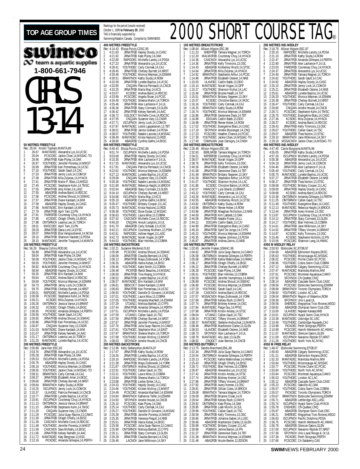#### TOP AGE GROUP TIMES **READILISH AGE GROUP TIMES** Rankings for the period (results received) wimco  $\infty$  team a aquatic supplies **1-800-661-7946** GIRLS 13-14 **50 METRES FREESTYLE** Rec: 26.04 Kristin Topham,MANTA,88 1 26.67 MANTADEC Alexandra Lys,14,UCSC 2 26.94 PCSCDEC Jackie Chan,14,MSSAC-TO 3 26.96 JRNATFEB Kate Plyley,14,OAK 4 26.97 YOUTHDEC Jennifer Porenta,14,MMST 5 26.99 JRNATFEB Kari Pomerleau,14,UCSC 6 27.16 YOUTHDEC Sarah Gault,14,CAC 20.99<br>27.16 YOUTHDEC Sarah Gault,14,CAC<br>27.33 JRNATFEB Jenny Lock,14,COMOX<br>27.38 JRNATFEB Mila Zvijerac,14,HYAC 8 27.38 JRNATFEB Mila Zvijerac,14,HYACK 9 27.41 JRNATFEB Marie-P. Blais,13,MEGO 10 27.45 PCSCDEC Stephanie Kuhn,14,TMSC 11 27.55 JRNATFEB Amy Kilam,14,LASC 12 27.55 ABAGFEB Andrea Baird,14,RDCSC 13 27.56 PCSCDEC Andrea Shoust,14,SSMAC 14 27.57 JRNATFEB Diane Kardash,14,MM 15 27.59 ABAGFEB Hayley Doody, 14.CASC<br>16 27.66 MANTADEC Erin Kardssh, 14.MM<br>17 27.79 JRNATFEB April Tam, 13.PN<br>18 27.81 PARISFEB Courtenay Chuy, 14.HYACK<br>19 27.85 ONTSRNOV Leanna Lee, 14, TORCH 21 28.01 KMSCDEC April Tam, 13, PN<br>22 28.03 JRNATFEB Dana Lord, 14, EY 22 28.03 JRNATFEB Dana Lord, 14, EYSC<br>23 28.07 JRNATFEB Flsa Vangoudoever. 23 28.07 JRNATFEB Elsa Vangoudoever,14,NCSA 24 28.10 JRNATFEB Shannon Hackett,13,PDSA 25 28.15 MANTADEC Jennifer Toogood,14,MANTA **100 METRES FREESTYLE**<br>Rec: 56.29 Shauna Collins,ROD,90<br>1 56.89 JRNATFEB Kate Plyley,14,OAK<br>2 58.04 JRNATFEB Kate Plyley,14,OMSSAC-TO<br>3 58.08 YOUTHDEC Jennifer Porenta,14,MMST<br>4 58.55 YOUTHDEC Jennifer Porenta,14,MMST 5 58.92 MALMOFEB Courtenay Chuy,14,HYACK 6 58.94 ABAGFEB Hayley Doody,14,CASC 7 59.35 JRNATFEB Erin Kardash,14,MM 8 59.64 KCSDEC Andrea Baird,14,RDCSC 9 59.69 YOUTHDEC Monica Wejman,14,ESWIM 10 59.73 JRNATFEB Jenny Lock,14,COMOX 11 59.75 JRNATFEB Chelsey Burnett, 14, NRST<br>12 1:00.01 RAPIDDEC Michelle Landry, 14, PDSA<br>13 1:00.08 PCSCDEC Stephanie Kuhn, 14,TMSC<br>14 1:00.21 KCSDEC Mila Zvijerac, 14,HYACK<br>15 1:00.26 ONTSRNOV Jessica Vance, 14,BRANT 16 1:00.32 KCSDEC Orlagh O'Kelly,14,EKSC 17 1:00.55 PICKDEC Amanda Gillespie,14,PERTH 18 1:00.56 YOUTHDEC Sarah Gault,14,CAC 19 1:00.65 JRNATFEB Andrea Shoust,14,SSMAC 20 1:00.86 JRNATFEB Kari Pomerleau,14,UCSC 21 1:00.97 CNQJAN Suzanne Vary,13,CNDR 22 1:01.03 MANTADEC Diane Kardash,14,MM 23 1:01.07 JRNATFEB Kelsey Nemeth,14,AAC 24 1:01.17 ONTSRNOV Leanna Lee,14,TORCH MANTADEC Lynette Bayliss,14,UCSC **200 METRES FREESTYLE**<br>Rec: 2:00.88 Jane Kerr, ESC<br>1 2:03.76 JRNATFEB Rec: 2:00.88 Jane Kerr, ESC, 83<br>1 2:03.76 JRNATFEB Alexandra Lys, 14, UCSC<br>2 2:05.28 JRNATFEB Kate Plyley, 14, OAK<br>3 2:05.75 ABAGFEB Hayley Doody, 14, CASC<br>5 2:06.79 YOUTHDEC Monica Wejman 6 2:08.55 YOUTHDEC Jackie Chan, 14, MSSAC-TO<br>2:09.31 BRANTNOV Carly Cerma, 14, ICAD<br>8 2:09.37 JRNATFEB Elizabeth Amer, 14, EKSC<br>9 2:09.60 JRNATFEB Chelsey Burnett, 14, NRST<br>10 2:09.84 BRANTNOV Kathy Sluda, 14, ROMOX<br>12 2:1 14 2:10.91 ISCUPNOV Courtenay Chuy,14,HYACK 15 2:11.13 ONTSRNOV Jessica Vance,14,BRANT 16 2:11.15 JRNATFEB Stephanie Kuhn,14,TMSC<br>17 2:11.20 CNQJAN Suzame Vary,13,CNDR<br>18 2:11.29 PCSCDEC Julia Guay-Racine,13,CAMO<br>19 2:11.39 DRNATFEB Orlagh O'Kelly,14,EKSC<br>21 2:11.48 YOUTHDEC Jennifer Porenta,14,MMST 22 2:11.59 CASCNOV Sara McNally,14,EKSC 23 2:11.66 JRNATFEB Kelsey Nemeth,14,AAC 24 2:11.72 MANTADEC Katy Bergman,13,KSS

October 1, 1999 **to February 29**, 2000 TAG is financially supported by Swimming/Natation Canada. Compiled by SWIMNEWS **400 METRES FREESTYLE** Rec: 4:14.43 Elissa Purvis, CDSC, 85<br>1 4:21.83 IRNATEER Havley D 1 4:21.83 JRNATFEB Hayley Doody,14,CASC 2 4:21.92 JRNATFEB Kate Plyley,14,OAK 3 4:22.80 RAPIDDEC Michelle Landry,14,PDSA 4 4:27.23 JRNATFEB Alexandra Lys,14,UCSC 5 4:28.41 YOUTHDEC Carly Cermak,14,CAJ 6 4:28.45 JRNATFEB Chelsey Burnett,14,NRST 7 4:30.46 YOUTHDEC Monica Wejman,14,ESWIM 8 4:30.51 BRANTNOV Kathy Siuda,14,ROW 9 4:32.59 JRNATFEB Lynette Bayliss,14,UCSC 10 4:32.85 CNQJAN Patricia Perreault, 14, CNCB<br>11 4:33.25 JRNATFEB Marla May, 14, KCS 11 4:33.25 JRNATFEB Marla May, 14, KCS<br>12 4:33.57 KCSDEC Andrea Baird 14 RD 12 4:33.57 KCSDEC Andrea Baird,14,RDCSC 13 4:33.99 PCSCDEC Angela Sloan,14,PCSC 14 4:34.49 YOUTHDEC Sheena Martin,14,TORCH 15 4:35.46 JRNATFEB Alex Lachance-F,14,UL 16 4:36.36 JRNATFEB Stacy Cormack,13,GLEN 17 4:36.42 JRNATFEB Kelsey Nemeth,14,AAC 18 4:36.72 GOLDOCT Michelle Cove,14,RDCSC<br>19 4:37.55 CNOJAN Suzanne Vary,13,CNDR<br>20 4:37.71 ISCUPNOV Jenny Lock,14,COMOX<br>21 4:37.87 MANTADEC Leslie Lappalainen,13,TBT<br>22 4:38.01 JRNATFEB Jaimie Graham,14,PDSA 23 4:38.07 YOUTHDEC Natalie Lacoste,14,MSSAC 24 4:38.49 MANTADEC Krista Haslund,13,ROD 25 4:38.80 ABAGFEB Cynthia Galfre,14,EKSC **800 METRES FREESTYLE** Rec: 8:40.43 Elissa Purvis, CDSC, 86<br>1 9:01.74 ISCUPNOV Michelle 9:01.74 ISCUPNOV Michelle Landry, 14, PDSA<br>9:03.68 IRNATEER Hayley Doody 14 CASC 2 9:03.68 JRNATFEB Hayley Doody,14,CASC 3 9:10.35 JRNATFEB Alex Lachance-F,14,UL 4 9:17.25 MANTADEC Alexandra Lys,14,UCSC 5 9:17.91 CNQJAN Patricia Perreault,14,CNCB 6 9:22.62 YOUTHDEC Monica Wejman,14,ESWIM 7 9:27.13 MANTADEC Lynette Bayliss,14,UCSC 8 9:29.06 CNQJAN Suzanne Vary,13,CNDR 9 9:30.36 YOUTHDEC Natalie Lacoste,14,MSSAC 10 9:31.89 MANTADEC Rebecca Haight,14,BROCK 11 9:32.64 ABAGFEB Stacy Cormack,13,GLEN 12 9:34.10 ISCUPNOV Chelsey Burnett,14,NRST 13 9:34.68 ISCUPNOV Maria May 13, KCS<br>14 9:35.19 ABAGFEB Cynthia Galfre, 14, EKSC<br>15 9:35.47 YOUTHDEC Brittany Cooper, 13, LAC<br>16 9:35.73 MANTADEC Krista Haslund, 13, ROD<br>17 9:36.38 YOUTHDEC Laura Wise, 13, COBRA<br>18 9:36.6 21 9:41.70 ABAGFEB Carly Schaab,13,UCSC<br>22 9:42.21 ISCUPNOV Courtenay Mulhern,12,PSW<br>23 9:42.61 RAPIDDEC Ashlee Hagel,13,LASC<br>24 9:42.73 MANTADEC Norah Vogan,14,GPP<br>25 9:44.03 YOUTHDEC Blair Holmes,13,COBRA **100 METRES BACKSTROKE** Rec: 1:02.21 Suzanne Weckend,IS,92 1 1:05.99 PCSCDEC Andrea Shoust,14,SSMAC 2 1:06.09 JRNATFEB Claudia Bernard,14,CNQ 3 1:06.13 JRNATFEB Maya Ziolkowski,14,YORK 1:06.13 JRNATFEB Maya Ziolkowski,14, 1:06.26<br>4 1:06.26 ABAGFEB Hania Kubas,14,EKSC<br>5 1:06.46 YOUTHDEC Katie Smith 13 CORR 5 1:06.46 YOUTHDEC Katie Smith,13,COBRA 6 1:06.48 PICKFEB Randi Beaulieu,14,MSSAC 7 1:06.50 JRNATFEB Tina Hoang, 14, HYACK<br>8 1:06.52 JRNATFEB Lynette Bayliss, 14, UCSC<br>9 1:06.57 MANTADEC Erin Kardash, 14, MM<br>10 1:06.81 BBSCOCT Diane Kardash, 13, MM<br>11 1:06.83 JRNATFEB Kari Pomerleau, 14, UCSC<br>12 1:06.93 16 1:07.44 JRNATFEB Amanda Gillespie,14,PERTH 17 1:07.51 ISCUPNOV Michelle Landry,14,PDSA 18 1:07.59 UTJAN21 Callan Gault, 14, TSC<br>19 1:07.59 JRNATFEB Chelsey Burnett, 14, N<br>20 1:07.67 JRNATFEB Jennifer Porenta, 14, I 19 1:07.59 JRNATFEB Chelsey Burnett,14,NRST 20 1:07.67 JRNATFEB Jennifer Porenta,14,MMST 21 1:07.76 JRNATFEB Julia Guay-Racine,14,CAMO 22 1:07.81 YOUTHDEC Stephanie Moir,14,EAST 23 1:07.97 BRANTNOV Sheena Martin,14,TORCH 24 1:07.98 YOUTHDEC Kristen McIlroy,13,MMST 25 1:08.03 SFOYNOV Amelie Houde,14,CNCB **200 METRES BACKSTROKE** Rec: 2:12.86 Kelly Stefanyshyn,MANTA,97 1 2:17.67 JRNATFEB Kathy Siuda,14,ROW 2 2:19.26 JRNATFEB Lynette Bayliss,14,UCSC 3 2:20.16 RAPIDDEC Michelle Landry,14,PDSA 4 2:21.38 JRNATFEB Maya Ziolkowski,14,YORK 5 2:21.87 ONTSRNOV Andrea Shoust,14,SSMAC 6 2:22.91 YOUTHDEC Callan Gault,14,TSC 7 2:23.31 YOUTHDEC Laura Wise,13,COBRA 8 2:23.84 JRNATFEB Sheena Martin,14,TORCH<br>9 2:23.88 JRNATFEB Lesley Emter,14,LLCASC<br>10 2:24.33 YOUTHDEC Hayley Doody,14,CASC<br>11 2:24.46 PCSCDEC Amanda MacNeill,14,ESWIM<br>12 2:24.48 PCSCDEC Amanda MacNeill,14,ESWIM 13 2:24.84 BRANTNOV Katherine Telfer, 14, ESWIM<br>14 2:24.93 SFOYNOV Amelie Houde, 14, CNCB<br>15 2:25.10 PCSCDEC Kate Plyley, 14, OAK<br>16 2:25.21 YOUTHDEC Carly Cermak, 14, CAJ<br>17 2:25.21 JRNATFEB Jennifer Porenta, 14, MMST<br>18 19 2:25.35 JRNATFEB Vanessa Flegull,14,NKB 20 2:25.51 JRNATFEB Hania Kubas,14,EKSC 21 2:25.58 PCSCDEC Julia Guay-Racine,13,CAMO 22 2:25.90 ONTSRNOV Melissa Bartlett,13,CYPS 23 2:26.11 JRNATFEB Stacy Cormack,13,GLEN 24 2:26.28 JRNATFEB Claudia Bernard, 14, CNQ<br>25 2:26.48 LACNOV Jane Wilkinson 1.4 SKY 25 2:26.48 LACNOV Jane Wilkinson,14,SKY

#### **100 METRES BREASTSTROKE** Rec: 1:08.64 Allison Higson,ESC,88 1 1:11.23 SHEFFFEB Tamara Wagner,14,TORCH 2 1:12.20 MALMOFEB Courtenay Chuy, 14, HYACK<br>3 1:14.36 CASCNOV Alexandra Lys, 14, UCSC 3 1:14.36 CASCNOV Alexandrá Lys, 14, UCSC<br>4 1:14.36 JRNATEEB Kelly Timmons. 13. OSC 4 1:14.36 JRNATFEB Kelly Timmons,13,OSC 5 1:14.43 ABAGFEB Kimberley Hirsch,14,STSC 6 1:14.64 JRNATFEB Mila Zvijerac,14,HYACK 7 1:14.92 BRANTNOV Stephanie Arthur,14,PCSC 8 1:14.96 JRNATFEB Elizabeth Osterer,14,NKB 8 1:14.96 JRNATFEB Elizabeth Osterer, 14, 19<br>9 1:15.03 ULAVDEC Caitlin Babb, 13, DDO<br>10 1:15.14 MANTADEC Norah Vogan, 14, GPP 10 1:15.14 MANTADEC Norah Vogan,14,GPP 11 1:15.27 YOUTHDEC Shannon Kryhul,14,LAC 12 1:15:46 JRNATFEB Brooke Heath, 14, TAT<br>13 1:15:51 BRANTNOV Brittany Segeren, 13, SKY<br>14 1:15:57 KCSDEC Christine Barton, 14, VKSC<br>15 1:16:16 YOUTHDEC Carly Cermak, 14, CAV<br>17 1:16:24 YOUTHDEC Monica Wejman, 14, ESWIM 18 1:16.86 JRNATFEB Genevieve Dack,14,TBT 19 1:16.89 DDOJAN Caitlin Babb,13,DDO 20 1:16.98 JRNATFEB Renee Hober,14,ROW 21 1:17.02 YOUTHDEC Evangeline Blais,14,CASC 22 1:17.19 SFOYNOV Amelie Boulanger,14,CNQ 23 1:17.23 PCSCDEC Heather Chance,14,PCSC 24 1:17.39 YOUTHDEC Jackie Chan,14,MSSAC-TO<br>25 1:17.49 CNMNJAN Joan Darsigny 14 CNSH CNMNJAN Joan Darsigny,14,CNSH **200 METRES BREASTSTROKE**<br>Rec: 2:26.48 Allison Higson,ESC,88<br>1 2:32.93 BERLNFEB Tamara Wagner,14,TORCH 2 2:34.51 IMPERFEB Courtenay Chuy,14,HYACK 3 2:38.57 MANTADEC Norah Vogan,14,GPP 4 2:38.76 JRNATFEB Kelly Timmons,13,OSC 5 2:40.36 JRNATFEB Elizabeth Osterer,14,NKB 6 2:41.08 JRNATFEB Genevieve Dack,14,TBT 7 2:41.49 BRANTNOV Brittany Segeren, 13, SKY<br>8 2:41.56 BRANTNOV Stephanie Arthur, 14, PCSC<br>9 2:41.57 YOUTHDEC Shannon Kryhul, 14, IAC<br>10 2:41.80 KCSDEC Christine Barton, 14, VKSC<br>12 2:43.22 YOUTHDEC Carly Cermak, 14, CAJ 13 2:43.26 MANTADEC Alexandra Lys,14,UCSC<br>14 2:43.55 ABAGFEB Kimberley Hirsch,14,STSC<br>15 2:43.82 ONTSRNOV Kathy Siuda,14,ROW<br>16 2:43.96 BRANTNOV Renee Hober,14,ROW<br>17 2:43.96 JRNATFEB Meaghan Nicholson,13,NKB 18 2:44.00 JRNATFEB Kim Labbett,13,OAK 19 2:44.06 JRNATFEB Natalie Foster,14,LL 20 2:44.12 DDOJAN Caitlin Babb,13,CJV 21 2:44.90 JRNATFEB Evangeline Blais, 14, CASC<br>22 2:45.20 JRNATFEB Sybil De Jonge, 14, CYPS<br>23 2:45.22 YOUTHDEC Monica Wejman, 14, ESWIM<br>24 2:45.35 JRNATFEB Haylee Johnson, 13, PDSA<br>25 2:45.87 JRNATFEB Andrea Zarins, 13,NK **100 METRES BUTTERFLY** Rec: 1:02.60 Jennifer Fratesi,SSMAC,99 1 1:04.62 JRNATFEB Julia Guay-Racine,14,CAMO 2 1:05.58 ONTSRNOV Amanda Gillespie,14,PERTH 3 1:05.68 JRNATFEB Kahla Walkinshaw,14,HWAC 4 1:06.17 JRNATFEB Orlagh O'Kelly,14,EKSC 5 1:06.22 JRNATFEB Chelsey Burnett,14,NRST 6 1:06.28 PCSCDEC Kate Plyley,14,OAK 7 1:06.41 YOUTHDEC Blair Holmes,13,COBRA 8 1:06.50 ABAGFEB Jennifer Humphreys,14,AMAC 9 1:06.89 PCSCDEC Andrea Shoust,14,SSMAC 10 1:06.90 PCSCDEC Monica Wejman,14,ESWIM 11 1:07.20 YOUTHDEC Sarah Gault,14,CAC 12 1:07.28 CASCNOV Andrea Baird,14,RDCSC 13 1:07.57 MSSACNOV Maya Ziolkowski,14,YORK 14 1:07.69 JRNATFEB Kelsey Rush,13,RAYS 15 1:07.74 JRNATFEB Brittney Kremer,14,OSC 16 1:07.84 MANTADEC Paige Guy,14,PPSC 17 1:07.98 JRNATFEB Kristin Anstey,14,STSC 18 1:08.04 UTJAN21 Callan Gault,14,TSC 19 1:08.24 PCSCDEC Tiffany Vincent,14,BRANT 20 1:08.37 MANTADEC Stefanie Andruchuk,13,MANTA 21 1:08.49 JRNATFEB MacKenzie Clarke,13,GLEN 22 1:08.53 ULAVDEC Elizabeth Osterer,14,NKB 23 1:08.73 SFOYNOV Alex Lachance-F,14,UL 24 1:08.78 MANTADEC Ally Jack,13,GLEN 25 1:08.92 CNQOCT Joan Bernier,14,CNCB **200 METRES BUTTERFLY** Rec: 2:13.75 Sandra Marchand,ENL,88 1 2:22.34 JRNATFEB Julia Guay-Racine,14,CAMO 2 2:24.54 ONTSRNOV Amanda Gillespie,14,PERTH 2 2:25.13 PCSCDEC Kahla Walkinshaw, 14, HWAC<br>3 2:25.13 PCSCDEC Kahla Walkinshaw, 14, HWAC 4 2:25.43 JRNATFEB Orlagh O'Kelly,14,EKSC 5 2:26.71 YOUTHDEC Blair Holmes,13,COBRA 6 2:26.97 ABAGFEB Alexandra Lys,14,UCSC 2.26.97 ABAGEEB Alexandra Lys.14,UCSC<br>
2.27.42 JRNATFEB Kristin Anstey,14,STSC<br>
2.27.42 JRNATFEB Kristin Anstey,14,STSC 8 2:27.74 JRNATFEB Brittney Kremer,14,OSC<br>9 2:27.86 JRNATFEB Tiffany Vincent,14,BRANT<br>10 2:27.92 JRNATFEB Gvery Kremer,13,OSC<br>11 2:28.81 JRNATFEB Gillian Coles,14,BROCK 12 2:29.08 BRANTNOV Tamara Wagner, 14, TORCH<br>13 2:29.09 JRNATFEB Brianne Cloak, 14, IS 13 2:29.09 JRNATFEB Brianne Cloak,14,IS 14 2:29.64 JRNATFEB Kelsey Rush,13,RAYS 15 2:29.92 ONTSRNOV Kate Plyley,14,OAK 16 2:29.95 JRNATFEB Leah Murrin,14,SJL 17 2:29.96 YOUTHDEC Callan Gault,14,TSC 18 2:30.59 JRNATFEB Kelly Timmons,13,OSC 19 2:30.66 JRNATFEB Johanna Gatien,14,LUSC 20 2:30.66 ABAGFEB MacKenzie Clarke,13,GLEN 21 2:30.89 YOUTHDEC Brittany Cooper, 13, LAC<br>22 2:30.89 PGBNOV Jenine Barton, 14, PN<br>23 2:31.37 JRNATFEB Genevieve Dack, 14, TBT 22 2:30.89 PGBNOV Jenine Barton,14,PN 23 2:31.37 JRNATFEB Genevieve Dack,14,TBT 24 2:31.38 BRANTNOV Monica Wejman,14,ESWIM

25 2:31.46 ABAGFEB Nicole Besler,12,EDSON

|                       |                               |                                         |                               | $\overline{\mathbf{J}}$<br>l®                                                                                                                                                                                                 |
|-----------------------|-------------------------------|-----------------------------------------|-------------------------------|-------------------------------------------------------------------------------------------------------------------------------------------------------------------------------------------------------------------------------|
|                       |                               | <b>200 METRES IND.MEDLEY</b>            |                               |                                                                                                                                                                                                                               |
| 1                     | Rec: 2:16.79<br>2:20.10       | Allison Higson, ESC, 87                 |                               | RAPIDDEC Michelle Landry, 14, PDSA                                                                                                                                                                                            |
| $\frac{2}{3}$         | 2:21.10<br>2:22.47            |                                         | JRNATFEB Kathy Siuda, 14, ROW |                                                                                                                                                                                                                               |
| 4                     | 2:22.90                       |                                         |                               | JRNATFEB Amanda Gillespie, 14, PERTH<br>JRNATFEB Alex Lachance-F,14,UL                                                                                                                                                        |
| 5<br>6                | 2:23.03<br>2:24.37            |                                         |                               | PARISFEB Courtenay Chuy, 14, HYACK<br>JRNATFEB Alexandra Lys, 14, UCSC                                                                                                                                                        |
| 7<br>8                | 2:24.40<br>2:24.62            | YOUTHDEC Sarah Gault, 14, CAO           |                               | JRNATFEB Tamara Wagner, 14, TORCH                                                                                                                                                                                             |
| 9<br>10               | 2:24.92<br>2:25.10            |                                         |                               | ABAGFEB Hayley Doody, 14, CASO                                                                                                                                                                                                |
| 11                    | 2:25.21                       |                                         |                               | JRNATFEB Jenny Lock, 14, COMOX<br>JRNATFEB Elizabeth Osterer, 14, NKB                                                                                                                                                         |
| 12<br>13              | 2:25.61<br>2:26.20<br>2:26.38 |                                         |                               | ABAGFEB Lynette Bayliss, 14, UCSC<br>YOUTHDEC Monica Wejman, 14, ESWIM<br>JRNATFEB Christey Burnett, 14, NRST                                                                                                                 |
| 14<br>15              | 2:26.47                       | YOUTHDEC Carly Cermak, 14, CAJ          |                               |                                                                                                                                                                                                                               |
| 16<br>17              | 2:26.60<br>2:26.71            |                                         |                               | CNQJAN Amelie Houde, 14, CNCB                                                                                                                                                                                                 |
| 18<br>19              | 2:26.75<br>2:27.36            |                                         |                               | PCSCDEC Stephanie Kuhn, 14, TMSC<br>YOUTHDEC Evangeline Blais, 14, CASC<br>KCSDEC Mila Žvijerac, 14,HYACK                                                                                                                     |
| 20                    | 2:28.37                       |                                         |                               | KCSDEC Andrea Baird,14,RDCSC                                                                                                                                                                                                  |
| 21<br>22              | 2:28.43<br>2:28.67            | YOUTHDEC Callan Gault, 14, TSC          |                               | JRNATFEB Kelly Timmons,13,OSC                                                                                                                                                                                                 |
| 23<br>24              | 2:29.07<br>2:29.10            |                                         | ABAGFEB Thea Norton, 13, STSC |                                                                                                                                                                                                                               |
| 25                    | 2:29.18                       | 400 METRES IND.MEDLEY                   |                               | BRANTNOV Jane Wilkinson, 14, SKY<br>MSSACNOV Jackie Chan, 14, MSSAC-TO                                                                                                                                                        |
| 1                     | 4:55.05                       | Rec: 4:47.40 Carrie Burgoyne, MANTA, 96 |                               |                                                                                                                                                                                                                               |
| $\overline{2}$        | 4:57.26                       |                                         | JRNATFEB Kathy Siuda,14,ROW   | ISCUPNOV Michelle Landry, 14, PDSA                                                                                                                                                                                            |
| 3<br>4                | 5:00.38<br>5:04.19            |                                         |                               | ABAGFEB Alexandra Lys, 14, UCSC<br>JRNATFEB Jenny Lock, 14, COMOX                                                                                                                                                             |
| 5<br>6                | 5:04.40<br>5:05.40            | YOUTHDEC Carly Cermak, 14, CAJ          |                               | JRNATFEB Alex Lachance-F,14,UL                                                                                                                                                                                                |
| 7<br>8                | 5:05.75<br>5:07.27            |                                         |                               | MANTADEC Lynette Bayliss, 14, UCSC                                                                                                                                                                                            |
| 9                     | 5:08.27                       |                                         |                               | JRNATFEB Elizabeth Österer, 14, NKB<br>JRNATFEB Thea Norton, 13, STSC                                                                                                                                                         |
| 10<br>11              | 5:08.68<br>5:09.00            |                                         |                               | YOUTHDEC Brittany Cooper, 13, LAC<br>JRNATFEB Hayley Doody, 14, CASO                                                                                                                                                          |
| 12<br>13              | 5:09.68<br>5:10.38            |                                         |                               | KCSDEC Andrea Baird, 14, RDCSC<br>ONTSRNOV Amanda Gillespie, 14, PERTH                                                                                                                                                        |
| 14<br>15              | 5:11.25<br>5:11.49            |                                         |                               | ONTSRNOV Animator Gallan Gault, 14, TSC<br>YOUTHDEC Evangeline Blais, 14, CASC<br>MANTADEC Rebecca Haigh, 14, BROCK<br>IRNATFEB Avery Kremer, 13, OSC<br>ISCUPNOV Courtenay Chuy, 14, HYACK<br>ISCUPNOV COURENT ON THE NATAGE |
| 16<br>17              | 5:12.13                       |                                         |                               |                                                                                                                                                                                                                               |
| 18                    | 5:13.44<br>5:13.87            |                                         |                               |                                                                                                                                                                                                                               |
| 19<br>20              | 5:14.12<br>5:14.17            |                                         |                               | JRNATFEB Stacy Cormack, 13, GLEN<br>YOUTHDEC Blair Holmes, 13, COBRA                                                                                                                                                          |
| 21<br>22              | 5:14.61<br>5:14.62            |                                         |                               | JRNATFEB Jane Wilkinson, 14, SKY<br>JRNATFEB Tiffany Vincent, 14, BRANT                                                                                                                                                       |
| 23<br>24              | 5:14.87<br>5:15.46            | KCSDEC                                  |                               | KCSDEC Kelly Timmons, 13, OSC<br>Stephanie Nicholls, 13, PN                                                                                                                                                                   |
| 25                    | 5:15.56                       | 4X50 M MEDLEY RELAY                     |                               | PCSCDEC Shannon Lang, 14, HWAC                                                                                                                                                                                                |
|                       | Rec: 2:00.93                  | Etobicoke SC, ETOB, 97                  |                               | ABAGFEB Edmonton Keyano, EKSC                                                                                                                                                                                                 |
| 1<br>$\overline{a}$   | 2:04.69<br>2:05.63            |                                         |                               | YOUTHDEC Mississauga AC,MSSAC                                                                                                                                                                                                 |
| 3<br>4                | 2:06.02<br>2:06.95            |                                         |                               | PCSCDEC Pointe Claire SC, PCSC<br>YOUTHDEC Cobra Swim Club,COBRA                                                                                                                                                              |
| 5<br>6                | 2:07.12<br>2:07.47            | MANTADEC Manitoba Marlins, MM           |                               | ABAGFEB Calgary Swimming,UCSC                                                                                                                                                                                                 |
| 7<br>8                | 2:07.61<br>2:07.92            |                                         | SFOYNOV CN Quebec, CNC        | PCSCDEC Montreal Aquatique, CAMO                                                                                                                                                                                              |
| 9<br>10               | 2:08.14<br>2:08.56            |                                         |                               | ABAGFEB Cascade Swim Club, CASC<br>PCSCDEC Etobicoke Swimming, ESWIM                                                                                                                                                          |
| 11                    | 2:08.69<br>2:08.92            | YOUTHDEC London AC,LAC                  |                               | BRANTNOV Toronto Olympians, TORCH                                                                                                                                                                                             |
| 12<br>13              | 2:08.92<br>2:09.04            |                                         |                               | BRANTNOV Region of Waterloo, ROW                                                                                                                                                                                              |
| 14<br>15              | 2:09.36<br>2:09.58            |                                         |                               | SFOYNOV Univ.Laval, UL<br>SHERDEC Megophias Trois Rivieres, MEGO                                                                                                                                                              |
| 16<br>17              | 2:09.82<br>2:10.00            |                                         | ULAVDEC Nepean Kanata, NKB    | ABAGFEB Olympian Swim Club, OSC                                                                                                                                                                                               |
| 18<br>19              | 2:10.01<br>2:10.38            |                                         |                               |                                                                                                                                                                                                                               |
| 20                    | 2:10.49                       |                                         |                               | <b>USCUPINOV Hyack Swim Club, HYACK</b><br>MANTADEC Uxbridge SC, USC<br>YOUTHDEC Cambridge Aquajets, CAJ<br>PICKDEC Perth Stingrays, PERTH                                                                                    |
| 21<br>$\overline{22}$ | 2:10.98<br>2:10.99            |                                         |                               | PCSCDEC Hamilt-Wentworth AC, HWAC                                                                                                                                                                                             |
| 23<br>$\frac{24}{5}$  | 2:11.07<br>2:11.09            |                                         |                               | MANTADEC Glencoe Gators, GLEN<br>ISCUPNOV Nanaimo Riptide ST, NRST                                                                                                                                                            |
| 25                    | 2:11.26<br>4X50 M FREE RELAY  | YOUTHDEC North York AC,NYAC             |                               |                                                                                                                                                                                                                               |
| 1                     | Rec: 1:48.47<br>1:50.93       | Etobicoke Swimming, ETOB, 97            |                               | ABAGFEB Calgary Swimming, UCSC                                                                                                                                                                                                |
| $\overline{c}$<br>3   | 1:51.21<br>1:52.33            | MANTADEC Manitoba Marlins, MM           |                               | ABAGFEB Edmonton Keyano,EKSC                                                                                                                                                                                                  |
| 4<br>5                | 1:53.64                       |                                         |                               | YOUTHDEC Mississauga AC,MSSAC                                                                                                                                                                                                 |
| 6                     | 1:53.77<br>1:53.84            | YOUTHDEC North York AC, NYAC            |                               | PCSCDEC Pointe Claire SC, PCSC                                                                                                                                                                                                |
| 7<br>8                | 1:53.84<br>1:55.03            | YOUTHDEC London AC,LAC                  |                               | PCSCDEC Montreal Aquatique, CAMO                                                                                                                                                                                              |
| 9<br>10               | 1:55.12<br>1:55.23            |                                         | PCSCDEC Oakville AC, OAK      | ABAGFEB Cascade Swim Club, CASC                                                                                                                                                                                               |
| 11<br>12              | 1:55.57<br>1:55.57            |                                         |                               | YOUTHDEC Cobra Swim Club, COBRA<br>PICKDEC Toronto Olympians, TORC<br>Toronto Olympians, TORCH                                                                                                                                |
| 13<br>14              | 1:55.67                       |                                         | ABAGFEB Lethbridge ASC,LASC   | BRANTNOV Etobicoke Świmming, ESWIM                                                                                                                                                                                            |
| 15                    | 1:55.71<br>1:55.74            |                                         |                               | ISCUPNOV Hyack Swim Club, HYACK<br>CNSHDEC CN Quebec, CNQ                                                                                                                                                                     |
| 16<br>17              | 1:55.78<br>1:55.97            |                                         |                               | ABAGFEB Olympian Swim Club, OSC                                                                                                                                                                                               |
| 18<br>19              | 1:56.21<br>1:56.63            | SHERDEC                                 |                               | Megophias Trois Rivieres, MEGO<br>ISCUPNOV Pacific Dolphins, PDSA                                                                                                                                                             |
| 20<br>21              | 1:56.75<br>1:56.78            | P(                                      |                               | SCDEC Hamilt-Wentworth AC, HWAC                                                                                                                                                                                               |
| 22<br>23              | 1:57.00                       |                                         |                               | ABAGFEB Glencoe Gators, GLEN<br>ISCUPNOV Nanaimo Riptide ST, NRST<br>SFOYNOV Univ.Laval Rouge & Or, UL<br>PICKDEC Perth Stingrays, PERTH                                                                                      |
| 24                    | 1:57.36<br>1:57.39            |                                         |                               |                                                                                                                                                                                                                               |
| 25                    | 1:57.66                       |                                         | PCSCDEC CA Salaberry, CAS     |                                                                                                                                                                                                                               |

25 2:12.16 PICKDEC Amanda Gillespie,14,PERTH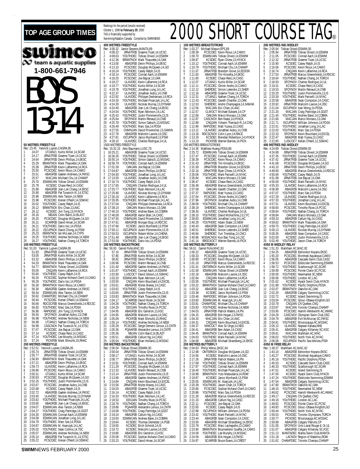| <b>TOP AGE GROUP TIMES</b>                                                                                                             | Rankings for the period (results received)<br>October 1, 1999 to February 29, 2000<br>TAG is financially supported by                                                                                                                                                                 | <b>2000 SHORT</b>                                                                                                |
|----------------------------------------------------------------------------------------------------------------------------------------|---------------------------------------------------------------------------------------------------------------------------------------------------------------------------------------------------------------------------------------------------------------------------------------|------------------------------------------------------------------------------------------------------------------|
|                                                                                                                                        | Swimming/Natation Canada. Compiled by SWIMNEWS                                                                                                                                                                                                                                        |                                                                                                                  |
|                                                                                                                                        | <b>400 METRES FREESTYLE</b><br>Rec: 3:58.32 Jamie Stevens, MANTA, 89                                                                                                                                                                                                                  | <b>100 METRES BREASTSTROKE</b><br>Rec: 1:03.27 Michael Mason, EPS, 89                                            |
| swimco                                                                                                                                 | 4:08.32<br>JRNATFEB Graeme Tozer, 14, UCSC<br>1<br>$\overline{2}$<br>4:08.63<br>YOUTHDEC Tobias Oriwol, 14, ESWIM                                                                                                                                                                     | 1:09.39<br>PCSCDEC Kevin Rioux, 14, CAMO<br>1:09.70<br>2                                                         |
|                                                                                                                                        | 3<br>4:12.36<br>BRANTNOV Mark Thauvette, 14, OAK                                                                                                                                                                                                                                      | ESWIMJAN Tobias Oriwol, 14, ESWIM<br>3<br>1:09.87<br>KCSDEC Ryan Chiew, 13, HYACK                                |
| $\infty$ team a aquatic supplies                                                                                                       | 4<br>4:13.00<br>ABAGFEB Devin Phillips, 14, EKSC<br>5<br>4:13.10<br>PCSCDEC Douglas McQueen, 14, GO                                                                                                                                                                                   | 1:10.12<br>YOUTHDEC Conrad Aach, 14, ESWIM<br>4<br>YOUTHDEC Michael Chu, 14, CHAMP<br>5<br>1:10.79               |
| 1-800-661-7946                                                                                                                         | YOUTHDEC Casey Ralph, 14, IS<br>4:16.24<br>6                                                                                                                                                                                                                                          | 1:11.07<br>JRNATFEB Brandon Grove, 14, EDSON<br>6                                                                |
|                                                                                                                                        | PCSCDEC Conrad Aach, 14, ESWIM<br>$\overline{1}$<br>4:18.14<br>8<br>4:18.25                                                                                                                                                                                                           | 1:11.83<br>ABAGFEB Tim Kinsella, 14, EKSC<br>7<br>8<br>1:11.85<br>KCSDEC Chase Reid, 14, CASC                    |
|                                                                                                                                        | 9<br>4:18.27<br>10<br>4:19.77                                                                                                                                                                                                                                                         | UTJAN21 Kurtis Miller, 14, SCAR<br>9<br>1:12.07<br>1:12.11<br>PCSCDEC Olivier Andre, 14, CAMO<br>10              |
|                                                                                                                                        | 4:19.78<br>11                                                                                                                                                                                                                                                                         | SHERDEC Simon Letendre, 13, SHER<br>1:12.12<br>11                                                                |
| BOYS                                                                                                                                   | PCSCDEC Correlated actritions<br>PCSCDEC De Bajcar, 13,0AK<br>ULAVDEC Kevin Laflamme, 14,RCA<br>YOUTHDEC Jonathan Long, 14,LAC<br>VOUTHDEC Jonathan Long, 14,LAC<br>ULAVDEC Dinathan Auby, 14,CNB<br>ULAVDEC Philippe Desharmais, 14,RCA<br>YOUTHDE<br>4:22.37<br>12<br>4:22.92<br>13 | 1:12.16<br>ABAGFEB Graeme Tozer, 14, UCSC<br>12<br>1:12.31<br>UTJAN21 Nathan Chang, 14, TORCH<br>13              |
|                                                                                                                                        | 4:24.26<br>14<br>ULAVDEC Nicolas Murray, 13, DYNAM<br>15<br>4:24.29                                                                                                                                                                                                                   | 1:12.43<br>PCSCDEC Gareth Chantler, 13, OAK<br>14<br>15<br>1:12.53<br>SHERDEC Andre Champagne, 14, SAMAK         |
|                                                                                                                                        | 4:24.49<br>ABAGFEB Jian-Lok Chang, 14, EKSC<br>16                                                                                                                                                                                                                                     | 16<br>1:12.56<br>MACJAN Eric Chan, 14, AAC                                                                       |
| 13-14                                                                                                                                  | YOUTHDEC Ryan Atkinson, 14, LAC<br>YOUTHDEC Justin Pommerville, 13, IS<br>4:24.54<br>17<br>4:25.43<br>18                                                                                                                                                                              | 17<br>1:12.57<br>CLMOCT Michael Eubank, 14, CP<br>18<br>1:12.66<br>OAKJAN Marco Monaco, 13, OAK                  |
|                                                                                                                                        | 19<br>4:25.64<br>SFOYNOV Martin Renaud, 14, CNB<br>20                                                                                                                                                                                                                                 | 19<br>1:12.87<br>CASCNOV Ben Keast, 14, HYACK<br>20                                                              |
|                                                                                                                                        | 4:25.78<br>YOUTHDEC Simon Gabsch, 13, MSSAC<br>YOUTHDEC Marc Sze, 14, PDSA<br>21<br>4:26.49                                                                                                                                                                                           | 1:12.89<br>CNQJAN Yohann Theriault-R., 14, CNQ<br>21<br>1:12.96<br>RAPIDDEC Matt Yuzwa, 13, CASC                 |
|                                                                                                                                        | 22<br>4:27.55<br>CNMNJAN David Provencher, 13, GAMIN<br>23<br>4:27.78<br>ABAGFEB Malcolm Lavoie, 14, OSC                                                                                                                                                                              | 22<br>1:13.12<br>ULAVDEC Jonathan Aubry, 14, CNB<br>23<br>1:13.18<br>RDCSCNOV Colin Lyon, 14, RACE               |
|                                                                                                                                        | 24<br>4:27.91<br>ISCUPNOV Janco Mynhardt, 13, PSW<br>25                                                                                                                                                                                                                               | 24<br>KCSDEC Brendan Robertson, 14, HYACK<br>1:13.19<br>25                                                       |
| 50 METRES FREESTYLE                                                                                                                    | 4:28.10<br>ULAVDEC Charles Rodrigue, 14, UL<br>1500 METRES FREESTYLE                                                                                                                                                                                                                  | 1:13.19<br>PICKFEB Warren Barnes, 14, PICK<br>200 METRES BREASTSTROKE                                            |
| Rec: 23.45 Yannick Lupien, CAGRA, 95<br>24.07<br>UTJAN21 Kurtis Miller, 14, SCAR<br>1                                                  | Rec: 15:32.15<br>Alex Baumann, LUSC, 79<br>16:25.21<br>ABAGFEB Graeme Tozer, 14, UCSC<br>1                                                                                                                                                                                            | Rec: 2:14.36<br>Matthew Huang, PDSA, 98<br>2:25.72<br>ESWIMJAN Tobias Oriwol, 14, ESWIM                          |
| $\overline{2}$<br>24.17<br>JRNATFEB Graeme Tozer, 14, UCSC<br>3                                                                        | YOUTHDEC Tobias Oriwol, 14, ESWIM<br>2<br>16:30.35<br>YOUTHDEC Simon Gabsch.13.MSSAC                                                                                                                                                                                                  | 2<br>2:27.47<br>PCSCDEC Conrad Aach, 14, ESWIM<br>3                                                              |
| 24.64<br>JRNATFEB Devin Phillips, 14, EKSC<br>4<br>25.29<br>BRANTNOV Mark Thauvette, 14, OAK                                           | 3<br>16:55.14<br>16:58.79<br>YOUTHDEC Conrad Aach, 14, ESWIM<br>4                                                                                                                                                                                                                     | 2:30.39<br>PCSCDEC Kevin Rioux, 14, CAMO<br>2:31.43<br>JRNATFEB Tim Kinsella, 14, EKSC<br>4                      |
| 5<br>25.38<br>JRNATFEB Kevin Laflamme, 14, RCA<br>25.50<br>PCSCDEC Kevin Rioux, 14, CAMO<br>6                                          | 5<br>17:01.59<br>OAKJAN Joe Bajcar, 13, OAK<br>17:04.87<br>ABAGFEB Devin Phillips, 14, EKSC<br>6                                                                                                                                                                                      | 5<br>2:31.59<br>JRNATFEB Brandon Grove, 14, EDSON<br>JRNATFEB Ryan Chiew, 13, HYACK<br>2:32.16<br>6              |
| 7<br>25.51<br>ABAGFEB Gaelen Andrews, 14, FMSC                                                                                         | 17:04.93<br>YOUTHDEC Jonathan Long, 14, LAC<br>7                                                                                                                                                                                                                                      | 7<br>2:35.06<br>YOUTHDEC Mark Pariselli, 14, NYAC                                                                |
| 8<br>25.57<br>MACJAN Michael Chu, 14, CHAMP<br>9<br>25.70<br>ESWIMJAN Tobias Oriwol, 14, ESWIM                                         | ULAVDEC Jonathan Aubry, 14, CNB<br>17:13.50<br>8<br>YOUTHDEC Casey Ralph, 14, IS<br>9<br>17:16.74                                                                                                                                                                                     | 8<br>2:35.84<br>MACJAN Marco Monaco, 13, OAK<br>9<br>2:36.47<br>KCSDEC Chase Reid, 14, CASC                      |
| 10<br>25.78<br>KCSDEC Chase Reid, 14, CASC<br>11<br>25.89<br>ABAGFEB Jian-Lok Chang, 14, EKSC                                          | 10 17:17.65<br>CNQJAN Charles Rodrigue, 14, UL<br>11 17:25.77<br>YOUTHDEC Ryan Atkinson, 14, LAC                                                                                                                                                                                      | 10<br>2:36.49<br>ABAGFEB Marcus Greenshields, 14, RDCSC<br>11<br>2:37.09<br>OAKJAN Gareth Chantler, 13, OAK      |
| 12<br>25.90<br>ABAGFEB Pat Turanich-N., 14, STSC<br>13<br>25.96<br>ESWIMJAN Alex Tanton, 14, NEW                                       | ULAVDEC Nicolas Murray, 13, DYNAM<br>12 17:25.90<br>ULAVDEC Kevin Laflamme, 14, RCA<br>13 17:30.18                                                                                                                                                                                    | 2:37.37<br>RAPIDDEC Matt Yuzwa, 13, CASC<br>12<br>2:37.64<br>PCSCDEC Olivier Andre, 14, CAMO<br>13               |
| PCSCDEC Kieran O'Neill, 14, SSMAC<br>14<br>25.98                                                                                       | YOUTHDEC Michael Pisarczyk, 14, LAC<br>14 17:35.95                                                                                                                                                                                                                                    | 14<br>2:37.96<br>SFOYNOV Jonathan Aubry, 14, CNB                                                                 |
| YOUTHDEC Casey Ralph, 14, IS<br>BRANTNOV Eric Chan, 13, AAC<br>15<br>26.02<br>16<br>26.12                                              | 15 17:37.04<br>CNQJAN Philippe Desharnais, 14, RCA<br>16 17:38.10<br>OAKJAN Marco Monaco, 13, OAK                                                                                                                                                                                     | 15<br>2:38.09<br>YOUTHDEC Michael Chu, 14, CHAMP<br>2:38.19<br>16<br>SHERDEC Andre Champagne, 14, SAMAK          |
| 17<br>KCSDEC Jim Tung, 13, HYACK<br>26.12<br>NBJAN Colin Baird, 14, BLAST<br>18<br>26.16                                               | YOUTHDEC Andrew Baier, 14, COBRA<br>17 17:40.10<br>18 17:46.09<br>ABAGFEB Aaron Blair, 14, CASC                                                                                                                                                                                       | 2:38.30<br>ULAVDEC Charles Rodrigue, 14, UL<br>17<br>2:39.10<br>18<br>YOUTHDEC David McKechnie, 13, CYC          |
| 19<br>PCSCDEC Douglas McQueen, 14, GO<br>26.20                                                                                         | 19 17:47.55<br>CNMNJAN David Provencher, 13, GAMIN                                                                                                                                                                                                                                    | 19<br>2:39.83<br>ESWIMJAN Jonathan Long, 14, LAC                                                                 |
| 20<br>SCARFEB David Hinan, 14, SCAR<br>26.21<br>21<br>26.21<br>YOUTHDEC Dario Isic, 14, PDSA                                           | 20 17:47.61<br>ABAGFEB Morgan Engi, 14, RDCSC<br>21 17:47.66<br>KCSDEC Janco Mynhardt, 13, PSW                                                                                                                                                                                        | 20<br>2:40.29<br>YOUTHDEC Adam Slater, 13, NEW<br>21<br>2:40.43<br>ABAGFEB Sean Compston, 14, CASC               |
| 22<br>ISCUPNOV David Chung, 14, PSW<br>26.22<br>23<br>26.23<br>BRANTNOV Ian McLean, 14, CYPS                                           | 22 17:50.11<br>ISCUPNOV Justin Pommerville, 13, IS<br>23 17:50.53<br>ISCUPNOV Robert Miller, 14, CHENA                                                                                                                                                                                | 22<br>2:40.51<br>SHERDEC Simon Letendre, 13, SHER<br>23<br>2:40.84<br>SHERDEC Yuri Tremblay, 13, CNCI            |
| 24<br>26.25<br>YOUTHDEC Andrew Nicholas, 14, NEW<br>25<br>26.27<br>YOUTHDEC Nathan Chang, 14, TORCH                                    | 24 17:51.49<br>ABAGFEB Jian-Lok Chang, 14, EKSC<br>25 17:53.58<br>YOUTHDEC Dario Isic, 14, PDSA                                                                                                                                                                                       | 24<br>2:40.96<br>MSSACNOV Kuo Bao Tong, 14, LSC<br>25<br>2:41.14<br>BROCKOCT Warren Barnes, 14, PICK             |
| 100<br><b>METRES FREESTYLE</b>                                                                                                         | 100 METRES BACKSTROKE                                                                                                                                                                                                                                                                 | 100 METRES BUTTERFLY                                                                                             |
| Rec: 51.03 Yannick Lupien, CAGRA, 95<br>51.93<br>JRNATFEB Graeme Tozer, 14, UCSC<br>1                                                  | Rec: 56.93 Garret Pulle, MAC, 93<br>57.10<br>JRNATFEB Tobias Oriwol, 14, ESWIM<br>1                                                                                                                                                                                                   | Rec: 56.61 Garret Pulle, MAC, 93<br>1:00.22<br>ABAGFEB Graeme Tozer, 14, UCSC<br>1                               |
| $\overline{2}$<br>53.05<br>JRNATFEB Kurtis Miller, 14, SCAR<br>3<br>53.32<br>ABAGFEB Devin Phillips, 14, EKSC                          | $\overline{2}$<br>57.85<br>JRNATFEB Kurtis Miller, 14, SCAR<br>3<br>58.82<br>JRNATFEB Devin Phillips, 14, EKSC                                                                                                                                                                        | 2<br>1:00.33<br>PCSCDEC Douglas McQueen, 14, GO<br>3<br>1:00.90<br>PCSCDEC Kevin Rioux, 14, CAMO                 |
| $\sqrt{4}$<br>54.29<br>BRANTNOV Mark Thauvette, 14, OAK<br>5<br>54.77<br>BRANTNOV Tobias Oriwol, 14, ESWIM                             | 4<br>1:00.96<br>PCSCDEC Martin Renaud, 14, CNB<br>5<br>1:01.40<br>ABAGFEB Gaelen Andrews, 14, FMSC                                                                                                                                                                                    | JRNATFEB Marcus Greenshields, 14, RDCSC<br>4<br>1:01.10<br>5<br>1:01.41                                          |
| 55.05<br>6<br>CNQJAN Kevin Laflamme, 14, RCA                                                                                           | 6<br>1:01.87<br>YOUTHDEC Conrad Aach, 14, ESWIM                                                                                                                                                                                                                                       | ONTSRNOV Kurtis Miller, 14, SCAR<br>1:01.50<br>ESWIMJAN Tobias Oriwol, 14, ESWIM<br>6                            |
| 7<br>55.60<br>YOUTHDEC Casey Ralph, 14, IS<br>8<br>PCSCDEC Sophian Mohand-Cherif, 14, CAMO<br>56.26                                    | $\overline{1}$<br>1:02.90<br>LUSCOCT David Gibson, 14, SSMAC<br>8<br>1:03.20<br>ESWIMJAN Ryan Atkinson, 14, LAC                                                                                                                                                                       | 1:02.18<br>ABAGFEB Malcolm Lavoie, 14, OSC<br>7<br>1:02.64<br>CNQJAN Kevin Laflamme, 14, RCA<br>8                |
| 9<br>56.29<br>YOUTHDEC Dario Isic, 14, PDSA<br>10<br>56.30<br>BRANTNOV Kevin Rioux, 14, CAMO                                           | 9<br>1:03.55<br>CNQJAN Kevin Bouchard, 14, EXCEL<br>10<br>1:03.61<br>ABAGFEB Myles Maxey, 14, CASC                                                                                                                                                                                    | 1:03.05<br>YOUTHDEC Michael Pisarczyk, 14, LAC<br>9<br>10<br>1:03.22<br>BRANTNOV Sophian Mohand-Cherif, 14, CAMO |
| ABAGFEB Gaelen Andrews, 14, FMSC<br>11<br>56.30<br>12<br><b>FSWIMJAN Alex Tanton.14.NFW</b>                                            | YOUTHDEC Casey Ralph, 14, IS<br>11<br>1:03.62                                                                                                                                                                                                                                         | 1:03.32<br>ABAGFEB Jian-Lok Chang, 14, EKSC<br>11                                                                |
| 56.54<br>13<br>CHAMPDEC Michael Chu, 14, CHAMP<br>56.62                                                                                | JRNATFEB Justin Pommerville, 13, IS<br>12<br>1:03.65<br>BRANTNOV Mark Thauvette, 14, OAK<br>1:03.83<br>13                                                                                                                                                                             | KCSDEC Janco Mynhardt, 13, PSW<br>12<br>1:03.38<br>RAPIDDEC William Johnson, 14, PDSA<br>13<br>1:03.46           |
| 14<br>PCSCDEC Kieran O'Neill, 14, SSMAC<br>56.64<br>15<br>56.68<br>RDCSCFEB Marcus Greenshields, 14, RDCSC                             | 1:04.17<br>SCARFEB David Hinan, 14, SCAR<br>14<br>1:04.28<br>YOUTHDEC Nathan Chang, 14, TORCH<br>15                                                                                                                                                                                   | ESWIMJAN M. Asarczyk, 14, LAC<br>14<br>1:03.60<br>CHAMPDEC Michael Chu, 14, CHAMP<br>15<br>1:03.81               |
| YOUTHDEC Marc Sze, 14, PDSA<br>16<br>56.83<br>RAPIDDEC Jim Tung, 13, HYACK<br>17<br>56.90                                              | DDOJAN Timothy Ruse, 14, PCSC<br>1:04.29<br>16<br>1:04.95<br>17<br>ABAGFEB Eric Gendron, 13, KSC                                                                                                                                                                                      | YOUTHDEC Andrew Nicholas, 14, NEW<br>1:03.83<br>16<br>1:04.03<br>JRNATFEB Patrick Waters, 14, PN<br>17           |
| SFOYNOV Jonathan Aubry, 13, CNB<br>18<br>56.93                                                                                         | 18<br>1:04.95<br>ABAGFEB Malcolm Lavoie, 14, OSC                                                                                                                                                                                                                                      | 18<br>1:04.15<br>ABAGFEB Erik Hogan, 13, FMSC                                                                    |
| YOUTHDEC Andrew Nicholas, 14, NEW<br>19<br>56.98<br>20<br>56.99<br>UTJAN21 Nathan Chang, 14, TORCH                                     | 1:05.09<br>PICKFEB Mark Shmulik, 15, RHAC<br>19<br>1:05.14<br>20<br>YOUTHDEC Andrew Nicholas, 14, NEW                                                                                                                                                                                 | 1:04.20<br>MACJAN Eric Chan, 14, AAC<br>19<br>1:04.31<br>20<br>CNQJAN Kevin Bouchard, 14, EXCEL                  |
| 56.99<br>21<br>CASCNOV Pat Turanich-N., 14, STSC<br>PCSCDEC Joe Bajcar, 13, OAK<br>22<br>57.07                                         | PCSCDEC Serge Demers-Giroux, 13, CNTR<br>21<br>1:05.28<br>1:05.36<br>22<br>POAAFEB Alexandre Leroux, 14, CNTR                                                                                                                                                                         | 21<br>1:04.37<br>MWCOCT Alex St-Onge, 14, NES<br>22<br>1:04.41<br>ABAGFEB Ben Adam, 14, CASC                     |
| 23<br>57.14<br>KCSDEC Chase Reid, 14, CASC<br>24<br>57.14<br>YOUTHDEC Lee Murphy, 14, MSSAC                                            | 23<br>1:05.36<br>NBJAN Colin Baird, 14, BLAST<br>1:05.51<br>ABAGFEB Callum Ng, 14, CASC<br>24                                                                                                                                                                                         | 23<br>1:04.45<br>BRANTNOV Conrad Aach, 14, ESWIM<br>24<br>1:04.63<br>YOUTHDEC Mark Pariselli, 14, NYAC           |
| 25<br>PICKFEB Mark Shmulik, 15, RHAC<br>57.24                                                                                          | YOUTHDEC Brian Holland, 13, MSSAC<br>25<br>1:05.54                                                                                                                                                                                                                                    | 25<br>1:04.68<br>ABAGFEB Michael Strandberg, 14, EKSC                                                            |
| 200 METRES FREESTYLE<br>Rec: 1:52.51 Yannick Lupien, CAGRA, 95                                                                         | <b>200 METRES BACKSTROKE</b><br>Tobias Oriwol, ESWIM, 00<br>Rec: 2:00.04                                                                                                                                                                                                              | 200 METRES BUTTERFLY<br>Rec: 2:04.83 Philip Weiss, SKSC, 94                                                      |
| JRNATFEB Tobias Oriwol, 14, ESWIM<br>1:55.74<br>1<br>$\overline{2}$<br>1:55.77<br>JRNATFEB Graeme Tozer, 14, UCSC                      | 2:00.04<br>JRNATFEB Tobias Oriwol, 14, ESWIM<br>1<br>$\overline{2}$<br>2:08.17<br>UTJAN21 Kurtis Miller, 14, SCAR                                                                                                                                                                     | 2:12.98<br>ONTSRNOV Douglas McQueen, 14, GO<br>1<br>2<br>KCSDEC Malcolm Lavoie, 14, OSC<br>2:14.56               |
| $\sqrt{3}$<br>1:56.93<br>BRANTNOV Mark Thauvette, 14, OAK<br>4                                                                         | 3<br>2:08.77<br>JRNATFEB Devin Phillips, 14, EKSC<br>4                                                                                                                                                                                                                                | 3<br>2:17.26<br>JRNATFEB Patrick Waters, 14, PN<br>4<br>2:17.69                                                  |
| 1:57.21<br>ABAGFEB Devin Phillips, 14, EKSC<br>5<br>1:59.73<br>ULAVDEC Kevin Laflamme, 14, RCA                                         | 2:10.91<br>YOUTHDEC Conrad Aach, 14, ESWIM<br>5<br>2:11.29<br>PCSCDEC Douglas McQueen, 14, GO                                                                                                                                                                                         | YOUTHDEC Tobias Oriwol, 14, ESWIM<br>5<br>2:17.97<br>YOUTHDEC Conrad Aach, 14, ESWIM                             |
| 1:59.96<br>PCSCDEC Kevin Rioux, 14, CAMO<br>6<br>7<br>2:00.31<br>UTJAN21 Kurtis Miller, 14, SCAR                                       | 6<br>2:12.32<br>ULAVDEC Martin Renaud, 14, CNB<br>7<br>2:13.14<br>JRNATFEB Justin Pommerville, 13, IS                                                                                                                                                                                 | 6<br>2:18.40<br>YOUTHDEC Michael Pisarczyk, 14, LAC<br>2:18.98<br>7<br>BRANTNOV Yuto Matsudaira, 14, ROW         |
| 8<br>2:00.93<br>PCSCDEC Douglas McQueen, 14, GO<br>9<br>2:02.25<br>YOUTHDEC Justin Pommerville, 13, IS                                 | 8<br>2:13.99<br>ABAGFEB Gaelen Andrews, 14, FMSC<br>9<br>2:14.84<br>CNQJAN Kevin Bouchard, 14, EXCEL                                                                                                                                                                                  | 8<br>2:19.87<br>KCSDEC Janco Mynhardt,13,PSW<br>9<br>2:20.05<br>ESWIMJAN M. Asarczyk, 14, LAC                    |
| 10<br>2:02.67<br>PCSCDEC Jonathan Aubry, 14, CNB                                                                                       | 10<br>2:15.56<br>JRNATFEB Myles Maxey, 14, CASC                                                                                                                                                                                                                                       | 10<br>2:20.39<br>YOUTHDEC Jason Chan, 14, TORCH                                                                  |
| 11<br>2:02.68<br>KCSDEC Casey Ralph, 14, IS<br>2:02.72<br>ABAGFEB Gaelen Andrews, 14, FMSC<br>12                                       | 2:16.03<br>ABAGFEB Graeme Tozer, 14, UCSC<br>11<br>KCSDEC Casey Ralph, 14, IS<br>12<br>2:16.14                                                                                                                                                                                        | 2:20.80<br>PCSCDEC Sophian Mohand-Cherif, 14, CAMO<br>11<br>2:20.86<br>YOUTHDEC Marc Sze, 14, PDSA<br>12         |
| 2:03.45<br>ULAVDEC Nicolas Murray, 13, DYNAM<br>13<br>2:03.62<br>YOUTHDEC Michael Pisarczyk, 14, LAC<br>14                             | 2:16.33<br>YOUTHDEC Ryan Atkinson, 14, LAC<br>13<br>2:18.53<br>DDOJAN Timothy Ruse, 14, PCSC<br>14                                                                                                                                                                                    | 2:21.28<br>13<br>ABAGFEB Marcus Greenshields, 14, RDCSC<br>2:21.33<br>ABAGFEB Callum Ng, 14, CASC<br>14          |
| 2:03.65<br>ABAGFEB Jian-Lok Chang, 14, EKSC<br>15<br>2:04.07<br>ESWIMJAN Alex Tanton, 14, NEW<br>16                                    | YOUTHDEC Nathan Chang, 14, TORCH<br>15<br>2:18.79<br>2:18.86                                                                                                                                                                                                                          | 15<br>2:22.11<br>PCSCDEC Joe Bajcar, 13, OAK<br>KCSDEC Casey Ralph, 14, IS<br>2:22.65<br>16                      |
| 2:04.27<br>YOUTHDEC Craig Partridge, 14, GGST<br>17                                                                                    | POAAFEB Alexandre Leroux, 14, CNTR<br>16<br>2:19.08<br>YOUTHDEC Craig Partridge, 14, GGST<br>17                                                                                                                                                                                       | 2:22.88<br>ISCUPNOV William Johnson, 14, PDSA<br>17                                                              |
| 2:04.35<br>ESWIMJAN Conrad Aach, 14, ESWIM<br>18<br>2:04.58<br>19<br>ESWIMJAN Jonathan Long, 14, LAC                                   | 2:19.24<br>ABAGFEB Callum Ng, 14, CASC<br>18<br>ESWIMJAN Andrew Baier, 14, COBRA<br>2:19.55<br>19                                                                                                                                                                                     | 2:23.42<br>YOUTHDEC Mark Pariselli, 14, NYAC<br>18<br>2:23.44<br>19<br>ABAGFEB Sean Compston, 14, CASC           |
| 2:04.79<br>YOUTHDEC Marc Sze, 14, PDSA<br>20<br>21<br>2:04.87                                                                          | KCSDEC Thomas Demetzer, 14, PGB<br>2:19.64<br>20<br>2:19.65<br>KCSDEC Erich Schmitt, 14, IS<br>21                                                                                                                                                                                     | 2:23.59<br>20<br>ABAGFEB Michael Strandberg, 14, EKSC<br>21<br>2:23.78<br>PCSCDEC Marc Lachapelle, 13, CAMO      |
| ESWIMJAN M. Asarczyk, 14, LAC<br>YOUTHDEC Sean Collins, 14, TSC<br>22<br>2:05.02<br>2:05.07<br>23<br>ESWIMJAN Andrew Nicholas, 14, NEW | 2:19.72<br>KCSDEC Malcolm Lavoie, 14, OSC<br>22<br>23<br>2:19.86<br>ABAGFEB Eric Gendron, 13, KSC                                                                                                                                                                                     | 2:23.90<br>BRANTNOV Boumedienn Guaffai, 14, CAMO<br>22<br>23<br>2:24.09<br>YOUTHDEC Lee Murphy, 14, MSSAC        |
| 2:05.10<br>ABAGFEB Pat Turanich-N., 14, STSC<br>24                                                                                     | 24<br>2:20.08<br>PCSCDEC Sophian Mohand-Cherif, 14, CAMO                                                                                                                                                                                                                              | 24<br>2:24.59<br>ABAGFEB Erik Hogan, 13, FMSC                                                                    |
| 25<br>2:05.22<br>PCSCDEC Kieran O'Neill, 14, SSMAC                                                                                     | 25<br>2:20.23<br>YOUTHDEC David Hinan, 14, SCAR                                                                                                                                                                                                                                       | 25<br>2:24.87<br>SCARFEB Bruce Evans, 14, CREST                                                                  |

#### **RT COURSE TA** Rec: 1:03.27 Michael Mason,EPS,89 **200 METRES IND.MEDLEY** Rec: 2:05.94 Tobias Oriwol,ESWIM,00

2:05.94 JRNATFEB Tobias Oriwol,14,ESWIM<br>2:11.05 PCSCDFC Conrad Aach.14.ESWIM 2.11.05 PCSCDEC Conrad Aach,14,ESWIM<br>3. 2:12.32 JRNATFEB Graeme Tozer,14,UCSC 2:12.32 JRNATFEB Graeme Tozer,14,UCSC<br>4 2:15.90 KCSDEC Casey Ralph,14,IS<br>5 2:16.06 PCSCDEC Kevin Rioux,14,CAMO 4 2:15.90 KCSDEC Casey Ralph,14,IS<br>5 2:16.06 PCSCDEC Kevin Rioux,14,CAMO<br>6 2:16.74 CNOJAN Kevin Laflamme,14,RCA<br>7 2:17.03 JRNATFEB Marcus Greenshields,14,RDCSC<br>8 2:18.64 YOUTHDEC Nathan Chang,14,TORCH<br>9 2:18.93 SFOYNOV Cha

10 2:19.31 KCSDEC Chase Reid,14,CASC 11 2:19.53 SFOYNOV Martin Renaud,14,CNB

12 2:20.25 YOUTHDEC Justin Pommerville, 13, IS<br>13 2:20.30 YOUTHDEC Mark Pariselli, 14, NYAC<br>14 2:20.58 ABAGFEB Sean Compston, 14, CASC<br>15 2:20.92 JRNATFEB Malcolm Lavoie, 14, OSC<br>16 2:21.04 | MACJAN Craig Partridge, 14, GG

18 2:21.45 YOUTHDEC Andrew Baier,14,COBRA 19 2:21.66 MACJAN Marco Monaco,13,OAK 20 2:21.71 ISCUPNOV William Johnson,14,PDSA 21 2:22.01 YOUTHDEC Jonathan Long,14,LAC 22 2:22.03 YOUTHDEC Marc Sze,14,PDSA 23 2:22.33 SFOYNOV Kevin Bouchard, 14, EXCEL<br>24 2:22.47 ABAGFEB Matt Yuzwa, 13, CASC 25 2:22.47 ABAGFEB Matt Yuzwa,13,CASC<br>25 2:22.47 ABAGFEB Matt Yuzwa,13,CASC<br>25 2:22.85 LUSCOCT Kellan O'Neill,12,SSMAC 25 2:22.85 LUSCOCT Kellan O'Neill, 12, SSMAC<br>**400 METRES IND. MEDLEY**<br>Rec: 4:24.89 Tobias Oriwol, ESWIM, 00<br>1 4:24.89 JRNATFEB Tobias Oriwol, 14, ESWIM<br>2 4:37.35 YOUTHDEC Conrad Aach, 14, ESWIM<br>3 4:37.42 JRNATFEB Graeme To

4 4:41.68 PCSCDEC Douglas McQueen,14,GO 5 4:43.10 JRNATFEB Devin Phillips,14,EKSC 6 4:48.90 ABAGFEB Marcus Greenshields,14,RDCSC

7 4:50.69 YOUTHDEC Casey Ralph,14,IS<br>8 4:51.99 JRNATFEB Joe Bajcar,14,OAK<br>9 4:55.00 YOUTHDEC Mark Pariselli,14,NYAC<br>10 4:55.33 ULAVDEC Kevin Laflamme,14,RCA<br>11 4:56.99 ABAGFEB Malcolm Lavoie,14,OSC

12 4:57.07 YOUTHDEC Marc Sze, 14, PDSA<br>13 4:57.29 ULAVDEC Charles Rodrigue, 14, ULAC<br>14 4:57.33 YOUTHDEC Jonathan Long, 14, LAC<br>15 4:57.51 ULAVDEC Kevin Bouchard, 14, EXSCE<br>16 4:58.64 YOUTHDEC Nathan Chang, 14, TORCH<br>17 4:

21 4:59.75 YOUTHDEC Craig Partridge,14,GGST 22 5:00.13 ULAVDEC Nicolas Murray,13,DYNAM 23 5:00.35 ABAGFEB Sean Compston,14,CASC 24 5:02.00 KCSDEC Justin Pommerville,13,IS 25 5:02.49 YOUTHDEC Jason Chan,14,TORCH

Rec: 1:51.33 Markham AC,MAC,92<br>1 1:54.25 ABAGFEB Edmonton Keyano,EKSC 2 1:55.20 PCSCDEC Montreal Aquatique,CAMO 3 1:56.05 ABAGFEB Cascade Swim Club,CASC 4 1:58.53 PCSCDEC Etobicoke Swimming,ESWIM 5 1:58.72 YOUTHDEC Scarborough SC,SCAR 6 1:59.99 PCSCDEC Pointe Claire SC,PCSC

7 2:00.00 YOUTHDEC Newmarket SC.NEW<br>8 2:00.06 YOUTHDEC Lordon AC,LAC<br>9 2:01.62 KCSDEC Hyack Swim Club,HYACK<br>10 2:01.98 YOUTHDEC Pacific Dolphins,PDSA<br>11 2:02.07 BRANTNOV Oakville AC,OAK<br>12 2:02.25 ABAGFEB Calgary Swimming,

16 2:03.87 MACJAN Toronto Champs,CHAMP 17 2:03.95 PCSCDEC Hamilt-Wentworth AC,HWAC

18 2:04.29 CASCNOV Olympian Swim Club, OSC<br>19 2:04.79 ABAGFEB Fort McMurray SC, FMSC<br>20 2:04.91 YOUTHDEC Mississauga AC, MSSAC<br>21 2:05.13 ULAVDEC Nepean Kanala NKB<br>23 2:05.61 MACJAN Markham AC, MAC<br>23 2:05.61 MACJAN Markha

24 2:06.02 YOUTHDEC North York AC,NYAC 25 2:06.58 ISCUPNOV Pacific Sea Wolves,PSW

Rec: 1:38.37 Markham AC,MAC,92<br>1 1:43.10 ABAGFEB Edmonton Keyano,EKSC<br>2 1:43.27 PCSCDEC Montreal Aquatique,CAMO

3 1:45.16 YOUTHDEC Pacific Dolphins, PDSA<br>4 1:45.53 KCSDEC Cascade Swim Club, CASC<br>5 1:46.33 YOUTHDEC Scarborough SC, SCAR<br>6 1:47.01 KCSDEC Island Swimming, IS<br>7 1:47.05 KCSDEC Hyack Swim Club, HYACK<br>8 1:47.24 YOUTHDEC Eto

11 1:48.15 YOUTHDEC Newmarket SC,NEW 12 1:48.62 PCSCDEC Hamilt-Wentworth AC,HWAC 148.18 PCSCDEC Hamilt-Wentwort<br>
13 1:49.17 CNQJAN CN Quebec,CNQ<br>
14 1:49.18 YOUTHDEC London AC,LAC<br>
15 1:49.62 PCSCDEC Pointe Claire SC, 14 1:49.18 YOUTHDEC London AC,LAC 15 1:49.62 PCSCDEC Pointe Claire SC,PCSC 16 1:49.83 PCSCDEC Glouc-Ottawa Kingfish,GO 17 1:50.44 YOUTHDEC North York AC,NYAC 18 1:50.53 PICKDEC Toronto Olympians,TORCH 19 1:50.77 PICKDEC Mississauga AC,MSSAC 20 1:50.98 ABAGFEB Calgary Patriots,CP 21 1:51.05 SFOYNOV Univ.Laval Rouge & Or,UL 22 1:51.07 ABAGFEB Calgary Killarney SC,KSC 23 1:51.13 MANTADEC Manta Swim Club,MANTA 24 1:51.18 LACNOV Region of Waterloo,ROW 25 1:51.62 CHAMPDEC Toronto Champs,CHAMP

**4X50 M FREE RELAY**<br> **Rec: 1:38.37 Markham<br>
1 1:43.10 ABAG** 

**4X50 M MEDLEY RELAY**

**SWIM**NEWS FEBRUARY 2000 25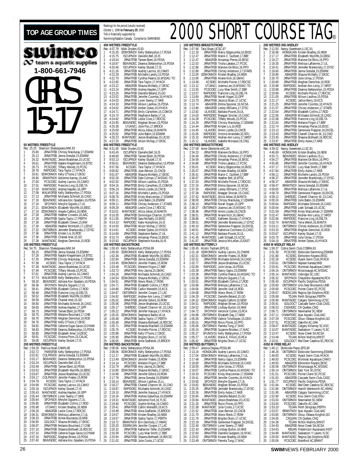#### TOP AGE GROUP TIMES **REAKING SO THE PERIOD (FOCULAT SCREENCE)** Rankings for the period (results received) wimco  $\infty$  team a aquatic supplies **1-800-661-7946** GIRLS 15-17 **50 METRES FREESTYLE** Rec: 25.25 Shannon Shakespeare, MM, 93<br>1 25.80 JRNATEEB Chrissy MacA 1 25.80 JRNATFEB Chrissy MacAulay,17,ESWIM<br>2 26.13 JRNATFEB Jenna Gresdal,15,ESWIM<br>3 26.32 MANTADEC Jessie Bradshaw,15,UCSC 4 26.61 JRNATFEB Natalie Kiegelmann,16,BTSC 5 26.73 PCSCDEC Tiffany Woods,15,PCSC 6 26.78 RAPIDDEC Tara Taylor,17,HYACK 7 26.81 EDMONNOV Kelly O'Toole,17,EKSC 8 26.90 BRANTNOV Adrienne Karney,16,AAC<br>9 27.00 PCSCDEC Audrey Lacroix,16,CAMO<br>10 27.01 RAPIDDEC Francine Ling,16,DELTA<br>11 27.03 MANTADEC Andrea Hayden,16,GPP 12 27.09 MALMOFEB Kelly Stefanyshyn,17,PDSA 13 27.13 JRNATFEB Michaela Schmidt,16,CASC 14 27.16 BEAVNDEC Adriana Koc-Spadaro,16,PDSA 15 27.16 SFOYNOV Merylie Giguere,17,UL<br>16 27.21 EDMONNOV Elizabeth Wycliffe,16,EBSC<br>17 27.24 EDMONNOV Angela Catford,16,NEW<br>18 27.28 JRNATFEB Heather Crowdis,16,AAC 19 27.28 JRNATFEB Sasha Taylor,17,PERTH 20 27.30 JRNATFEB Elizabeth Cleven,15,MM 21 27.30 ABAGFEB Heather McIntosh,17,LEDUC 21 27.30 ABAGFEB Heather McIntosh, 17, LEDUC<br>22 27.32 ONTSRNOV Jennefer Brankovsky, 17, EYSC<br>23 27.36 JRNATFEB Kristen Lis, 16, ROD 23 27.36 JRNATFEB Kristen Lis, 16, ROD<br>24 27.36 JRNATFEB Chantal Ares, 15, GC<br>25 27.39 MANTADEC Meghan Demchuk 24 27.36 JRNATFEB Chantal Ares,15,GO 25 27.39 MANTADEC Meghan Demchuk,15,ROD **100 METRES FREESTYLE** Rec: 54.75 Shannon Shakespeare,MM,94 1 56.15 JRNATFEB Jenna Gresdal,15,ESWIM 2 57.28 JRNATFEB Natalie Kiegelmann, 16. BTS.<br>3 57.35 JRNATFEB Chriss VMacAulay, 77. ESWIM<br>4 57.38 KCSDEC Tara Taylor, 17. HYACK<br>5 57.39 MANTADEC Jessie Bradshaw, 15. JUCSC<br>67.49 PCSCDEC Tiffany Woods, 1.5, PCSC<br>7 57.61 JR 8 57.74 MALMOFEB Kelly Stefanyshyn,17,PDSA<br>9 58.20 BEAVNDEC Adriana Koc-Spadaro,16,PDSA<br>10 58.36 SFOYNOV Merylie Giguere,17,UL<br>11 58.41 JRNATFEB Elizabeth Collins,17,ROD 11 58.41 JRNATFEB Elizabeth Collins, 17, ROI<br>12 58.49 JRNATFEB Francine Ling, 16, DELTA<br>13 58.52 JRNATFEB Elizabeth Wycliffe, 16, EB 13 58.52 JRNATFEB Elizabeth Wycliffe,16,EBSC 14 58.59 JRNATFEB Chantal Ares,15,GO 15 58.60 JRNATFEB Michaela Schmidt,16,CASC 16 58.65 JRNATFEB Andrea Hayden,17,GPP 17 58.73 JRNATFEB Tamee Ebert,16,PDSA 18 58.75 JRNATFEB Melanie Bouchard,17,CNB 19 58.76 JRNATFEB Meghan Demchuk,16,ROD 20 58.76 JRNATFEB Kelly O'Toole,17,EKSC 21 58.82 JRNATFEB Catherine Dugas-Savoie,16,DYNAM 22 58.83 JRNATFEB Deanna Stefanyshyn,15,PDSA 23 58.85 JRNATFEB Elizabeth Amer,14,EKSC 24 58.91 PCSCDEC Victoria Poon, 15, CALAC<br>25 50.00 ISCURNOV Karlov Stutzel 17.1S 25 59.00 ISCUPNOV Karley Stutzel,17,IS **200 METRES FREESTYLE**<br>Rec: 1:58.28 Patricia Noall,CNMN,88<br>1 2:02.72 PARISFEB Kelly Stefanyshyn,17,PDSA<br>2 2:02.91 COLPKNOV Jenna Gresdal,15,ESWIM 3 2:03.17 BEAVNDEC Deanna Stefanyshyn,15,PDSA 4 2:03.24 ISCUPNOV Danielle Bell,16,IS 2:03.49 JRNATFEB Tamee Ebert, 16, PDSA<br>2:03.53 JRNATFEB Elizabeth Wycliffe, 16, B 6 2:03.53 JRNATFEB Elizabeth Wycliffe,16,EBSC 7 2:03.87 JRNATFEB Jessie Bradshaw,15,UCSC 8 2:04.17 COLPKNOV Jennifer Fratesi, 15, ROW<br>9 2:04.78 KCSDEC Tara Taylor, 17, HYACK<br>10 2:04.99 PCSCDEC Audrey Lacroix, 16, CAMO<br>11 2:05.18 ISCUPNOV Karley Stutzel, 17, IS<br>12:05.43 MANTARDEC Andrea Hayden, 16, GPP<br>13 2:05. 14 2:05.64 SFOYNOV Merylie Giguere,17,UL 15 2:05.85 JRNATFEB Elizabeth Collins,17,ROD 16 2:05.98 UTJAN21 Kristen Bradley,16,NEW 17 2:06.26 ABAGFEB Leslie Cove,17,RDCSC 18 2:06.31 EDMONNOV Melissa Laflamme,17,UL 19 2:06.33 JRNATFEB Aimee Bourassa,16,NKB<br>20 2:06.95 GOLDOCT Shauna McNally,17,EKS 20 2:06.95 GOLDOCT Shauna McNally,17,EKSC 21 2:06.97 JRNATFEB Melanie Bouchard,17,CNB 22 2:07.10 JRNATFEB Shawna Bothwell, 16, RDC<br>
23 2:07.10 JRNATFEB Catherine Dugas-Savoie, 16, D<br>
24 2:07.16 RAPIDDEC Meghan Brown, 15, PDSA<br>
26 2:07.14 REAUNDEC Adriana Kor-Spaciano 16 22 2:07.10 JRNATFEB Shawna Bothwell,16,RDCSC 23 2:07.10 JRNATFEB Catherine Dugas-Savoie,16,DYNAM

25 2:07.40 BEAVNDEC Adriana Koc-Spadaro,16,PDSA

October 1, 1999 **to February 29**, 2000 TAG is financially supported by Swimming/Natation Canada. Compiled by SWIMNEWS **400 METRES FREESTYLE** Rec: 4:07.79 Nikki Dryden,IS,93<br>1 4:15.35 EDMONNOV Kelly Stefanyshyn,17,PDSA<br>2 4:15.75 JSCNPNOV Danielle Bell,16,IS<br>3 4:18.54 JRNATFEB Tamee Ebert,16,PDSA 4 4:18.87 BEAVNDEC Deanna Stefanyshyn,15,PDSA 5 4:20.46 ISCUPNOV Karley Stutzel,17,IS 6 4:21.26 JRNATFEB Audrey Lacroix,16,CAMO<br>7 4:22.29 JRNATFEB Michelle Landry,15,PDSA<br>8 4:22.70 JRNATFEB Cynthia Pearce,16,MSSAC-TO<br>9 4:22.85 JRNATFEB Tara Taylor,17,HYACK 10 4:23.22 ABAGFEB Shauna McNally,17,EKSC 11 4:23.24 JRNATFEB Andrea Hayden,17,GPP 12 4:23.25 JRNATFEB Danielle Beland, 15, GO<br>13 4:23.52 JRNATFEB Jennifer Combs, 16, HYACK<br>14 4:24.03 JRNATFEB Loren Sweny, 17, NKB<br>15 4:24.62 JRNATFEB Allison Laidlow, 15, PDSA<br>16 4:24.52 JRNATFEB Emliy Canwithen, 15, COMO 18 4:24.74 JRNATFEB Stephanie Barbe,17,UL 19 4:24.82 JRNATFEB Leslie Cove,17,RDCSC 20 4:24.95 BEAVNDEC Meghan Brown,15,PDSA 21 4:25.38 UTJAN21 Jolie Pun,17,BROCK 22 4:25.69 JRNATFEB Alicia Jobse,16,MANTA 23 4:25.92 JRNATFEB Julie Babin,16,ESWIM 4:26.23 MANTADEC Jessie Bradshaw, 15, UCSC<br>4:26.23 MANTADEC Jessie Bradshaw, 15, UCSC<br>4:27.20 JRNATFEB Alison McKav. 17. FKSC 25 4:27.20 JRNATFEB Alison McKay,17,EKSC **800 METRES FREESTYLE**<br>Rec: 8:31.65 Nikki Dryden, Rec: 8:31.65 Nikki Dryden,IS,93<br>1 8:43.45 ISCUPNOV Danielle Bell,16,IS<br>2 8:48.60 JRNATFEB Tamee Ebert,16,PDSA<br>3 8:53.13 ISCUPNOV Karley Stutzel,17,IS 4 8:56.61 BEAVNDEC Deanna Stefanyshyn, 15, PDSA 5 8:57.56 KCSDEC Tara Taylor,17,HYACK 6 9:00.82 JRNATFEB Joan Bernier,15,CNCB 7 9:01.97 ABAGFEB Shauna McNally,17,EKSC 8 9:02.26 JRNATFEB Dale Colman,17,MSSAC-TO 9:02.26 JRNATFEB Dale Colman, 17, MSSAC<br>9 9:02.92 JRNATFEB Allison Laidlow, 15, PDSA<br>10 9:04.16 IRNATFER Emily Carwithen 15, COM 10 9:04.16 JRNATFEB Emily Carwithen,15,COMOX 11 9:06.19 JRNATFEB Annie Lizotte,16,CNCB 12 9:07.16 JRNATFEB Michelle Landry,15,PDSA 13 9:08.76 JRNATFEB Kristy MacLennan,17,ESWIM<br>14 9:09.11 JRNATFEB Julie Babin,16,ESWIM<br>15 9:09.11 JRNATFEB Christy Anderson,17,STARS<br>16 9:09.28 ABAGFEB Leslie Cove,17,RDCSC<br>17 9:10.01 MANTADEC Alicia Jobse,16,MANTA 18 9:10.35 JRNATFEB Dominique Charron,15,PPO 19 9:11.65 JRNATFEB Sara McNally,15,EKSC 20 9:14.32 RAPIDDEC Katie Humphries,16,IS 21 9:14.50 JRNATFEB Alison McKay,17,EKSC 22 9:14.61 KCSDEC Amber Dykes,16,HYACK 23 9:14.69 JRNATFEB Stephanie Barbe,17,UL 24 9:15.74 ABAGFEB Annamay Pierse,16,EKSC 25 9:15.93 ISCUPNOV Stephanie Koczka,16,IS **100 METRES BACKSTROKE** Rec: 1:00.43 Kelly Stefanyshyn,PDSA,99 1 1:00.50 EDMONNOV Kelly Stefanyshyn,17,PDSA 2 1:02.36 JRNATFEB Elizabeth Wycliffe,16,EBSC 3 1:02.84 JRNATFEB Jenna Gresdal,15,ESWIM 4 1:03.45 EDMONNOV Jennifer Fratesi,15,ROW 5 1:03.49 PCSCDEC Melanie Frigon,17,BBF 6 1:03.73 JRNATFEB Amy Jacina,15,GMAC 7 1:04.26 JRNATFEB Michaela Schmidt,16,CASC 8 1:04.54 EDMONNOV Shauna McNally,17,EKSC 9 1:04.61 JRNATFEB Alexis Rieck,17,ROW 10 1:04.71 JRNATFEB Elizabeth Collins, 17, ROD<br>11 1:04.86 JRNATFEB Caltin Merclith, 15, KCS<br>12 1:04.87 ONTSRNOV Jennifer Cooper, 17, LAC<br>13 1:04.92 RAPIDDEC Andree-Ann Leroy, 17, NRST<br>14 1:05.02 JRNATFEB Jennifer Esford, 1 16 1:05.17 SHERDEC Chanell Charron-W.,15,CAG 17 1:05.22 JRNATFEB Jennifer Kasuya,17,HYACK 18 1:05.25 EDMONNOV Stephanie Barbe,16,UL 19 1:05.48 JRNATFEB Sasha Taylor,17,PERTH 20 1:05.49 JRNATFEB Shawna Bothwell,16,RDCSC 21 1:05.71 JRNATFEB Amanda MacNeill, 15, ESWIM<br>22 1:05.76 KCSDEC Michelle Poirier, 17, RDCSC<br>23 1:05.88 JRNATFEB Kelly O'Toole, 17, EKSC 22 1:05.76 KCSDEC Michelle Poirier,17,RDCSC 23 1:05.88 JRNATFEB Kelly O'Toole,17,EKSC 24 1:05.90 JRNATFEB Brigitta Olson,17,UCSC 25 1:06.05 JRNATFEB Anna Szaflarski,15,BROCK **200 METRES BACKSTROKE** Rec: 2:08.06 Kelly Stefanyshyn,PDSA,99 1 2:08.06 EDMONNOV Kelly Stefanyshyn,17,PDSA 2 2:12.17 JRNATFEB Elizabeth Wycliffe,16,EBSC 3 2:13.49 EDMONNOV Jennifer Fratesi,15,ROW 4 2:14.14 PCSCDEC Melanie Frigon,17,BBF 5 2:15.79 JRNATFEB Amy Jacina,15,GMAC 6 2:16.80 EDMONNOV Shauna McNally,17,EKSC 7 2:16.98 JRNATFEB Jennifer Esford,16,ROW 8 2:17.78 JRNATFEB Jenna Gresdal,15,ESWIM 9 2:18.14 BEAVNDEC Allison Laidlow,15,LL 10 2:18.27 JRNATFEB Chanell Charron-W.,15,CNO 11 2:18.87 RAPIDDEC Michaela Schmidt, 16, CASC<br>12 2:19.10 JRNATFEB Jennifer Kasuya, 17, HYACK 12 2:19.10 JRNATFEB Jennifer Kasuya,17,HYACK 13 2:19.16 JRNATFEB Andrea Szewchuk,16,ESWIM<br>14 2:19.31 MANTADEC Adrienne Ford,16,YLSC<br>15 2:19.40 PCSCDEC Sophie McKay,16,CAMO<br>16 2:19.41 JRNATFEB Caitlin Meredith,16,KCS 17 2:19.48 JRNATFEB Anna Szaflarski,15,BROCK 18 2:19.57 JRNATFEB Kristen Bradley,16,NEW 19 2:19.57 JRNATFEB Sasha Taylor,17,PERTH<br>20 2:19.72 BRANTNOV Erin Dermody,17,HWAC<br>21 2:20.20 ESWIMJAN Jennifer Coloer,17,LAC<br>22 2:20.32 JRNATFEB Katherine Telfer,15,ESWIM<br>23 2:20.39 PCSCDEC Lucy Mae Smith,17,BBF 24 2:20.94 JRNATFEB Shawna Bothwell, 16, RDCSC<br>25 2:21.02 JRNATFEB Julie Cocks 17 HCSC 25 2:21.02 JRNATFEB Julie Cocks,17,UCSC

#### **100 METRES BREASTSTROKE** Rec: 1:07.96 Tara Sloan, UCSC, 97<br>1:12.18 IRNATEER Marcy 1 1:12.18 JRNATFEB Marcy Edgecumbe,16,EKSC 2 1:12.47 JRNATFEB Marie-C. Guilbert,17,BBF 3 1:12.47 ABAGFEB Annamay Pierse, 16, EKSC<br>4 1:12.53 JRNATFEB Trisha Lakatos, 17, PCSC<br>5 1:12.86 JRNATFEB Marieve De Blois, 16, PPO 4 1:12.53 JRNATFEB Trisha Lakatos,17,PCSC 5 1:12.86 JRNATFEB Marieve De Blois,16,PPO 1:12.86 JRNATFEB Marieve De Blois, 16, PPO<br>6 1:12.89 JRNATFEB Christy Anderson, 17, STARS<br>7 1:13.00 FDMONNOV Kristen Bradley 16 NFW 7 1:13.00 EDMONNOV Kristen Bradley,16,NEW 8 1:13.06 JRNATFEB Ariane Kich,16,GMAC 9 1:13.09 KCSDEC Michelle Poirier,17,RDCSC 10 1:13.12 UTJAN21 Joanna Lee, 15, MSSAC-TO<br>11 1:13.55 PCSCDEC Lucy Mae Smith, 17, BBF<br>12 1:13.57 RAPIDDEC Francine Ling, 16, DELTA<br>13 1:13.69 JRNATFEB Norah Vogan, 15, GPP<br>14 1:13.70 JRNATFEB Jessica Sloan, 17, UCSC 15 1:13.74 ABAGFEB Emma Spooner,16,NCSA 16 1:13.80 ABAGFEB Lesley Williams,17,STSC 17 1:13.92 ULAVDEC Barbara Pouret,16,UL 18 1:14.03 RAPIDDEC Meagan Sinclair,15,CASC 19 1:14.28 PCSCDEC Tiffany Woods,15,PCSC 20 1:14.29 JRNATFEB Chrissy MacAulay,17,ESWIM 21 1:14.44 JRNATFEB Kristen Lis,16,ROD 22 1:14.45 ULAVDEC Annie Lizotte,16,CNCB 23 1:15.05 RAPIDDEC Victoria Arrandale,20,SFU 24 1:15.10 RAPIDDEC Andree-Ann Leroy,17,NRST 25 1:15.12 ULAVDEC Isabelle Morasse,16,CNQ **200 METRES BREASTSTROKE** Rec: 2:27.08 Anne Ottenbrite,AAC,84 2:34.23 JRNATFEB Marieve De Blois, 16, PPO<br>2:34.40 JRNATFEB Christy Anderson, 17, STA<br>2:34.59 ABAGFEB Annamay Pierse, 16, EKSC 2 2:34.40 JRNATFEB Christy Anderson,17,STARS 3 2:34.59 ABAGFEB Annamay Pierse,16,EKSC 4 2:34.86 JRNATFEB Trisha Lakatos,17,PCSC 2:35.01 KCSDEC Marcy Edgecumbe,16,EKSC<br>
2:35.07 JRNATFEB Kristen Bradley,16,NEW<br>
7 2:35.41 JRNATFFB Marie-C. Guilbert.17.BBF 2:35.07 JRNATFEB Kristen Bradley, 16, NEW<br>2:35.41 JRNATFEB Marie-C. Guilbert, 17, BB 7 2:35.41 JRNATFEB Marie-C. Guilbert,17,BBF 8 2:36.67 JRNATFEB Heather Bell,16,BTSC 9 2:37.20 JRNATFEB Michelle Poirier,17,RDCSC 10 2:37.24 JRNATFEB Emma Spooner,16,NCSA 11 2:37.35 ABAGFEB Lesley Williams,17,STSC 12 2:37.36 RAPIDDEC Meagan Sinclair,15,CASC 13 2:37.42 MANTADEC Alicia Jobse,16,MANTA<br>14 2:38.00 JRNATFEB Chrissy MacAulay,17,ESWIM<br>15 2:38.10 ONTSRNOV Joanna Lee,15,MSSAC-TO<br>16 2:38.37 ONTSRNOV Joanna Lee,15,MSSAC-TO<br>17 2:38.48 J 18 2:38.51 JRNATFEB Ariane Kich,16,GMAC 19 2:38.86 KCSDEC Kathleen Stoody,17,HYACK 20 2:39.51 JRNATFEB Jennefer Brankovsky,17,EYSC 21 2:40.10 JRNATFEB Genevieve Frappier,16,EXCEL 22 2:40.51 JRNATFEB Katherine Cochrane,15,CASC 23 2:41.12 JRNATFEB Barbara Pouret,16,UL<br>24 2:41.45 MANTADEC Leah Schaab,15,UCS<br>25 2:41.97 JRNATFEB Jessica McLellan,15, 24 2:41.45 MANTADEC Leah Schaab,15,UCSC 25 2:41.97 JRNATFEB Jessica McLellan,15,EAST **100 METRES BUTTERFLY** Rec: 1:00.45 Kristin Topham,EPS,91 1 1:01.18 EDMONNOV Audrey Lacroix,16,CNMM 2 1:02.31 EDMONNOV Jennifer Fratesi,15,ROW 3 1:02.51 JRNATFEB Michaela Schmidt,16,CASC 4 1:02.77 JRNATFEB Jessie Bradshaw,15,UCSC 5 1:02.85 RAPIDDEC Julie Unrau,16,PDSA<br>6 1:03.28 JRNATFEB Nancy Gajos,15,ESWIM<br>7 1:03.36 SFOYNOV Merylie Giguere,16,MSSAC-TO<br>8 1:03.38 SFOYNOV Merylie Giguere,17,UL<br>9 1:03.51 JRNATFEB Elizabeth Collins,17,ROD 10 1:03.96 JRNATFEB Melissa Laflamme,17,UL 11 1:04.06 JRNATFEB Jennifer Graf,16,ROD 12 1:04.08 JRNATFEB Alexis Rieck, 17, ROW<br>13 1:04.29 PCSCDEC Danielle Beland, 15, GO<br>14 1:04.52 EDMONNOV Angela Catford, 16, NEW<br>15 1:04.52 JRNATFEB Lindsay Burton, 16, NEW<br>16 1:04.52 JRNATFEB Lindsay Burton, 16, NKB<br>17 1: 18 1:04.88 ONTSRNOV Elizabeth Day,17,NEW 19 1:05.00 JRNATFEB Valerie Tcholkayan,15,DDO 20 1:05.01 JRNATFEB Rocio Flores,16,PPO 21 1:05.06 ONTSRNOV Pamela Tung,17,MAC 22 1:05.24 JRNATFEB Suzanne Brodeur,17,MAC 23 1:05.27 SFUNOV16 Kelly Stefanyshyn,17,PDSA 24 1:05.27 ULAVDEC Marie-E. Fillion,16,RCA 25 1:05.42 JRNATFEB Brigitta Olson,17,UCSC **200 METRES BUTTERFLY**<br>Rec: 2:09.47 Jessica Deglau<br>1 2:13.24 HONGKJAN Rec: 2:09.47 Jessica Deglau,PDSA,98 1 2:13.24 HONGKJAN Audrey Lacroix,16,CAMO 2 2:17.04 EDMONNOV Melissa Laflamme,17,UL 3 2:17.48 JRNATFEB Nancy Gajos,15,ESWIM 4 2:18.00 JRNATFEB Michaela Schmidt,16,CASC 5 2:18.55 JRNATFEB Julie Unrau,17,PDSA 6 2:19.07 JRNATFEB Cynthia Pearce,16,MSSAC-TO 7 2:19.33 PCSCDEC Kristy MacLennan,17,ESWIM 8 2:19.41 JRNATFEB Jennifer Coombs,16,HYACK 9 2:19.60 SFOYNOV Merylie Giguere,17,UL 10 2:19.82 BEAVNDEC Meghan Brown,15,PDSA 11 2:20.25 JRNATFEB Jennefer Brankovsky,17,EYSC<br>12 2:20.26 JRNATFEB Emily Aubie,17,NKB<br>13 2:20.65 JRNATFEB Danielle Beland,15,GO<br>14 2:20.84 MANTADEC Jessie Bradshaw,15,UCSC<br>15 2:21.20 JRNATFEB Rocio Flores,16,PPO 16 2:21.38 MANTADEC Julie Cocks,17,UCSC 17 2:21.52 JRNATFEB Joan Bernier,15,CNCB 18 2:21.75 JRNATFEB Alexis Rieck,17,ROW 19 2:21.76 JRNATFEB Brigitta Olson,17,UCSC<br>20 2:22.19 JRNATFEB Genevieve Frappier,16,EXCEL<br>22 2:22.40 JRNATFEB Lindsay Burton,16,NKB<br>23 2:22.83 JRNATFEB Danielle Gudgeon,16,NYAC 24 2:23.02 JRNATFEB Kristen Bradley,16,NEW 25 2:23.49 ONTSRNOV Pamela Tung,17,MAC

|                              |                              | ( )                      | $\mathbf{U}_\circledcirc$                                                                                                                             |
|------------------------------|------------------------------|--------------------------|-------------------------------------------------------------------------------------------------------------------------------------------------------|
|                              |                              | 200 METRES IND.MEDLEY    |                                                                                                                                                       |
| 1                            | Rec: 2:12.50<br>2:16.68      | Nancy Sweetnam, LLSC, 91 |                                                                                                                                                       |
| $\frac{2}{3}$                | 2:17.17                      |                          | HONGKJAN Kristen Bradley, 16, NEW<br>JRNATFEB Elizabeth Wycliffe, 16, EBSC<br>JRNATFEB Marieve De Blois, 16, PPO<br>JRNATFEB Melissa Laflamme, 17, UL |
| 4                            | 2:19.27<br>2:19.35           |                          |                                                                                                                                                       |
| 5<br>6                       | 2:19.41<br>2:19.60           |                          | JRNATFEB Jennefer Brankovsky, 17, EYSC<br>JRNATFEB Jenna Gresdal, 15, ESWIM<br>ABAGFEB Shauna McNally, 17, EKSC<br>JRNATFEB Julie Unrau, 17, PDSA     |
| 7<br>8                       | 2:19.86<br>2:20.70           |                          |                                                                                                                                                       |
| 9                            | 2:20.80                      |                          | JRNATFEB Meghan Demchuk, 16, ROD                                                                                                                      |
| 10<br>11                     | 2:20.88<br>2:20.88           |                          | RAPIDDEC Andree-Ann Leroy, 17, NRST<br>JRNATFEB Deanna Stefanyshyn, 15, PDSA                                                                          |
| 12<br>13                     | 2:20.89<br>2:21.05           |                          | KCSDEC Michelle Poirier, 17, RDCSC<br>JRNATFEB Allison Laidlow, 15, PDSA                                                                              |
| 14<br>15                     | 2:21.17<br>2:21.25           |                          | KCSDEC Janice Berry, 19, KCS<br>JRNATFEB Jennifer Coombs, 16, HYACK                                                                                   |
| 16<br>17                     | 2:21.57<br>2:22.04           |                          | JRNATFEB Christy Anderson, 17, STARS<br>JRNATFEB Elizabeth Collins, 17, ROD                                                                           |
| 18                           | 2:22.06                      |                          | ABAGFEB Michaela Schmidt, 16, CASC                                                                                                                    |
| 19<br>$20\,$                 | 2:22.08<br>2:22.63           |                          | JRNATFEB Francine Ling, 16, DELTA<br>JRNATFEB Melanie Frigon, 17, BBF                                                                                 |
| 21<br>22                     | 2:22.74<br>2:23.13           |                          | JRNATFEB Annamay Pierse, 16, EKSC<br>JRNATFEB Genevieve Frappier, 16, EXCEL                                                                           |
| 23<br>24                     | 2:23.43<br>2:23.45           |                          | JRNATFEB Chanell Charron-W., 15, CNO<br>JRNATFEB Shawna Bothwell, 16, RDCSC                                                                           |
| 25                           | 2:23.97                      |                          | JRNATFEB Emily Aubie, 17, NKB                                                                                                                         |
|                              | Rec: 4:39.32                 | 400 METRES IND.MEDLEY    |                                                                                                                                                       |
| 1                            | 4:46.69<br>4:53.71           |                          | Nancy Sweetnam, LLSC, 91<br>HONGKJAN Kristen Bradley, 16, NEW<br>BEAVINDEC Allison Laidlow, 15, LL                                                    |
| $\frac{2}{3}$<br>4           | 4:54.27<br>4:55.85           |                          | JRNATFEB Marieve De Blois, 16, PPO                                                                                                                    |
| 5                            | 4:57.17                      |                          | JRNATFEB Jennifer Coombs, 16, HYACK<br>PCSCDEC Lucy Mae Smith, 17, BBF<br>JRNATFEB Emily Aubie, 17, NKB<br>JRNATFEB Michelle Landry, 15, PDSA         |
| $\frac{6}{7}$                | 4:57.84<br>4:58.11           |                          |                                                                                                                                                       |
| 8<br>9                       | 4:58.37<br>4:58.37           |                          | JRNATFEB Jennefer Brankovsky, 17, EYSC<br>ABAGFEB Shauna McNally, 17, EKSC<br>BRANTNOV Jenna Gresdal, 15, ESWIM                                       |
| 10<br>11                     | 4:58.47<br>4:58.65           |                          | JRNATFEB Melissa Laflamme, 17, UL                                                                                                                     |
| 12                           | 4:58.79                      |                          | JRNATFEB Genevieve Frappier, 16, EXCEL                                                                                                                |
| 13<br>14                     | 4:59.12<br>5:00.24           |                          | SHERDEC Chanell Charron-W., 15, CAG<br>JRNATFEB Julie Babin, 16, ESWIM                                                                                |
| 15<br>16                     | 5:00.64<br>5:00.64           |                          | RAPIDDEC Michaela Schmidt, 16, CASC<br>JRNATFEB Leah Schaab, 15, UCSC                                                                                 |
| 17<br>18                     | 5:01.59<br>5:02.47           |                          | JRNATFEB Kristy MacLennan, 17, ESWIM<br>RAPIDDEC Andree-Ann Leroy, 17, NRST                                                                           |
| 19                           | 5:02.66                      |                          | RAPIDDEC Francine Ling, 16, DELTA                                                                                                                     |
| 20<br>21                     | 5:02.74<br>5:03.11           |                          | MANTADEC Terra Welsh, 16, MANTA<br>ONTSRNOV Christy Anderson 16, STARS                                                                                |
| 22<br>23                     | 5:03.33<br>5:03.67           |                          | JRNATFEB Meghan Demchuk, 16, ROD                                                                                                                      |
| 24<br>25                     | 5:03.75<br>5:04.10           |                          | ISCUPNOV Karley Stutzel, 17, IS<br>JRNATFEB Julie Unrau, 17, PDSA<br>JRNATFEB Amber Dykes, 16, HYACK                                                  |
|                              |                              | 4X50 M MEDLEY RELAY      |                                                                                                                                                       |
| 1                            | Rec: 1:58.37<br>2:01.30      |                          | Cobra Swim Club, COBRA, 93<br>PCSCDEC Etobicoke Swimming, ESWIM<br>KCSDEC Edmonton Keyano, EKSC                                                       |
| $\overline{\mathbf{c}}$<br>3 | 2:01.80<br>2:02.26           |                          | KCSDEC Hyack Swim Club, HYACK                                                                                                                         |
| 4<br>5                       | 2:03.61<br>2:03.91           |                          |                                                                                                                                                       |
| 6<br>7                       | 2:04.16                      |                          | NONTSRIOU Nepean Kanata, NKB<br>PCSCDEC Montreal Aquatique, CAMO<br>ONTSRIOU Mississauga AC, MSSAC<br>CONTENTS Littleties College                     |
| 8                            | 2:05.14<br>2:05.32           |                          | MANTADEC Uxbridge SC,USC<br>SFOYNOV Chaudiere-Appalache,RCA<br>ISCUPNOV Pacific Dolphins,PDSA                                                         |
| 9<br>10                      | 2:05.40<br>2:05.60           |                          |                                                                                                                                                       |
| 11<br>12                     | 2:05.60<br>2:05.67           |                          | <b>ONTSRNOV Univ.New Brunswick, UNB</b><br>PCSCDEC Pointe Claire SC, PCSC<br>RODSCJAN Regina Opt.Dolphins, ROD                                        |
| 13                           | 2:05.89<br>2:05.90           |                          | TDJAN Perth Stingrays, PERTH<br>MANTADEC Calgary Swimming, UCSC                                                                                       |
| 14<br>15                     | 2:05.91                      |                          | GOLDOCT Cascade Swim Club,CASC                                                                                                                        |
| 16<br>17                     | 2:06.53<br>2:06.71           |                          | CNSHDEC CN Quebec, CNQ<br>ONTSRNOV Newmarket SC, NEW                                                                                                  |
| 18<br>19                     | 2:07.11<br>2:07.29           |                          | CHAMPDEC Ajax Aquatic Club, AAC<br>PCSCDEC Glouc-Ottawa Kingfish, GO                                                                                  |
| 20<br>21                     | 2:07.51<br>2:09.47           |                          | PCSCDEC Oakville AC, OAK<br>MANTADEC Calgary Killarney SC,KSC                                                                                         |
| 22                           | 2:10.07                      |                          | MANTADEC Saskatoon Y Lasers, YLSC                                                                                                                     |
| 23<br>24                     | 2:10.47<br>2:10.48           |                          | KCSDEC Nose Creek SA.NCSA<br>TDJAN Milton Marlins.MMST                                                                                                |
| 25                           | 2:10.51<br>4X50 M FREE RELAY |                          | GOLDOCT Red Deer Catalina SC, RDCSC                                                                                                                   |
| 1                            | Rec: 1:46.11<br>1:48.26      | Etobicoke Pepsi, EPS, 90 | ONTSRNOV Etobicoke Swimming, ESWIM                                                                                                                    |
| $\overline{c}$               | 1:48.83                      |                          | KCSDEC Hyack Swim Club, HYACK<br>PCSCDEC Montreal Aquatique, CAMO                                                                                     |
| 3<br>4                       | 1:48.83<br>1:49.83           |                          | ABAGFEB Edmonton Keyano, EKSO                                                                                                                         |
| 5<br>6                       | 1:50.06<br>1:50.14           |                          | ONTSRNOV Mississauga ÁC, MSSAC                                                                                                                        |
| 7<br>8                       | 1:51.51<br>1:51.63           |                          | ONTSRNOV East York SC, EYSC<br>PCSCDEC Pointe Claire SC, PCSC<br>ABAGFEB Cascade Swim Club, CASC                                                      |
| 9                            | 1:51.77                      |                          |                                                                                                                                                       |
| 10<br>11                     | 1:51.84<br>1:51.86           |                          | ISCUPNOV Pacific Dolphins, PDSA<br>KCSDEC Red Deer Catalina SC, RDCSC<br>ONTSRNOV Hamilt-Wentworth AC, HWAC                                           |
| 12<br>13                     | 1:51.95<br>1:52.90           |                          | ABAGFEB Calgary Swimming, UCSC<br>KCSDEC Kisu Swim Club, KISU                                                                                         |
| 14<br>15                     | 1:53.03<br>1:53.04           |                          | ONTSRNOV Newmarket SC, NEW<br>PCSCDEC Oakville AC, OAK                                                                                                |
| 16                           | 1:53.20                      |                          | TDJAN Perth Stingrays, PERTH                                                                                                                          |
| 17<br>18                     | 1:53.57<br>1:53.85           |                          | BRANTNOV Ajax Aquatic Club, AAC<br>ONTSRNOV Glouc-Ottawa Kingfish, GO                                                                                 |
| 19<br>20                     | 1:54.05<br>1:54.38           |                          | CNQJAN CN Quebec, CNQ<br>TDJAN Milton Marlins, MMST                                                                                                   |
| 21<br>22                     | 1:54.40<br>1:54.63           |                          | ABAGFEB Nose Creek SA, NCSA<br>NBJAN Fredericton Aquanauts, FAST                                                                                      |
| 23                           | 1:54.89                      |                          | MANTADEC Saskatoon Y Lasers, YLSC                                                                                                                     |
| 24<br>25                     | 1:55.00<br>1:55.06           |                          | MANTADEC Regina Opt.Dolphins,ROD<br>PCSCDEC Brantford AC, BRANT                                                                                       |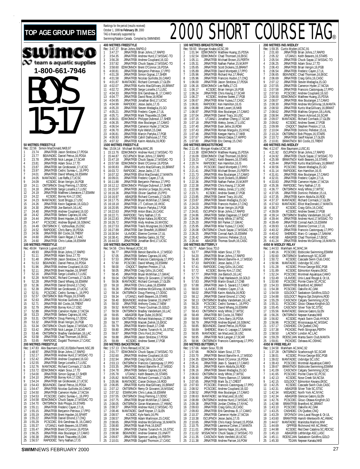| <b>TOP AGE GROUP TIMES</b>                                                                                                                                                                                                                                                                                                                                                                                                                                                                                                                                                                                                                                                                                                                                                                                                                                                                                                                                                                                                                                                                                                                                                                                                                                                                                                        | Rankings for the period (results received)<br>October 1, 1999 to February 29, 2000<br>TAG is financially supported by<br>Swimming/Natation Canada. Compiled by SWIMNEWS                                                                                                                                                                                                                                                                                                                                                                                                                                                                                                                                                                                                                                                                                                                                                                                                                                                                                                                                                                                                                                                                                                                                                                                                                                                                        |                                                                                                                                                                                                                                                                                                                                                                                                                                                                                                                                                                                                                                                                                                                                                                                                                                                                                                                                                                                                                                                                                                                                                                                                                                                                                                                                                                                                                              | <b>2000 SHORT COURSE TAG®</b>                                                                                                                                                                                                                                                                                                                                                                                                                                                                                                                                                                                                                                                                                                                                                                                                                                                                                                                                                                                                                                                                                                                                                                                                                                                                                                                                                                                                                                 |
|-----------------------------------------------------------------------------------------------------------------------------------------------------------------------------------------------------------------------------------------------------------------------------------------------------------------------------------------------------------------------------------------------------------------------------------------------------------------------------------------------------------------------------------------------------------------------------------------------------------------------------------------------------------------------------------------------------------------------------------------------------------------------------------------------------------------------------------------------------------------------------------------------------------------------------------------------------------------------------------------------------------------------------------------------------------------------------------------------------------------------------------------------------------------------------------------------------------------------------------------------------------------------------------------------------------------------------------|------------------------------------------------------------------------------------------------------------------------------------------------------------------------------------------------------------------------------------------------------------------------------------------------------------------------------------------------------------------------------------------------------------------------------------------------------------------------------------------------------------------------------------------------------------------------------------------------------------------------------------------------------------------------------------------------------------------------------------------------------------------------------------------------------------------------------------------------------------------------------------------------------------------------------------------------------------------------------------------------------------------------------------------------------------------------------------------------------------------------------------------------------------------------------------------------------------------------------------------------------------------------------------------------------------------------------------------------------------------------------------------------------------------------------------------------|------------------------------------------------------------------------------------------------------------------------------------------------------------------------------------------------------------------------------------------------------------------------------------------------------------------------------------------------------------------------------------------------------------------------------------------------------------------------------------------------------------------------------------------------------------------------------------------------------------------------------------------------------------------------------------------------------------------------------------------------------------------------------------------------------------------------------------------------------------------------------------------------------------------------------------------------------------------------------------------------------------------------------------------------------------------------------------------------------------------------------------------------------------------------------------------------------------------------------------------------------------------------------------------------------------------------------------------------------------------------------------------------------------------------------|---------------------------------------------------------------------------------------------------------------------------------------------------------------------------------------------------------------------------------------------------------------------------------------------------------------------------------------------------------------------------------------------------------------------------------------------------------------------------------------------------------------------------------------------------------------------------------------------------------------------------------------------------------------------------------------------------------------------------------------------------------------------------------------------------------------------------------------------------------------------------------------------------------------------------------------------------------------------------------------------------------------------------------------------------------------------------------------------------------------------------------------------------------------------------------------------------------------------------------------------------------------------------------------------------------------------------------------------------------------------------------------------------------------------------------------------------------------|
| swimco<br>$\infty$ team a aquatic supplies<br>1-800-661-7946<br>BOYS<br>15-17                                                                                                                                                                                                                                                                                                                                                                                                                                                                                                                                                                                                                                                                                                                                                                                                                                                                                                                                                                                                                                                                                                                                                                                                                                                     | <b>400 METRES FREESTYLE</b><br>Rec: 3:47.27 Brian Johns, RAPID, 0<br>JRNATFEB Brian Johns, 17, RAPID<br>3:47.27<br>$\frac{2}{3}$<br>3:54.35<br>JRNATFEB Andrew Hurd, 17, MSSAC-TO<br>JRNATFEB Andrew Coupland, 16, GO<br>3:56.28<br>$\overline{4}$<br>3:57.92<br>JRNATFEB Chuck Sayao, 17, MSSAC-TO<br>5<br>3:58.60<br>EDMONNOV Brent O'Connor, 16, PDSA<br>JRNATFEB Benjamin Petrieux, 17, PPO<br>4:00.81<br>6<br>JRNATFEB Simon Gignac, 17, SHER<br>7<br>4:01.28<br>8<br>4:01.58<br>JRNATFEB Nicolas Guillotte, 16, CAMO<br>9<br>4:01.87<br>MANTADEC Richard Cormack, 17, GLEN<br>10<br>4:02.07<br>JRNATFEB Kurtis MacGillivary, 16, BRANT<br>4:02.72<br>JRNATFEB Serge Loiselle, 17, LUSC<br>11<br>JRNATFEB Erik Gendreau-B., 17, CAMO<br>12<br>4:04.33<br>JRNATFEB David Rose, 18, ROW<br>13<br>4:04.77<br>JRNATFEB Jonathan Bird, 17, UCSC<br>14<br>4:04.95<br>15<br>4:04.99<br>RAPIDDEC Jesse Jacks, 17, IS<br>JRNATFEB Steven Medaglia, 15, GO<br>4:05.20<br>16<br>4:05.21<br>JRNATFEB Frederic Cayen, 17, UL<br>17<br>4:05.71<br>JRNATFEB Mark Thauvette, 15, OAK<br>18<br>EDMONNOV Philippe Dubreuil, 17, SHER<br>19<br>4:06.01<br>20<br>4:06.35<br>JRNATFEB Alex Boulanger, 17, CAMO<br>4:06.54<br>JRNATFEB Cameron Hyder, 17, NCSA<br>21<br>4:06.70<br>JRNATFEB Kyle Welsh, 15, OAK<br>22<br>23<br>4:06.81<br>JRNATFEB Marcin Partyka, 17, PGB<br>24<br>4:06.93<br>JRNATFEB Cahill Dalhouse, 17, TSC<br>25                          | <b>100 METRES BREASTSTROKE</b><br>Rec: 59.93 Morgan Knabe, UCSC, 99<br>EDMONNOV Matthew Huang, 15, PDSA<br>1:01.94<br>$\mathbf{1}$<br>$\overline{2}$<br>EDMONNOV Chad Thomsen, 16, EKSC<br>1:02.54<br>$\overline{3}$<br>1:05.11<br>JRNATFEB Michael Brown, 15, PERTH<br>$\overline{4}$<br>1:05.31<br>JRNATFEB Nathan Parker, 15, MJKFF<br>5<br>1:05.65<br>JRNATFEB Scott Dickens, 15, BRANT<br>JRNATFEB David Montpetit, 17, PPO<br>1:05.89<br>6<br>JRNATFEB Richard Hui, 17, RHAC<br>7<br>1:05.96<br>8<br>1:05.96<br>JRNATFEB Francois Hudon, 17, CNQ<br>9<br>1:06.00<br>JRNATFEB Jason Strelzow, 17, PDSA<br>10<br>1:06.16<br>EDMONNOV Lee Raffa, 17, CS<br>1:06.17<br>KCSDEC Brian Verigin, 16, PGB<br>11<br>1:06.24<br>JRNATFEB Chris Keung, 17, SCAR<br>12<br>KCSDEC Andrew Sweet, 17, PGB<br>13<br>1:06.27<br>JRNATFEB Mike Yuzwa, 17, CASC<br>1:06.67<br>14<br>1:06.81<br>RAPIDDEC Ken Hamilton, 16, IS<br>15<br>1:06.88<br>JRNATFEB Brett Levert, 16, NKB<br>16<br>1:06.97<br>JRNATFEB Alex Boulanger, 17, CAMO<br>17<br>1:07.04<br>JRNATFEB Daniel Tracy, 16, USC<br>18<br>1:07.15<br>UTJAN21 Jonathan Cheng, 17, SCAR<br>19<br>1:07.18<br>JRNATFEB Aleksy Jones, 17, LUSC<br>20<br>JRNATFEB Evan Jellie, 16, ROW<br>21<br>1:07.40<br>1:07.43<br>JRNATFEB Roman Margulis, 15, NYAC<br>22<br>23<br>1:07.46<br>JRNATFEB Keegan Harris, 17, NKB<br>1:07.67<br>JRNATFEB Benoit Dalpe, 17, HIPPO<br>24<br>25             | 200 METRES IND.MEDLEY<br>Rec: 1:59.35 Curtis Myden, UCSC, 91<br>2:01.60<br>JRNATFEB Brian Johns, 17, RAPID<br>$\overline{2}$<br>UTJAN21 Keith Beavers, 16, STARS<br>2:05.32<br>$\overline{3}$<br>JRNATFEB Chuck Sayao, 17, MSSAC-TO<br>2:05.54<br>2:06.25<br>JRNATFEB Adam Sioui, 17, TD<br>$\overline{4}$<br>5<br>2:06.43<br>JRNATFEB Brian Verigin, 16, PGB<br>2:06.54<br>JRNATFEB Frederic Cayen, 17, UL<br>6<br>BEAVNDEC Chad Thomsen, 16, EKSC<br>ī<br>2:06.65<br>8<br>2:06.69<br>JRNATFEB Craig Gillis, 16, CASC<br>JRNATFEB Steven Medaglia, 15, GO<br>2:07.12<br>9<br>2:07.55<br>JRNATFEB Cameron Hyder, 17, NCSA<br>10<br>2:07.58<br>JRNATFEB Francois Castonguay, 17, PPO<br>11<br>PCSCDEC Andrew Coupland, 16, GO<br>2:07.93<br>12<br>EDMONNOV Matthew Huang, 15, PDSA<br>13<br>2:08.00<br>JRNATFEB Alex Boulanger, 17, CAMO<br>14<br>2:08.07<br>JRNATFEB Andrew McGillivray, 16, MANTA<br>15<br>2:08.30<br>JRNATFEB Kurtis MacGillivary, 16, BRANT<br>2:08.50<br>16<br>JRNATFEB Mathieu Grignon, 18, LAVAL<br>17<br>2:08.62<br>JRNATFEB Devon Ackroyd, 16, SCAR<br>2:08.94<br>18<br>19<br>2:09.07<br>MANTADEC Richard Cormack, 17, GLEN<br>2:09.82<br>KCSDEC Andrew Sweet, 17, PGB<br>20<br>2:09.99<br>CNQOCT Stephen Preston, 17, UL<br>21<br>2:10.04<br>22<br>JRNATFEB Dominic Pelletier, 15, UL<br>23<br>2:10.24<br>ONTSRNOV Bob Phipps, 16, STARS<br>2:10.72<br>JRNATFEB Geoff Keyser, 17, GLEN<br>BRANTNOV Bill Cocks, 15, TRENT<br>24<br>25 |
| <b>50 METRES FREESTYLE</b><br>Rec: 22.56 Simon MacDonald, NKB, 97<br>JRNATFEB Jason Strelzow, 17, PDSA<br>23.74<br>1.<br>23.77<br>BEAVNDEC Daniel Petrus, 16, PDSA<br>2<br>23.78<br>JRNATFEB Nick Langan, 17, SCAR<br>3<br>23.81<br>JRNATFEB Adam Sioui, 17, TD<br>5<br>23.87<br>JRNATFEB Ian Grotkowski, 17, UCSC<br>23.97<br>JRNATFEB Cedric Sureau-L., 16, PPO<br>6<br>JRNATFEB David Whang, 16, ESWIM<br>24.01<br>MANTADEC Lee Raffa, 17, UCSC<br>8<br>24.05<br>KCSDEC Brian Verigin, 16, PGB<br>9<br>24.09<br>ONTSRNOV Doug Fleming, 17, ODSC<br>JRNATFEB Serge Loiselle, 17, LUSC<br>10<br>24.11<br>11<br>24.18<br>12<br>JRNATFEB Matthew Liberatore, 17, ESWIM<br>24.19<br>13<br>24.22<br>KCSDEC Borrey Kim, 17, OSC<br>MANTADEC Scott Briggs, 17, USC<br>$\begin{array}{c} 14 \\ 15 \end{array}$<br>24.23<br>JRNATFEB Kevin Saganski, 16, GOLD<br>24.26<br>16<br>24.30<br>JRNATFEB Joe Bartoch, 16, LAC<br>17<br>24.40<br>JRNATFEB Andrew Coupland, 16, GO<br>JRNATFEB Stefano Caprara, 16, VAC<br>18<br>24.42<br>19<br>24.44<br>JRNATFEB Brent Hayden, 16, SPART<br>20<br>24.47<br>PCSCDEC Andrew Bignell, 16, SSMAC<br>21<br>24.49<br>ONTSRNOV C. Vythoulkas, 15, DSC<br>22<br>RAPIDDEC Chris Barry, 16, PDSA<br>24.52<br>23<br>24.56<br>JRNATFEB Bill Cocks, 16, TRENT<br>24<br>24.60<br>JRNATFEB Gavin Regan, 17, AAC | 4:07.32<br>JRNATFEB Karim Abdulla, 16, ROD<br><b>1500 METRES FREESTYLE</b><br>Rec: 15:04.14 Michael McWha, WAC, 95<br>15:13.76<br>EDMONNOV Andrew Hurd, 17, MSSAC-TO<br>-1<br>$\overline{2}$<br>15:44.87<br>ISCUPNOV Brian Johns, 17, RAPID<br>3<br>15:47.18<br>JRNATFEB Chuck Sayao, 17, MSSAC-TO<br>EDMONNOV Brent O'Connor, 16, PDSA<br>15:57.68<br>4<br>5<br>JRNATFEB Kurtis MacGillivary, 16, BRANT<br>16:00.83<br>RAPIDDEC Jesse Jacks, 17, IS<br>16:03.72<br>6<br>JRNATFEB Elliot MacDonald, 17, MANTA<br>7<br>16:07.32<br>8<br>16:09.01<br>JRNATFEB Frederic Cayen, 17, UL<br>JRNATFEB Benjamin Petrieux, 17, PPO<br>EDMONNOV Philippe Dubreuil, 17, SHER<br>16:11.88<br>9<br>10 16:12.12<br>11 16:15.07<br>JRNATFEB Jerome Le Siege, 16, LAVAL<br>12 16:16.36<br>JRNATFEB Olivier Gauthier, 15, PPO<br>13 16:16.97<br>ABAGFEB Richard Cormack, 17, GLEN<br>14 16:17.75<br>JRNATFEB Bryan McMillan, 17, GMAC<br>JRNATFEB J.T. Collison, 16, VKSC<br>15 16:18.18<br>16 16:20.95<br>JRNATFEB Marcin Partyka, 17, PGB<br>17 16:22.63<br>JRNATFEB Anton Blais, 16, CASC<br>18 16:22.71<br>RAPIDDEC Terry Nathan, 17, IS<br>19 16:22.83<br>JRNATFEB Rylan Kafara, 16, RDCSC<br>20 16:26.72<br>JRNATFEB Andy Andrew, 16, WVOSC<br>21 16:27.53<br>JRNATFEB Travis Musgrave, 16, COMOX<br>22 16:27.89<br>JRNATFEB Dan Shewfelt, 16, BRANT<br>23 16:30.94<br>ULAVDEC Etienne Cormier, 17, UL<br>24 16:38.41<br>JRNATFEB Bentley Gaikis, 16, TSC | 1:07.80<br>JRNATFEB Eric Demay, 15, CNO<br><b>200 METRES BREASTSTROKE</b><br>Rec: 2:11.45 Morgan Knabe, UCSC, 98<br>EDMONNOV Matthew Huang, 15, PDSA<br>2:13.38<br>-1<br>EDMONNOV Chad Thomsen, 16, EKSC<br>$\overline{2}$<br>2:16.09<br>3<br>2:19.23<br>UTJAN21 Keith Beavers, 16, STARS<br>RAPIDDEC Ken Hamilton, 16, IS<br>2:20.74<br>4<br>PCSCDEC David Montpetit, 17, PPO<br>5<br>2:21.16<br>2:21.41<br>JRNATFEB Michael Brown, 15, PERTH<br>6<br>2:21.73<br>JRNATFEB Alex Boulanger, 17, CAMO<br>7<br>JRNATFEB Scott Dickens, 15, BRANT<br>8<br>2:22.22<br>JRNATFEB Nathan Parker, 15, MJKFF<br>2:22.36<br>9<br>2:22.38<br>10<br>JRNATFEB Chris Keung, 17, SCAR<br>2:22.88<br>JRNATFEB Aleksy Jones, 17, LUSC<br>11<br>KCSDEC Andrew Sweet, 17, PGB<br>2:23.71<br>12<br>13<br>2:23.85<br>JRNATFEB Daniel Tracy, 16, USC<br>14 2:23.87<br>JRNATFEB Steven Medaglia, 15, GO<br>2:24.03<br>JRNATFEB Francois Hudon, 17, CNQ<br>15<br>JRNATFEB Brian Verigin, 16, PGB<br>2:24.26<br>16<br>2:24.81<br>ISCUPNOV Brian Johns, 17, RAPID<br>17<br>2:24.86<br>JRNATFEB Stefan Dagenais, 17, EAST<br>18<br>2:24.96<br>19<br>JRNATFEB Andy White, 17, WTSC<br>2:25.20<br>20<br>JRNATFEB Bill Parker, 17, GMAC<br>2:25.95<br>21<br>JRNATFEB Mike Yuzwa, 17, CASC<br>2:26.08<br>22<br>ONTSRNOV Chuck Sayao, 17, MSSAC-TO<br>2:26.25<br>23<br>JRNATFEB Conrad Aach, 15, ESWIM<br>2:26.42<br>JRNATFEB Dominic Pelletier, 15, UL<br>24 | 2:10.81<br>400 METRES IND.MEDLEY<br>Rec: 4:12.67<br>Alex Baumann, LUSC, 81<br>4:21.92<br>ISCUPNOV Brian Johns, 17, RAPID<br>-1<br>$\overline{2}$<br>4:24.92<br>JRNATFEB Chuck Sayao, 17, MSSAC-TO<br>3<br>4:25.99<br>BRANTNOV Keith Beavers, 16, STARS<br>JRNATFEB Kurtis MacGillivary, 16, BRANT<br>$\overline{4}$<br>4:29.44<br>PCSCDEC Steven Medaglia, 15, GO<br>RAPIDDEC Ken Hamilton, 16, IS<br>5<br>4:30.56<br>4:31.14<br>6<br>JRNATFEB Alex Boulanger, 17, CAMO<br>7<br>4:31.61<br>8<br>4:32.01<br>JRNATFEB Frederic Cayen, 17, UL<br>JRNATFEB Cameron Hyder, 17, NCSA<br>4:33.83<br>9<br>4:35.36<br>RAPIDDEC Terry Nathan, 17, IS<br>10<br>4:36.77<br>ONTSRNOV Andy White, 17, WTSC<br>11<br>JRNATFEB Dominic Pelletier, 15, UL<br>4:37.05<br>12<br>4:37.35<br>JRNATFEB Karim Abdulla, 16, ROD<br>13<br>4:37.37<br>MANTADEC Richard Cormack, 17, GLEN<br>14<br>15<br>4:37.63<br>MANTADEC Elliot MacDonald, 17, MANTA<br>KCSDEC Craig Gillis, 16, CASC<br>4:38.37<br>16<br>17<br>4:39.09<br>KCSDEC Andrew Sweet, 17, PGB<br>4:39.14<br>ONTSRNOV Bradley Vanderkam, 16, LAC<br>18<br>19<br>4:39.44<br>JRNATFEB Andrew Hurd, 17, MSSAC-TO<br>JRNATFEB Conrad Aach, 15, ESWIM<br>20<br>4:39.49<br>4:39.93<br>ULAVDEC Etienne Cormier, 17, UL<br>21<br>4:40.32<br>22<br>JRNATFEB Francois Castonguay, 17, PPO<br>4:40.42<br>SHERDEC Marc-O. Lepage, 17, SAMAK<br>23<br>4:40.58<br>ABAGFEB Chad Thomsen, 17, EKSC<br>24                                    |
| 25<br>JRNATFEB Chris Lukas, 16, ESWIM<br>24.60<br><b>100 METRES FREESTYLE</b><br>Rec: 49.84 Yannick Lupien, GO, 97<br>49.93<br>JRNATFEB Brian Johns, 17, RAPID<br>51.11<br>JRNATFEB Adam Sioui, 17, TD                                                                                                                                                                                                                                                                                                                                                                                                                                                                                                                                                                                                                                                                                                                                                                                                                                                                                                                                                                                                                                                                                                                            | 25 16:44.03<br>JRNATFEB Jonathan Bird, 17, UCSC<br><b>100 METRES BACKSTROKE</b><br>Rec: 54.56 Chris Renaud, UCSC, 93<br>56.77<br>JRNATFEB Benoit Banville-A., 17, MEGO<br>$\mathbf{1}$<br>$\overline{2}$<br>57.05<br>JRNATFEB Stefano Caprara, 16, VAC                                                                                                                                                                                                                                                                                                                                                                                                                                                                                                                                                                                                                                                                                                                                                                                                                                                                                                                                                                                                                                                                                                                                                                                         | 25<br>2:26.44<br>ABAGFEB Thomas South, 16, CASC<br><b>100 METRES BUTTERFLY</b><br>Rec: 53.77 Adam Sioui, TD, 0<br>JRNATFEB Adam Sioui, 17, TD<br>-1<br>53.77<br>54.20<br>JRNATFEB Brian Johns, 17, RAPID<br>2                                                                                                                                                                                                                                                                                                                                                                                                                                                                                                                                                                                                                                                                                                                                                                                                                                                                                                                                                                                                                                                                                                                                                                                                                | 25<br>4:41.24<br>JRNATFEB Andrew McGillivray, 16, MANTA<br>4X50 M MEDLEY RELAY<br>Rec: 1:44.53 Markham AC, MAC, 94<br>1:49.16<br>PCSCDEC Etobicoke Swimming, ESWIM<br>1:50.60<br>ONTSRNOV Scarborough SC, SCAR<br>2                                                                                                                                                                                                                                                                                                                                                                                                                                                                                                                                                                                                                                                                                                                                                                                                                                                                                                                                                                                                                                                                                                                                                                                                                                           |
| JRNATFEB Jason Strelzow, 17, PDSA<br>3<br>51.48<br>BEAVNDEC Daniel Petrus, 16, PDSA<br>51.53<br>5<br>51.96<br>JRNATFEB Andrew Coupland, 16, GO<br>JRNATFEB Brent Hayden, 16, SPART<br>52.11<br>6<br>52.16<br>JRNATFEB Serge Loiselle, 17, LUSC<br>MANTADEC Richard Cormack, 17, GLEN<br>52.28<br>8<br>JRNATFEB David Whang, 16, ESWIM<br>52.28<br>9<br>JRNATFEB Daniel Emond, 17, CNQ<br>10<br>52.36<br>JRNATFEB Ian Grotkowski, 17, UCSC<br>11<br>52.39<br>12<br>52.51<br>PCSCDEC Cedric Sureau-L., 16, PPO<br>13<br>14<br>15<br>52.57<br>ONTSRNOV Bob Phipps, 16, STARS<br>JRNATFEB Nicolas Guillotte, 16, CAMO<br>52.63<br>52.71<br>JRNATFEB Bill Cocks, 16, TRENT<br>JRNATFEB Borrey Kim, 17, OSC<br>16<br>52.79<br>JRNATFEB Cameron Hyder, 17, NCSA<br>JRNATFEB Stefano Caprara, 16, VAC<br>ONTSRNOV Doug Fleming, 17, ODSC<br>17<br>52.89<br>18<br>53.23<br>19<br>53.31<br>JRNATFEB Brian Verigin, 16, PGB<br>20<br>53.32<br>21<br>ONTSRNOV Chuck Sayao, 17, MSSAC-TO<br>53.34<br>$\frac{22}{23}$<br>JRNATFEB Nick Langan, 17, SCAR<br>53.42<br>ONTSRNOV Bradley Vanderkam, 16, LAC<br>53.46<br>24<br>JRNATFEB Chad Thomsen, 16, EKSC<br>53.58<br>25<br>RAPIDDEC Dugald Thomson, 17, CASC<br>53.65<br>200 METRES FREESTYLE                                                                                                  | 3<br>57.53<br>JRNATFEB Francois Castonguay, 17, PPO<br>PCSCDEC David Whang, 16, ESWIM<br>$\overline{4}$<br>57.60<br>5<br>CNQOCT Stephen Preston, 17, UL<br>58.00<br>JRNATFEB Craig Gillis, 16, CASC<br>58.05<br>6<br>JRNATFEB Bryan McMillan, 17, GMAC<br>$\overline{7}$<br>58.45<br>ONTSRNOV Remy Di Giovanni, 17, MSSAC<br>8<br>59.04<br>MANTADEC Richard Cormack, 17, GLEN<br>9<br>59.06<br>JRNATFEB Chris Lukas, 16, ESWIM<br>10<br>59.18<br>JRNATFEB Andrew McGillivray, 16, MANTA<br>11<br>59.28<br>ONTSRNOV Doug Fleming, 17, ODSC<br>12<br>59.34<br>UTJAN21 Keith Beavers 16, STARS<br>13<br>59.34<br>14<br>59.40<br>BEAVNDEC Andrew Greener, 15, UNATT<br>15<br>59.50<br>JRNATFEB Anthony Costa, 17, NEW<br>MANTADEC Trevor Coulman, 15, GOLD<br>16<br>59.52<br>ONTSRNOV Bradley Vanderkam, 16, LAC<br>17<br>59.59<br>ABAGFEB Ryan Dube, 16, EKSC<br>18<br>59.65<br>19<br>ONTSRNOV Richard Malolepszy, 17, ROW<br>59.69<br>20<br>JRNATFEB Maciek Zielnik, 15, EKSC<br>59.77<br>21<br>59.79<br>JRNATFEB Martin Enault, 17, CNB<br>22<br>59.80<br>JRNATFEB Charles Turanich-N., 16, STSC<br>23<br>59.87<br>JRNATFEB Chris Ford, 16, CPAC<br>24<br>59.88<br>JRNATFEB Jason Strelzow, 17, PDSA<br>25<br>59.89<br>KCSDEC Andrew Sweet, 17, PGB<br><b>200 METRES BACKSTROKE</b>                                                                                                                                                             | 3<br>56.40<br>JRNATFEB Benoit Banville-A., 17, MEGO<br>RAPIDDEC Jesse Jacks, 17, IS<br>$\overline{4}$<br>57.33<br>5<br>RAPIDDEC Craig Gillis, 16, CASC<br>57.41<br>KCSDEC Borrey Kim, 17, OSC<br>57.72<br>6<br>JRNATFEB Joe Bartoch, 16, LAC<br>$\overline{7}$<br>57.77<br>8<br>57.79<br>JRNATFEB Chad Hankewich, 18, GOLD<br>9<br>57.83<br>JRNATFEB Martin Enault, 17, CNB<br>10<br>57.88<br>JRNATFEB Jean-S. Savard, 17, CAMO<br>58.00<br>ULAVDEC Frederic Cayen, 17, UL<br>11<br>12<br>58.02<br>JRNATFEB Karim Abdulla, 16, ROD<br>13<br>58.12<br>JRNATFEB Daniel Emond, 17, CNQ<br>ONTSRNOV Bradley Vanderkam, 16, LAC<br>PCSCDEC Cedric Sureau-L., 16, PPO<br>PCSCDEC David Whang, 16, ESWIM<br>ONTSRNOV Andy White, 17, WTSC<br>14<br>58.13<br>15<br>58.28<br>16<br>58.31<br>17<br>58.43<br>JRNATFEB Bill Cocks, 16, TRENT<br>18<br>58.49<br>19<br>RAPIDDEC Chris Barry, 16, PDSA<br>58.68<br>20<br>JRNATFEB Andrew Bignell, 16, SSMAC<br>58.79<br>BEAVNDEC Daniel Petrus, 16, PDSA<br>21<br>58.85<br>22<br>58.89<br>SHERDEC Marc-O. Lepage, 17, SAMAK<br>23<br>MANTADEC Ian MacLeod, 16, USC<br>58.95<br>24<br>58.95<br>JRNATFEB Nick Langan, 17, SCAR<br>25<br>ONTSRNOV Francois Castonguay, 17, PPO<br>58.96<br>200 METRES BUTTERFLY                                                                                                                                                                                | KCSDEC Cascade Swim Club, CASC<br>3<br>1:50.72<br>MANTADEC Uxbridge SC,USC<br>$\overline{4}$<br>1:50.96<br>KCSDEC Prince George BSC, PGB<br>5<br>1:51.28<br>KCSDEC Edmonton Keyano, EKSC<br>1:51.89<br>6<br>PCSCDEC Montreal Aquatique, CAMO<br>1:52.24<br>7<br>ULAVDEC Univ Laval Rouge & Or, UL<br>1:53.49<br>8<br>PCSCDEC Pointe Claire SC, PCSC<br>1:53.90<br>Q<br>BRANTFEB Brantford AC, BRANT<br>1:54.33<br>10<br>1:54.38<br>11<br>PCSCDEC Oakville AC, OAK<br>1:54.59<br>12<br>GOLDOCT Saskatoon Goldfins, GOLD<br>GOLDOCT Regina Opt.Dolphins, ROD<br>13<br>1:54.88<br>CASCNOV Calgary Swimming UCSC<br>PCSCDEC Glouc-Ottawa Kingfish, GO<br>CASCNOV Silver Tide SC, STSC<br>MANTADEC Glencoe Gators, GLEN<br>14<br>1:55.29<br>15<br>1:55.31<br>1:55.45<br>16<br>17<br>1:55.56<br>ONTSRNOV Nepean Kanata, NKB<br>18<br>1:56.26<br>KCSDEC Hyack Swim Club, HYACK<br>19<br>1:56.82<br>PCSCDEC Mississauga AC, MSSAC<br>20<br>1:56.96<br>CNSHDEC CN Quebec, CNQ<br>21<br>1:57.17<br>PICKDEC Perth Stingrays, PERTH<br>22<br>1:57.38<br>LACNOV London AC, LAC<br>23<br>1:58.50<br>24<br>1:59.29<br>RODSCJAN Manta Swim Club, MANTA<br>PICKDEC Oshawa AC, OSHAC<br>25<br>1:59.81<br>4X50 M FREE RELAY                                                                                                                                                                                                                                                      |
| Alex Baumann, LUSC, 81/Eddie Parenti, NSC, 89<br>Rec: 1:47.83<br>JRNATFEB Brian Johns, 17, RAPID<br>1<br>1:48.97<br>$\frac{2}{3}$<br>1:52.17<br>JRNATFEB Andrew Hurd, 17, MSSAC-TO<br>1:52.42<br>JRNATFEB Andrew Coupland, 16, GO<br>JRNATFEB Serge Loiselle, 17, LUSC<br>$\overline{4}$<br>1:52.55<br>5<br>1:52.76<br>MANTADEC Richard Cormack, 17, GLEN<br>1:53.72<br>EDMONNOV Adam Sioui,17,TD<br>6<br>7<br>1:54.00<br>JRNATFEB Simon Gignac, 17, SHER<br>1:54.10<br>JRNATFEB Borrey Kim, 17, OSC<br>8<br>JRNATFEB Ian Grotkowski, 17, UCSC<br>9<br>1:54.24<br>1:54.43<br>BEAVNDEC Daniel Petrus, 16, PDSA<br>10<br>1:54.47<br>JRNATFEB Nicolas Guillotte, 16, CAMO<br>11<br>1:54.50<br>JRNATFEB Cameron Hyder, 17, NCSA<br>12<br>13<br>1:54.53<br>PCSCDEC Cedric Sureau-L., 16, PPO<br>1:54.58<br>EDMONNOV Chuck Sayao, 17, MSSAC-TO<br>14<br>ONTSRNOV Bob Phipps, 16, STARS<br>15<br>1:54.70<br>JRNATFEB Frederic Cayen, 17, UL<br>1:55.11<br>16<br>1:55.15<br>JRNATFEB Benjamin Petrieux, 17, PPO<br>JRNATFEB Brent Hayden, 16, SPART<br>17<br>1:55.19<br>18<br>JRNATFEB Daniel Emond, 17, CNO<br>19<br>1:55.22<br>PCSCDEC Erik Gendreau-B., 16, CAMO<br>20<br>1:55.29<br>21<br>1:55.37<br>UTJAN21 Keith Beavers, 16, STARS<br>22                                                                                           | Chris Renaud, UCSC, 94<br>Rec: 1:57.13<br>EDMONNOV Chuck Sayao, 17, MSSAC-TO<br>$\mathbf{1}$<br>2:01.77<br>$\frac{2}{3}$<br>2:02.60<br>JRNATFEB Andrew Coupland, 16, GO<br>JRNATFEB Craig Gillis, 16, CASC<br>2:02.94<br>$\overline{4}$<br>2:03.13<br>ONTSRNOV Francois Castonguay, 17, PPO<br>5<br>2:03.35<br>JRNATFEB Benoit Banville-A., 17, MEGO<br>JRNATFEB Stefano Caprara, 16, VAC<br>2:04.78<br>6<br>UTJAN21 Keith Beavers, 16, STARS<br>$\overline{7}$<br>2:05.78<br>$\, 8$<br>MANTADEC Richard Cormack, 17, GLEN<br>2:05.82<br>9<br>2:05.96<br>MANTADEC Ciaran Dickson, 16, ROD<br>JRNATFEB Kurtis MacGillivary, 16, BRANT<br>10<br>2:06.85<br>ONTSRNOV Remy Di Giovanni, 16, MSSAC<br>11<br>2:07.12<br>12<br>2:07.32<br>ESWIMJAN Chris Lukas, 16, ESWIM<br>13<br>ONTSRNOV Doug Fleming, 17, ODSC<br>2:07.55<br>JRNATFEB Bryan McMillan, 17, GMAC<br>2:07.75<br>14<br>ONTSRNOV Goran Marjanovic, 17, HWAC<br>15<br>2:08.05<br>2:08.37<br>JRNATFEB Andrew Hurd, 17, MSSAC-TO<br>16<br>17<br>2:08.46<br>MANTADEC Geoff Keyser, 17, GLEN<br>KCSDEC Kyle Nartz, 16, PN<br>18<br>2:08.57<br>JRNATFEB Adam Martinson, 15, CASC<br>19<br>2:08.57<br>20<br>2:08.65<br>JRNATFEB Andrew McGillivray, 16, MANTA<br>21<br>2:08.80<br>JRNATFEB Noah Pink, 16, EAST                                                                                                                                                                                | Rec: 1:57.66 Adam Sioui, TD, 99<br>$\mathbf{1}$<br>1:57.66<br>RIONOV Adam Sioui, 17, TD<br>$\frac{2}{3}$<br>2:03.70<br>JRNATFEB Benoit Banville-A., 17, MEGO<br>2:04.35<br>EDMONNOV Brent O'Connor, 16, PDSA<br>$\overline{4}$<br>2:05.41<br>JRNATFEB Jean-S. Savard, 17, CAMO<br>5<br>JRNATFEB Karim Abdulla, 16, ROD<br>2:06.16<br>2:06.16<br>JRNATFEB Steven Medaglia, 15, GO<br>6<br>ONTSRNOV Andy White, 17, WTSC<br>$\overline{1}$<br>2:06.63<br>JRNATFEB Thierry Bannon, 17, SAMAK<br>8<br>2:06.90<br>JRNATFEB Mark Sy, 17, CREST<br>9<br>2:07.65<br>PCSCDEC Francois Castonguay, 17, PPO<br>10<br>2:07.93<br>PCSCDEC Andrew Coupland, 16, GO<br>11<br>2:08.52<br>JRNATFEB Alex Boulanger, 17, CAMO<br>12<br>2:08.52<br>MANTADEC Ian MacLeod, 16, USC<br>13<br>2:08.63<br>ONTSRNOV Andrew Hurd, 17, MSSAC-TO<br>2:08.89<br>14<br>JRNATFEB Jordan Chittley, 17, NYAC<br>15<br>2:09.38<br>JRNATFEB Craig Gillis 16, CASC<br>2:09.63<br>16<br>JRNATFEB Erik Gendreau-B., 17, CAMO<br>17<br>2:09.83<br>JRNATFEB Cameron Hyder, 17, NCSA<br>18<br>2:10.37<br>19<br>2:10.38<br>ISCUPNOV Jesse Jacks, 17, IS<br>20<br>2:10.65<br>JRNATFEB Chris Kargl-Simard, 15, PDSA<br>21<br>2:10.75<br>JRNATFEB Lawrence Cohen, 17, MANTA                                                                                                                                                                                                | Rec: 1:34.58 Markham AC, MAC, 92<br>ONTSRNOV Scarborough SC, SCAR<br>-1<br>1:37.28<br>$\frac{2}{3}$<br>1:38.01<br>KCSDEC Prince George BSC, PGB<br>1:39.02<br>MANTADEC Uxbridge SC,USC<br>$\overline{4}$<br>1:39.43<br>PCSCDEC Montreal Aquatique, CAMO<br>5<br>1:39.67<br>BRANTNOV Etobicoke Swimming, ESWIM<br>CASCNOV Calgary Swimming, UCSC<br>1:41.09<br>6<br>PCSCDEC Pointe Claire SC, PCSC<br>$\overline{7}$<br>1:41.65<br>KCSDEC Nose Creek SA, NCSA<br>8<br>1:42.13<br>GOLDOCT Edmonton Keyano, EKSC<br>9<br>1:42.15<br>1:42.25<br>KCSDEC Cascade Swim Club, CASC<br>10<br>ABAGFEB Silver Tide SC, STSC<br>1:42.31<br>11<br>MEGADEC North York AC, NYAC<br>1:42.34<br>12<br>1:42.34<br>ABAGFEB Glencoe Gators, GLEN<br>13<br>PCSCDEC Glouc-Ottawa Kingfish, GO<br>1:42.76<br>14<br>BRANTFEB Brantford AC, BRANT<br>PCSCDEC Oakville AC, OAK<br>15<br>1:42.98<br>1:43.10<br>16<br>CNSHDEC CN Quebec, CNQ<br>SFOYNOV Univ.Laval Rouge & Or, UL<br>17<br>1:43.25<br>18<br>1:43.29<br>BRANTFEB Hamilt-Wentworth AC, HWAC<br>19<br>1:43.60<br>20<br>1:44.67<br>MANTADEC Manitoba Marlins, MM<br>21<br>1:44.69<br>GPPFEB Richmond Hill AC, RHAC<br>1:44.98                                                                                                                                                                                                                                                                                                 |
| 1:55.47<br>JRNATFEB Brent O'Connor, 16, PDSA<br>23<br>1:56.25<br>JRNATFEB Alex Boulanger, 17, CAMO<br>JRNATFEB Mark Thauvette, 15, OAK<br>24<br>1:56.38<br>25<br>1:56.57<br>RAPIDDEC Terry Nathan, 17, IS                                                                                                                                                                                                                                                                                                                                                                                                                                                                                                                                                                                                                                                                                                                                                                                                                                                                                                                                                                                                                                                                                                                         | 2:08.94<br>JRNATFEB Charles Turanich-N., 16, STSC<br>22<br>23<br>2:08.98<br>BEAVNDEC Andrew Greener, 15, UNATT<br>24<br>2:09.87<br>JRNATFEB Spencer Laidley, 16, PERTH<br>25<br>2:10.01<br>JRNATFEB Dugald Thomson, 17, CASC                                                                                                                                                                                                                                                                                                                                                                                                                                                                                                                                                                                                                                                                                                                                                                                                                                                                                                                                                                                                                                                                                                                                                                                                                   | JRNATFEB Sammy Najar, 16, LAVAL<br>22<br>2:11.01<br>23<br>MSSACNOV Chuck Sayao, 17, MSSAC-TO<br>2:11.02<br>24<br>2:11.35<br>CASCNOV Niels Versfeld, 18, UCSC<br>25 2:11.38<br>JRNATFEB Andrew Pariser, 16, POW                                                                                                                                                                                                                                                                                                                                                                                                                                                                                                                                                                                                                                                                                                                                                                                                                                                                                                                                                                                                                                                                                                                                                                                                               | KCSDEC Red Deer Catalina SC, RDCSC<br>22<br>ABAGFEB Lethbridge ASC,LASC<br>23<br>1:45.10<br>RODSCJAN Saskatoon Goldfins, GOLD<br>24<br>1:45.11<br>1:45.30<br>TDJAN Nepean Kanata, NKB<br>25                                                                                                                                                                                                                                                                                                                                                                                                                                                                                                                                                                                                                                                                                                                                                                                                                                                                                                                                                                                                                                                                                                                                                                                                                                                                   |

|                      |                                 | $0.000011, 1777101$ containty 27, 2000<br>TAG is financially supported by                        |                                                                                                                                                 |
|----------------------|---------------------------------|--------------------------------------------------------------------------------------------------|-------------------------------------------------------------------------------------------------------------------------------------------------|
|                      |                                 |                                                                                                  | Swimming/Natation Canada. Compiled by SWIMNEWS                                                                                                  |
|                      | Rec: 3:47.27                    | 400 METRES FREESTYLE                                                                             |                                                                                                                                                 |
|                      | 3:47.27                         | Brian Johns, RAPID, 0                                                                            | JRNATFEB Brian Johns, 17, RAPID                                                                                                                 |
| $\frac{1}{2}$        | 3:54.35                         |                                                                                                  | JRNATFEB Andrew Hurd, 17, MSSAC-TO                                                                                                              |
| 3<br>4               | 3:56.28<br>3:57.92              |                                                                                                  | JRNATFEB Andrew Coupland, 16, GO<br>JRNATFEB Chuck Sayao, 17, MSSAC-TO                                                                          |
| 5                    | 3:58.60                         |                                                                                                  | EDMONNOV Brent O'Connor, 16, PDSA                                                                                                               |
| 6<br>7               | 4:00.81<br>4:01.28              |                                                                                                  | JRNATFEB Benjamin Petrieux, 17, PPO<br>JRNATFEB Simon Gignac, 17, SHER                                                                          |
| 8                    | 4:01.58                         |                                                                                                  | JRNATFEB Nicolas Guillotte, 16, CAMO                                                                                                            |
| 9<br>10              | 4:01.87<br>4:02.07              |                                                                                                  | MANTADEC Richard Cormack, 17, GLEN<br>JRNATFEB Kurtis MacGillivary, 16, BRANT                                                                   |
| 11                   | 4:02.72                         |                                                                                                  | JRNATFEB Serge Loiselle, 17, LUSC                                                                                                               |
| 12<br>13             | 4:04.33<br>4:04.77              |                                                                                                  | JRNATFEB Erik Gendreau-B., 17, CAMO<br>JRNATFEB David Rose, 18, ROW                                                                             |
| 14                   | 4:04.95                         |                                                                                                  | JRNATFEB Jonathan Bird, 17, UCSC                                                                                                                |
| 15                   | 4:04.99                         | RAPIDDEC                                                                                         | Jesse Jacks, 17, IS                                                                                                                             |
| 16<br>17             | 4:05.20<br>4:05.21              |                                                                                                  | JRNATFEB Steven Medaglia 15,GO<br>JRNATFEB Frederic Cayen 17,UL                                                                                 |
| 18                   | 4:05.71                         |                                                                                                  | JRNATFEB Mark Thauvette, 15, OAK                                                                                                                |
| 19                   | 4:06.01<br>4:06.35              |                                                                                                  | EDMONNOV Philippe Dubreuil, 17, SHER                                                                                                            |
| 20<br>21             | 4:06.54                         |                                                                                                  | JRNATFEB Alex Boulanger, 17, CAMO<br>JRNATFEB Cameron Hyder, 17, NCSA<br>JRNATFEB Kyle Welsh, 15, OAK                                           |
| $\overline{22}$      | 4:06.70                         |                                                                                                  | JRNATFEB Marcin Partyka, 17, PGB                                                                                                                |
|                      |                                 |                                                                                                  | JRNATFEB Cahill Dalhouse, 17, TSC                                                                                                               |
|                      |                                 | 23 4:06.81 JRNATFEB 1<br>24 4:06.93 JRNATFEB 1<br>25 4:07.32 JRNATFEB 1<br>1500 METRES FREESTYLE | JRNATFEB Karim Abdulla, 16, ROD                                                                                                                 |
|                      | Rec: 15:04.14                   |                                                                                                  | Michael McWha, WAC, 95                                                                                                                          |
| 1                    | 15:13.76<br>15:44.87            |                                                                                                  | EDMONNOV Andrew Hurd, 17, MSSAC-TO<br>ISCUPNOV Brian Johns, 17, RAPID                                                                           |
| 2<br>3               | 15:47.18                        |                                                                                                  | JRNATFEB Chuck Sayao, 17, MSSAC-TO                                                                                                              |
| 4<br>5               | 15:57.68                        |                                                                                                  | EDMONNOV Brent O'Connor, 16, PDSA                                                                                                               |
| 6                    | 16:00.83<br>16:03.72            |                                                                                                  | JRNATFEB Kurtis MacGillivary, 16, BRANT<br>RAPIDDEC Jesse Jacks, 17, IS                                                                         |
| 7                    | 16:07.32                        |                                                                                                  | JRNATFEB Elliot MacDonald, 17, MANTA                                                                                                            |
| 8<br>9               | 16:09.01<br>16:11.88            |                                                                                                  | JRNATFEB Frederic Cayen, 17, UL<br>JRNATFEB Benjamin Petrieux, 17, PPO                                                                          |
|                      | 10 16:12.12                     |                                                                                                  | EDMONNOV Philippe Dubreuil, 17, SHER                                                                                                            |
| 11<br>12             | 16:15.07<br>16:16.36            |                                                                                                  | JRNATFEB Jerome Le Siege, 16, LAVAL<br>JRNATFEB Olivier Gauthier, 15, PPO                                                                       |
| 13                   | 16:16.97                        |                                                                                                  | ABAGFEB Richard Cormack, 17, GLEN                                                                                                               |
| 14<br>15             | 16:17.75<br>16:18.18            |                                                                                                  | JRNATFEB Bryan McMillan, 17, GMAC<br>JRNATFEB J.T. Collison, 16, VKSC                                                                           |
| 16                   | 16:20.95                        |                                                                                                  | JRNATFEB Marcin Partyka, 17, PGB                                                                                                                |
| 17<br>18             | 16:22.63<br>16:22.71            | RAPIDDEC                                                                                         | JRNATFEB Anton Blais, 16, CASC<br>Terry Nathan, 17, IS                                                                                          |
| 19                   | 16:22.83                        |                                                                                                  | JRNATFEB Rylan Kafara, 16, RDCSC                                                                                                                |
| 21                   | 20 16:26.72<br>16:27.53         |                                                                                                  | JRNATFEB Andy Andrew, 16, WVOSC<br>JRNATFEB Travis Musgrave, 16, COMOX                                                                          |
| 22                   | 16:27.89                        |                                                                                                  | JRNATFEB Dan Shewfelt, 16, BRANT                                                                                                                |
| 23                   | 16:30.94<br>16:38.41            | ULAVDEC                                                                                          | Etienne Cormier, 17, UL                                                                                                                         |
| --<br>24<br>25       | 16:44.03                        |                                                                                                  | JRNATFEB Bentley Gaikis, 16, TSC<br>JRNATFEB Jonathan Bird, 17, UCSC                                                                            |
|                      |                                 | <b>100 METRES BACKSTROKE</b>                                                                     |                                                                                                                                                 |
|                      | 56.77                           | Rec: 54.56 Chris Renaud,UCSC,93                                                                  | JRNATFEB Benoit Banville-A., 17, MEGO                                                                                                           |
| $\frac{1}{2}$<br>3   | 57.05                           |                                                                                                  | JRNATFEB Stefano Caprara, 16, VAC                                                                                                               |
| 4                    | 57.53<br>57.60                  |                                                                                                  | JRNATFEB Francois Castonguay, 17, PPO                                                                                                           |
| 5                    | 58.00                           |                                                                                                  | PCSCDEC David Whang, 16, ESWIM<br>CNQOCT Stephen Preston, 17, UL                                                                                |
| 6<br>7               | 58.05<br>58.45                  |                                                                                                  | JRNATFEB Craig Gillis, 16, CASC<br>JRNATFEB Bryan McMillan,17,GMAC                                                                              |
| 8                    | 59.04                           |                                                                                                  | ONTSRNOV Remy Di Giovanni, 17, MSSAC<br>MANTADEC Richard Cormack, 17, GLEN                                                                      |
| 9<br>10              | 59.06<br>59.18                  |                                                                                                  | JRNATFEB Chris Lukas, 16, ESWIM                                                                                                                 |
| 11                   | 59.28                           |                                                                                                  | JRNATFEB Andrew McGillivray, 16, MANTA                                                                                                          |
| 12<br>13             |                                 |                                                                                                  | 59.34 ONTSRNOV Doug Fleming, 17, ODSC<br>59.34 UTJAN21 Keith Beavers, 16, STARS<br>UTJAN21 Keith Beavers, 16, STARS                             |
| 14                   | 59.40                           |                                                                                                  | BEAVNDEC Andrew Greener, 15, UNATT                                                                                                              |
| 15<br>16             | 59.50<br>59.52                  |                                                                                                  | JRNATFEB Anthony Costa,17,NEW<br>MANTADEC Trevor Coulman, 15, GOLD                                                                              |
| 17                   | 59.59                           |                                                                                                  | ONTSRNOV Bradley Vanderkam, 16, LAC                                                                                                             |
| 18<br>19             | 59.65<br>59.69                  |                                                                                                  | ABAGFEB Ryan Dube, 16, EKSC                                                                                                                     |
| 20                   | 59.77                           |                                                                                                  | ONTSRNOV Richard Malolepszy, 17, ROW<br>JRNATFEB Maciek Zielnik, 15, EKSC                                                                       |
| 21<br>22             | 59.79<br>59.80                  |                                                                                                  | JRNATFEB Martin Enault, 17, CNB<br>JRNATFEB Charles Turanich-N., 16, STSC                                                                       |
| 23                   | 59.87                           |                                                                                                  | JRNATFEB Chris Ford, 16, CPAC                                                                                                                   |
| 24<br>25             | 59.88<br>59.89                  |                                                                                                  | JRNATFEB Jason Strelzow, 17, PDSA<br>KCSDEC Andrew Sweet, 17, PGB                                                                               |
|                      |                                 | <b>200 METRES BACKSTROKE</b>                                                                     |                                                                                                                                                 |
|                      | Rec: 1:57.13<br>1       2:01.77 | Chris Renaud, UCSC, 94                                                                           |                                                                                                                                                 |
| $\frac{2}{3}$        | 2:02.60                         |                                                                                                  | EDMONNOV Chuck Sayao, 17, MSSAC-TO<br>JRNATFEB Andrew Coupland, 16, GO                                                                          |
| 4                    | 2:02.94                         |                                                                                                  | JRNATFEB Craig Gillis,16,CASC                                                                                                                   |
| 5                    | 2:03.13<br>2:03.35              |                                                                                                  | ONTSRNOV Francois Castonguay, 17, PPO<br>JRNATFEB Benoit Banville-A., 17, MEGO                                                                  |
| 6                    | 2:04.78                         |                                                                                                  |                                                                                                                                                 |
| 7<br>8               | 2:05.78<br>2:05.82              |                                                                                                  | JRNATFEB Stefano Caprara, 16, VAC<br>UTJAN21 Keith Beavers, 16, STARS<br>MANTADEC Richard Cormack, 17, GLEN<br>MANTADEC Ciaran Dickson, 16, ROD |
| 9                    | 2:05.96                         |                                                                                                  |                                                                                                                                                 |
| 10<br>11             | 2:06.85<br>2:07.12              |                                                                                                  | JRNATFEB Kurtis MacGillivary, 16, BRANT<br>ONTSRNOV Remy Di Giovanni, 16, MSSAC                                                                 |
| 12                   | 2:07.32                         |                                                                                                  | ESWIMJAN Chris Lukas, 16, ESWIM                                                                                                                 |
| 13<br>14             | 2:07.55<br>2:07.75              |                                                                                                  | ONTSRNOV Doug Fleming, 17, ODSC<br>JRNATFEB Bryan McMillan, 17, GMAC                                                                            |
| 15                   | 2:08.05                         |                                                                                                  | ONTSRNOV Goran Marjanovic, 17, HWAC                                                                                                             |
| 16<br>17             | 2:08.37<br>2:08.46              |                                                                                                  | JRNATFEB Andrew Hurd, 17, MSSAC-TO<br>MANTADEC Geoff Keyser, 17, GLEN                                                                           |
| 18                   | 2:08.57                         |                                                                                                  | KCSDEC Kyle Nartz,16,PN                                                                                                                         |
| 19<br>20             | 2:08.57<br>2:08.65              |                                                                                                  | JRNATFEB Adam Martinson, 15, CASC<br>JRNATFEB Andrew McGillivray, 16, MANTA                                                                     |
| 21                   | 2:08.80                         |                                                                                                  | JRNATFEB Noah Pink, 16, EAST                                                                                                                    |
| $\overline{2}$<br>23 | 2:08.94<br>2:08.98              | BEAVNDEC                                                                                         | JRNATFEB Charles Turanich-N., 16, STSC<br>Andrew Greener, 15, UNATT                                                                             |
| 24                   | 2:09.87                         |                                                                                                  | JRNATFEB Spencer Laidley, 16, PERTH                                                                                                             |
| 25                   | 2:10.01                         |                                                                                                  | JRNATFEB Dugald Thomson, 17, CASC                                                                                                               |

| $\mathsf{I}$          | $\mathsf{I}$            | I)                                | SHORT                                                                                                                                  |
|-----------------------|-------------------------|-----------------------------------|----------------------------------------------------------------------------------------------------------------------------------------|
|                       |                         | <b>100 METRES BREASTSTROKE</b>    |                                                                                                                                        |
| 1                     | 1:01.94                 | Rec: 59.93 Morgan Knabe, UCSC, 99 | EDMONNOV Matthew Huang, 15, PDSA                                                                                                       |
| $\overline{a}$        | 1:02.54                 |                                   | EDMONNOV Chad Thomsen, 16, EKSC                                                                                                        |
| 3<br>4                | 1:05.11<br>1:05.31      |                                   | JRNATFEB Michael Brown, 15, PERTH<br>JRNATFEB Nathan Parker, 15, MJKFF                                                                 |
| 5                     | 1:05.65                 |                                   | JRNATFEB Scott Dickens, 15, BRANT                                                                                                      |
| 6<br>7                | 1:05.89<br>1:05.96      |                                   | JRNATFEB David Montpetit, 17, PPO<br>JRNATFEB Richard Hui,17, RHAC                                                                     |
| 8                     | 1:05.96                 |                                   | JRNATFEB Francois Hudon, 17, CNQ                                                                                                       |
| 9<br>10               | 1:06.00<br>1:06.16      |                                   | JRNATFEB Jason Strelzow, 17, PDSA<br>EDMONNOV Lee Raffa, 17, CS                                                                        |
| 11                    | 1:06.17                 |                                   | KCSDEC Brian Verigin, 16, PGB                                                                                                          |
| 12<br>13              | 1:06.24<br>1:06.27      |                                   | JRNATFEB Chris Keung, 17, SCAR<br>KCSDEC Andrew Sweet, 17, PGB                                                                         |
| 14                    | 1:06.67                 |                                   | JRNATFEB Mike Yuzwa, 17, CASC                                                                                                          |
| 15<br>16              | 1:06.81<br>1:06.88      |                                   | RAPIDDEC Ken Hamilton, 16, IS<br>JRNATFEB Brett Levert, 16, NKB                                                                        |
| 17                    | 1:06.97                 |                                   | JRNATFEB Alex Boulanger, 17, CAMO                                                                                                      |
| 18<br>19              | 1:07.04<br>1:07.15      |                                   |                                                                                                                                        |
| 20                    | 1:07.18                 |                                   | JRNATFEB Daniel Tracy, 16, USC<br>UTJAN21 Jonathan Cheng, 17, SCAR<br>JRNATFEB Aleksy Jones, 17, LUSC                                  |
| 21<br>22              | 1:07.40<br>1:07.43      |                                   | JRNATFEB Evan Jellie, 16, ROW<br>JRNATFEB Roman Margulis, 15, NYAC                                                                     |
| 23                    | 1:07.46                 |                                   | JRNATFEB Keegan Harris, 17, NKB<br>JRNATFEB Benoit Dalpe, 17, HIPPO                                                                    |
| 24<br>25              | 1:07.67<br>1:07.80      |                                   | JRNATFEB Eric Demay, 15, CNO                                                                                                           |
|                       |                         | 200 METRES BREASTSTROKE           |                                                                                                                                        |
| 1                     | Rec: 2:11.45<br>2:13.38 | Morgan Knabe, UCSC, 98            |                                                                                                                                        |
| $\frac{2}{3}$         | 2:16.09                 |                                   | EDMONNOV Matthew Huang, 15, PDSA<br>EDMONNOV Chad Thomsen, 16, EKSC<br>UTJAN21 Keith Beavers, 16, STARS                                |
| 4                     | 2:19.23<br>2:20.74      |                                   |                                                                                                                                        |
| 5                     | 2:21.16                 |                                   | RAPIDDEC Ken Hamilton, 16, IS<br>PCSCDEC David Montpetit, 17, PPO                                                                      |
| 6<br>7                | 2:21.41<br>2:21.73      |                                   | JRNATFEB Michael Brown, 15, PERTH<br>JRNATFEB Alex Boulanger, 17, CAMO                                                                 |
| 8                     | 2:22.22                 |                                   | JRNATFEB Scott Dickens, 15, BRANT                                                                                                      |
| 9<br>10               | 2:22.36<br>2:22.38      |                                   | JRNATFEB Nathan Parker, 15, MJKFF<br>JRNATFEB Chris Keung, 17, SCAR                                                                    |
| 11                    | 2:22.88                 |                                   | JRNATFEB Aleksy Jones, 17, LUSC                                                                                                        |
| 12<br>13              | 2:23.71<br>2:23.85      |                                   | KCSDEC Andrew Sweet, 17, PGB<br>JRNATFEB Daniel Tracy, 16, USC                                                                         |
| 14                    | 2:23.87                 |                                   | JRNATFEB Steven Medaglia, 15, GO                                                                                                       |
| 15<br>16              | 2:24.03<br>2:24.26      |                                   | JRNATFEB Francois Hudon, 17, CNQ<br>JRNATFEB Brian Verigin, 16, PGB                                                                    |
| 17<br>18              | 2:24.81<br>2:24.86      |                                   | ISCUPNOV Brian Johns, 17, RAPID<br>JRNATFEB Stefan Dagenais, 17, EAST                                                                  |
| 19                    | 2:24.96                 |                                   | JRNATFEB Andy White, 17, WTSC                                                                                                          |
| 20<br>21              | 2:25.20<br>2:25.95      |                                   | JRNATFEB Bill Parker, 17, GMAC                                                                                                         |
| 22                    | 2:26.08                 |                                   | JRNATFEB Mike Yuzwa, 17, CASC<br>ONTSRNOV Chuck Sayao, 17, MSSAC-TO                                                                    |
| 23<br>24              | 2:26.25<br>2:26.42      |                                   | JRNATFEB Conrad Aach, 15, ESWIM                                                                                                        |
| 25                    | 2:26.44                 |                                   | JRNATFEB Dominic Pelletier, 15, UL<br>ABAGFEB Thomas South, 16, CASC                                                                   |
|                       |                         | 100 METRES BUTTERFLY              |                                                                                                                                        |
|                       |                         |                                   | Rec: 53.77 Adam Sioul, TD, 0<br>1 53.77 JRNATFEB Adam Sioul, 17, TD<br>2 54.20 JRNATFEB Brian Johns, 17, RAPID                         |
| 3                     | 56.40                   |                                   | JRNATFEB Benoit Banville-A., 17, MEGO                                                                                                  |
| 4                     | 57.33                   |                                   |                                                                                                                                        |
| 5<br>6                | 57.41<br>57.72          |                                   | RAPIDDEC Jesse Jacks, 17, IS<br>RAPIDDEC Craig Gillis, 16, CASC<br>KCSDEC Borrey Kim, 17, OSC                                          |
| 7                     | 57.77                   |                                   | JRNATFEB Joe Bartoch, 16, LAC                                                                                                          |
| 8<br>9                | 57.79<br>57.83          |                                   | JRNATFEB Chad Hankewich, 18, GOLD<br>JRNATFEB Martin Enault, 17, CNB                                                                   |
| 10<br>11              | 57.88<br>58.00          |                                   | JRNATFEB Jean-S. Savard, 17, CAMO<br>ULAVDEC Frederic Cayen, 17, UL                                                                    |
| 12                    | 58.02                   |                                   | JRNATFEB Karim Abdulla, 16, ROD                                                                                                        |
| 13<br>14              | 58.12<br>58.13          |                                   | JRNATFEB Daniel Emond, 17, CNQ<br>ONTSRNOV Bradley Vanderkam, 16, LAC                                                                  |
| 15                    | 58.28                   |                                   | PCSCDEC Cedric Sureau-L., 16, PPO                                                                                                      |
| 16<br>17              | 58.31<br>58.43          |                                   | PCSCDEC David Whang, 16, ESWIM<br>ONTSRNOV Andy White, 17, WTSC                                                                        |
| 18                    | 58.49                   |                                   | JRNATFEB Bill Cocks, 16, TRENT                                                                                                         |
| 19<br>20              | 58.68<br>58.79          |                                   | RAPIDDEC Chris Barry, 16, PDSA<br>JRNATFEB Andrew Bignell, 16, SSMAC                                                                   |
| 21                    | 58.85                   |                                   | BEAVNDEC Daniel Petrus, 16, PDSA                                                                                                       |
| $\overline{22}$<br>23 | 58.89<br>58.95          |                                   | SHERDEC Marc-O. Lepage, 17, SAMAK<br>MANTADEC Ian MacLeod, 16, USC                                                                     |
| 24<br>25              | 58.95<br>58.96          |                                   | JRNATFEB Nick Langan, 17, SCAR<br>ONTSRNOV Francois Castonguay, 17, PPO                                                                |
|                       |                         | 200 METRES BUTTERFLY              |                                                                                                                                        |
| 1                     | Rec: 1:57.66<br>1:57.66 |                                   | Adam Sioui, TD, 99<br>RIONOV Adam Sioui, 17, TD                                                                                        |
| 2                     | 2:03.70<br>2:04.35      |                                   | JRNATFEB Benoit Banville-A., 17, MEGO                                                                                                  |
| 3<br>4                | 2:05.41                 |                                   | EDMONNOV Brent O'Connor, 16, PDSA<br>JRNATFEB Jean-S. Savard, 17, CAMO<br>JRNATFEB Karim Abdulla, 16, ROD                              |
| 5                     | 2:06.16                 |                                   |                                                                                                                                        |
| 6<br>7                | 2:06.16<br>2:06.63      |                                   | JRNATFEB Steven Medaglia, 15, GO<br>ONTSRNOV Andy White, 17, WTSC<br>JRNATFEB Thierry Bannon, 17, SAMAK<br>JRNATFEB Mark Sy, 17, CREST |
| 8<br>9                | 2:06.90                 |                                   |                                                                                                                                        |
| 10                    | 2:07.65<br>2:07.93      |                                   |                                                                                                                                        |
| 11                    | 2:08.52                 |                                   | PCSCDEC Francois Castonguay, 17, PPO<br>PCSCDEC Andrew Coupland, 16, GO                                                                |
| 12<br>13              | 2:08.52<br>2:08.63      |                                   | JRNATFEB Alex Boulanger, 17, CAMO<br>MANTADEC Ian MacLeod, 16, USC                                                                     |
| 14<br>15              | 2:08.89                 |                                   | ONTSRNOV Andrew Hurd, 17, MSSAC-TO                                                                                                     |
| 16                    | 2:09.38<br>2:09.63      |                                   | JRNATFEB Jordan Chittley, 17, NYAC<br>JRNATFEB Craig Gillis, 16, CASC                                                                  |
| 17<br>18              | 2:09.83<br>2:10.37      |                                   | JRNATFEB Erik Gendreau-B., 17, CAMO                                                                                                    |
| 19                    | 2:10.38                 |                                   | JRNATFEB Cameron Hyder, 17, NCSA<br>ISCUPNOV Jesse Jacks, 17, IS                                                                       |
| 20<br>21              | 2:10.65<br>2:10.75      |                                   | JRNATFEB Chris Kargl-Simard, 15, PDSA<br>JRNATFEB Lawrence Cohen, 17, MANTA                                                            |
| 22                    | 2:11.01                 |                                   | JRNATFEB Sammy Najar, 16, LAVAL<br>MSSACNOV Chuck Sayao, 17, MSSAC-TO                                                                  |
| 23<br>24              | 2:11.02<br>2:11.35      |                                   | CASCNOV Niels Versfeld, 18, UCSC                                                                                                       |
| 25                    | 2:11.38                 |                                   | JRNATFEB Andrew Pariser, 16, POW                                                                                                       |

|                       |                               |                                                                                       |                                                                                                      | $\mathbf{U}_\circledcirc$                                                                                                                                                                                                                    |
|-----------------------|-------------------------------|---------------------------------------------------------------------------------------|------------------------------------------------------------------------------------------------------|----------------------------------------------------------------------------------------------------------------------------------------------------------------------------------------------------------------------------------------------|
|                       |                               | 200 METRES IND.MEDLEY                                                                 |                                                                                                      |                                                                                                                                                                                                                                              |
| 1                     | Rec: 1:59.35<br>2:01.60       | Curtis Myden, UCSC, 91                                                                |                                                                                                      |                                                                                                                                                                                                                                              |
| 2                     | 2:05.32                       |                                                                                       | JRNATFEB Brian Johns, 17, RAPID                                                                      | UTJAN21 Keith Beavers, 16, STARS                                                                                                                                                                                                             |
| 3<br>4                | 2:05.54<br>2:06.25            |                                                                                       | JRNATFEB Adam Sioui, 17, TD                                                                          | JRNATFEB Chuck Sayao, 17, MSSAC-TO                                                                                                                                                                                                           |
| 5                     | 2:06.43<br>2:06.54            |                                                                                       | JRNATFEB Brian Verigin, 16, PGB<br>JRNATFEB Frederic Cayen, 17, UL                                   |                                                                                                                                                                                                                                              |
| 6<br>7                | 2:06.65                       |                                                                                       |                                                                                                      | BEAVNDEC Chad Thomsen, 16, EKSC                                                                                                                                                                                                              |
| 8<br>9                | 2:06.69<br>2:07.12            |                                                                                       | JRNATFEB Craig Gillis, 16, CASC<br>JRNATFEB Steven Medaglia, 15, GO                                  |                                                                                                                                                                                                                                              |
| 10<br>11              | 2:07.55<br>2:07.58            |                                                                                       |                                                                                                      | JRNATFEB Cameron Hyder, 17, NCSA<br>JRNATFEB Francois Castonguay, 17, PPO                                                                                                                                                                    |
| 12                    | 2:07.93                       |                                                                                       |                                                                                                      | PCSCDEC Andrew Coupland, 16, GO<br>EDMONNOV Matthew Huang, 15, PDSA                                                                                                                                                                          |
| 13<br>14              | 2:08.00<br>2:08.07            |                                                                                       |                                                                                                      |                                                                                                                                                                                                                                              |
| 15<br>16              | 2:08.30<br>2:08.50            |                                                                                       |                                                                                                      | JRNATFEB Alex Boulanger, 17, CAMO<br>JRNATFEB Andrew McGillivray, 16, MANTA                                                                                                                                                                  |
| 17                    | 2:08.62                       |                                                                                       |                                                                                                      | JRNATFEB Kurtis MacGillivary, 16, BRANT<br>JRNATFEB Mathieu Grignon, 18, LAVAL                                                                                                                                                               |
| 18<br>19              | 2:08.94<br>2:09.07            |                                                                                       |                                                                                                      | JRNATFEB Devon Ackroyd, 16, SCAR<br>MANTADEC Richard Cormack, 17, GLEN                                                                                                                                                                       |
| 20<br>21              | 2:09.82<br>2:09.99            |                                                                                       | KCSDEC Andrew Sweet, 17, PGB<br>CNQOCT Stephen Preston, 17, UL<br>JRNATFEB Dominic Pelletier, 15, UL |                                                                                                                                                                                                                                              |
| 22                    | 2:10.04                       |                                                                                       |                                                                                                      |                                                                                                                                                                                                                                              |
| 23<br>24              | 2:10.24<br>2:10.72            | ONTSRNOV Bob Phipps, 16, STARS                                                        | JRNATFEB Geoff Keyser,17,GLEN                                                                        |                                                                                                                                                                                                                                              |
| 25                    | 2:10.81                       | 400 METRES IND.MEDLEY                                                                 | BRANTNOV Bill Cocks, 15, TRENT                                                                       |                                                                                                                                                                                                                                              |
| 1                     | Rec: 4:12.67<br>4:21.92       | Alex Baumann, LUSC, 81                                                                | ISCUPNOV Brian Johns, 17, RAPID                                                                      |                                                                                                                                                                                                                                              |
| $\overline{c}$        | 4:24.92                       |                                                                                       |                                                                                                      | JRNATFEB Chuck Sayao,17,MSSAC-TO                                                                                                                                                                                                             |
| 3<br>4                | 4:25.99<br>4:29.44            |                                                                                       |                                                                                                      | BRANTNOV Keith Beavers, 16, STARS<br>JRNATFEB Kurtis MacGillivary, 16, BRANT                                                                                                                                                                 |
| 5<br>6                | 4:30.56<br>4:31.14            |                                                                                       | PCSCDEC Steven Medaglia, 15, GO<br>RAPIDDEC Ken Hamilton, 16, IS                                     |                                                                                                                                                                                                                                              |
| 7                     | 4:31.61                       |                                                                                       |                                                                                                      | JRNATFEB Alex Boulanger, 17, CAMO                                                                                                                                                                                                            |
| 8<br>9                | 4:32.01<br>4:33.83            |                                                                                       | JRNATFEB Frederic Cayen, 17, UL                                                                      | JRNATFEB Cameron Hyder, 17, NCSA                                                                                                                                                                                                             |
| 10<br>11              | 4:35.36<br>4:36.77            | ONTSRNOV Andy White 17, WTSC                                                          | RAPIDDEC Terry Nathan, 17, IS                                                                        |                                                                                                                                                                                                                                              |
| 12                    | 4:37.05                       |                                                                                       | JRNATFEB Dominic Pelletier, 15, UL                                                                   |                                                                                                                                                                                                                                              |
| 13<br>14              | 4:37.35<br>4:37.37            |                                                                                       | JRNATFEB Karim Abdulla, 16, ROD                                                                      | MANTADEC Richard Cormack, 17, GLEN                                                                                                                                                                                                           |
| 15<br>16              | 4:37.63<br>4:38.37            |                                                                                       |                                                                                                      |                                                                                                                                                                                                                                              |
| 17                    | 4:39.09                       |                                                                                       |                                                                                                      |                                                                                                                                                                                                                                              |
| 18<br>19              | 4:39.14                       |                                                                                       |                                                                                                      |                                                                                                                                                                                                                                              |
| 20<br>21              | 4:39.44<br>4:39.49<br>4:39.93 |                                                                                       |                                                                                                      | MANIADEC Elliot MacDonald, 17, Julian<br>MANIADEC Elliot MacDonald, 17, MANIA<br>KCSDEC Craig Gillis, 16, CASC<br>KCSDEC Anterw Sweet, 17, PGB<br>CONTSRNOV Bradley Vanderkam, 16, LAC<br>JRNATFEB Andrew Hurd, 17, MSSAC-TO<br>JRNATFEB C   |
| 22                    | 4:40.32<br>4:40.42            |                                                                                       |                                                                                                      |                                                                                                                                                                                                                                              |
| 23<br>24              | 4:40.58                       |                                                                                       |                                                                                                      | SHERDEC Marc-O. Lepage, 17, SAMAK<br>ABAGFEB Chad Thomsen, 17, EKSC                                                                                                                                                                          |
| 25                    | 4:41.24                       | 4X50 M MEDLEY RELAY                                                                   |                                                                                                      | JRNATFEB Andrew McGillivray, 16, MANTA                                                                                                                                                                                                       |
| 1                     | 1:49.16                       | Rec: 1:44.53 Markham AC, MAC, 94                                                      |                                                                                                      | PCSCDEC Etobicoke Swimming,ESWIM                                                                                                                                                                                                             |
| $\overline{c}$        | 1:50.60                       |                                                                                       | ONTSRNOV Scarborough SC, SCAR                                                                        |                                                                                                                                                                                                                                              |
| 3<br>4                | 1:50.72<br>1:50.96            | MANTADEC Uxbridge SC,USC                                                              |                                                                                                      | KCSDEC Cascade Swim Club, CASC                                                                                                                                                                                                               |
| 5<br>6                | 1:51.28<br>1:51.89            |                                                                                       | KCSDEC Edmonton Keyano, EKSC                                                                         | KCSDEC Prince George BSC, PGB                                                                                                                                                                                                                |
| 7<br>8                | 1:52.24<br>1:53.49            |                                                                                       |                                                                                                      | PCSCDEC Montreal Aquatique, CAMO<br>ULAVDEC Univ.Laval Rouge & Or,UL                                                                                                                                                                         |
| 9                     | 1:53.90                       |                                                                                       | PCSCDEC Pointe Claire SC, PCSC                                                                       |                                                                                                                                                                                                                                              |
| 10<br>11              | 1:54.33<br>1:54.38            |                                                                                       | BRANTFEB Brantford AC, BRANT<br>PCSCDEC Oakville AC, OAK                                             |                                                                                                                                                                                                                                              |
| 12<br>13              | 1:54.59<br>1:54.88            |                                                                                       |                                                                                                      | GOLDOCT Saskatoon Goldfins, GOLD<br>GOLDOCT Regina Opt.Dolphins,ROD                                                                                                                                                                          |
| 14                    | 1:55.29                       |                                                                                       |                                                                                                      | CASCNOV Calgary Swimming, UCSC<br>PCSCDEC Glouc-Ottawa Kingfish, GO                                                                                                                                                                          |
| 15<br>16              | 1:55.31<br>1:55.45            | CASCNOV Silver Tide SC, STSC<br>MANTADEC Glencoe Gators, GLEN                         |                                                                                                      |                                                                                                                                                                                                                                              |
| 17<br>18              | 1:55.56<br>1:56.26            | ONTSRNOV Nepean Kanata, NKB                                                           |                                                                                                      |                                                                                                                                                                                                                                              |
| 19<br>20              | 1:56.82<br>1:56.96            |                                                                                       |                                                                                                      |                                                                                                                                                                                                                                              |
| 21                    | 1:57.17<br>1:57.38            |                                                                                       |                                                                                                      | DISTRIBUTE HARACTER CONTRACTER<br>FREEDEC Mississauga AC, MSSAC<br>CNSHDEC CN Quebec, CNQ<br>PICKDEC Perh Stingrays PERTH<br>PICKDEC Perh Stingrays PERTH<br>LACNOV London AC, LAC<br>RODSCJAN Maria Swim Club, MANTA<br>PICKDEC OCHANA AC O |
| 22<br>23              | 1:58.50                       |                                                                                       |                                                                                                      |                                                                                                                                                                                                                                              |
| 24<br>25              | 1:59.29<br>1:59.81            |                                                                                       | PICKDEC Oshawa AC, OSHAC                                                                             |                                                                                                                                                                                                                                              |
|                       | 4X50 M FREE RELAY             |                                                                                       |                                                                                                      |                                                                                                                                                                                                                                              |
| 1                     | Rec: 1:34.58<br>1:37.28       | Markham AC, MAC, 92<br>ONTSRNOV Scarborough SC, SCAR<br>KCSDEC Prince George BSC, PGB |                                                                                                      |                                                                                                                                                                                                                                              |
| $\overline{a}$<br>3   | 1:38.01<br>1:39.02            |                                                                                       |                                                                                                      |                                                                                                                                                                                                                                              |
| 4<br>5                | 1:39.43<br>1:39.67            |                                                                                       |                                                                                                      | MANTADEC Uxbridge SC,USC<br>PCSCDEC Montreal Aquatique,CAMO<br>BRANTNOV Etobicoke Swimming, ESWIM                                                                                                                                            |
| 6                     | 1:41.09                       |                                                                                       |                                                                                                      | CASCNOV Calgary Swimming, UCSC<br>PCSCDEC Pointe Claire SC, PCSC                                                                                                                                                                             |
| 7<br>8                | 1:41.65<br>1:42.13            |                                                                                       | KCSDEC Nose Creek SA, NCSA                                                                           |                                                                                                                                                                                                                                              |
| 9<br>10               | 1:42.15<br>1:42.25            |                                                                                       |                                                                                                      | GOLDOCT Edmonton Keyano, EKSC<br>KCSDEC Cascade Swim Club, CASC                                                                                                                                                                              |
| 11                    | 1:42.31                       |                                                                                       | ABAGFEB Silver Tide SC, STSC                                                                         |                                                                                                                                                                                                                                              |
| 12<br>13              | 1:42.34<br>1:42.34            |                                                                                       | MEGADEC North York AC, NYAC<br>ABAGFEB Glencoe Gators, GLEN                                          |                                                                                                                                                                                                                                              |
| 14<br>15              | 1:42.76<br>1:42.98            |                                                                                       | BRANTFEB Brantford AC, BRANT                                                                         | PCSCDEC Glouc-Ottawa Kingfish, GO                                                                                                                                                                                                            |
| 16                    | 1:43.10                       |                                                                                       | PCSCDEC Oakville AC, OAK                                                                             |                                                                                                                                                                                                                                              |
| 17<br>18              | 1:43.25<br>1:43.29            |                                                                                       | CNSHDEC CN Quebec, CNQ                                                                               | SFOYNOV Univ.Laval Rouge & Or,UL                                                                                                                                                                                                             |
| 19<br>20              | 1:43.60<br>1:44.67            | MANTADEC Manitoba Marlins, MM                                                         |                                                                                                      | BRANTFEB Hamilt-Wentworth AC, HWAC                                                                                                                                                                                                           |
| 21<br>$\overline{22}$ | 1:44.69<br>1:44.98            |                                                                                       | GPPFEB Richmond Hill AC, RHAC                                                                        |                                                                                                                                                                                                                                              |
| 23                    | 1:45.10                       |                                                                                       |                                                                                                      | KCSDEC Red Deer Catalina SC, RDCSC<br>ABAGFEB Lethbridge ASC, LASC                                                                                                                                                                           |
| 24<br>25              | 1:45.11<br>1:45.30            |                                                                                       | TDJAN Nepean Kanata, NKB                                                                             | RODSCJAN Saskatoon Goldfins, GOLD                                                                                                                                                                                                            |

#### **SWIM**NEWS FEBRUARY 2000 27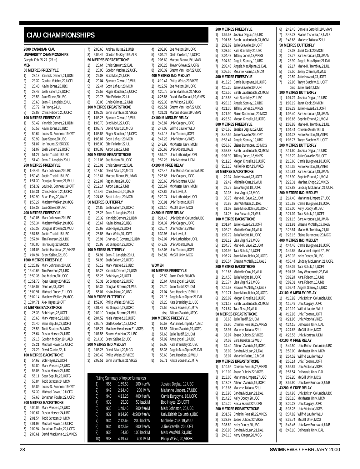#### <span id="page-27-0"></span>**CIAU CHAMPIONSHIPS**

| 2000 CANADIAN CIAU                                   |                    |                                                                        |  |  |  |  |
|------------------------------------------------------|--------------------|------------------------------------------------------------------------|--|--|--|--|
| UNIVERSITY CHAMPIONSHIPS<br>Guelph, Feb 25-27 (25 m) |                    |                                                                        |  |  |  |  |
|                                                      | <b>MEN</b>         |                                                                        |  |  |  |  |
|                                                      |                    | 50 METRES FREESTYLE                                                    |  |  |  |  |
| 1)                                                   |                    | 23.18 Yannick Demers, 21, UDM                                          |  |  |  |  |
| 2)<br>3)                                             |                    | 23.32 Gordon Vatcher, 22, UOFL                                         |  |  |  |  |
| 4)                                                   |                    | 23.40 Kevin Johns, 20, UBC<br>23.42 Josh Ballem, 22, UOFC              |  |  |  |  |
| 5)                                                   |                    |                                                                        |  |  |  |  |
| 6)                                                   |                    | 23.53 Jake Steele, 20, UBC<br>23.60 Jean-F. Langlais, 20, UL           |  |  |  |  |
| 7)                                                   |                    | 23.72 Fai Yong, 24, LU<br>23.88 Chris Hibberd, 20, UOFC                |  |  |  |  |
| 8)                                                   |                    | 100 METRES FREESTYLE                                                   |  |  |  |  |
| 1)                                                   |                    | 50.42 Yannick Demers, 21, UDM                                          |  |  |  |  |
| 2)                                                   |                    | 50.58 Kevin Johns, 20, UBC                                             |  |  |  |  |
| 3)                                                   |                    | 50.64 Louis-D. Bonneau, 19, OTT<br>50.99 Jake Steele, 20, UBC          |  |  |  |  |
| 4)<br>5)                                             |                    |                                                                        |  |  |  |  |
| 6)                                                   |                    | 51.07 lan Young, 22, BROCK<br>51.07 Josh Ballem, 22, UOFC              |  |  |  |  |
| 7)                                                   |                    | 51.27 Justin Tisdall, 18, UBC<br>51.40 Jean-F. Langlais, 20, UL        |  |  |  |  |
| 8)                                                   |                    |                                                                        |  |  |  |  |
|                                                      |                    | 200 METRES FREESTYLE                                                   |  |  |  |  |
| 1)<br>2)                                             |                    | 1:48.46 Mark Johnston, 20, UBC<br>1:50.43 Justin Tisdall, 18, UBC      |  |  |  |  |
| 3)                                                   |                    | 1:51.30 Douglas Browne, 21, WLU                                        |  |  |  |  |
| 4)                                                   |                    | 1:51.32 Louis-D. Bonneau, 19, OTT                                      |  |  |  |  |
| 5)                                                   |                    | 1:52.31 Chris Hibberd, 20, UOFC                                        |  |  |  |  |
| 6)                                                   |                    | 1:52.90 Brian Edey, 20, UALB                                           |  |  |  |  |
| 7)<br>8)                                             |                    | 1:53.27 Matthew Walker, 19, MCG<br>1:53.33 Jake Steele, 20, UBC        |  |  |  |  |
|                                                      |                    | <b>400 METRES FREESTYLE</b>                                            |  |  |  |  |
| 1)                                                   |                    | 3:49.06 Mark Johnston, 20, UBC                                         |  |  |  |  |
| 2)                                                   |                    | 3:56.34 Matthew Walker, 19, MCG                                        |  |  |  |  |
| 3)                                                   |                    | 3:56.37 Douglas Browne, 21, WLU                                        |  |  |  |  |
| 4)<br>5)                                             |                    | 3:57.56 Justin Tisdall, 18, UBC<br>3:57.94 Tim Peterson, 21, UBC       |  |  |  |  |
| 6)                                                   |                    | 4:00.00 lan Young, 22, BROCK                                           |  |  |  |  |
| 7)                                                   |                    | 4:01.05 Justin Hardiman, 20, VIKES                                     |  |  |  |  |
| 8)                                                   |                    | 4:04.94 Brent Sallee, 22, UBC                                          |  |  |  |  |
|                                                      |                    | 1500 METRES FREESTYLE<br>1) 15:20.89 Mark Johnston, 20, UBC            |  |  |  |  |
| 2)                                                   |                    |                                                                        |  |  |  |  |
| 3)                                                   |                    | 15:40.65 Tim Peterson, 21, UBC<br>15:50.36 Joe Melton, 20, UOFC        |  |  |  |  |
|                                                      |                    | 4) 15:51.73 Ryan Keesey, 20, VIKES                                     |  |  |  |  |
|                                                      |                    | 5) 15:58.07 Dan Lee, 23, UOFT                                          |  |  |  |  |
|                                                      |                    | 6) 16:00.91 Michael Pinder, 21, UOFL                                   |  |  |  |  |
|                                                      |                    | 7) 16:02.14 Matthew Walker, 19, MCG<br>8) 16:04.71 Alex Hayes, 19, OTT |  |  |  |  |
|                                                      |                    | 50 METRES BACKSTROKE                                                   |  |  |  |  |
| 1)                                                   |                    | 25.33 Bob Hayes, 23, UOFT                                              |  |  |  |  |
| 2)<br>3)                                             | 25.65<br>26.40     | Mark Versfeld, 23, UBC<br>Sean Sepulis, 22, UOFG                       |  |  |  |  |
| 4)                                                   | 26.53              | Todd Stratten, 24, MCM                                                 |  |  |  |  |
| 5)                                                   | 26.64              | Dustin Hersee, 24, UBC                                                 |  |  |  |  |
| 6)                                                   | 27.16              | Gordon McKay, 19, UALB                                                 |  |  |  |  |
| 7)                                                   | 27.21              | Michael Power, 19, UOFC                                                |  |  |  |  |
| 8)                                                   | 27.29              | David Clarke, 22, LU<br><b>100 METRES BACKSTROKE</b>                   |  |  |  |  |
| 1)                                                   | 54.62              | Bob Hayes, 23, UOFT                                                    |  |  |  |  |
| 2)                                                   | 54.80              | Mark Versfeld, 23, UBC                                                 |  |  |  |  |
| 3)                                                   | 56.08              | Dustin Hersee, 24, UBC                                                 |  |  |  |  |
| 4)<br>5)                                             | 56.11<br>56.84     | Sean Sepulis, 22, UOFG<br>Todd Stratten, 24, MCM                       |  |  |  |  |
| 6)                                                   | 56.89              | Louis-D. Bonneau, 19, OTT                                              |  |  |  |  |
| 7)                                                   | 57.39              | Michael Power, 19, UOFC                                                |  |  |  |  |
| 8)                                                   | 57.68              | Jonathan Fowler, 22, UOFC                                              |  |  |  |  |
|                                                      |                    | 200 METRES BACKSTROKE                                                  |  |  |  |  |
| 1)<br>2)                                             | 2:00.06<br>2:00.67 | Mark Versfeld, 23, UBC<br>Dustin Hersee, 24, UBC                       |  |  |  |  |
| 3)                                                   | 2:01.54            | Todd Stratten, 24, MCM                                                 |  |  |  |  |
| 4)                                                   | 2:01.92            | Michael Power, 19, UOFC                                                |  |  |  |  |
| 5)                                                   | 2:02.94            | Jonathan Fowler, 22, UOFC                                              |  |  |  |  |
| 6)                                                   | 2:03.61            | David MacDonald, 19, VIKES                                             |  |  |  |  |

| 7)       |                       |     | 2:05.66 Andrew Hulse, 21, UNB                                   |              | 4)       |              | 2:03.96 Joe Melton, 20, UOFC                                  |
|----------|-----------------------|-----|-----------------------------------------------------------------|--------------|----------|--------------|---------------------------------------------------------------|
| 8)       |                       |     | 2:06.49 Gordon McKay, 19, UALB                                  |              | 5)       |              | 2:04.79 Garth Coxford, 19, UOF                                |
|          |                       |     | 50 METRES BREASTSTROKE                                          |              | 6)       |              | 2:05.69 Marcus Blouw, 19, UMA                                 |
| 1)       |                       |     | 28.64 Chris Stewart, 22, DAL                                    |              | 7)       |              | 2:08.23 Trevor Grieve, 22, UOFO                               |
| 2)       |                       |     | 28.96 Gordon Vatcher, 22, UOFL                                  |              | 8)       |              | 2:08.39 Shawn Van Hoof, 22, UI                                |
| 3)       |                       |     | 29.03 Brad Mori, 22, UOFL                                       |              |          |              | 400 METRES IND. MEDLEY                                        |
| 4)       |                       |     | 29.04 Spencer Cowan, 19, WLU                                    |              | 1)       |              | 4:19.47 Philip Weiss, 20, VIKES                               |
| 5)       |                       |     | 29.44 Scott Lafleur, 20, MCM                                    |              | 2)       |              | 4:19.59 Joe Melton, 20, UOFC                                  |
| 6)       |                       |     | 29.59 Roger Boucher, 19, UOFC                                   |              | 3)       |              | 4:20.75 John Stamhuis, 21, VIK                                |
| 7)       |                       |     | 29.78 Eric Pelletier, 22, UL                                    |              | 4)       |              | 4:26.85 David MacDonald, 19, \                                |
| 8)       |                       |     | 30.08 Chris Grimes, 19, UNB<br>100 METRES BREASTSTROKE          |              | 5)<br>6) |              | 4:29.36 Ian Wilson, 21, UBC<br>4:29.51 Shawn Van Hoof, 22, UI |
| 1)       |                       |     | 1:02.39 John Stamhuis, 21, VIKES                                |              | 7)       |              | 4:31.31 Marcus Blouw, 19, UMA                                 |
| 2)       |                       |     | 1:03.25 Spencer Cowan, 19, WLU                                  |              |          |              | 4X100 M MEDLEY RELAY                                          |
| 3)       |                       |     | 1:03.70 Brad Mori, 22, UOFL                                     |              | 1)       |              | 3:45.87 Univ.Calgary,UOFC                                     |
| 4)       |                       |     | 1:03.78 David Allard, 20, MCG                                   |              | 2)       |              | 3:47.05 Wilfrid Laurier, WLU                                  |
| 5)       |                       |     | 1:03.86 Roger Boucher, 19, UOFC                                 |              | 3)       |              | 3:47.18 Univ.Toronto,UOFT                                     |
| 6)       |                       |     | 1:03.87 Scott Lafleur, 20, MCM                                  |              | 4)       |              | 3:47.23 Univ.Victoria, VIKES                                  |
| 7)       |                       |     | 1:05.00 Eric Pelletier, 22, UL                                  |              | 5)       |              | 3:49.96 McMaster Univ., MCM                                   |
| 8)       |                       |     | 1:05.03 Aaron Lee, 19, UNB                                      |              | 6)       |              | 3:50.68 Univ.Alberta, UALB                                    |
|          |                       |     | 200 METRES BREASTSTROKE                                         |              | 7)       |              | 3:51.72 Univ.Lethbridge, UOFL                                 |
| 1)       |                       |     | 2:17.06 Joe Melton, 20, UOFC                                    |              | 8)       |              | 3:52.28 Univ.Montreal,UDM                                     |
| 2)       |                       |     | 2:18.01 Chris Stewart, 22, DAL                                  |              |          |              | 4X100 M FREE RELAY                                            |
| 3)       |                       |     | 2:18.50 David Allard, 20, MCG<br>2:18.61 Marcus Blouw, 19, UMAN |              | 1)<br>2) |              | 3:22.42 Univ.British Columbia<br>3:25.65 Univ.Calgary,UOFC    |
| 4)<br>5) |                       |     | 2:19.07 Regan Janz, 20, UBC                                     |              | 3)       |              | 3:26.66 Univ.Montreal,UDM                                     |
| 6)       |                       |     | 2:19.14 Aaron Lee, 19, UNB                                      |              | 4)       |              | 3:28.67 McMaster Univ., MCM                                   |
| 7)       |                       |     | 2:19.45 Chris Nelson, 20, UALB                                  |              | 5)       |              | 3:28.89 Univ.Laval,UL                                         |
| 8)       |                       |     | 2:24.65 Scott Lafleur, 20, MCM                                  |              | 6)       |              | 3:29.74 Univ.Lethbridge, UOFL                                 |
|          | 50 METRES BUTTERFLY   |     |                                                                 |              | 7)       |              | 3:30.91 Univ.Toronto,UOFT                                     |
| 1)       |                       |     | 24.85 Josh Ballem, 22, UOFC                                     |              | 8)       |              | 3:31.10 McGill Univ., MCG                                     |
| 2)       |                       |     | 25.28 Jean-F. Langlais, 20, UL                                  |              |          |              | 4X200 M FREE RELAY                                            |
| 3)       |                       |     | 25.39 Yannick Demers, 21, UDM                                   |              | 1)       |              | 7:24.48 Univ.British Columbia                                 |
| 4)       |                       |     | 25.67 Kevin Johns, 20, UBC                                      |              | 2)       |              | 7:34.37 Univ.Calgary,UOFC                                     |
| 5)       |                       |     | 25.68 Bob Hayes, 23, UOFT                                       |              | 3)       |              | 7:36.74 Univ.Victoria, VIKES                                  |
| 6)       |                       |     | 25.86 Mark Wells, 20, UOFT                                      |              | 4)       |              | 7:39.96 Univ.Laval,UL                                         |
| 7)       |                       |     | 25.91 Charles-E. Goyette, 19, UDM                               |              | 5)       |              | 7:42.07 Univ.Lethbridge, UOFL                                 |
| 8)       | 100 METRES BUTTERFLY  |     | 25.99 Bo Simpson, 22, UOFC                                      |              | 6)<br>7) |              | 7:42.32 Univ.Alberta, UALB<br>7:43.03 Univ.Toronto,UOFT       |
| 1)       |                       |     | 54.91 Jean-F. Langlais, 20, UL                                  |              | 8)       | 7:45.89      | McGill Univ., MCG                                             |
| 2)       |                       |     | 54.93 Josh Ballem, 22, UOFC                                     |              |          |              |                                                               |
| 3)       |                       |     | 55.12 Mark Versfeld, 23, UBC                                    |              |          | <b>WOMEN</b> |                                                               |
| 4)       |                       |     | 55.23 Yannick Demers, 21, UDM                                   |              |          |              | <b>50 METRES FREESTYLE</b>                                    |
| 5)       |                       |     | 55.25 Bob Hayes, 23, UOFT                                       |              | 1)       |              | 26.50 Janet Cook, 20, MCM                                     |
| 6)       |                       |     | 55.31 Bo Simpson, 22, UOFC                                      |              | 2)       |              | 26.64 Anna Lydall, 19, UBC                                    |
| 7)       |                       |     | 55.39 Douglas Browne, 21, WLU                                   |              | 3)       |              | 26.70 Julie Tardif, 22, UDM                                   |
| 8)       |                       |     | 56.01 Kevin Johns, 20, UBC                                      |              | 4)       |              | 27.04 Sara Havekes, 19, WLU                                   |
|          | 200 METRES BUTTERFLY  |     |                                                                 |              | 5)       |              | 27.15 Angela MacAlpine, 21,                                   |
| 1)       |                       |     | 1:59.95 Philip Weiss, 20, VIKES                                 |              | 6)       |              | 27.25 Kate Brambley, 21, UBC                                  |
| 2)<br>3) |                       |     | 2:01.49 Bo Simpson, 22, UOFC<br>2:02.10 Douglas Browne, 21, WLU |              | 7)       |              | 27.56 Krista Bowser, 21, MTA<br>disq Allison Zwarich, UFOC    |
| 4)       |                       |     | 2:04.52 Niels Versfeld, 18, UOFC                                |              |          |              | <b>100 METRES FREESTYLE</b>                                   |
| 5)       |                       |     | 2:05.78 Garth Coxford, 19, UOFC                                 |              | 1)       |              | 56.58 Marianne Limpert, 27, L                                 |
| 6)       |                       |     | 2:06.27 Matthew Henderson, 21, VIKES                            |              | 2)       |              | 57.55 Allison Zwarich, 19, UO                                 |
| 7)       | 2:07.55               |     | Shawn Van Hoof, 22, UBC                                         |              | 3)       | 57.63        | Julie Tardif, 22, UDM                                         |
| 8)       | 2:14.35               |     | Brent Sallee, 22, UBC                                           |              | 4)       | 57.92        | Anna Lydall, 19, UBC                                          |
|          | 200 METRES IND.MEDLEY |     |                                                                 |              | 5)       | 58.06        | Kate Brambley, 21, UBC                                        |
| 1)       |                       |     | 2:03.25 David Allard, 20, MCG                                   |              | 6)       | 58.36        | Angela MacAlpine, 21,                                         |
| 2)       |                       |     | 2:03.49 Philip Weiss, 20, VIKES                                 |              | 7)       |              | 58.60 Sara Havekes, 19, WLU                                   |
| 3)       | 2:03.51               |     | John Stamhuis, 21, VIKES                                        |              | 8)       | 58.71        | Krista Bowser, 21, MTA                                        |
|          |                       |     |                                                                 |              |          |              |                                                               |
|          |                       |     | Rating Summary of top performances                              |              |          |              |                                                               |
|          | 1)                    | 955 | 1:59.53                                                         | 200 free W   |          |              | Jessica Deglau, 19, UBC                                       |
|          | 2)                    | 949 | 2:14.40                                                         | 200 IM W     |          |              | Marianne Limpert, 27, UBC                                     |
|          | 3)                    | 940 | 4:13.25                                                         | 400 free W   |          |              | Carrie Burgoyne, 18, UOFC                                     |
|          | 4)                    | 939 | 25.33                                                           | 50 back M    |          |              | Bob Hayes, 23, UOFT                                           |
|          | 5)                    | 938 | 1:48.46                                                         | 200 free M   |          |              | Mark Johnston, 20, UBC                                        |
|          | 6)                    | 937 | 8:14.93                                                         | 4x200 free W |          |              | Univ.British Columbia,UBC                                     |
|          |                       |     |                                                                 |              |          |              | 10 14/11                                                      |

8) 934 8:42.59 800 free 9) 933 54.80 100 back

10) 933 4:19.47 400 IM M Philip Weiss, 20,VIKES

|                                    | :05.66 Andrew Hulse,21,UNB                                        | 4)       |              | 2:03.96 Joe Melton, 20, UOFC                               |  |  |
|------------------------------------|-------------------------------------------------------------------|----------|--------------|------------------------------------------------------------|--|--|
|                                    | :06.49 Gordon McKay, 19, UALB                                     | 5)       |              | 2:04.79 Garth Coxford, 19, UOFC                            |  |  |
|                                    | <b>ETRES BREASTSTROKE</b>                                         | 6)       |              | 2:05.69 Marcus Blouw, 19, UMAN                             |  |  |
|                                    | 28.64 Chris Stewart, 22, DAL                                      | 7)       |              | 2:08.23 Trevor Grieve, 22, UOFG                            |  |  |
|                                    | 28.96 Gordon Vatcher, 22, UOFL                                    | 8)       |              | 2:08.39 Shawn Van Hoof, 22, UBC                            |  |  |
|                                    | 29.03 Brad Mori, 22, UOFL<br>29.04 Spencer Cowan, 19, WLU         | 1)       |              | 400 METRES IND. MEDLEY<br>4:19.47 Philip Weiss, 20, VIKES  |  |  |
|                                    | 29.44 Scott Lafleur, 20, MCM                                      | 2)       |              | 4:19.59 Joe Melton, 20, UOFC                               |  |  |
|                                    | 29.59 Roger Boucher, 19, UOFC                                     | 3)       |              | 4:20.75 John Stamhuis, 21, VIKES                           |  |  |
|                                    | 29.78 Eric Pelletier, 22, UL                                      | 4)       |              | 4:26.85 David MacDonald, 19, VIKES                         |  |  |
|                                    | 30.08 Chris Grimes, 19, UNB                                       | 5)       |              | 4:29.36 Ian Wilson, 21, UBC                                |  |  |
|                                    | <b>IETRES BREASTSTROKE</b>                                        | 6)       |              | 4:29.51 Shawn Van Hoof, 22, UBC                            |  |  |
|                                    | :02.39 John Stamhuis, 21, VIKES                                   | 7)       |              | 4:31.31 Marcus Blouw, 19, UMAN                             |  |  |
|                                    | :03.25 Spencer Cowan, 19, WLU<br>03.70 Brad Mori, 22, UOFL        | 1)       |              | 4X100 M MEDLEY RELAY<br>3:45.87 Univ.Calgary,UOFC          |  |  |
|                                    | :03.78 David Allard, 20, MCG                                      | 2)       |              | 3:47.05 Wilfrid Laurier.WLU                                |  |  |
|                                    | :03.86 Roger Boucher, 19, UOFC                                    | 3)       |              | 3:47.18 Univ.Toronto,UOFT                                  |  |  |
|                                    | :03.87 Scott Lafleur, 20, MCM                                     | 4)       |              | 3:47.23 Univ.Victoria, VIKES                               |  |  |
|                                    | :05.00 Eric Pelletier, 22, UL                                     | 5)       |              | 3:49.96 McMaster Univ., MCM                                |  |  |
|                                    | :05.03 Aaron Lee, 19, UNB                                         | 6)       |              | 3:50.68 Univ.Alberta, UALB                                 |  |  |
|                                    | <b>IETRES BREASTSTROKE</b>                                        | 7)       |              | 3:51.72 Univ.Lethbridge, UOFL                              |  |  |
|                                    | :17.06 Joe Melton, 20, UOFC<br>:18.01 Chris Stewart, 22, DAL      | 8)       |              | 3:52.28 Univ.Montreal,UDM<br>4X100 M FREE RELAY            |  |  |
|                                    | :18.50 David Allard, 20, MCG                                      | 1)       |              | 3:22.42 Univ.British Columbia, UBC                         |  |  |
|                                    | :18.61 Marcus Blouw, 19, UMAN                                     | 2)       |              | 3:25.65 Univ.Calgary,UOFC                                  |  |  |
|                                    | :19.07 Regan Janz, 20, UBC                                        | 3)       |              | 3:26.66 Univ.Montreal,UDM                                  |  |  |
|                                    | :19.14 Aaron Lee, 19, UNB                                         | 4)       |              | 3:28.67 McMaster Univ., MCM                                |  |  |
|                                    | :19.45 Chris Nelson, 20, UALB                                     | 5)       |              | 3:28.89 Univ.Laval,UL                                      |  |  |
|                                    | :24.65 Scott Lafleur, 20, MCM                                     | 6)       |              | 3:29.74 Univ.Lethbridge, UOFL<br>3:30.91 Univ.Toronto,UOFT |  |  |
|                                    | ETRES BUTTERFLY<br>24.85 Josh Ballem, 22, UOFC                    | 7)<br>8) |              | 3:31.10 McGill Univ., MCG                                  |  |  |
|                                    | 25.28 Jean-F. Langlais, 20, UL                                    |          |              | 4X200 M FREE RELAY                                         |  |  |
|                                    | 25.39 Yannick Demers, 21, UDM                                     | 1)       |              | 7:24.48 Univ.British Columbia, UBC                         |  |  |
|                                    | 25.67 Kevin Johns, 20, UBC                                        | 2)       |              | 7:34.37 Univ.Calgary,UOFC                                  |  |  |
|                                    | 25.68 Bob Hayes, 23, UOFT                                         | 3)       |              | 7:36.74 Univ.Victoria, VIKES                               |  |  |
|                                    | 25.86 Mark Wells, 20, UOFT                                        | 4)       |              | 7:39.96 Univ.Laval,UL                                      |  |  |
|                                    | 25.91 Charles-E. Goyette, 19, UDM                                 | 5)       |              | 7:42.07 Univ.Lethbridge, UOFL                              |  |  |
|                                    | 25.99 Bo Simpson, 22, UOFC<br><b>IETRES BUTTERFLY</b>             | 6)<br>7) |              | 7:42.32 Univ.Alberta, UALB<br>7:43.03 Univ.Toronto,UOFT    |  |  |
|                                    | 54.91 Jean-F. Langlais, 20, UL                                    | 8)       |              | 7:45.89 McGill Univ., MCG                                  |  |  |
|                                    | 54.93 Josh Ballem, 22, UOFC                                       |          |              |                                                            |  |  |
|                                    | 55.12 Mark Versfeld, 23, UBC                                      |          | <b>WOMEN</b> |                                                            |  |  |
|                                    | 55.23 Yannick Demers, 21, UDM                                     |          |              | <b>50 METRES FREESTYLE</b>                                 |  |  |
|                                    | 55.25 Bob Hayes, 23, UOFT                                         | 1)       |              | 26.50 Janet Cook, 20, MCM                                  |  |  |
|                                    | 55.31 Bo Simpson, 22, UOFC<br>55.39 Douglas Browne, 21, WLU       | 2)<br>3) |              | 26.64 Anna Lydall, 19, UBC<br>26.70 Julie Tardif, 22, UDM  |  |  |
|                                    | 56.01 Kevin Johns, 20, UBC                                        | 4)       |              | 27.04 Sara Havekes, 19, WLU                                |  |  |
|                                    | <b>IETRES BUTTERFLY</b>                                           | 5)       |              | 27.15 Angela MacAlpine, 21, DAL                            |  |  |
|                                    | :59.95 Philip Weiss, 20, VIKES                                    | 6)       |              | 27.25 Kate Brambley, 21, UBC                               |  |  |
|                                    | :01.49 Bo Simpson,22,UOFC                                         | 7)       |              | 27.56 Krista Bowser, 21, MTA                               |  |  |
|                                    | :02.10 Douglas Browne,21, WLU                                     |          |              | disq Allison Zwarich, UFOC                                 |  |  |
|                                    | :04.52 Niels Versfeld, 18, UOFC<br>:05.78 Garth Coxford, 19, UOFC | 1)       |              | 100 METRES FREESTYLE<br>56.58 Marianne Limpert, 27, UBC    |  |  |
|                                    | :06.27 Matthew Henderson, 21, VIKES                               | 2)       |              | 57.55 Allison Zwarich, 19, UOFC                            |  |  |
| :07.55                             | Shawn Van Hoof, 22, UBC                                           | 3)       |              | 57.63 Julie Tardif, 22, UDM                                |  |  |
| :14.35                             | Brent Sallee, 22, UBC                                             | 4)       |              | 57.92 Anna Lydall, 19, UBC                                 |  |  |
|                                    | <b>IETRES IND.MEDLEY</b>                                          | 5)       |              | 58.06 Kate Brambley, 21, UBC                               |  |  |
| :03.25                             | David Allard, 20, MCG                                             | 6)       |              | 58.36 Angela MacAlpine, 21, DAL                            |  |  |
| :03.49                             | Philip Weiss, 20, VIKES                                           | 7)       |              | 58.60 Sara Havekes, 19, WLU                                |  |  |
| :03.51                             | John Stamhuis, 21, VIKES                                          | 8)       |              | 58.71 Krista Bowser, 21, MTA                               |  |  |
| Rating Summary of top performances |                                                                   |          |              |                                                            |  |  |
| 1)                                 | 955<br>1:59.53<br>200 free W                                      |          |              | Jessica Deglau, 19, UBC                                    |  |  |
| 2)                                 | 949<br>2:14.40<br>200 IM W                                        |          |              | Marianne Limpert, 27, UBC                                  |  |  |
| 3)                                 | 940<br>4:13.25<br>400 free W                                      |          |              | Carrie Burgoyne, 18, UOFC                                  |  |  |
| 4)                                 | 939<br>25.33<br>50 back M                                         |          |              | Bob Hayes, 23, UOFT                                        |  |  |
| 5)                                 | 938<br>1:48.46<br>200 free M                                      |          |              | Mark Johnston, 20, UBC                                     |  |  |
| 6)                                 | 4x200 free W<br>937<br>8:14.93                                    |          |              | Univ.British Columbia, UBC                                 |  |  |
| 7)                                 | 934<br>2:12.65<br>200 back W                                      |          |              | Michelle Cruz, 19, WLU                                     |  |  |
| 8)                                 | 934<br>8:42.59<br>800 free W                                      |          |              | Julie Gravelle, 20, UOFT                                   |  |  |
| 9)                                 | 933<br>54.80<br>100 back M                                        |          |              | Mark Versfeld, 23, UBC                                     |  |  |

|                      | <b>200 METRES FREESTYLE</b>                                       |
|----------------------|-------------------------------------------------------------------|
| 1)                   | 1:59.53 Jessica Deglau, 19, UBC                                   |
| 2)<br>2:01.66<br>3)  | Sarah Laudenbach, 23, MCM<br>2:02.89 Julie Gravelle, 20, UOFT     |
| 4)                   | 2:03.50 Kate Brambley, 21, UBC                                    |
| 5)                   | 2:04.48 Tiffany Jones, 18, VIKES                                  |
| 6)                   | 2:04.89 Angela Stanley, 19, UBC                                   |
| 7)                   | 2:05.48 Angela MacAlpine, 21, DAL                                 |
| 8)                   | 2:05.50 Melanie Patina, 19, MCM                                   |
|                      | <b>400 METRES FREESTYLE</b>                                       |
| 1)<br>4:13.25        | Carrie Burgoyne, 18, UOFC                                         |
| 2)<br>4:15.26        | Julie Gravelle, 20, UOFT                                          |
| 3)<br>4:18.50        | Sarah Laudenbach, 23, MCM                                         |
| 4)                   | 4:18.58 Kate Brambley, 21, UBC                                    |
| 5)<br>4:20.13        | Angela Stanley, 19, UBC                                           |
| 4:21.30<br>6)        | Tiffany Jones, 18, VIKES                                          |
| 7)<br>4:21.90        | Elaine Duranceau, 20, MCG                                         |
| 8)<br>4:23.52        | Megan Kinsella, 18, UOFC                                          |
|                      | 800 METRES FREESTYLE                                              |
| 1)<br>8:40.65        | Jessica Deglau, 19, UBC                                           |
| 2)<br>8:42.59        | Julie Gravelle, 20, UOFT                                          |
| 3)<br>8:53.47        | Angela Stanley, 19, UBC                                           |
| 4)<br>8:58.65        | Elaine Duranceau, 20, MCG                                         |
| 5)<br>8:58.83        | Sarah Laudenbach, 23, MCM                                         |
| 9:07.99<br>6)        | Tiffany Jones, 18, VIKES                                          |
| 7)                   | 9:11.23 Megan Kinsella, 18, UOFC                                  |
| 8)                   | 9:12.15 Kellie Rolston, 19, VIKES                                 |
|                      | 50 METRES BACKSTROKE                                              |
| 1)                   | 29.34 Julie Howard, 23, UOFT<br>Michelle Cruz, 19, WLU            |
| 2)<br>29.42<br>29.79 | Julia Wright, 18, UOFC                                            |
| 3)<br>4)<br>30.36    | Lisa Virgini, 23, MCG                                             |
| 5)                   | 30.78 Marie-H. Savo, 22, UDM                                      |
| 6)                   | 30.89 Gail Whittaker, 20, DAL                                     |
| 7)                   | 31.03 Jane Mikoultchik, 20, UOFC                                  |
| 8)                   | 31.26 Lisa Parwicki, 21, WLU                                      |
|                      | 100 METRES BACKSTROKE                                             |
| 1)<br>1:01.94        | Julie Howard, 23, UOFT                                            |
| 2)<br>1:02.72        | Michelle Cruz, 19, WLU                                            |
| 3)                   | 1:02.79 Julia Wright, 18, UOFC                                    |
| 4)<br>1:03.12        | Lisa Virgini, 23, MCG                                             |
| 5)<br>1:04.76        | Marie-H. Savo, 22, UDM                                            |
| 6)<br>1:04.95        | Tara Schulz, 19, UOFT                                             |
| 7)                   | 1:05.24 Jane Mikoultchik, 20, UOFC                                |
| 8)                   | 1:06.54 Shauna McNally, 18, UALB                                  |
|                      | <b>200 METRES BACKSTROKE</b>                                      |
| 1)<br>2)             | 2:12.65 Michelle Cruz, 19, WLU<br>2:14.56 Julia Wright, 18, UOFC  |
| 3)                   |                                                                   |
| 4)                   | 2:15.74 Lisa Virgini, 23, MCG<br>2:16.57 Shauna McNally, 18, UALB |
| 2:19.71<br>5)        | Jane Mikoultchik, 20, UOFC                                        |
| 6)<br>2:20.02        | Megan Kinsella, 18, UOFC                                          |
| 7)<br>2:21.18        | Sarah Laudenbach, 23, MCM                                         |
| 8)<br>2:21.64        | Tara Ross, 19, WLU                                                |
|                      | 50 METRES BREASTSTROKE                                            |
| 1)<br>33.63          | Julie Tardif, 22, UDM                                             |
| 2)<br>33.90          | Christin Petelski, 22, VIKES                                      |
| 3)<br>33.97          | Marlene Taliana, 22, UL                                           |
| 4)<br>33.97          | Josee Dubois, 22, VIKES                                           |
| 5)<br>34.03          | Sara Havekes, 19, WLU                                             |
| 6)<br>34.40          | Allison Zwarich, 19, UOFC                                         |
| 7)<br>35.02          | Sandra McLean, 21, DAL                                            |
| 8)<br>35.07          | Melanie Patina, 19, MCM<br>100 METRES BREASTSTROKE                |
| 1:10.52              |                                                                   |
| 1)<br>2)<br>1:12.02  | Christin Petelski, 22, VIKES<br>Josee Dubois, 22, VIKES           |
| 3)<br>1:13.00        | Marianne Limpert, 27, UBC                                         |
| 4)<br>1:13.23        | Allison Zwarich, 19, UOFC                                         |
| 5)<br>1:13.85        | Marlene Taliana, 22, UL                                           |
| 6)<br>1:13.90        | Sandra McLean, 21, DAL                                            |
| 7)<br>1:14.20        | Kelly Doody, 20, UBC                                              |
| 8)<br>1:15.20        | Krista Esford, 22, UOFG                                           |
|                      | 200 METRES BREASTSTROKE                                           |
| 1)<br>2:31.52        | Christin Petelski, 22, VIKES                                      |
| 2)<br>2:33.93        | Josee Dubois, 22, VIKES                                           |
| 3)<br>2:36.62        | Kelly Doody, 20, UBC                                              |
| 4)<br>2:36.93        | Sandra McLean, 21, DAL                                            |

5) 2:40.10 Kerry Cregan,20,MCG

6) 2:42.45 Daniella Garofoli,19,UMAN 7) 2:42.73 Rianna Tichelaar,18,UALB 8) 2:43.68 Marlene Taliana,22,UL **50 METRES BUTTERFLY** 1) 28.02 Janet Cook,20,MCM 2) 28.77 Sara Alroubaie,18,UMAN 3) 28.99 Angela MacAlpine,21,DAL 4) 29.17 Marie-H. Tremblay,21,UL 5) 29.50 Jenny Cramm,20,WLU 6) 29.59 Julie Howard,23,UOFT 7) 29.96 Tanya Stachiw,21,UOFT disq Julie Tardiff,UDM **100 METRES BUTTERFLY** 1) 1:01.79 Jessica Deglau,19,UBC 2) 1:02.19 Janet Cook,20,MCM 3) 1:02.29 Julie Howard,23,UOFT 4) 1:02.40 Sara Alroubaie,18,UMAN 5) 1:03.66 Sophie Emond,21,MCM 6) 1:03.88 Marie-H. Tremblay,21,UL 7) 1:04.44 Christie Smith,18,LU 8) 1:04.78 Kellie Rolston,19,VIKES 9) 1:05.77 Tanya Stachiw,21,UOFT **200 METRES BUTTERFLY** 1) 2:11.60 Jessica Deglau,19,UBC 2) 2:13.79 Julie Gravelle,20,UOFT 3) 2:15.60 Carrie Burgoyne,18,UOFC 4) 2:16.35 Kellie Rolston,19,VIKES 5) 2:16.84 Sara Alroubaie,18,UMAN 6) 2:17.90 Sophie Emond,21,MCM 7) 2:22.31 Martina Knopp,20,VIKES 8) 2:22.88 Lindsay McLennan,21,UOFL **200 METRES IND.MEDLEY** 1) 2:14.40 Marianne Limpert,27,UBC 2) 2:16.62 Carrie Burgoyne,18,UOFC 3) 2:19.00 Kelly Doody,20,UBC 4) 2:21.09 Tara Schulz,19,UOFT 5) 2:21.15 Sara Alroubaie,18,UMAN 6) 2:21.91 Shauna McNally,18,UALB 7) 2:22.54 Marie-H. Tremblay,21,UL 8) 2:23.15 Elaine Duranceau,20,MCG **400 METRES IND.MEDLEY** 1) 4:44.46 Carrie Burgoyne,18,UOFC 2) 4:49.85 Marianne Limpert,27,UBC 3) 4:50.32 Kelly Doody,20,UBC 4) 4:50.44 Lindsay McLennan,21,UOFL 5) 4:58.01 Tara Schulz,19,UOFT 6) 5:01.07 Amy Woodworth,23,DAL 7) 5:02.24 Kara Folsom,18,UNB 8) 5:09.31 Kara Folsom,18,UNB 9) 5:09.44 Angela Stanley,19,UBC **4X100 M MEDLEY RELAY** 1) 4:15.92 Univ.British Columbia,UBC 2) 4:16.49 Univ.Calgary,UOFC 3) 4:19.19 Wilfrid Laurier,WLU 4) 4:19.93 Univ.Toronto,UOFT 5) 4:21.96 Univ.Victoria,VIKES 6) 4:24.15 Dalhousie Univ.,DAL 7) 4:24.67 McGill Univ.,MCG 8) 4:25.53 Univ.Montreal,UDM **4X100 M FREE RELAY** 1) 3:49.50 Univ.British Columbia,UBC 2) 3:52.00 McMaster Univ.,MCM 3) 3:54.52 Wilfrid Laurier,WLU 4) 3:56.14 Univ.Toronto,UOFT 5) 3:56.81 Univ.Victoria,VIKES 6) 3:57.54 Dalhousie Univ.,DAL 7) 3:59.20 McGill Univ.,MCG 8) 3:59.90 Univ.New Brunswick,UNB **4X200 M FREE RELAY** 1) 8:14.93 Univ.British Columbia,UBC 2) 8:20.16 McMaster Univ.,MCM 3) 8:20.28 Univ.Calgary,UOFC 4) 8:37.23 Univ.Victoria,VIKES 5) 8:37.82 Wilfrid Laurier,WLU 6) 8:39.74 McGill Univ.,MCG 7) 8:43.46 Univ.New Brunswick,UNB 8) 8:46.10 Dalhousie Univ.,DAL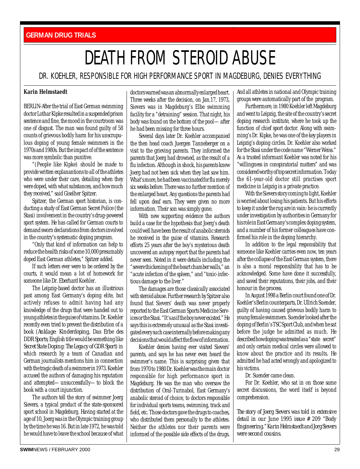#### <span id="page-28-0"></span>**GERMAN DRUG TRIALS**

## DEATH FROM STEROID ABUSE

#### DR. KOEHLER, RESPONSIBLE FOR HIGH PERFORMANCE SPORT IN MAGDEBURG, DENIES EVERYTHING

#### **Karin Helmstaedt**

BERLIN-After the trial of East German swimming doctor Lothar Kipke resulted in a suspended prison sentence and fine, the mood in the courtroom was one of disgust. The man was found guilty of 58 counts of grievous bodily harm for his unscrupulous doping of young female swimmers in the 1970s and 1980s. But the impact of of the sentence was more symbolic than punitive.

"(People like Kipke) should be made to provide written explanantions to all of the athletes who were under their care, detailing when they were doped, with what substances, and how much they received," said Giselher Spitzer.

Spitzer, the German sport historian, is conducting a study of East German Secret Police (the Stasi) involvement in the country's drug-powered sport system. He has called for German courts to demand sworn declarations from doctors involved in the country's systematic doping program.

"Only that kind of information can help to reduce the health risks of some 10,000 presumably doped East German athletes," Spitzer added.

If such letters ever were to be ordered by the courts, it would mean a lot of homework for someone like Dr. Eberhard Koehler.

The Leipzig-based doctor has an illustrious past among East Germany's doping elite, but actively refuses to admit having had any knowledge of the drugs that were handed out to young athletes in the guise of vitamins. Dr. Koehler recently even tried to prevent the distribution of a book (*Anklage: Kinderdoping, Das Erbe des DDR Sports*; English title would be something like *Secret State Doping: The Legacy of GDR Sport*) in which research by a team of Canadian and German journalists mentions him in connection with the tragic death of a swimmer in 1973. Koehler accused the authors of damaging his reputation and attempted—unsuccessfully—to block the book with a court injunction.

The authors tell the story of swimmer Joerg Sievers, a typical product of the state-sponsored sport school in Magdeburg. Having started at the age of 10, Joerg was in the Olympic training group by the time he was 16. But in late 1972, he was told he would have to leave the school because of what

doctors warned was an abnormally enlarged heart. Three weeks after the decision, on Jan.17, 1973, Sievers was in Magdeburg's Elbe swimming facility for a "detraining" session. That night, his body was found on the bottom of the pool—after he had been missing for three hours.

Several days later Dr. Koehler accompanied the then head coach Juergen Tanneberger on a visit to the grieving parents. They informed the parents that Joerg had drowned, as the result of a flu infection. Although in shock, his parents knew Joerg had not been sick when they last saw him. What's more, he had been vaccinated for flu merely six weeks before. There was no further mention of the enlarged heart. Any questions the parents had fell upon deaf ears. They were given no more information. Their son was simply gone.

With new supporting evidence the authors build a case for the hypothesis that Joerg's death could well have been the result of anabolic steroids he received in the guise of vitamins. Research efforts 25 years after the boy's mysterious death uncovered an autopsy report that the parents had never seen. Noted in it were details including the "severe thickening of the heart chamber walls," an "acute infection of the spleen," and "toxic-infectious damage to the liver."

The damages are those classically associated with steroid abuse. Further research by Spitzer also found that Sievers' death was never properly reported to the East German Sports Medicine Services or the Stasi. "It's as if the boy never existed." He says this is extremely unusual as the Stasi investigated every such case internally before making any decisions that would affect the flow of information.

Koehler denies having ever visited Sievers' parents, and says he has never even heard the swimmer's name. This is surprising given that from 1970 to 1980 Dr. Koehler was the main doctor responsible for high performance sport in Magdeburg. He was the man who oversaw the distribution of Oral-Turinabol, East Germany's anabolic steroid of choice, to doctors responsible for individual sports teams, swimming, track and field, etc. Those doctors gave the drugs to coaches, who distributed them personally to the athletes. Neither the athletes nor their parents were informed of the possible side effects of the drugs.

And all athletes in national and Olympic training groups were automatically part of the program.

Furthermore, in 1980 Koehler left Magdeburg and went to Leipzig, the site of the country's secret doping research institute, where he took up the function of chief sport doctor. Along with swimming's Dr. Kipke, he was one of the key players in Leipzig's doping circles. Dr. Koehler also worked for the Stasi under the code name "Werner Weiss." As a trusted informant Koehler was noted for his "willingness in conspiratorial matters" and was considered worthy of top secret information. Today the 61-year-old doctor still practises sport medicine in Leipzig in a private practice.

With the Sievers story coming to light, Koehler is worried about losing his patients. But his efforts to keep it under the rug are in vain: he is currently under investigation by authorities in Germany for his role in East Germany's complex doping system, and a number of his former colleagues have confirmed his role in the doping hierarchy.

In addition to the legal responsibility that someone like Koehler carries even now, ten years after the collapse of the East German system, there is also a moral responsibility that has to be acknowledged. Some have done it successfully, and saved their reputations, their jobs, and their honour in the process.

In August 1998 a Berlin court found one of Dr. Koehler's Berlin counterparts, Dr. Ullrich Suender, guilty of having caused grievous bodily harm to young female swimmers. Suender looked after the doping of Berlin's TSC Sport Club, and when he sat before the judge he admitted as much. He described how doping was treated as a "state secret" and only certain medical circles were allowed to know about the practice and its results. He admitted he had acted wrongly and apologized to his victims.

Dr. Suender came clean.

For Dr. Koehler, who sat in on those same secret discussions, the word itself is beyond comprehension.

*The story of Joerg Sievers was told in extensive detail in our June 1995 issue # 209 "Body Engineering." Karin Helmstaedt and Jorg Sievers were second cousins.*